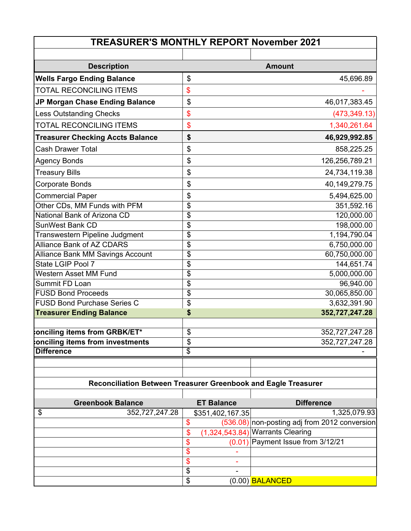| <b>TREASURER'S MONTHLY REPORT November 2021</b>                |                           |                   |                                                 |  |  |  |
|----------------------------------------------------------------|---------------------------|-------------------|-------------------------------------------------|--|--|--|
|                                                                |                           |                   |                                                 |  |  |  |
| <b>Description</b>                                             |                           |                   | <b>Amount</b>                                   |  |  |  |
| <b>Wells Fargo Ending Balance</b>                              | \$                        |                   | 45,696.89                                       |  |  |  |
| <b>TOTAL RECONCILING ITEMS</b>                                 | \$                        |                   |                                                 |  |  |  |
| JP Morgan Chase Ending Balance                                 | \$                        |                   | 46,017,383.45                                   |  |  |  |
| <b>Less Outstanding Checks</b>                                 | \$                        |                   | (473, 349.13)                                   |  |  |  |
| <b>TOTAL RECONCILING ITEMS</b>                                 | \$                        |                   | 1,340,261.64                                    |  |  |  |
| <b>Treasurer Checking Accts Balance</b>                        | \$                        |                   | 46,929,992.85                                   |  |  |  |
| <b>Cash Drawer Total</b>                                       | \$                        |                   | 858,225.25                                      |  |  |  |
| <b>Agency Bonds</b>                                            | \$                        |                   | 126,256,789.21                                  |  |  |  |
| <b>Treasury Bills</b>                                          | \$                        |                   | 24,734,119.38                                   |  |  |  |
| <b>Corporate Bonds</b>                                         | \$                        |                   | 40,149,279.75                                   |  |  |  |
| <b>Commercial Paper</b>                                        | \$                        |                   | 5,494,625.00                                    |  |  |  |
| Other CDs, MM Funds with PFM                                   | \$                        |                   | 351,592.16                                      |  |  |  |
| National Bank of Arizona CD                                    | \$                        |                   | 120,000.00                                      |  |  |  |
| SunWest Bank CD                                                | \$                        |                   | 198,000.00                                      |  |  |  |
| Transwestern Pipeline Judgment                                 | \$                        |                   | 1,194,790.04                                    |  |  |  |
| <b>Alliance Bank of AZ CDARS</b>                               | \$                        |                   | 6,750,000.00                                    |  |  |  |
| Alliance Bank MM Savings Account                               | \$                        |                   | 60,750,000.00                                   |  |  |  |
| State LGIP Pool 7                                              | \$                        |                   | 144,651.74                                      |  |  |  |
| Western Asset MM Fund                                          | \$                        |                   | 5,000,000.00                                    |  |  |  |
| Summit FD Loan                                                 | $\overline{\mathfrak{s}}$ |                   | 96,940.00                                       |  |  |  |
| <b>FUSD Bond Proceeds</b>                                      | \$                        |                   | 30,065,850.00                                   |  |  |  |
| <b>FUSD Bond Purchase Series C</b>                             | \$                        |                   | 3,632,391.90                                    |  |  |  |
| <b>Treasurer Ending Balance</b>                                | \$                        |                   | 352,727,247.28                                  |  |  |  |
| onciling items from GRBK/ET*                                   | \$                        |                   | 352,727,247.28                                  |  |  |  |
| onciling items from investments                                | \$                        |                   | 352,727,247.28                                  |  |  |  |
| <b>Difference</b>                                              | $\overline{\mathcal{G}}$  |                   |                                                 |  |  |  |
|                                                                |                           |                   |                                                 |  |  |  |
| Reconciliation Between Treasurer Greenbook and Eagle Treasurer |                           |                   |                                                 |  |  |  |
|                                                                |                           |                   |                                                 |  |  |  |
| <b>Greenbook Balance</b>                                       |                           | <b>ET Balance</b> | <b>Difference</b>                               |  |  |  |
| \$<br>352,727,247.28                                           |                           | \$351,402,167.35  | 1,325,079.93                                    |  |  |  |
|                                                                | \$                        |                   | $(536.08)$ non-posting adj from 2012 conversion |  |  |  |
|                                                                | \$                        |                   | $(1,324,543.84) $ Warrants Clearing             |  |  |  |
|                                                                | \$                        | (0.01)            | Payment Issue from 3/12/21                      |  |  |  |
|                                                                | \$<br>\$                  |                   |                                                 |  |  |  |
|                                                                | \$                        |                   |                                                 |  |  |  |
|                                                                | \$                        |                   | $(0.00)$ BALANCED                               |  |  |  |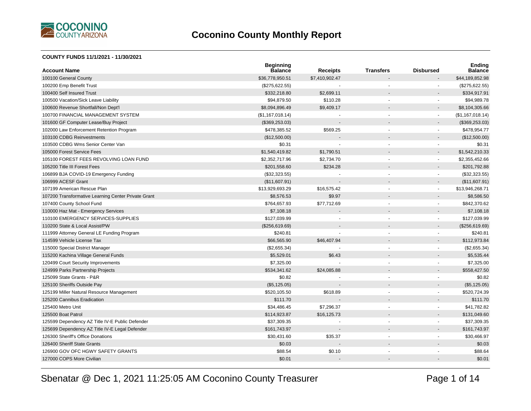

#### **COUNTY FUNDS 11/1/2021 - 11/30/2021**

| <b>Account Name</b>                                 | <b>Beginning</b><br><b>Balance</b> | <b>Receipts</b> | <b>Transfers</b> | <b>Disbursed</b>         | <b>Ending</b><br><b>Balance</b> |
|-----------------------------------------------------|------------------------------------|-----------------|------------------|--------------------------|---------------------------------|
| 100100 General County                               | \$36,778,950.51                    | \$7,410,902.47  |                  |                          | \$44,189,852.98                 |
| 100200 Emp Benefit Trust                            | (\$275,622.55)                     |                 |                  |                          | (\$275,622.55)                  |
| 100400 Self Insured Trust                           | \$332,218.80                       | \$2,699.11      |                  |                          | \$334,917.91                    |
| 100500 Vacation/Sick Leave Liability                | \$94,879.50                        | \$110.28        |                  |                          | \$94,989.78                     |
| 100600 Revenue Shortfall/Non Dept'l                 | \$8,094,896.49                     | \$9,409.17      |                  |                          | \$8,104,305.66                  |
| 100700 FINANCIAL MANAGEMENT SYSTEM                  | (\$1,167,018.14)                   |                 |                  | $\sim$                   | (\$1,167,018.14)                |
| 101600 GF Computer Lease/Buy Project                | (\$369,253.03)                     |                 |                  |                          | (\$369, 253.03)                 |
| 102000 Law Enforcement Retention Program            | \$478,385.52                       | \$569.25        |                  | $\blacksquare$           | \$478,954.77                    |
| 103100 CDBG Reinvestments                           | (\$12,500.00)                      |                 |                  |                          | (\$12,500.00)                   |
| 103500 CDBG Wms Senior Center Van                   | \$0.31                             |                 |                  | ä,                       | \$0.31                          |
| 105000 Forest Service Fees                          | \$1,540,419.82                     | \$1,790.51      |                  | $\overline{\phantom{a}}$ | \$1,542,210.33                  |
| 105100 FOREST FEES REVOLVING LOAN FUND              | \$2,352,717.96                     | \$2,734.70      |                  | ä,                       | \$2,355,452.66                  |
| 105200 Title III Forest Fees                        | \$201,558.60                       | \$234.28        |                  |                          | \$201,792.88                    |
| 106899 BJA COVID-19 Emergency Funding               | (\$32,323.55)                      |                 |                  | $\blacksquare$           | (\$32,323.55)                   |
| 106999 ACESF Grant                                  | (\$11,607.91)                      |                 |                  |                          | (\$11,607.91)                   |
| 107199 American Rescue Plan                         | \$13,929,693.29                    | \$16,575.42     |                  | $\overline{a}$           | \$13,946,268.71                 |
| 107200 Transformative Learning Center Private Grant | \$8,576.53                         | \$9.97          |                  |                          | \$8,586.50                      |
| 107400 County School Fund                           | \$764,657.93                       | \$77,712.69     |                  | ä,                       | \$842,370.62                    |
| 110000 Haz Mat - Emergency Services                 | \$7,108.18                         |                 |                  |                          | \$7,108.18                      |
| 110100 EMERGENCY SERVICES-SUPPLIES                  | \$127,039.99                       |                 |                  | ٠                        | \$127,039.99                    |
| 110200 State & Local Assist/PW                      | (\$256,619.69)                     |                 |                  |                          | (\$256,619.69)                  |
| 111999 Attorney General LE Funding Program          | \$240.81                           |                 |                  |                          | \$240.81                        |
| 114599 Vehicle License Tax                          | \$66,565.90                        | \$46,407.94     |                  |                          | \$112,973.84                    |
| 115000 Special District Manager                     | (\$2,655.34)                       |                 |                  | $\blacksquare$           | (\$2,655.34)                    |
| 115200 Kachina Village General Funds                | \$5,529.01                         | \$6.43          |                  |                          | \$5,535.44                      |
| 120499 Court Security Improvements                  | \$7,325.00                         |                 |                  | $\blacksquare$           | \$7,325.00                      |
| 124999 Parks Partnership Projects                   | \$534,341.62                       | \$24,085.88     |                  |                          | \$558,427.50                    |
| 125099 State Grants - P&R                           | \$0.82                             |                 |                  |                          | \$0.82                          |
| 125100 Sheriffs Outside Pay                         | (\$5,125.05)                       |                 |                  |                          | (\$5,125.05)                    |
| 125199 Miller Natural Resource Management           | \$520,105.50                       | \$618.89        |                  | ä,                       | \$520,724.39                    |
| 125200 Cannibus Eradication                         | \$111.70                           |                 |                  |                          | \$111.70                        |
| 125400 Metro Unit                                   | \$34,486.45                        | \$7,296.37      |                  | $\overline{a}$           | \$41,782.82                     |
| 125500 Boat Patrol                                  | \$114,923.87                       | \$16,125.73     |                  |                          | \$131,049.60                    |
| 125599 Dependency AZ Title IV-E Public Defender     | \$37,309.35                        |                 |                  | $\overline{a}$           | \$37,309.35                     |
| 125699 Dependency AZ Title IV-E Legal Defender      | \$161,743.97                       |                 |                  |                          | \$161,743.97                    |
| 126300 Sheriff's Office Donations                   | \$30,431.60                        | \$35.37         |                  |                          | \$30,466.97                     |
| 126400 Sheriff State Grants                         | \$0.03                             |                 |                  |                          | \$0.03                          |
| 126900 GOV OFC HGWY SAFETY GRANTS                   | \$88.54                            | \$0.10          |                  |                          | \$88.64                         |
| 127000 COPS More Civilian                           | \$0.01                             |                 |                  |                          | \$0.01                          |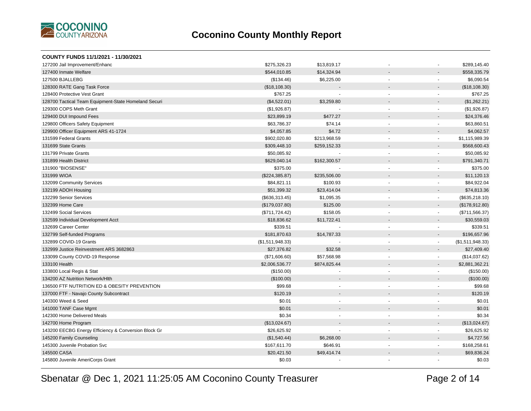

| COUNTY FUNDS 11/1/2021 - 11/30/2021                  |                  |              |                |                          |                  |
|------------------------------------------------------|------------------|--------------|----------------|--------------------------|------------------|
| 127200 Jail Improvement/Enhanc                       | \$275,326.23     | \$13,819.17  |                |                          | \$289,145.40     |
| 127400 Inmate Welfare                                | \$544,010.85     | \$14,324.94  |                |                          | \$558,335.79     |
| 127500 BJALLEBG                                      | (\$134.46)       | \$6,225.00   |                | $\blacksquare$           | \$6,090.54       |
| 128300 RATE Gang Task Force                          | (\$18,108.30)    |              |                | $\overline{a}$           | (\$18,108.30)    |
| 128400 Protective Vest Grant                         | \$767.25         |              | ٠              | $\blacksquare$           | \$767.25         |
| 128700 Tactical Team Equipment-State Homeland Securi | (\$4,522.01)     | \$3,259.80   |                | $\overline{a}$           | (\$1,262.21)     |
| 129300 COPS Meth Grant                               | (\$1,926.87)     |              | $\blacksquare$ | $\blacksquare$           | (\$1,926.87)     |
| 129400 DUI Impound Fees                              | \$23,899.19      | \$477.27     | $\overline{a}$ | $\blacksquare$           | \$24,376.46      |
| 129800 Officers Safety Equipment                     | \$63,786.37      | \$74.14      | ä,             | $\blacksquare$           | \$63,860.51      |
| 129900 Officer Equipment ARS 41-1724                 | \$4,057.85       | \$4.72       |                |                          | \$4,062.57       |
| 131599 Federal Grants                                | \$902,020.80     | \$213,968.59 | ÷,             | $\blacksquare$           | \$1,115,989.39   |
| 131699 State Grants                                  | \$309,448.10     | \$259,152.33 |                | $\blacksquare$           | \$568,600.43     |
| 131799 Private Grants                                | \$50,085.92      |              |                | $\overline{a}$           | \$50,085.92      |
| 131899 Health District                               | \$629,040.14     | \$162,300.57 |                | $\overline{\phantom{a}}$ | \$791,340.71     |
| 131900 "BIOSENSE"                                    | \$375.00         |              | ÷,             | $\blacksquare$           | \$375.00         |
| 131999 WIOA                                          | (\$224,385.87)   | \$235,506.00 |                | $\blacksquare$           | \$11,120.13      |
| 132099 Community Services                            | \$84,821.11      | \$100.93     | ä,             | $\blacksquare$           | \$84,922.04      |
| 132199 ADOH Housing                                  | \$51,399.32      | \$23,414.04  |                |                          | \$74,813.36      |
| 132299 Senior Services                               | (\$636,313.45)   | \$1,095.35   | ä,             | $\blacksquare$           | (\$635,218.10)   |
| 132399 Home Care                                     | (\$179,037.80)   | \$125.00     |                | $\blacksquare$           | (\$178,912.80)   |
| 132499 Social Services                               | (\$711, 724.42)  | \$158.05     |                | $\blacksquare$           | (\$711,566.37)   |
| 132599 Individual Development Acct                   | \$18,836.62      | \$11,722.41  |                | $\blacksquare$           | \$30,559.03      |
| 132699 Career Center                                 | \$339.51         |              | ٠              | $\blacksquare$           | \$339.51         |
| 132799 Self-funded Programs                          | \$181,870.63     | \$14,787.33  |                | $\blacksquare$           | \$196,657.96     |
| 132899 COVID-19 Grants                               | (\$1,511,948.33) |              | $\sim$         | $\blacksquare$           | (\$1,511,948.33) |
| 132999 Justice Reinvestment ARS 3682863              | \$27,376.82      | \$32.58      |                | $\blacksquare$           | \$27,409.40      |
| 133099 County COVID-19 Response                      | (\$71,606.60)    | \$57,568.98  |                | $\blacksquare$           | (\$14,037.62)    |
| 133100 Health                                        | \$2,006,536.77   | \$874,825.44 |                | $\overline{\phantom{a}}$ | \$2,881,362.21   |
| 133800 Local Regis & Stat                            | (\$150.00)       |              |                | $\blacksquare$           | (\$150.00)       |
| 134200 AZ Nutrition Network/Hlth                     | (\$100.00)       |              |                | $\overline{\phantom{a}}$ | (\$100.00)       |
| 136500 FTF NUTRITION ED & OBESITY PREVENTION         | \$99.68          |              |                |                          | \$99.68          |
| 137000 FTF - Navajo County Subcontract               | \$120.19         |              |                |                          | \$120.19         |
| 140300 Weed & Seed                                   | \$0.01           |              | ä,             | $\blacksquare$           | \$0.01           |
| 141000 TANF Case Mgmt                                | \$0.01           |              |                |                          | \$0.01           |
| 142300 Home Delivered Meals                          | \$0.34           |              |                | $\blacksquare$           | \$0.34           |
| 142700 Home Program                                  | (\$13,024.67)    |              |                |                          | (\$13,024.67)    |
| 143200 EECBG Energy Efficiency & Conversion Block Gr | \$26,625.92      |              | ٠              | $\blacksquare$           | \$26,625.92      |
| 145200 Family Counseling                             | (\$1,540.44)     | \$6,268.00   |                | $\overline{a}$           | \$4,727.56       |
| 145300 Juvenile Probation Svc                        | \$167,611.70     | \$646.91     |                | $\blacksquare$           | \$168,258.61     |
| 145500 CASA                                          | \$20,421.50      | \$49,414.74  |                | $\overline{a}$           | \$69,836.24      |
| 145800 Juvenile AmeriCorps Grant                     | \$0.03           |              |                |                          | \$0.03           |
|                                                      |                  |              |                |                          |                  |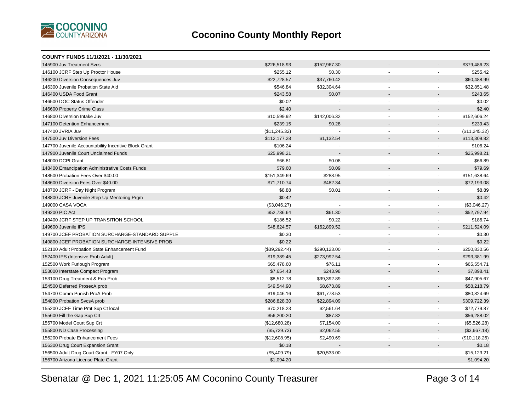

| COUNTY FUNDS 11/1/2021 - 11/30/2021                  |               |              |                          |                          |                |
|------------------------------------------------------|---------------|--------------|--------------------------|--------------------------|----------------|
| 145900 Juv Treatment Sycs                            | \$226,518.93  | \$152,967.30 |                          |                          | \$379,486.23   |
| 146100 JCRF Step Up Proctor House                    | \$255.12      | \$0.30       |                          | ä,                       | \$255.42       |
| 146200 Diversion Consequences Juv                    | \$22,728.57   | \$37,760.42  |                          |                          | \$60,488.99    |
| 146300 Juvenile Probation State Aid                  | \$546.84      | \$32,304.64  |                          | $\blacksquare$           | \$32,851.48    |
| 146400 USDA Food Grant                               | \$243.58      | \$0.07       |                          |                          | \$243.65       |
| 146500 DOC Status Offender                           | \$0.02        |              | $\blacksquare$           | $\overline{a}$           | \$0.02         |
| 146600 Property Crime Class                          | \$2.40        |              |                          |                          | \$2.40         |
| 146800 Diversion Intake Juv                          | \$10,599.92   | \$142,006.32 |                          | $\mathbf{r}$             | \$152,606.24   |
| 147100 Detention Enhancement                         | \$239.15      | \$0.28       |                          | $\blacksquare$           | \$239.43       |
| 147400 JVRIA Juv                                     | (\$11,245.32) |              | $\overline{\phantom{a}}$ | $\blacksquare$           | (\$11, 245.32) |
| 147500 Juv Diversion Fees                            | \$112,177.28  | \$1,132.54   |                          |                          | \$113,309.82   |
| 147700 Juvenile Accountability Incentive Block Grant | \$106.24      |              | $\blacksquare$           | $\blacksquare$           | \$106.24       |
| 147900 Juvenile Court Unclaimed Funds                | \$25,998.21   |              |                          | $\blacksquare$           | \$25,998.21    |
| 148000 DCPI Grant                                    | \$66.81       | \$0.08       | $\blacksquare$           | $\blacksquare$           | \$66.89        |
| 148400 Emancipation Administrative Costs Funds       | \$79.60       | \$0.09       |                          |                          | \$79.69        |
| 148500 Probation Fees Over \$40.00                   | \$151,349.69  | \$288.95     | $\blacksquare$           | $\blacksquare$           | \$151,638.64   |
| 148600 Diversion Fees Over \$40.00                   | \$71,710.74   | \$482.34     |                          |                          | \$72,193.08    |
| 148700 JCRF - Day Night Program                      | \$8.88        | \$0.01       |                          |                          | \$8.89         |
| 148800 JCRF-Juvenile Step Up Mentoring Prgm          | \$0.42        |              |                          |                          | \$0.42         |
| 149000 CASA VOCA                                     | (\$3,046.27)  |              |                          | $\blacksquare$           | (\$3,046.27)   |
| 149200 PIC Act                                       | \$52,736.64   | \$61.30      |                          | $\blacksquare$           | \$52,797.94    |
| 149400 JCRF STEP UP TRANSITION SCHOOL                | \$186.52      | \$0.22       |                          | $\blacksquare$           | \$186.74       |
| 149600 Juvenile IPS                                  | \$48,624.57   | \$162,899.52 |                          | $\overline{\phantom{a}}$ | \$211,524.09   |
| 149700 JCEF PROBATION SURCHARGE-STANDARD SUPPLE      | \$0.30        |              | $\blacksquare$           | $\blacksquare$           | \$0.30         |
| 149800 JCEF PROBATION SURCHARGE-INTENSIVE PROB       | \$0.22        |              |                          |                          | \$0.22         |
| 152100 Adult Probation State Enhancement Fund        | (\$39,292.44) | \$290,123.00 | $\overline{\phantom{a}}$ | $\blacksquare$           | \$250,830.56   |
| 152400 IPS (Intensive Prob Adult)                    | \$19,389.45   | \$273,992.54 |                          | $\overline{\phantom{a}}$ | \$293,381.99   |
| 152500 Work Furlough Program                         | \$65,478.60   | \$76.11      | $\blacksquare$           | $\blacksquare$           | \$65,554.71    |
| 153000 Interstate Compact Program                    | \$7,654.43    | \$243.98     |                          | $\overline{a}$           | \$7,898.41     |
| 153100 Drug Treatment & Eda Prob                     | \$8,512.78    | \$39,392.89  | $\blacksquare$           | $\blacksquare$           | \$47,905.67    |
| 154500 Deferred ProsecA prob                         | \$49,544.90   | \$8,673.89   |                          |                          | \$58,218.79    |
| 154700 Comm Punish ProA Prob                         | \$19,046.16   | \$61,778.53  | $\mathbf{r}$             | $\blacksquare$           | \$80,824.69    |
| 154800 Probation SvcsA prob                          | \$286,828.30  | \$22,894.09  |                          | $\overline{\phantom{a}}$ | \$309,722.39   |
| 155200 JCEF Time Pmt Sup Ct local                    | \$70,218.23   | \$2,561.64   | $\tilde{\phantom{a}}$    | $\blacksquare$           | \$72,779.87    |
| 155600 Fill the Gap Sup Crt                          | \$56,200.20   | \$87.82      |                          |                          | \$56,288.02    |
| 155700 Model Court Sup Crt                           | (\$12,680.28) | \$7,154.00   |                          | $\mathbf{r}$             | (\$5,526.28)   |
| 155800 ND Case Processing                            | (\$5,729.73)  | \$2,062.55   |                          | $\overline{\phantom{a}}$ | (\$3,667.18)   |
| 156200 Probate Enhancement Fees                      | (\$12,608.95) | \$2,490.69   | $\blacksquare$           | $\blacksquare$           | (\$10,118.26)  |
| 156300 Drug Court Expansion Grant                    | \$0.18        |              |                          |                          | \$0.18         |
| 156500 Adult Drug Court Grant - FY07 Only            | (\$5,409.79)  | \$20,533.00  |                          |                          | \$15,123.21    |
| 156700 Arizona License Plate Grant                   | \$1,094.20    |              |                          |                          | \$1,094.20     |
|                                                      |               |              |                          |                          |                |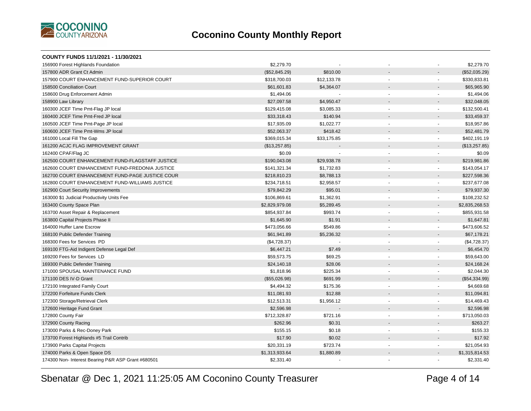

| COUNTY FUNDS 11/1/2021 - 11/30/2021                |                |             |                          |                          |                |
|----------------------------------------------------|----------------|-------------|--------------------------|--------------------------|----------------|
| 156900 Forest Highlands Foundation                 | \$2,279.70     |             |                          |                          | \$2,279.70     |
| 157800 ADR Grant Ct Admin                          | (\$52,845.29)  | \$810.00    |                          |                          | (\$52,035.29)  |
| 157900 COURT ENHANCEMENT FUND-SUPERIOR COURT       | \$318,700.03   | \$12,133.78 | $\sim$                   |                          | \$330,833.81   |
| 158500 Conciliation Court                          | \$61,601.83    | \$4,364.07  |                          |                          | \$65,965.90    |
| 158600 Drug Enforcement Admin                      | \$1,494.06     | $\sim$      | $\blacksquare$           | $\sim$                   | \$1,494.06     |
| 158900 Law Library                                 | \$27,097.58    | \$4,950.47  |                          |                          | \$32,048.05    |
| 160300 JCEF Time Pmt-Flag JP local                 | \$129,415.08   | \$3,085.33  | $\blacksquare$           | $\overline{\phantom{a}}$ | \$132,500.41   |
| 160400 JCEF Time Pmt-Fred JP local                 | \$33,318.43    | \$140.94    | $\blacksquare$           | $\blacksquare$           | \$33,459.37    |
| 160500 JCEF Time Pmt-Page JP local                 | \$17,935.09    | \$1,022.77  |                          | ÷.                       | \$18,957.86    |
| 160600 JCEF Time Pmt-Wms JP local                  | \$52,063.37    | \$418.42    |                          |                          | \$52,481.79    |
| 161000 Local Fill The Gap                          | \$369,015.34   | \$33,175.85 | $\blacksquare$           | $\blacksquare$           | \$402,191.19   |
| 161200 ACJC FLAG IMPROVEMENT GRANT                 | (\$13,257.85)  |             |                          |                          | (\$13,257.85)  |
| 162400 CPAF/Flag JC                                | \$0.09         |             | ä,                       |                          | \$0.09         |
| 162500 COURT ENHANCEMENT FUND-FLAGSTAFF JUSTICE    | \$190,043.08   | \$29,938.78 |                          |                          | \$219,981.86   |
| 162600 COURT ENHANCEMENT FUND-FREDONIA JUSTICE     | \$141,321.34   | \$1,732.83  | $\blacksquare$           | $\blacksquare$           | \$143,054.17   |
| 162700 COURT ENHANCEMENT FUND-PAGE JUSTICE COUR    | \$218,810.23   | \$8,788.13  |                          |                          | \$227,598.36   |
| 162800 COURT ENHANCEMENT FUND-WILLIAMS JUSTICE     | \$234,718.51   | \$2,958.57  | $\blacksquare$           |                          | \$237,677.08   |
| 162900 Court Security Improvements                 | \$79,842.29    | \$95.01     |                          |                          | \$79,937.30    |
| 163000 \$1 Judicial Productivity Units Fee         | \$106,869.61   | \$1,362.91  | $\blacksquare$           | $\blacksquare$           | \$108,232.52   |
| 163400 County Space Plan                           | \$2,829,979.08 | \$5,289.45  |                          |                          | \$2,835,268.53 |
| 163700 Asset Repair & Replacement                  | \$854,937.84   | \$993.74    | $\sim$                   | $\sim$                   | \$855,931.58   |
| 163800 Capital Projects Phase II                   | \$1,645.90     | \$1.91      |                          | $\sim$                   | \$1,647.81     |
| 164000 Huffer Lane Escrow                          | \$473,056.66   | \$549.86    | $\blacksquare$           | $\overline{\phantom{a}}$ | \$473,606.52   |
| 168100 Public Defender Training                    | \$61,941.89    | \$5,236.32  |                          |                          | \$67,178.21    |
| 168300 Fees for Services PD                        | (\$4,728.37)   |             | $\tilde{\phantom{a}}$    | $\blacksquare$           | (\$4,728.37)   |
| 169100 FTG-Aid Indigent Defense Legal Def          | \$6,447.21     | \$7.49      |                          |                          | \$6,454.70     |
| 169200 Fees for Services LD                        | \$59,573.75    | \$69.25     | $\overline{a}$           |                          | \$59,643.00    |
| 169300 Public Defender Training                    | \$24,140.18    | \$28.06     |                          |                          | \$24,168.24    |
| 171000 SPOUSAL MAINTENANCE FUND                    | \$1,818.96     | \$225.34    | $\overline{a}$           | $\overline{a}$           | \$2,044.30     |
| 171100 DES IV-D Grant                              | (\$55,026.98)  | \$691.99    |                          |                          | (\$54,334.99)  |
| 172100 Integrated Family Court                     | \$4,494.32     | \$175.36    |                          |                          | \$4,669.68     |
| 172200 Forfeiture Funds Clerk                      | \$11,081.93    | \$12.88     |                          |                          | \$11,094.81    |
| 172300 Storage/Retrieval Clerk                     | \$12,513.31    | \$1,956.12  | ÷,                       |                          | \$14,469.43    |
| 172600 Heritage Fund Grant                         | \$2,596.98     |             |                          |                          | \$2,596.98     |
| 172800 County Fair                                 | \$712,328.87   | \$721.16    | $\overline{\phantom{a}}$ | $\sim$                   | \$713,050.03   |
| 172900 County Racing                               | \$262.96       | \$0.31      |                          | $\sim$                   | \$263.27       |
| 173000 Parks & Rec-Doney Park                      | \$155.15       | \$0.18      | $\blacksquare$           |                          | \$155.33       |
| 173700 Forest Highlands #5 Trail Contrib           | \$17.90        | \$0.02      |                          |                          | \$17.92        |
| 173900 Parks Capital Projects                      | \$20,331.19    | \$723.74    | $\sim$                   | $\overline{\phantom{a}}$ | \$21,054.93    |
| 174000 Parks & Open Space DS                       | \$1,313,933.64 | \$1,880.89  |                          | $\blacksquare$           | \$1,315,814.53 |
| 174300 Non- Interest Bearing P&R ASP Grant #680501 | \$2,331.40     |             |                          | $\blacksquare$           | \$2,331.40     |
|                                                    |                |             |                          |                          |                |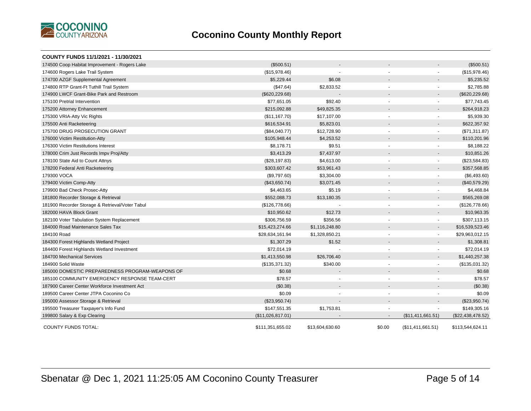

| COUNTY FUNDS 11/1/2021 - 11/30/2021             |                   |                 |                          |                          |                   |
|-------------------------------------------------|-------------------|-----------------|--------------------------|--------------------------|-------------------|
| 174500 Coop Habitat Improvement - Rogers Lake   | (\$500.51)        |                 |                          |                          | (\$500.51)        |
| 174600 Rogers Lake Trail System                 | (\$15,978.46)     |                 | $\blacksquare$           | $\blacksquare$           | (\$15,978.46)     |
| 174700 AZGF Supplemental Agreement              | \$5,229.44        | \$6.08          |                          |                          | \$5,235.52        |
| 174800 RTP Grant-Ft Tuthill Trail System        | (\$47.64)         | \$2,833.52      | $\blacksquare$           | $\sim$                   | \$2,785.88        |
| 174900 LWCF Grant-Bike Park and Restroom        | (\$620, 229.68)   |                 |                          | $\overline{\phantom{a}}$ | (\$620, 229.68)   |
| 175100 Pretrial Intervention                    | \$77,651.05       | \$92.40         | $\blacksquare$           | $\overline{\phantom{a}}$ | \$77,743.45       |
| 175200 Attorney Enhancement                     | \$215,092.88      | \$49,825.35     |                          |                          | \$264,918.23      |
| 175300 VRIA-Atty Vic Rights                     | (\$11,167.70)     | \$17,107.00     | $\overline{\phantom{a}}$ | $\overline{\phantom{a}}$ | \$5,939.30        |
| 175500 Anti Racketeering                        | \$616,534.91      | \$5,823.01      |                          |                          | \$622,357.92      |
| 175700 DRUG PROSECUTION GRANT                   | (\$84,040.77)     | \$12,728.90     | $\blacksquare$           | $\blacksquare$           | (\$71,311.87)     |
| 176000 Victim Restitution-Atty                  | \$105,948.44      | \$4,253.52      |                          |                          | \$110,201.96      |
| 176300 Victim Restitutions Interest             | \$8,178.71        | \$9.51          |                          | $\overline{\phantom{a}}$ | \$8,188.22        |
| 178000 Crim Just Records Impv Proj/Atty         | \$3,413.29        | \$7,437.97      |                          |                          | \$10,851.26       |
| 178100 State Aid to Count Attnys                | (\$28,197.83)     | \$4,613.00      | $\blacksquare$           | $\blacksquare$           | (\$23,584.83)     |
| 178200 Federal Anti Racketeering                | \$303,607.42      | \$53,961.43     |                          |                          | \$357,568.85      |
| 179300 VOCA                                     | (\$9,797.60)      | \$3,304.00      |                          | $\overline{\phantom{a}}$ | (\$6,493.60)      |
| 179400 Victim Comp-Atty                         | (\$43,650.74)     | \$3,071.45      |                          | $\overline{\phantom{a}}$ | (\$40,579.29)     |
| 179900 Bad Check Prosec-Atty                    | \$4,463.65        | \$5.19          |                          | $\blacksquare$           | \$4,468.84        |
| 181800 Recorder Storage & Retrieval             | \$552,088.73      | \$13,180.35     |                          |                          | \$565,269.08      |
| 181900 Recorder Storage & Retrieval/Voter Tabul | (\$126,778.66)    |                 |                          | $\blacksquare$           | (\$126,778.66)    |
| 182000 HAVA Block Grant                         | \$10,950.62       | \$12.73         |                          |                          | \$10,963.35       |
| 182100 Voter Tabulation System Replacement      | \$306,756.59      | \$356.56        |                          | $\blacksquare$           | \$307,113.15      |
| 184000 Road Maintenance Sales Tax               | \$15,423,274.66   | \$1,116,248.80  |                          | $\overline{\phantom{a}}$ | \$16,539,523.46   |
| 184100 Road                                     | \$28,634,161.94   | \$1,328,850.21  | $\overline{\phantom{a}}$ | $\overline{\phantom{a}}$ | \$29,963,012.15   |
| 184300 Forest Highlands Wetland Project         | \$1,307.29        | \$1.52          |                          |                          | \$1,308.81        |
| 184400 Forest Highlands Wetland Investment      | \$72,014.19       |                 |                          |                          | \$72,014.19       |
| 184700 Mechanical Services                      | \$1,413,550.98    | \$26,706.40     |                          | $\overline{\phantom{a}}$ | \$1,440,257.38    |
| 184900 Solid Waste                              | (\$135,371.32)    | \$340.00        | $\overline{\phantom{a}}$ |                          | (\$135,031.32)    |
| 185000 DOMESTIC PREPAREDNESS PROGRAM-WEAPONS OF | \$0.68            |                 |                          |                          | \$0.68            |
| 185100 COMMUNITY EMERGENCY RESPONSE TEAM-CERT   | \$78.57           |                 | $\blacksquare$           |                          | \$78.57           |
| 187900 Career Center Workforce Investment Act   | (\$0.38)          |                 |                          |                          | (\$0.38)          |
| 189500 Career Center JTPA Coconino Co           | \$0.09            |                 |                          |                          | \$0.09            |
| 195000 Assessor Storage & Retrieval             | (\$23,950.74)     |                 |                          | $\overline{\phantom{a}}$ | (\$23,950.74)     |
| 195500 Treasurer Taxpayer's Info Fund           | \$147,551.35      | \$1,753.81      |                          |                          | \$149,305.16      |
| 199800 Salary & Exp Clearing                    | (\$11,026,817.01) |                 |                          | (\$11,411,661.51)        | (\$22,438,478.52) |
| <b>COUNTY FUNDS TOTAL:</b>                      | \$111,351,655.02  | \$13,604,630.60 | \$0.00                   | (\$11,411,661.51)        | \$113,544,624.11  |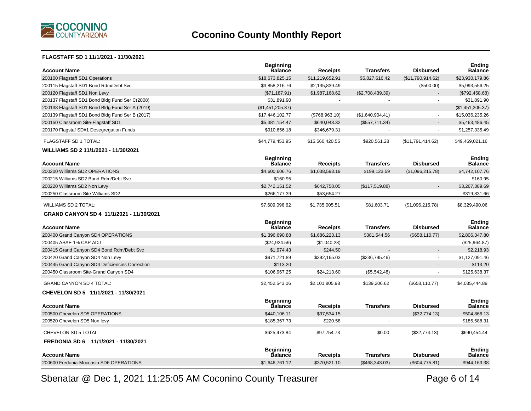

#### **FLAGSTAFF SD 1 11/1/2021 - 11/30/2021**

| <b>Account Name</b>                              | <b>Beginning</b><br><b>Balance</b> | <b>Receipts</b> | <b>Transfers</b> | <b>Disbursed</b>  | <b>Ending</b><br><b>Balance</b> |
|--------------------------------------------------|------------------------------------|-----------------|------------------|-------------------|---------------------------------|
| 200100 Flagstaff SD1 Operations                  | \$18,673,825.15                    | \$11,219,652.91 | \$5,827,616.42   | (\$11,790,914.62) | \$23,930,179.86                 |
| 200115 Flagstaff SD1 Bond Rdm/Debt Svc           | \$3,858,216.76                     | \$2,135,839.49  |                  | (\$500.00)        | \$5,993,556.25                  |
| 200120 Flagstaff SD1 Non Levy                    | (\$71,187.91)                      | \$1,987,168.62  | (\$2,708,439.39) |                   | (\$792,458.68)                  |
| 200137 Flagstaff SD1 Bond Bldg Fund Ser C(2008)  | \$31,891.90                        | $\sim$          |                  |                   | \$31,891.90                     |
| 200138 Flagstaff SD1 Bond Bldg Fund Ser A (2019) | (\$1,451,205.37)                   | $\overline{a}$  |                  |                   | (\$1,451,205.37)                |
| 200139 Flagstaff SD1 Bond Bldg Fund Ser B (2017) | \$17,446,102.77                    | (\$768,963.10)  | (\$1,640,904.41) | $\sim$            | \$15,036,235.26                 |
| 200150 Classroom Site-Flagstaff SD1              | \$5,381,154.47                     | \$640,043.32    | (\$557,711.34)   |                   | \$5,463,486.45                  |
| 200170 Flagstaf SD#1 Desegregation Funds         | \$910,656.18                       | \$346,679.31    |                  |                   | \$1,257,335.49                  |
| <b>FLAGSTAFF SD 1 TOTAL:</b>                     | \$44,779,453.95                    | \$15,560,420.55 | \$920,561.28     | (\$11,791,414.62) | \$49,469,021.16                 |
| WILLIAMS SD 2 11/1/2021 - 11/30/2021             |                                    |                 |                  |                   |                                 |
| <b>Account Name</b>                              | <b>Beginning</b><br><b>Balance</b> | <b>Receipts</b> | <b>Transfers</b> | <b>Disbursed</b>  | <b>Ending</b><br><b>Balance</b> |
| 200200 Williams SD2 OPERATIONS                   | \$4,600,606.76                     | \$1,038,593.19  | \$199,123.59     | (\$1,096,215.78)  | \$4,742,107.76                  |
| 200215 Williams SD2 Bond Rdm/Debt Svc            | \$160.95                           | $\mathbf{r}$    |                  |                   | \$160.95                        |
| 200220 Williams SD2 Non Levy                     | \$2,742,151.52                     | \$642,758.05    | (\$117,519.88)   |                   | \$3,267,389.69                  |
| 200250 Classroom Site Williams SD2               | \$266,177.39                       | \$53,654.27     |                  |                   | \$319,831.66                    |
| <b>WILLIAMS SD 2 TOTAL:</b>                      | \$7,609,096.62                     | \$1,735,005.51  | \$81,603.71      | (\$1,096,215.78)  | \$8,329,490.06                  |
| GRAND CANYON SD 4 11/1/2021 - 11/30/2021         |                                    |                 |                  |                   |                                 |
|                                                  |                                    |                 |                  |                   |                                 |
| <b>Account Name</b>                              | <b>Beginning</b><br>Balance        | <b>Receipts</b> | <b>Transfers</b> | <b>Disbursed</b>  | <b>Ending</b><br><b>Balance</b> |
| 200400 Grand Canyon SD4 OPERATIONS               | \$1,396,690.88                     | \$1,686,223.13  | \$381,544.56     | (\$658, 110.77)   | \$2,806,347.80                  |
| 200405 ASAE 1% CAP ADJ                           | (\$24,924.59)                      | (\$1,040.28)    |                  |                   | (\$25,964.87)                   |
| 200415 Grand Canyon SD4 Bond Rdm/Debt Svc        | \$1,974.43                         | \$244.50        |                  |                   | \$2,218.93                      |
| 200420 Grand Canyon SD4 Non Levy                 | \$971,721.89                       | \$392,165.03    | (\$236,795.46)   |                   | \$1,127,091.46                  |
| 200445 Grand Canyon SD4 Deficiencies Correction  | \$113.20                           |                 |                  |                   | \$113.20                        |
| 200450 Classroom Site-Grand Canyon SD4           | \$106,967.25                       | \$24,213.60     | (\$5,542.48)     |                   | \$125,638.37                    |
| <b>GRAND CANYON SD 4 TOTAL:</b>                  | \$2,452,543.06                     | \$2,101,805.98  | \$139,206.62     | (\$658, 110.77)   | \$4,035,444.89                  |
| CHEVELON SD 5 11/1/2021 - 11/30/2021             |                                    |                 |                  |                   |                                 |
| <b>Account Name</b>                              | <b>Beginning</b><br><b>Balance</b> | <b>Receipts</b> | <b>Transfers</b> | <b>Disbursed</b>  | <b>Ending</b><br><b>Balance</b> |
| 200500 Chevelon SD5 OPERATIONS                   | \$440,106.11                       | \$97,534.15     |                  | (\$32,774.13)     | \$504,866.13                    |
| 200520 Chevelon SD5 Non levy                     | \$185,367.73                       | \$220.58        |                  |                   | \$185,588.31                    |
| CHEVELON SD 5 TOTAL:                             | \$625,473.84                       | \$97,754.73     | \$0.00           | (\$32,774.13)     | \$690,454.44                    |
| FREDONIA SD 6 11/1/2021 - 11/30/2021             |                                    |                 |                  |                   |                                 |
| <b>Account Name</b>                              | <b>Beginning</b><br><b>Balance</b> | <b>Receipts</b> | <b>Transfers</b> | <b>Disbursed</b>  | Ending<br><b>Balance</b>        |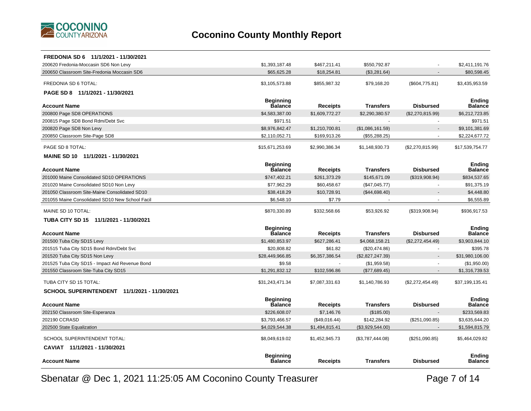

| FREDONIA SD 6 11/1/2021 - 11/30/2021            |                                    |                 |                  |                  |                          |
|-------------------------------------------------|------------------------------------|-----------------|------------------|------------------|--------------------------|
| 200620 Fredonia-Moccasin SD6 Non Levy           | \$1,393,187.48                     | \$467,211.41    | \$550.792.87     |                  | \$2,411,191.76           |
| 200650 Classroom Site-Fredonia Moccasin SD6     | \$65,625.28                        | \$18,254.81     | (\$3,281.64)     |                  | \$80,598.45              |
| FREDONIA SD 6 TOTAL:                            | \$3,105,573.88                     | \$855,987.32    | \$79,168.20      | (\$604,775.81)   | \$3,435,953.59           |
| PAGE SD 8 11/1/2021 - 11/30/2021                |                                    |                 |                  |                  |                          |
|                                                 | <b>Beginning</b>                   |                 |                  |                  | <b>Ending</b>            |
| <b>Account Name</b>                             | <b>Balance</b>                     | <b>Receipts</b> | <b>Transfers</b> | <b>Disbursed</b> | Balance                  |
| 200800 Page SD8 OPERATIONS                      | \$4,583,387.00                     | \$1,609,772.27  | \$2,290,380.57   | (\$2,270,815.99) | \$6,212,723.85           |
| 200815 Page SD8 Bond Rdm/Debt Svc               | \$971.51                           |                 |                  |                  | \$971.51                 |
| 200820 Page SD8 Non Levy                        | \$8,976,842.47                     | \$1,210,700.81  | (\$1,086,161.59) |                  | \$9,101,381.69           |
| 200850 Classroom Site-Page SD8                  | \$2,110,052.71                     | \$169,913.26    | (\$55,288.25)    |                  | \$2,224,677.72           |
| PAGE SD 8 TOTAL:                                | \$15,671,253.69                    | \$2,990,386.34  | \$1,148,930.73   | (\$2,270,815.99) | \$17,539,754.77          |
| MAINE SD 10 11/1/2021 - 11/30/2021              |                                    |                 |                  |                  |                          |
| <b>Account Name</b>                             | <b>Beginning</b><br><b>Balance</b> | Receipts        | <b>Transfers</b> | <b>Disbursed</b> | <b>Ending</b><br>Balance |
| 201000 Maine Consolidated SD10 OPERATIONS       | \$747,402.21                       | \$261,373.29    | \$145.671.09     | (\$319,908.94)   | \$834,537.65             |
| 201020 Maine Consolidated SD10 Non Levy         | \$77,962.29                        | \$60,458.67     | (\$47,045.77)    |                  | \$91,375.19              |
| 201050 Classroom Site-Maine Consolidated SD10   | \$38,418.29                        | \$10,728.91     | (\$44,698.40)    |                  | \$4,448.80               |
| 201055 Maine Consolidated SD10 New School Facil | \$6,548.10                         | \$7.79          |                  |                  | \$6,555.89               |
| MAINE SD 10 TOTAL:                              | \$870,330.89                       | \$332,568.66    | \$53,926.92      | (\$319,908.94)   | \$936,917.53             |
| TUBA CITY SD 15 11/1/2021 - 11/30/2021          |                                    |                 |                  |                  |                          |
|                                                 | <b>Beginning</b>                   |                 |                  |                  | <b>Ending</b>            |
| <b>Account Name</b>                             | <b>Balance</b>                     | Receipts        | <b>Transfers</b> | <b>Disbursed</b> | Balance                  |
| 201500 Tuba City SD15 Levy                      | \$1,480,853.97                     | \$627,286.41    | \$4,068,158.21   | (\$2,272,454.49) | \$3,903,844.10           |
| 201515 Tuba City SD15 Bond Rdm/Debt Svc         | \$20,808.82                        | \$61.82         | (\$20,474.86)    |                  | \$395.78                 |
| 201520 Tuba City SD15 Non Levy                  | \$28,449,966.85                    | \$6,357,386.54  | (\$2,827,247.39) |                  | \$31,980,106.00          |
| 201525 Tuba City SD15 - Impact Aid Revenue Bond | \$9.58                             |                 | (\$1,959.58)     |                  | (\$1,950.00)             |
| 201550 Classroom Site-Tuba City SD15            | \$1,291,832.12                     | \$102,596.86    | (\$77,689.45)    |                  | \$1,316,739.53           |
| TUBA CITY SD 15 TOTAL:                          | \$31,243,471.34                    | \$7,087,331.63  | \$1,140,786.93   | (\$2,272,454.49) | \$37,199,135.41          |
| SCHOOL SUPERINTENDENT 11/1/2021 - 11/30/2021    |                                    |                 |                  |                  |                          |
|                                                 | <b>Beginning</b>                   |                 |                  |                  | Endina                   |
| <b>Account Name</b>                             | <b>Balance</b>                     | Receipts        | <b>Transfers</b> | <b>Disbursed</b> | Balance                  |
| 202150 Classroom Site-Esperanza                 | \$226,608.07                       | \$7,146.76      | (\$185.00)       |                  | \$233,569.83             |
| 202190 CCRASD                                   | \$3,793,466.57                     | (\$49,016.44)   | \$142,284.92     | (\$251,090.85)   | \$3,635,644.20           |
| 202500 State Equalization                       | \$4,029,544.38                     | \$1,494,815.41  | (\$3,929,544.00) |                  | \$1,594,815.79           |
| SCHOOL SUPERINTENDENT TOTAL:                    | \$8,049,619.02                     | \$1,452,945.73  | (\$3,787,444.08) | (\$251,090.85)   | \$5,464,029.82           |
| CAVIAT 11/1/2021 - 11/30/2021                   |                                    |                 |                  |                  |                          |
| <b>Account Name</b>                             | <b>Beginning</b><br><b>Balance</b> | Receipts        | <b>Transfers</b> | <b>Disbursed</b> | <b>Ending</b><br>Balance |
|                                                 |                                    |                 |                  |                  |                          |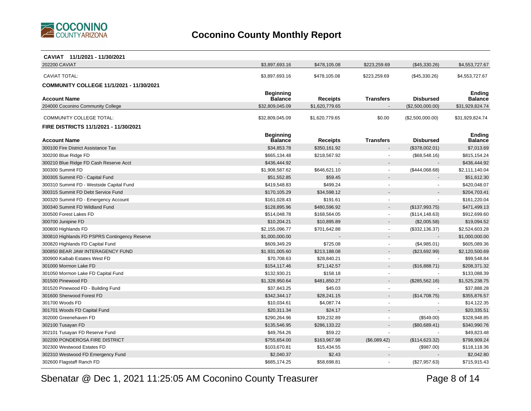

| CAVIAT 11/1/2021 - 11/30/2021                   |                  |                 |                          |                  |                 |
|-------------------------------------------------|------------------|-----------------|--------------------------|------------------|-----------------|
| 202200 CAVIAT                                   | \$3,897,693.16   | \$478,105.08    | \$223,259.69             | (\$45,330.26)    | \$4,553,727.67  |
| <b>CAVIAT TOTAL:</b>                            | \$3,897,693.16   | \$478,105.08    | \$223,259.69             | (\$45,330.26)    | \$4,553,727.67  |
| <b>COMMUNITY COLLEGE 11/1/2021 - 11/30/2021</b> |                  |                 |                          |                  |                 |
|                                                 | <b>Beginning</b> |                 |                          |                  | Ending          |
| <b>Account Name</b>                             | <b>Balance</b>   | Receipts        | <b>Transfers</b>         | <b>Disbursed</b> | <b>Balance</b>  |
| 204000 Coconino Community College               | \$32.809.045.09  | \$1,620,779.65  |                          | (\$2,500,000.00) | \$31,929,824.74 |
| <b>COMMUNITY COLLEGE TOTAL:</b>                 | \$32,809,045.09  | \$1,620,779.65  | \$0.00                   | (\$2,500,000.00) | \$31,929,824.74 |
| FIRE DISTRICTS 11/1/2021 - 11/30/2021           |                  |                 |                          |                  |                 |
|                                                 | <b>Beginning</b> |                 |                          |                  | <b>Ending</b>   |
| <b>Account Name</b>                             | Balance          | <b>Receipts</b> | <b>Transfers</b>         | <b>Disbursed</b> | <b>Balance</b>  |
| 300100 Fire District Assistance Tax             | \$34,853.78      | \$350,161.92    |                          | (\$378,002.01)   | \$7,013.69      |
| 300200 Blue Ridge FD                            | \$665,134.48     | \$218,567.92    |                          | (\$68,548.16)    | \$815,154.24    |
| 300210 Blue Ridge FD Cash Reserve Acct          | \$436,444.92     |                 |                          |                  | \$436,444.92    |
| 300300 Summit FD                                | \$1,908,587.62   | \$646,621.10    | $\blacksquare$           | (\$444,068.68)   | \$2,111,140.04  |
| 300305 Summit FD - Capital Fund                 | \$51,552.85      | \$59.45         |                          |                  | \$51,612.30     |
| 300310 Summit FD - Westside Capital Fund        | \$419,548.83     | \$499.24        |                          |                  | \$420,048.07    |
| 300315 Summit FD Debt Service Fund              | \$170,105.29     | \$34,598.12     |                          |                  | \$204,703.41    |
| 300320 Summit FD - Emergency Account            | \$161,028.43     | \$191.61        |                          |                  | \$161,220.04    |
| 300340 Summit FD Wildland Fund                  | \$128,895.96     | \$480.596.92    |                          | (\$137,993.75)   | \$471,499.13    |
| 300500 Forest Lakes FD                          | \$514,048.78     | \$168,564.05    |                          | (\$114, 148.63)  | \$912,699.60    |
| 300700 Junipine FD                              | \$10,204.21      | \$10,895.89     |                          | (\$2,005.58)     | \$19,094.52     |
| 300800 Highlands FD                             | \$2,155,096.77   | \$701,642.88    | $\tilde{\phantom{a}}$    | (\$332,136.37)   | \$2,524,603.28  |
| 300810 Highlands FD PSPRS Contingency Reserve   | \$1,000,000.00   |                 |                          |                  | \$1,000,000.00  |
| 300820 Highlands FD Capital Fund                | \$609,349.29     | \$725.08        |                          | (\$4,985.01)     | \$605,089.36    |
| 300850 BEAR JAW INTERAGENCY FUND                | \$1,931,005.60   | \$213,188.08    |                          | (\$23,692.99)    | \$2,120,500.69  |
| 300900 Kaibab Estates West FD                   | \$70,708.63      | \$28,840.21     |                          |                  | \$99,548.84     |
| 301000 Mormon Lake FD                           | \$154,117.46     | \$71,142.57     |                          | (\$16,888.71)    | \$208,371.32    |
| 301050 Mormon Lake FD Capital Fund              | \$132,930.21     | \$158.18        | $\overline{\phantom{a}}$ |                  | \$133,088.39    |
| 301500 Pinewood FD                              | \$1,328,950.64   | \$481,850.27    |                          | (\$285,562.16)   | \$1,525,238.75  |
| 301520 Pinewood FD - Building Fund              | \$37,843.25      | \$45.03         |                          |                  | \$37,888.28     |
| 301600 Sherwood Forest FD                       | \$342,344.17     | \$28,241.15     |                          | (\$14,708.75)    | \$355,876.57    |
| 301700 Woods FD                                 | \$10,034.61      | \$4,087.74      |                          |                  | \$14,122.35     |
| 301701 Woods FD Capital Fund                    | \$20,311.34      | \$24.17         |                          |                  | \$20,335.51     |
| 302000 Greenehaven FD                           | \$290,264.96     | \$39,232.89     |                          | (\$549.00)       | \$328,948.85    |
| 302100 Tusayan FD                               | \$135,546.95     | \$286,133.22    |                          | (\$80,689.41)    | \$340,990.76    |
| 302101 Tusayan FD Reserve Fund                  | \$49,764.26      | \$59.22         |                          |                  | \$49,823.48     |
| 302200 PONDEROSA FIRE DISTRICT                  | \$755,654.00     | \$163,967.98    | (\$6,089.42)             | (\$114, 623.32)  | \$798,909.24    |
| 302300 Westwood Estates FD                      | \$103,670.81     | \$15,434.55     |                          | (\$987.00)       | \$118,118.36    |
| 302310 Westwood FD Emergency Fund               | \$2,040.37       | \$2.43          |                          |                  | \$2,042.80      |
| 302600 Flagstaff Ranch FD                       | \$685.174.25     | \$58.698.81     |                          | (\$27,957.63)    | \$715,915.43    |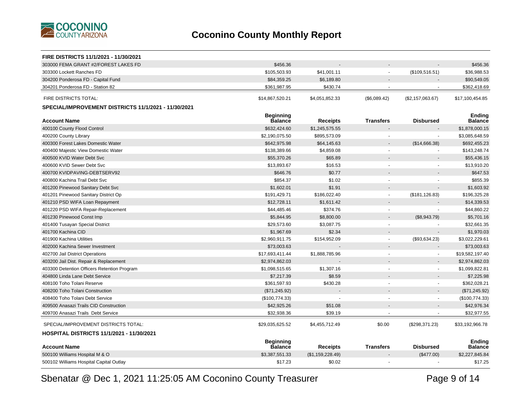

| FIRE DISTRICTS 11/1/2021 - 11/30/2021                |                             |                  |                          |                  |                          |
|------------------------------------------------------|-----------------------------|------------------|--------------------------|------------------|--------------------------|
| 303000 FEMA GRANT #2/FOREST LAKES FD                 | \$456.36                    |                  |                          |                  | \$456.36                 |
| 303300 Lockett Ranches FD                            | \$105,503.93                | \$41,001.11      | $\overline{\phantom{a}}$ | (\$109,516.51)   | \$36,988.53              |
| 304200 Ponderosa FD - Capital Fund                   | \$84,359.25                 | \$6,189.80       |                          |                  | \$90,549.05              |
| 304201 Ponderosa FD - Station 82                     | \$361,987.95                | \$430.74         |                          |                  | \$362,418.69             |
| <b>FIRE DISTRICTS TOTAL:</b>                         | \$14,867,520.21             | \$4,051,852.33   | (\$6,089.42)             | (\$2,157,063.67) | \$17,100,454.85          |
| SPECIAL/IMPROVEMENT DISTRICTS 11/1/2021 - 11/30/2021 |                             |                  |                          |                  |                          |
| <b>Account Name</b>                                  | <b>Beginning</b><br>Balance | <b>Receipts</b>  | <b>Transfers</b>         | <b>Disbursed</b> | <b>Ending</b><br>Balance |
| 400100 County Flood Control                          | \$632,424.60                | \$1,245,575.55   |                          |                  | \$1,878,000.15           |
| 400200 County Library                                | \$2,190,075.50              | \$895,573.09     |                          |                  | \$3,085,648.59           |
| 400300 Forest Lakes Domestic Water                   | \$642,975.98                | \$64,145.63      |                          | (\$14,666.38)    | \$692,455.23             |
| 400400 Majestic View Domestic Water                  | \$138,389.66                | \$4,859.08       |                          |                  | \$143,248.74             |
| 400500 KVID Water Debt Svc                           | \$55,370.26                 | \$65.89          |                          |                  | \$55,436.15              |
| 400600 KVID Sewer Debt Svc                           | \$13,893.67                 | \$16.53          |                          |                  | \$13,910.20              |
| 400700 KVIDPAVING-DEBTSERV92                         | \$646.76                    | \$0.77           |                          |                  | \$647.53                 |
| 400800 Kachina Trail Debt Svc                        | \$854.37                    | \$1.02           |                          |                  | \$855.39                 |
| 401200 Pinewood Sanitary Debt Svc                    | \$1,602.01                  | \$1.91           |                          |                  | \$1,603.92               |
| 401201 Pinewood Sanitary District Op                 | \$191,429.71                | \$186,022.40     | $\overline{\phantom{a}}$ | (\$181, 126.83)  | \$196,325.28             |
| 401210 PSD WIFA Loan Repayment                       | \$12,728.11                 | \$1,611.42       |                          |                  | \$14,339.53              |
| 401220 PSD WIFA Repair-Replacement                   | \$44,485.46                 | \$374.76         | $\overline{\phantom{a}}$ |                  | \$44,860.22              |
| 401230 Pinewood Const Imp                            | \$5,844.95                  | \$8,800.00       |                          | (\$8,943.79)     | \$5,701.16               |
| 401400 Tusayan Special District                      | \$29,573.60                 | \$3,087.75       | $\overline{a}$           |                  | \$32,661.35              |
| 401700 Kachina CID                                   | \$1,967.69                  | \$2.34           |                          |                  | \$1,970.03               |
| 401900 Kachina Utilities                             | \$2,960,911.75              | \$154,952.09     | $\sim$                   | (\$93,634.23)    | \$3,022,229.61           |
| 402000 Kachina Sewer Investment                      | \$73,003.63                 |                  |                          |                  | \$73,003.63              |
| 402700 Jail District Operations                      | \$17,693,411.44             | \$1,888,785.96   |                          |                  | \$19,582,197.40          |
| 403200 Jail Dist. Repair & Replacement               | \$2,974,862.03              |                  |                          |                  | \$2,974,862.03           |
| 403300 Detention Officers Retention Program          | \$1,098,515.65              | \$1,307.16       |                          |                  | \$1,099,822.81           |
| 404800 Linda Lane Debt Service                       | \$7,217.39                  | \$8.59           |                          |                  | \$7,225.98               |
| 408100 Toho Tolani Reserve                           | \$361,597.93                | \$430.28         |                          | $\sim$           | \$362,028.21             |
| 408200 Toho Tolani Construction                      | (\$71,245.92)               |                  |                          |                  | (\$71, 245.92)           |
| 408400 Toho Tolani Debt Service                      | (\$100,774.33)              |                  |                          | $\blacksquare$   | (\$100,774.33)           |
| 409500 Anasazi Trails CID Construction               | \$42,925.26                 | \$51.08          |                          |                  | \$42,976.34              |
| 409700 Anasazi Trails Debt Service                   | \$32,938.36                 | \$39.19          |                          |                  | \$32,977.55              |
| SPECIAL/IMPROVEMENT DISTRICTS TOTAL:                 | \$29,035,625.52             | \$4,455,712.49   | \$0.00                   | (\$298,371.23)   | \$33,192,966.78          |
| <b>HOSPITAL DISTRICTS 11/1/2021 - 11/30/2021</b>     |                             |                  |                          |                  |                          |
|                                                      | <b>Beginning</b>            |                  |                          |                  | <b>Ending</b>            |
| <b>Account Name</b>                                  | <b>Balance</b>              | <b>Receipts</b>  | <b>Transfers</b>         | <b>Disbursed</b> | Balance                  |
| 500100 Williams Hospital M & O                       | \$3,387,551.33              | (\$1,159,228.49) |                          | (\$477.00)       | \$2,227,845.84           |
| 500102 Williams Hospital Capital Outlay              | \$17.23                     | \$0.02           |                          |                  | \$17.25                  |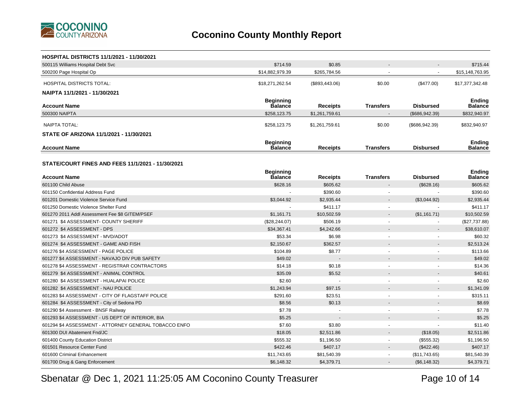

| <b>HOSPITAL DISTRICTS 11/1/2021 - 11/30/2021</b>      |                  |                          |                          |                          |                 |
|-------------------------------------------------------|------------------|--------------------------|--------------------------|--------------------------|-----------------|
| 500115 Williams Hospital Debt Svc                     | \$714.59         | \$0.85                   |                          |                          | \$715.44        |
| 500200 Page Hospital Op                               | \$14,882,979.39  | \$265,784.56             |                          |                          | \$15,148,763.95 |
| <b>HOSPITAL DISTRICTS TOTAL:</b>                      | \$18,271,262.54  | $(\$893,443.06)$         | \$0.00                   | $(\$477.00)$             | \$17,377,342.48 |
| NAIPTA 11/1/2021 - 11/30/2021                         |                  |                          |                          |                          |                 |
|                                                       | <b>Beginning</b> |                          |                          |                          | <b>Ending</b>   |
| <b>Account Name</b>                                   | <b>Balance</b>   | <b>Receipts</b>          | <b>Transfers</b>         | <b>Disbursed</b>         | Balance         |
| 500300 NAIPTA                                         | \$258,123.75     | \$1,261,759.61           |                          | (\$686, 942.39)          | \$832,940.97    |
| NAIPTA TOTAL:                                         | \$258,123.75     | \$1,261,759.61           | \$0.00                   | (\$686, 942.39)          | \$832,940.97    |
| STATE OF ARIZONA 11/1/2021 - 11/30/2021               |                  |                          |                          |                          |                 |
|                                                       | Beginning        |                          |                          |                          | <b>Ending</b>   |
| <b>Account Name</b>                                   | <b>Balance</b>   | Receipts                 | <b>Transfers</b>         | <b>Disbursed</b>         | Balance         |
|                                                       |                  |                          |                          |                          |                 |
| STATE/COURT FINES AND FEES 11/1/2021 - 11/30/2021     |                  |                          |                          |                          |                 |
|                                                       | Beginning        |                          |                          |                          | <b>Ending</b>   |
| <b>Account Name</b>                                   | <b>Balance</b>   | <b>Receipts</b>          | <b>Transfers</b>         | <b>Disbursed</b>         | Balance         |
| 601100 Child Abuse                                    | \$628.16         | \$605.62                 |                          | (\$628.16)               | \$605.62        |
| 601150 Confidential Address Fund                      |                  | \$390.60                 |                          |                          | \$390.60        |
| 601201 Domestic Violence Service Fund                 | \$3,044.92       | \$2,935.44               |                          | (\$3,044.92)             | \$2,935.44      |
| 601250 Domestic Violence Shelter Fund                 |                  | \$411.17                 |                          |                          | \$411.17        |
| 601270 2011 Addl Assessment Fee \$8 GITEM/PSEF        | \$1,161.71       | \$10,502.59              |                          | (\$1,161.71)             | \$10,502.59     |
| 601271 \$4 ASSESSMENT- COUNTY SHERIFF                 | (\$28, 244.07)   | \$506.19                 | $\sim$                   | $\overline{\phantom{a}}$ | (\$27,737.88)   |
| 601272 \$4 ASSESSMENT - DPS                           | \$34,367.41      | \$4,242.66               |                          |                          | \$38,610.07     |
| 601273 \$4 ASSESSMENT - MVD/ADOT                      | \$53.34          | \$6.98                   |                          |                          | \$60.32         |
| 601274 \$4 ASSESSMENT - GAME AND FISH                 | \$2,150.67       | \$362.57                 |                          |                          | \$2,513.24      |
| 601276 \$4 ASSESSMENT - PAGE POLICE                   | \$104.89         | \$8.77                   |                          | $\blacksquare$           | \$113.66        |
| 601277 \$4 ASSESSMENT - NAVAJO DIV PUB SAFETY         | \$49.02          |                          |                          |                          | \$49.02         |
| 601278 \$4 ASSESSMENT - REGISTRAR CONTRACTORS         | \$14.18          | \$0.18                   |                          |                          | \$14.36         |
| 601279 \$4 ASSESSMENT - ANIMAL CONTROL                | \$35.09          | \$5.52                   |                          |                          | \$40.61         |
| 601280 \$4 ASSESSMENT - HUALAPAI POLICE               | \$2.60           |                          |                          | $\blacksquare$           | \$2.60          |
| 601282 \$4 ASSESSMENT - NAU POLICE                    | \$1,243.94       | \$97.15                  |                          |                          | \$1,341.09      |
| 601283 \$4 ASSESSMENT - CITY OF FLAGSTAFF POLICE      | \$291.60         | \$23.51                  |                          |                          | \$315.11        |
| 601284 \$4 ASSESSMENT - City of Sedona PD             | \$8.56           | \$0.13                   |                          |                          | \$8.69          |
| 601290 \$4 Assessment - BNSF Railway                  | \$7.78           | $\overline{\phantom{a}}$ |                          |                          | \$7.78          |
| 601293 \$4 ASSESSMENT - US DEPT OF INTERIOR, BIA      | \$5.25           |                          |                          |                          | \$5.25          |
| 601294 \$4 ASSESSMENT - ATTORNEY GENERAL TOBACCO ENFO | \$7.60           | \$3.80                   |                          |                          | \$11.40         |
| 601300 DUI Abatement Fnd/JC                           | \$18.05          | \$2,511.86               |                          | (\$18.05)                | \$2,511.86      |
| 601400 County Education District                      | \$555.32         | \$1,196.50               | $\overline{\phantom{a}}$ | (\$555.32)               | \$1,196.50      |
| 601501 Resource Center Fund                           | \$422.46         | \$407.17                 |                          | (\$422.46)               | \$407.17        |
| 601600 Criminal Enhancement                           | \$11,743.65      | \$81,540.39              |                          | (\$11,743.65)            | \$81,540.39     |
| 601700 Drug & Gang Enforcement                        | \$6,148.32       | \$4,379.71               |                          | (\$6,148.32)             | \$4,379.71      |

Sbenatar @ Dec 1, 2021 11:25:05 AM Coconino County Treasurer

Page 10 of 14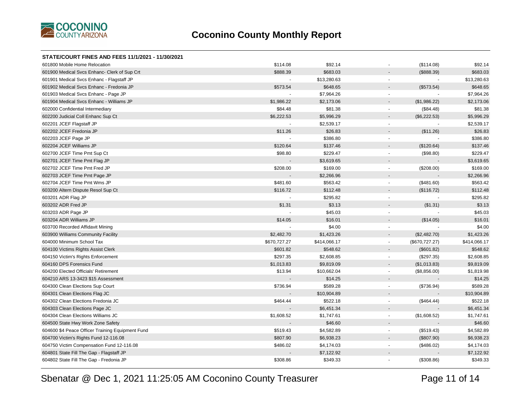

| 601800 Mobile Home Relocation                    | \$114.08       | \$92.14      | (\$114.08)                            | \$92.14      |
|--------------------------------------------------|----------------|--------------|---------------------------------------|--------------|
| 601900 Medical Svcs Enhanc- Clerk of Sup Crt     | \$888.39       | \$683.03     | (\$888.39)                            | \$683.03     |
| 601901 Medical Svcs Enhanc - Flagstaff JP        |                | \$13,280.63  | $\blacksquare$                        | \$13,280.63  |
| 601902 Medical Svcs Enhanc - Fredonia JP         | \$573.54       | \$648.65     | (\$573.54)                            | \$648.65     |
| 601903 Medical Svcs Enhanc - Page JP             | $\blacksquare$ | \$7,964.26   | $\mathbf{r}$                          | \$7,964.26   |
| 601904 Medical Svcs Enhanc - Williams JP         | \$1,986.22     | \$2,173.06   | (\$1,986.22)                          | \$2,173.06   |
| 602000 Confidential Intermediary                 | \$84.48        | \$81.38      | (\$84.48)<br>$\blacksquare$           | \$81.38      |
| 602200 Judicial Coll Enhanc Sup Ct               | \$6,222.53     | \$5,996.29   | (\$6,222.53)<br>$\blacksquare$        | \$5,996.29   |
| 602201 JCEF Flagstaff JP                         |                | \$2,539.17   | $\overline{\phantom{a}}$              | \$2,539.17   |
| 602202 JCEF Fredonia JP                          | \$11.26        | \$26.83      | (\$11.26)<br>$\overline{\phantom{0}}$ | \$26.83      |
| 602203 JCEF Page JP                              |                | \$386.80     | $\blacksquare$                        | \$386.80     |
| 602204 JCEF Williams JP                          | \$120.64       | \$137.46     | (\$120.64)                            | \$137.46     |
| 602700 JCEF Time Pmt Sup Ct                      | \$98.80        | \$229.47     | (\$98.80)<br>$\blacksquare$           | \$229.47     |
| 602701 JCEF Time Pmt Flag JP                     |                | \$3,619.65   | $\blacksquare$                        | \$3,619.65   |
| 602702 JCEF Time Pmt Fred JP                     | \$208.00       | \$169.00     | (\$208.00)<br>$\blacksquare$          | \$169.00     |
| 602703 JCEF Time Pmt Page JP                     |                | \$2,266.96   |                                       | \$2,266.96   |
| 602704 JCEF Time Pmt Wms JP                      | \$481.60       | \$563.42     | (\$481.60)<br>$\sim$                  | \$563.42     |
| 603200 Altern Dispute Resol Sup Ct               | \$116.72       | \$112.48     | (\$116.72)<br>$\blacksquare$          | \$112.48     |
| 603201 ADR Flag JP                               |                | \$295.82     | $\blacksquare$                        | \$295.82     |
| 603202 ADR Fred JP                               | \$1.31         | \$3.13       | (\$1.31)                              | \$3.13       |
| 603203 ADR Page JP                               |                | \$45.03      | ä,                                    | \$45.03      |
| 603204 ADR Williams JP                           | \$14.05        | \$16.01      | (\$14.05)                             | \$16.01      |
| 603700 Recorded Affidavit Mining                 |                | \$4.00       | $\blacksquare$                        | \$4.00       |
| 603900 Williams Community Facility               | \$2,482.70     | \$1,423.26   | (\$2,482.70)<br>$\blacksquare$        | \$1,423.26   |
| 604000 Minimum School Tax                        | \$670,727.27   | \$414,066.17 | (\$670, 727.27)<br>$\blacksquare$     | \$414,066.17 |
| 604100 Victims Rights Assist Clerk               | \$601.82       | \$548.62     | (\$601.82)<br>$\overline{a}$          | \$548.62     |
| 604150 Victim's Rights Enforcement               | \$297.35       | \$2,608.85   | (\$297.35)<br>$\blacksquare$          | \$2,608.85   |
| 604160 DPS Forensics Fund                        | \$1,013.83     | \$9,819.09   | (\$1,013.83)<br>$\blacksquare$        | \$9,819.09   |
| 604200 Elected Officials' Retirement             | \$13.94        | \$10,662.04  | (\$8,856.00)<br>$\blacksquare$        | \$1,819.98   |
| 604210 ARS 13-3423 \$15 Assessment               |                | \$14.25      |                                       | \$14.25      |
| 604300 Clean Elections Sup Court                 | \$736.94       | \$589.28     | (\$736.94)<br>$\blacksquare$          | \$589.28     |
| 604301 Clean Elections Flag JC                   |                | \$10,904.89  |                                       | \$10,904.89  |
| 604302 Clean Elections Fredonia JC               | \$464.44       | \$522.18     | (\$464.44)<br>$\mathbf{r}$            | \$522.18     |
| 604303 Clean Elections Page JC                   |                | \$6,451.34   | $\blacksquare$                        | \$6,451.34   |
| 604304 Clean Elections Williams JC               | \$1,608.52     | \$1,747.61   | (\$1,608.52)<br>$\blacksquare$        | \$1,747.61   |
| 604500 State Hwy Work Zone Safety                |                | \$46.60      |                                       | \$46.60      |
| 604600 \$4 Peace Officer Training Equipment Fund | \$519.43       | \$4,582.89   | (\$519.43)<br>$\blacksquare$          | \$4,582.89   |
| 604700 Victim's Rights Fund 12-116.08            | \$807.90       | \$6,938.23   | (\$807.90)<br>$\blacksquare$          | \$6,938.23   |
| 604750 Victim Compensation Fund 12-116.08        | \$486.02       | \$4,174.03   | (\$486.02)                            | \$4,174.03   |
| 604801 State Fill The Gap - Flagstaff JP         |                | \$7,122.92   |                                       | \$7,122.92   |
| 604802 State Fill The Gap - Fredonia JP          | \$308.86       | \$349.33     | (\$308.86)                            | \$349.33     |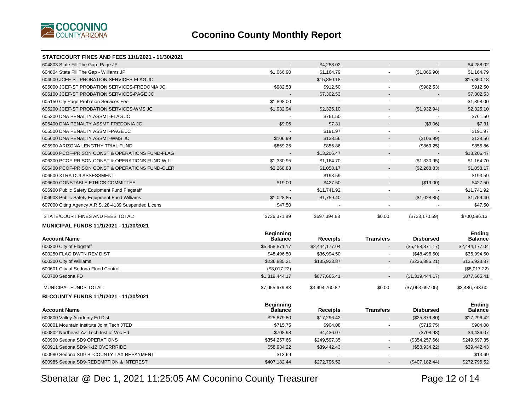

| STATE/COURT FINES AND FEES 11/1/2021 - 11/30/2021    |                                    |                 |                          |                          |                                 |
|------------------------------------------------------|------------------------------------|-----------------|--------------------------|--------------------------|---------------------------------|
| 604803 State Fill The Gap- Page JP                   |                                    | \$4,288.02      |                          |                          | \$4,288.02                      |
| 604804 State Fill The Gap - Williams JP              | \$1,066.90                         | \$1,164.79      | $\mathbf{r}$             | (\$1,066.90)             | \$1,164.79                      |
| 604900 JCEF-ST PROBATION SERVICES-FLAG JC            |                                    | \$15,850.18     | $\overline{\phantom{a}}$ |                          | \$15,850.18                     |
| 605000 JCEF-ST PROBATION SERVICES-FREDONIA JC        | \$982.53                           | \$912.50        | $\sim$                   | (\$982.53)               | \$912.50                        |
| 605100 JCEF-ST PROBATION SERVICES-PAGE JC            |                                    | \$7,302.53      | $\overline{\phantom{a}}$ |                          | \$7,302.53                      |
| 605150 Cty Page Probation Services Fee               | \$1,898.00                         | $\Delta$        | $\blacksquare$           | $\overline{\phantom{a}}$ | \$1,898.00                      |
| 605200 JCEF-ST PROBATION SERVICES-WMS JC             | \$1,932.94                         | \$2,325.10      | $\sim$                   | (\$1,932.94)             | \$2,325.10                      |
| 605300 DNA PENALTY ASSMT-FLAG JC                     | $\sim$                             | \$761.50        | $\blacksquare$           |                          | \$761.50                        |
| 605400 DNA PENALTY ASSMT-FREDONIA JC                 | \$9.06                             | \$7.31          |                          | (\$9.06)                 | \$7.31                          |
| 605500 DNA PENALTY ASSMT-PAGE JC                     |                                    | \$191.97        | $\mathbf{r}$             |                          | \$191.97                        |
| 605600 DNA PENALTY ASSMT-WMS JC                      | \$106.99                           | \$138.56        | $\blacksquare$           | (\$106.99)               | \$138.56                        |
| 605900 ARIZONA LENGTHY TRIAL FUND                    | \$869.25                           | \$855.86        | $\mathbf{r}$             | (\$869.25)               | \$855.86                        |
| 606000 PCOF-PRISON CONST & OPERATIONS FUND-FLAG      |                                    | \$13,206.47     |                          |                          | \$13,206.47                     |
| 606300 PCOF-PRISON CONST & OPERATIONS FUND-WILL      | \$1,330.95                         | \$1,164.70      | $\mathbf{r}$             | (\$1,330.95)             | \$1,164.70                      |
| 606400 PCOF-PRISON CONST & OPERATIONS FUND-CLER      | \$2,268.83                         | \$1,058.17      |                          | (\$2,268.83)             | \$1,058.17                      |
| 606500 XTRA DUI ASSESSMENT                           |                                    | \$193.59        | $\blacksquare$           |                          | \$193.59                        |
| 606600 CONSTABLE ETHICS COMMITTEE                    | \$19.00                            | \$427.50        |                          | (\$19.00)                | \$427.50                        |
| 606900 Public Safety Equipment Fund Flagstaff        |                                    | \$11,741.92     | $\blacksquare$           |                          | \$11,741.92                     |
| 606903 Public Safety Equipment Fund Williams         | \$1,028.85                         | \$1,759.40      |                          | (\$1,028.85)             | \$1,759.40                      |
| 607000 Citing Agency A.R.S. 28-4139 Suspended Licens | \$47.50                            |                 | $\overline{a}$           |                          | \$47.50                         |
| STATE/COURT FINES AND FEES TOTAL:                    | \$736,371.89                       | \$697,394.83    | \$0.00                   | (\$733,170.59)           | \$700,596.13                    |
|                                                      |                                    |                 |                          |                          |                                 |
| <b>MUNICIPAL FUNDS 11/1/2021 - 11/30/2021</b>        |                                    |                 |                          |                          |                                 |
| <b>Account Name</b>                                  | <b>Beginning</b><br><b>Balance</b> | <b>Receipts</b> | <b>Transfers</b>         | <b>Disbursed</b>         | <b>Ending</b><br><b>Balance</b> |
| 600200 City of Flagstaff                             | \$5,458,871.17                     | \$2,444,177.04  |                          | (\$5,458,871.17)         | \$2,444,177.04                  |
| 600250 FLAG DWTN REV DIST                            | \$48,496.50                        | \$36,994.50     |                          | (\$48,496.50)            | \$36,994.50                     |
| 600300 City of Williams                              |                                    |                 |                          |                          |                                 |
|                                                      |                                    |                 |                          |                          |                                 |
|                                                      | \$236,885.21                       | \$135,923.87    |                          | (\$236,885.21)           | \$135,923.87                    |
| 600601 City of Sedona Flood Control                  | (\$8,017.22)                       |                 |                          |                          | (\$8,017.22)                    |
| 600700 Sedona FD                                     | \$1,319,444.17                     | \$877,665.41    |                          | (\$1,319,444.17)         | \$877,665.41                    |
| MUNICIPAL FUNDS TOTAL:                               | \$7,055,679.83                     | \$3,494,760.82  | \$0.00                   | (\$7,063,697.05)         | \$3,486,743.60                  |
| BI-COUNTY FUNDS 11/1/2021 - 11/30/2021               |                                    |                 |                          |                          |                                 |
|                                                      | <b>Beginning</b>                   |                 |                          |                          | <b>Ending</b>                   |
| <b>Account Name</b>                                  | <b>Balance</b>                     | <b>Receipts</b> | <b>Transfers</b>         | <b>Disbursed</b>         | <b>Balance</b>                  |
| 600800 Valley Academy Ed Dist                        | \$25,879.80                        | \$17,296.42     |                          | (\$25,879.80)            | \$17,296.42                     |
| 600801 Mountain Institute Joint Tech JTED            | \$715.75                           | \$904.08        |                          | (\$715.75)               | \$904.08                        |
| 600802 Northeast AZ Tech Inst of Voc Ed              | \$708.98                           | \$4,436.07      |                          | (\$708.98)               | \$4,436.07                      |
| 600900 Sedona SD9 OPERATIONS                         | \$354,257.66                       | \$249,597.35    | $\blacksquare$           | (\$354, 257.66)          | \$249,597.35                    |
| 600911 Sedona SD9-K-12 OVERRRIDE                     | \$58,934.22                        | \$39,442.43     | $\overline{\phantom{a}}$ | (\$58,934.22)            | \$39,442.43                     |
| 600980 Sedona SD9-BI-COUNTY TAX REPAYMENT            | \$13.69                            |                 |                          |                          | \$13.69                         |
| 600985 Sedona SD9-REDEMPTION & INTEREST              | \$407,182.44                       | \$272,796.52    |                          | (\$407, 182.44)          | \$272,796.52                    |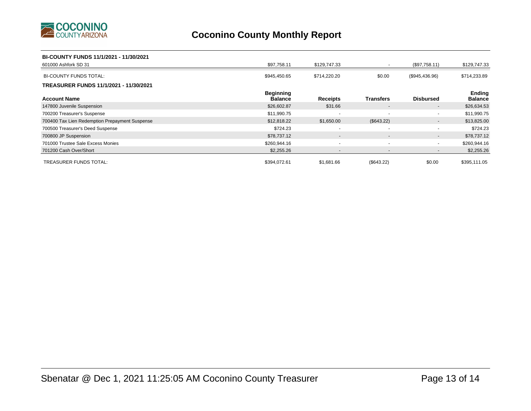

#### **BI-COUNTY FUNDS 11/1/2021 - 11/30/2021**

| 601000 Ashfork SD 31                           | \$97,758.11                        | \$129,747.33             | $\sim$                   | (\$97,758.11)    | \$129,747.33             |
|------------------------------------------------|------------------------------------|--------------------------|--------------------------|------------------|--------------------------|
| <b>BI-COUNTY FUNDS TOTAL:</b>                  | \$945,450.65                       | \$714,220.20             | \$0.00                   | (\$945,436.96)   | \$714,233.89             |
| TREASURER FUNDS 11/1/2021 - 11/30/2021         |                                    |                          |                          |                  |                          |
| <b>Account Name</b>                            | <b>Beginning</b><br><b>Balance</b> | <b>Receipts</b>          | <b>Transfers</b>         | <b>Disbursed</b> | Ending<br><b>Balance</b> |
| 147800 Juvenile Suspension                     | \$26,602.87                        | \$31.66                  | $\sim$                   | $\sim$           | \$26,634.53              |
| 700200 Treasurer's Suspense                    | \$11,990.75                        |                          | $\overline{\phantom{a}}$ |                  | \$11,990.75              |
| 700400 Tax Lien Redemption Prepayment Suspense | \$12,818.22                        | \$1,650.00               | (\$643.22)               | $\sim$           | \$13,825.00              |
| 700500 Treasurer's Deed Suspense               | \$724.23                           |                          |                          |                  | \$724.23                 |
| 700800 JP Suspension                           | \$78,737.12                        | $\overline{\phantom{a}}$ | $\sim$                   | $\sim$           | \$78,737.12              |
| 701000 Trustee Sale Excess Monies              | \$260,944.16                       | $\overline{\phantom{a}}$ | $\overline{\phantom{a}}$ | $\sim$           | \$260,944.16             |
| 701200 Cash Over/Short                         | \$2,255.26                         | $\overline{\phantom{a}}$ | $\overline{\phantom{a}}$ | $\sim$           | \$2,255.26               |
| <b>TREASURER FUNDS TOTAL:</b>                  | \$394.072.61                       | \$1.681.66               | (\$643.22)               | \$0.00           | \$395,111.05             |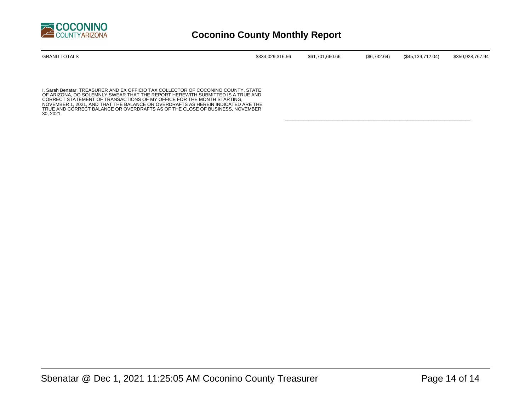

| <b>GRAND TOTALS</b> | \$334,029,316.56 | \$61,701,660.66 | $(\$6,732.64)$ | (\$45,139,712.04) | \$350,928,767.94 |
|---------------------|------------------|-----------------|----------------|-------------------|------------------|
|                     |                  |                 |                |                   |                  |

\_\_\_\_\_\_\_\_\_\_\_\_\_\_\_\_\_\_\_\_\_\_\_\_\_\_\_\_\_\_\_\_\_\_\_\_\_\_\_\_\_\_\_\_\_\_\_\_\_\_\_\_\_\_\_\_\_\_\_\_\_\_\_\_\_\_\_\_\_\_\_

I, Sarah Benatar, TREASURER AND EX OFFICIO TAX COLLECTOR OF COCONINO COUNTY, STATE<br>OF ARIZONA, DO SOLEMNLY SWEAR THAT THE REPORT HEREWITH SUBMITTED IS A TRUE AND<br>CORRECT STATEMENT OF TRANSACTIONS OF MY OFFICE FOR THE MONTH NOVEMBER 1, 2021, AND THAT THE BALANCE OR OVERDRAFTS AS HEREIN INDICATED ARE THE TRUE AND CORRECT BALANCE OR OVERDRAFTS AS OF THE CLOSE OF BUSINESS, NOVEMBER 30, 2021.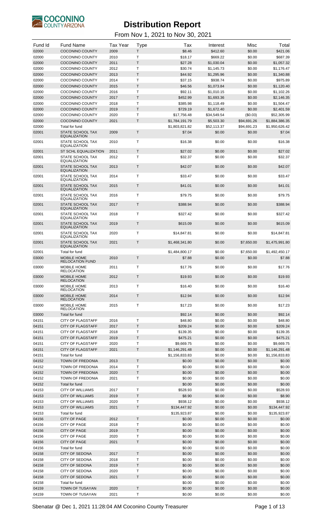

| Fund Id        | <b>Fund Name</b>                                 | <b>Tax Year</b> | <b>Type</b>      | Tax                              | Interest                 | Misc                 | Total                            |
|----------------|--------------------------------------------------|-----------------|------------------|----------------------------------|--------------------------|----------------------|----------------------------------|
| 02000          | <b>COCONINO COUNTY</b>                           | 2009            | T                | \$8.46                           | \$412.60                 | \$0.00               | \$421.06                         |
| 02000<br>02000 | <b>COCONINO COUNTY</b><br><b>COCONINO COUNTY</b> | 2010<br>2011    | T<br>T           | \$18.17<br>\$27.28               | \$669.22<br>\$1,030.04   | \$0.00<br>\$0.00     | \$687.39<br>\$1,057.32           |
| 02000          | <b>COCONINO COUNTY</b>                           | 2012            | T                | \$30.74                          | \$1,145.73               | \$0.00               | \$1,176.47                       |
| 02000          | <b>COCONINO COUNTY</b>                           | 2013            | T                | \$44.92                          | \$1,295.96               | \$0.00               | \$1,340.88                       |
| 02000          | <b>COCONINO COUNTY</b>                           | 2014            | Т                | \$37.15                          | \$938.74                 | \$0.00               | \$975.89                         |
| 02000          | <b>COCONINO COUNTY</b>                           | 2015            | $\mathsf{T}$     | \$46.56                          | \$1,073.84               | \$0.00               | \$1,120.40                       |
| 02000          | <b>COCONINO COUNTY</b>                           | 2016            | Т<br>Τ           | \$92.11                          | \$1,010.15               | \$0.00               | \$1,102.26                       |
| 02000<br>02000 | <b>COCONINO COUNTY</b><br><b>COCONINO COUNTY</b> | 2017<br>2018    | T                | \$452.99<br>\$385.98             | \$1,693.36<br>\$1,118.49 | \$0.00<br>\$0.00     | \$2,146.35<br>\$1,504.47         |
| 02000          | <b>COCONINO COUNTY</b>                           | 2019            | $\mathsf{T}$     | \$729.19                         | \$1,672.40               | \$0.00               | \$2,401.59                       |
| 02000          | <b>COCONINO COUNTY</b>                           | 2020            | Τ                | \$17,756.48                      | \$34,549.54              | (\$0.03)             | \$52,305.99                      |
| 02000          | <b>COCONINO COUNTY</b>                           | 2021            | $\mathsf{T}$     | \$1,784,191.79                   | \$5,503.30               | \$94,691.26          | \$1,884,386.35                   |
| 02000          | Total for fund                                   |                 |                  | \$1,803,821.82                   | \$52,113.37              | \$94,691.23          | \$1,950,626.42                   |
| 02001          | STATE SCHOOL TAX<br><b>EQUALIZATION</b>          | 2009            | T                | \$7.04                           | \$0.00                   | \$0.00               | \$7.04                           |
| 02001          | STATE SCHOOL TAX<br>EQUALIZATION                 | 2010            | т                | \$16.38                          | \$0.00                   | \$0.00               | \$16.38                          |
| 02001          | ST SCHL EQUALIZATION                             | 2011            | $\top$           | \$27.02                          | \$0.00                   | \$0.00               | \$27.02                          |
| 02001          | STATE SCHOOL TAX<br><b>EQUALIZATION</b>          | 2012            | T                | \$32.37                          | \$0.00                   | \$0.00               | \$32.37                          |
| 02001          | <b>STATE SCHOOL TAX</b>                          | 2013            | $\mathsf{T}$     | \$42.07                          | \$0.00                   | \$0.00               | \$42.07                          |
| 02001          | <b>EQUALIZATION</b><br>STATE SCHOOL TAX          | 2014            | $\mathsf{T}$     | \$33.47                          | \$0.00                   | \$0.00               | \$33.47                          |
| 02001          | <b>EQUALIZATION</b><br><b>STATE SCHOOL TAX</b>   | 2015            | $\mathsf{T}$     | \$41.01                          | \$0.00                   | \$0.00               | \$41.01                          |
|                | <b>EQUALIZATION</b>                              |                 |                  |                                  |                          |                      |                                  |
| 02001          | STATE SCHOOL TAX<br><b>EQUALIZATION</b>          | 2016            | Т                | \$79.75                          | \$0.00                   | \$0.00               | \$79.75                          |
| 02001          | <b>STATE SCHOOL TAX</b><br><b>EQUALIZATION</b>   | 2017            | $\mathsf{T}$     | \$388.94                         | \$0.00                   | \$0.00               | \$388.94                         |
| 02001          | STATE SCHOOL TAX<br><b>EQUALIZATION</b>          | 2018            | $\mathsf{T}$     | \$327.42                         | \$0.00                   | \$0.00               | \$327.42                         |
| 02001          | <b>STATE SCHOOL TAX</b><br><b>EQUALIZATION</b>   | 2019            | $\mathsf{T}$     | \$615.09                         | \$0.00                   | \$0.00               | \$615.09                         |
| 02001          | STATE SCHOOL TAX                                 | 2020            | $\mathsf{T}$     | \$14,847.81                      | \$0.00                   | \$0.00               | \$14,847.81                      |
| 02001          | <b>EQUALIZATION</b><br>STATE SCHOOL TAX          | 2021            | $\mathsf{T}$     | \$1,468,341.80                   | \$0.00                   | \$7,650.00           | \$1,475,991.80                   |
|                | <b>EQUALIZATION</b>                              |                 |                  |                                  |                          |                      |                                  |
| 02001<br>03000 | Total for fund<br>MOBILE HOME                    | 2010            | $\mathsf{T}$     | \$1,484,800.17<br>\$7.88         | \$0.00<br>\$0.00         | \$7,650.00<br>\$0.00 | \$1,492,450.17<br>\$7.88         |
|                | <b>RELOCATION FUND</b>                           |                 |                  |                                  |                          |                      |                                  |
| 03000          | MOBILE HOME<br><b>RELOCATION</b>                 | 2011            | T                | \$17.76                          | \$0.00                   | \$0.00               | \$17.76                          |
| 03000          | MOBILE HOME<br><b>RELOCATION</b>                 | 2012            | Τ                | \$19.93                          | \$0.00                   | \$0.00               | \$19.93                          |
| 03000          | MOBILE HOME<br><b>RELOCATION</b>                 | 2013            | Τ                | \$16.40                          | \$0.00                   | \$0.00               | \$16.40                          |
| 03000          | <b>MOBILE HOME</b>                               | 2014            | $\mathsf T$      | \$12.94                          | \$0.00                   | \$0.00               | \$12.94                          |
| 03000          | <b>RELOCATION</b><br>MOBILE HOME                 | 2015            | Т                | \$17.23                          | \$0.00                   | \$0.00               | \$17.23                          |
| 03000          | <b>RELOCATION</b><br>Total for fund              |                 |                  | \$92.14                          | \$0.00                   | \$0.00               | \$92.14                          |
| 04151          | <b>CITY OF FLAGSTAFF</b>                         | 2016            | T                | \$48.80                          | \$0.00                   | \$0.00               | \$48.80                          |
| 04151          | <b>CITY OF FLAGSTAFF</b>                         | 2017            | T                | \$209.24                         | \$0.00                   | \$0.00               | \$209.24                         |
| 04151          | <b>CITY OF FLAGSTAFF</b>                         | 2018            | Т                | \$139.35                         | \$0.00                   | \$0.00               | \$139.35                         |
| 04151          | <b>CITY OF FLAGSTAFF</b>                         | 2019            | $\sf T$          | \$475.21                         | \$0.00                   | \$0.00               | \$475.21                         |
| 04151          | <b>CITY OF FLAGSTAFF</b>                         | 2020            | Т                | \$9,669.75                       | \$0.00                   | \$0.00               | \$9,669.75                       |
| 04151<br>04151 | <b>CITY OF FLAGSTAFF</b><br>Total for fund       | 2021            | $\mathsf T$      | \$1,146,291.48<br>\$1,156,833.83 | \$0.00<br>\$0.00         | \$0.00<br>\$0.00     | \$1,146,291.48<br>\$1,156,833.83 |
| 04152          | TOWN OF FREDONIA                                 | 2013            | $\sf T$          | \$0.00                           | \$0.00                   | \$0.00               | \$0.00                           |
| 04152          | TOWN OF FREDONIA                                 | 2014            | Т                | \$0.00                           | \$0.00                   | \$0.00               | \$0.00                           |
| 04152          | TOWN OF FREDONIA                                 | 2020            | $\sf T$          | \$0.00                           | \$0.00                   | \$0.00               | \$0.00                           |
| 04152          | TOWN OF FREDONIA                                 | 2021            | T                | \$0.00                           | \$0.00                   | \$0.00               | \$0.00                           |
| 04152<br>04153 | Total for fund<br><b>CITY OF WILLIAMS</b>        | 2017            | T                | \$0.00<br>\$528.93               | \$0.00<br>\$0.00         | \$0.00<br>\$0.00     | \$0.00<br>\$528.93               |
| 04153          | <b>CITY OF WILLIAMS</b>                          | 2019            | T                | \$8.90                           | \$0.00                   | \$0.00               | \$8.90                           |
| 04153          | <b>CITY OF WILLIAMS</b>                          | 2020            | Т                | \$938.12                         | \$0.00                   | \$0.00               | \$938.12                         |
| 04153          | <b>CITY OF WILLIAMS</b>                          | 2021            | $\sf T$          | \$134,447.92                     | \$0.00                   | \$0.00               | \$134,447.92                     |
| 04153          | Total for fund                                   |                 |                  | \$135,923.87                     | \$0.00                   | \$0.00               | \$135,923.87                     |
| 04156<br>04156 | <b>CITY OF PAGE</b><br><b>CITY OF PAGE</b>       | 2012<br>2018    | $\mathsf T$<br>Т | \$0.00<br>\$0.00                 | \$0.00<br>\$0.00         | \$0.00<br>\$0.00     | \$0.00<br>\$0.00                 |
| 04156          | <b>CITY OF PAGE</b>                              | 2019            | T                | \$0.00                           | \$0.00                   | \$0.00               | \$0.00                           |
| 04156          | <b>CITY OF PAGE</b>                              | 2020            | т                | \$0.00                           | \$0.00                   | \$0.00               | \$0.00                           |
| 04156          | <b>CITY OF PAGE</b>                              | 2021            | T                | \$0.00                           | \$0.00                   | \$0.00               | \$0.00                           |
| 04156          | Total for fund                                   |                 |                  | \$0.00                           | \$0.00                   | \$0.00               | \$0.00                           |
| 04158          | <b>CITY OF SEDONA</b><br><b>CITY OF SEDONA</b>   | 2017<br>2018    | T<br>Т           | \$0.00                           | \$0.00                   | \$0.00               | \$0.00<br>\$0.00                 |
| 04158<br>04158 | <b>CITY OF SEDONA</b>                            | 2019            | T                | \$0.00<br>\$0.00                 | \$0.00<br>\$0.00         | \$0.00<br>\$0.00     | \$0.00                           |
| 04158          | <b>CITY OF SEDONA</b>                            | 2020            | Т                | \$0.00                           | \$0.00                   | \$0.00               | \$0.00                           |
| 04158          | <b>CITY OF SEDONA</b>                            | 2021            | T                | \$0.00                           | \$0.00                   | \$0.00               | \$0.00                           |
| 04158          | Total for fund                                   |                 |                  | \$0.00                           | \$0.00                   | \$0.00               | \$0.00                           |
| 04159<br>04159 | <b>TOWN OF TUSAYAN</b><br>TOWN OF TUSAYAN        | 2020<br>2021    | $\sf T$<br>Τ     | \$0.00<br>\$0.00                 | \$0.00<br>\$0.00         | \$0.00<br>\$0.00     | \$0.00<br>\$0.00                 |
|                |                                                  |                 |                  |                                  |                          |                      |                                  |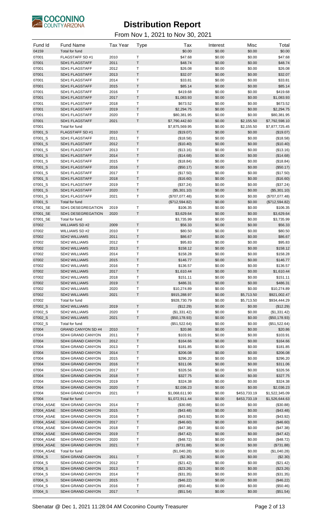

| Fund Id                  | <b>Fund Name</b>                        | <b>Tax Year</b> | <b>Type</b>  | Tax                           | Interest         | Misc                 | Total                          |
|--------------------------|-----------------------------------------|-----------------|--------------|-------------------------------|------------------|----------------------|--------------------------------|
| 04159                    | <b>Total for fund</b>                   |                 |              | \$0.00                        | \$0.00           | \$0.00               | \$0.00                         |
| 07001                    | FLAGSTAFF SD #1                         | 2010            | Т            | \$47.68                       | \$0.00           | \$0.00               | \$47.68                        |
| 07001                    | SD#1 FLAGSTAFF                          | 2011            | $\top$       | \$48.74                       | \$0.00           | \$0.00               | \$48.74                        |
| 07001<br>07001           | SD#1 FLAGSTAFF<br>SD#1 FLAGSTAFF        | 2012<br>2013    | T<br>$\top$  | \$26.08<br>\$32.07            | \$0.00<br>\$0.00 | \$0.00<br>\$0.00     | \$26.08<br>\$32.07             |
| 07001                    | SD#1 FLAGSTAFF                          | 2014            | Т            | \$33.81                       | \$0.00           | \$0.00               | \$33.81                        |
| 07001                    | SD#1 FLAGSTAFF                          | 2015            | $\sf T$      | \$85.14                       | \$0.00           | \$0.00               | \$85.14                        |
| 07001                    | SD#1 FLAGSTAFF                          | 2016            | Т            | \$419.68                      | \$0.00           | \$0.00               | \$419.68                       |
| 07001                    | SD#1 FLAGSTAFF                          | 2017            | $\sf T$      | \$1,083.93                    | \$0.00           | \$0.00               | \$1,083.93                     |
| 07001                    | SD#1 FLAGSTAFF                          | 2018            | T            | \$673.52                      | \$0.00           | \$0.00               | \$673.52                       |
| 07001                    | SD#1 FLAGSTAFF                          | 2019            | $\top$       | \$2,294.75                    | \$0.00           | \$0.00               | \$2,294.75                     |
| 07001                    | SD#1 FLAGSTAFF                          | 2020            | T            | \$80,381.95                   | \$0.00           | \$0.00               | \$80,381.95                    |
| 07001                    | SD#1 FLAGSTAFF                          | 2021            | $\sf T$      | \$7,790,442.60                | \$0.00           | \$2,155.50           | \$7,792,598.10                 |
| 07001<br>07001_S         | Total for fund<br><b>FLAGSTAFF SD#1</b> | 2010            | Τ            | \$7,875,569.95<br>(\$19.07)   | \$0.00<br>\$0.00 | \$2,155.50<br>\$0.00 | \$7,877,725.45<br>(\$19.07)    |
| 07001_S                  | SD#1 FLAGSTAFF                          | 2011            | T            | (\$18.58)                     | \$0.00           | \$0.00               | (\$18.58)                      |
| 07001_S                  | SD#1 FLAGSTAFF                          | 2012            | $\top$       | (\$10.40)                     | \$0.00           | \$0.00               | (\$10.40)                      |
| 07001_S                  | SD#1 FLAGSTAFF                          | 2013            | Т            | (\$13.16)                     | \$0.00           | \$0.00               | (\$13.16)                      |
| 07001_S                  | <b>SD#1 FLAGSTAFF</b>                   | 2014            | $\sf T$      | (\$14.68)                     | \$0.00           | \$0.00               | (\$14.68)                      |
| 07001_S                  | SD#1 FLAGSTAFF                          | 2015            | Т            | (\$18.84)                     | \$0.00           | \$0.00               | (\$18.84)                      |
| 07001_S                  | SD#1 FLAGSTAFF                          | 2016            | $\top$       | (\$50.17)                     | \$0.00           | \$0.00               | (\$50.17)                      |
| 07001_S                  | SD#1 FLAGSTAFF                          | 2017            | T            | (\$17.50)                     | \$0.00           | \$0.00               | (\$17.50)                      |
| 07001_S                  | SD#1 FLAGSTAFF                          | 2018            | $\top$       | (\$16.60)                     | \$0.00           | \$0.00               | (\$16.60)                      |
| 07001_S<br>07001_S       | SD#1 FLAGSTAFF<br>SD#1 FLAGSTAFF        | 2019<br>2020    | Т<br>$\sf T$ | (\$37.24)<br>(\$5,301.10)     | \$0.00<br>\$0.00 | \$0.00<br>\$0.00     | (\$37.24)<br>(\$5,301.10)      |
| 07001_S                  | SD#1 FLAGSTAFF                          | 2021            | Τ            | (\$707,077.48)                | \$0.00           | \$0.00               | (\$707,077.48)                 |
| 07001_S                  | Total for fund                          |                 |              | (\$712,594.82)                | \$0.00           | \$0.00               | (\$712,594.82)                 |
| 07001_SE                 | SD#1 DESEGREGATION                      | 2019            | T            | \$106.35                      | \$0.00           | \$0.00               | \$106.35                       |
| 07001_SE                 | SD#1 DESEGREGATION                      | 2020            | $\top$       | \$3,629.64                    | \$0.00           | \$0.00               | \$3,629.64                     |
| 07001_SE                 | Total for fund                          |                 |              | \$3,735.99                    | \$0.00           | \$0.00               | \$3,735.99                     |
| 07002                    | WILLIAMS SD #2                          | 2009            | $\sf T$      | \$56.33                       | \$0.00           | \$0.00               | \$56.33                        |
| 07002                    | WILLIAMS SD #2                          | 2010            | Т            | \$80.50                       | \$0.00           | \$0.00               | \$80.50                        |
| 07002                    | SD#2 WILLIAMS                           | 2011            | $\top$       | \$86.67                       | \$0.00           | \$0.00               | \$86.67                        |
| 07002                    | SD#2 WILLIAMS                           | 2012            | T            | \$95.83                       | \$0.00           | \$0.00               | \$95.83                        |
| 07002                    | SD#2 WILLIAMS                           | 2013            | $\top$<br>Т  | \$158.12                      | \$0.00           | \$0.00               | \$158.12                       |
| 07002<br>07002           | SD#2 WILLIAMS<br><b>SD#2 WILLIAMS</b>   | 2014<br>2015    | $\sf T$      | \$158.28<br>\$146.77          | \$0.00<br>\$0.00 | \$0.00<br>\$0.00     | \$158.28<br>\$146.77           |
| 07002                    | SD#2 WILLIAMS                           | 2016            | Т            | \$136.57                      | \$0.00           | \$0.00               | \$136.57                       |
| 07002                    | <b>SD#2 WILLIAMS</b>                    | 2017            | $\top$       | \$1,610.44                    | \$0.00           | \$0.00               | \$1,610.44                     |
| 07002                    | SD#2 WILLIAMS                           | 2018            | $\top$       | \$151.11                      | \$0.00           | \$0.00               | \$151.11                       |
| 07002                    | SD#2 WILLIAMS                           | 2019            | $\top$       | \$486.31                      | \$0.00           | \$0.00               | \$486.31                       |
| 07002                    | SD#2 WILLIAMS                           | 2020            | Т            | \$10,274.89                   | \$0.00           | \$0.00               | \$10,274.89                    |
| 07002                    | SD#2 WILLIAMS                           | 2021            | T            | \$915,288.97                  | \$0.00           | \$5,713.50           | \$921,002.47                   |
| 07002                    | Total for fund                          |                 |              | \$928,730.79                  | \$0.00           | \$5,713.50           | \$934,444.29                   |
| 07002_S                  | SD#2 WILLIAMS                           | 2019            | Τ            | (\$12.29)                     | \$0.00           | \$0.00               | (\$12.29)                      |
| 07002 S<br>07002_S       | SD#2 WILLIAMS<br>SD#2 WILLIAMS          | 2020<br>2021    | T<br>$\sf T$ | (\$1,331.42)<br>(\$50,178.93) | \$0.00<br>\$0.00 | \$0.00<br>\$0.00     | (\$1,331.42)                   |
| 07002_S                  | Total for fund                          |                 |              | (\$51,522.64)                 | \$0.00           | \$0.00               | (\$50,178.93)<br>(\$51,522.64) |
| 07004                    | <b>GRAND CANYON SD #4</b>               | 2010            | $\sf T$      | \$20.86                       | \$0.00           | \$0.00               | \$20.86                        |
| 07004                    | SD#4 GRAND CANYON                       | 2011            | Т            | \$103.91                      | \$0.00           | \$0.00               | \$103.91                       |
| 07004                    | SD#4 GRAND CANYON                       | 2012            | $\sf T$      | \$164.66                      | \$0.00           | \$0.00               | \$164.66                       |
| 07004                    | SD#4 GRAND CANYON                       | 2013            | Τ            | \$181.85                      | \$0.00           | \$0.00               | \$181.85                       |
| 07004                    | SD#4 GRAND CANYON                       | 2014            | $\top$       | \$206.08                      | \$0.00           | \$0.00               | \$206.08                       |
| 07004                    | SD#4 GRAND CANYON                       | 2015            | Т            | \$296.20                      | \$0.00           | \$0.00               | \$296.20                       |
| 07004                    | SD#4 GRAND CANYON                       | 2016            | T            | \$311.06                      | \$0.00           | \$0.00               | \$311.06                       |
| 07004                    | SD#4 GRAND CANYON                       | 2017            | Т<br>$\sf T$ | \$326.56                      | \$0.00           | \$0.00               | \$326.56                       |
| 07004<br>07004           | SD#4 GRAND CANYON<br>SD#4 GRAND CANYON  | 2018<br>2019    | Τ            | \$327.75<br>\$324.38          | \$0.00<br>\$0.00 | \$0.00<br>\$0.00     | \$327.75<br>\$324.38           |
| 07004                    | SD#4 GRAND CANYON                       | 2020            | $\top$       | \$2,036.23                    | \$0.00           | \$0.00               | \$2,036.23                     |
| 07004                    | SD#4 GRAND CANYON                       | 2021            | Т            | \$1,068,611.90                | \$0.00           | \$453,733.19         | \$1,522,345.09                 |
| 07004                    | Total for fund                          |                 |              | \$1,072,911.44                | \$0.00           | \$453,733.19         | \$1,526,644.63                 |
| 07004_ASAE               | SD#4 GRAND CANYON                       | 2014            | т            | (\$30.88)                     | \$0.00           | \$0.00               | (\$30.88)                      |
| 07004_ASAE               | SD#4 GRAND CANYON                       | 2015            | $\top$       | (\$43.48)                     | \$0.00           | \$0.00               | (\$43.48)                      |
| 07004_ASAE               | SD#4 GRAND CANYON                       | 2016            | Τ            | (\$43.92)                     | \$0.00           | \$0.00               | (\$43.92)                      |
| 07004_ASAE               | SD#4 GRAND CANYON                       | 2017            | $\sf T$      | (\$46.60)                     | \$0.00           | \$0.00               | (\$46.60)                      |
| 07004_ASAE               | SD#4 GRAND CANYON                       | 2018            | Т            | (\$47.38)                     | \$0.00           | \$0.00               | (\$47.38)                      |
| 07004_ASAE<br>07004_ASAE | SD#4 GRAND CANYON<br>SD#4 GRAND CANYON  | 2019<br>2020    | T<br>Т       | (\$47.42)<br>(\$48.72)        | \$0.00<br>\$0.00 | \$0.00<br>\$0.00     | (\$47.42)<br>(\$48.72)         |
| 07004_ASAE               | SD#4 GRAND CANYON                       | 2021            | $\top$       | (\$731.88)                    | \$0.00           | \$0.00               | (\$731.88)                     |
| 07004_ASAE               | Total for fund                          |                 |              | (\$1,040.28)                  | \$0.00           | \$0.00               | (\$1,040.28)                   |
| 07004_S                  | SD#4 GRAND CANYON                       | 2011            | $\top$       | (\$2.30)                      | \$0.00           | \$0.00               | (\$2.30)                       |
| 07004_S                  | SD#4 GRAND CANYON                       | 2012            | Т            | (\$21.42)                     | \$0.00           | \$0.00               | (\$21.42)                      |
| 07004_S                  | SD#4 GRAND CANYON                       | 2013            | T            | (\$23.26)                     | \$0.00           | \$0.00               | (\$23.26)                      |
| 07004 S                  | SD#4 GRAND CANYON                       | 2014            | Т            | (\$31.35)                     | \$0.00           | \$0.00               | (\$31.35)                      |
| 07004_S                  | SD#4 GRAND CANYON                       | 2015            | $\sf T$      | (\$46.22)                     | \$0.00           | \$0.00               | (\$46.22)                      |
| 07004_S<br>07004 S       | SD#4 GRAND CANYON                       | 2016            | Τ<br>$\sf T$ | (\$50.46)                     | \$0.00           | \$0.00               | (\$50.46)                      |
|                          | SD#4 GRAND CANYON                       | 2017            |              | (\$51.54)                     | \$0.00           | \$0.00               | (\$51.54)                      |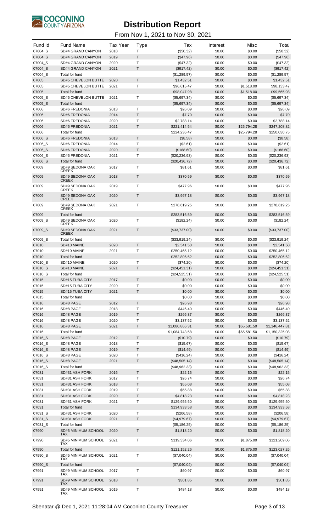

| Fund Id            | <b>Fund Name</b>                      | <b>Tax Year</b> | <b>Type</b>                 | Tax                            | Interest         | Misc                  | Total                          |
|--------------------|---------------------------------------|-----------------|-----------------------------|--------------------------------|------------------|-----------------------|--------------------------------|
| 07004 S            | SD#4 GRAND CANYON                     | 2018            | T                           | (\$50.32)                      | \$0.00           | \$0.00                | (\$50.32)                      |
| 07004 S            | SD#4 GRAND CANYON                     | 2019            | Τ                           | (\$47.96)                      | \$0.00           | \$0.00                | (\$47.96)                      |
| 07004_S            | SD#4 GRAND CANYON                     | 2020            | T                           | (\$47.32)                      | \$0.00           | \$0.00                | (\$47.32)                      |
| 07004 S<br>07004_S | SD#4 GRAND CANYON<br>Total for fund   | 2021            | Τ                           | (\$917.42)<br>(\$1,289.57)     | \$0.00<br>\$0.00 | \$0.00<br>\$0.00      | (\$917.42)<br>(\$1,289.57)     |
| 07005              | <b>SD#5 CHEVELON BUTTE</b>            | 2020            | $\mathsf{T}$                | \$1,432.51                     | \$0.00           | \$0.00                | \$1,432.51                     |
| 07005              | SD#5 CHEVELON BUTTE                   | 2021            | T                           | \$96,615.47                    | \$0.00           | \$1,518.00            | \$98,133.47                    |
| 07005              | Total for fund                        |                 |                             | \$98,047.98                    | \$0.00           | \$1,518.00            | \$99,565.98                    |
| 07005_S            | SD#5 CHEVELON BUTTE                   | 2021            | $\mathsf{T}$                | (\$5,697.34)                   | \$0.00           | \$0.00                | (\$5,697.34)                   |
| 07005_S            | Total for fund                        |                 |                             | (\$5,697.34)                   | \$0.00           | \$0.00                | (\$5,697.34)                   |
| 07006              | SD#6 FREDONIA                         | 2013            | T                           | \$26.09                        | \$0.00           | \$0.00                | \$26.09                        |
| 07006              | <b>SD#6 FREDONIA</b>                  | 2014            | T                           | \$7.70                         | \$0.00           | \$0.00                | \$7.70                         |
| 07006<br>07006     | SD#6 FREDONIA<br><b>SD#6 FREDONIA</b> | 2020<br>2021    | Т<br>Τ                      | \$2,788.14<br>\$221,414.54     | \$0.00<br>\$0.00 | \$0.00<br>\$25,794.28 | \$2,788.14<br>\$247,208.82     |
| 07006              | Total for fund                        |                 |                             | \$224,236.47                   | \$0.00           | \$25,794.28           | \$250,030.75                   |
| 07006_S            | <b>SD#6 FREDONIA</b>                  | 2013            | $\mathsf T$                 | (\$8.58)                       | \$0.00           | \$0.00                | (\$8.58)                       |
| 07006_S            | SD#6 FREDONIA                         | 2014            | $\mathsf{T}$                | (\$2.61)                       | \$0.00           | \$0.00                | (\$2.61)                       |
| 07006_S            | <b>SD#6 FREDONIA</b>                  | 2020            | T                           | (\$188.60)                     | \$0.00           | \$0.00                | (\$188.60)                     |
| 07006_S            | SD#6 FREDONIA                         | 2021            | Т                           | $(\$20,236.93)$                | \$0.00           | \$0.00                | (\$20,236.93)                  |
| 07006_S            | Total for fund                        |                 |                             | (\$20,436.72)                  | \$0.00           | \$0.00                | (\$20,436.72)                  |
| 07009              | SD#9 SEDONA OAK<br><b>CREEK</b>       | 2017            | $\mathsf{T}$                | \$81.61                        | \$0.00           | \$0.00                | \$81.61                        |
| 07009              | SD#9 SEDONA OAK<br><b>CREEK</b>       | 2018            | $\mathsf T$                 | \$370.59                       | \$0.00           | \$0.00                | \$370.59                       |
| 07009              | SD#9 SEDONA OAK<br><b>CREEK</b>       | 2019            | Τ                           | \$477.96                       | \$0.00           | \$0.00                | \$477.96                       |
| 07009              | SD#9 SEDONA OAK<br><b>CREEK</b>       | 2020            | $\mathsf T$                 | \$3,967.18                     | \$0.00           | \$0.00                | \$3,967.18                     |
| 07009              | SD#9 SEDONA OAK<br><b>CREEK</b>       | 2021            | Τ                           | \$278,619.25                   | \$0.00           | \$0.00                | \$278,619.25                   |
| 07009              | Total for fund                        |                 |                             | \$283,516.59                   | \$0.00           | \$0.00                | \$283,516.59                   |
| 07009_S            | SD#9 SEDONA OAK                       | 2020            | $\mathsf{T}$                | (\$182.24)                     | \$0.00           | \$0.00                | (\$182.24)                     |
| 07009_S            | <b>CREEK</b><br>SD#9 SEDONA OAK       | 2021            | Τ                           | (\$33,737.00)                  | \$0.00           | \$0.00                | (\$33,737.00)                  |
|                    | <b>CREEK</b>                          |                 |                             |                                |                  |                       |                                |
| 07009_S            | Total for fund                        |                 |                             | (\$33,919.24)                  | \$0.00           | \$0.00                | (\$33,919.24)                  |
| 07010              | SD#10 MAINE                           | 2020            | $\mathsf T$<br>$\mathsf{T}$ | \$2,341.50                     | \$0.00           | \$0.00                | \$2,341.50                     |
| 07010<br>07010     | SD#10 MAINE<br>Total for fund         | 2021            |                             | \$250,465.12<br>\$252,806.62   | \$0.00<br>\$0.00 | \$0.00<br>\$0.00      | \$250,465.12<br>\$252,806.62   |
| 07010_S            | SD#10 MAINE                           | 2020            | Τ                           | (\$74.20)                      | \$0.00           | \$0.00                | (\$74.20)                      |
| 07010_S            | SD#10 MAINE                           | 2021            | T                           | (\$24,451.31)                  | \$0.00           | \$0.00                | (\$24,451.31)                  |
| 07010_S            | Total for fund                        |                 |                             | (\$24,525.51)                  | \$0.00           | \$0.00                | (\$24,525.51)                  |
| 07015              | SD#15 TUBA CITY                       | 2017            | $\mathsf T$                 | \$0.00                         | \$0.00           | \$0.00                | \$0.00                         |
| 07015              | SD#15 TUBA CITY                       | 2020            | T                           | \$0.00                         | \$0.00           | \$0.00                | \$0.00                         |
| 07015              | SD#15 TUBA CITY                       | 2021            | $\sf T$                     | \$0.00                         | \$0.00           | \$0.00                | \$0.00                         |
| 07015              | Total for fund                        |                 |                             | \$0.00                         | \$0.00           | \$0.00                | \$0.00                         |
| 07016<br>07016     | SD#8 PAGE<br>SD#8 PAGE                | 2012<br>2018    | $\mathsf T$<br>Т            | \$26.98<br>\$446.40            | \$0.00<br>\$0.00 | \$0.00<br>\$0.00      | \$26.98<br>\$446.40            |
| 07016              | SD#8 PAGE                             | 2019            | Τ                           | \$266.37                       | \$0.00           | \$0.00                | \$266.37                       |
| 07016              | SD#8 PAGE                             | 2020            | T                           | \$3,137.52                     | \$0.00           | \$0.00                | \$3,137.52                     |
| 07016              | SD#8 PAGE                             | 2021            | Τ                           | \$1,080,866.31                 | \$0.00           | \$65,581.50           | \$1,146,447.81                 |
| 07016              | Total for fund                        |                 |                             | \$1,084,743.58                 | \$0.00           | \$65,581.50           | \$1,150,325.08                 |
| 07016_S            | SD#8 PAGE                             | 2012            | $\mathsf T$                 | (\$10.79)                      | \$0.00           | \$0.00                | (\$10.79)                      |
| 07016_S            | SD#8 PAGE                             | 2018            | Т                           | (\$15.67)                      | \$0.00           | \$0.00                | (\$15.67)                      |
| 07016_S            | SD#8 PAGE                             | 2019            | $\mathsf T$                 | (\$14.49)                      | \$0.00           | \$0.00                | (\$14.49)                      |
| 07016_S            | SD#8 PAGE                             | 2020            | T                           | (\$416.24)                     | \$0.00           | \$0.00                | (\$416.24)                     |
| 07016_S<br>07016_S | SD#8 PAGE<br>Total for fund           | 2021            | Τ                           | (\$48,505.14)<br>(\$48,962.33) | \$0.00<br>\$0.00 | \$0.00<br>\$0.00      | (\$48,505.14)<br>(\$48,962.33) |
| 07031              | SD#31 ASH FORK                        | 2016            | $\mathsf{T}$                | \$22.15                        | \$0.00           | \$0.00                | \$22.15                        |
| 07031              | SD#31 ASH FORK                        | 2017            | Т                           | \$26.74                        | \$0.00           | \$0.00                | \$26.74                        |
| 07031              | SD#31 ASH FORK                        | 2018            | Τ                           | \$55.08                        | \$0.00           | \$0.00                | \$55.08                        |
| 07031              | SD#31 ASH FORK                        | 2019            | Т                           | \$55.88                        | \$0.00           | \$0.00                | \$55.88                        |
| 07031              | SD#31 ASH FORK                        | 2020            | Τ                           | \$4,818.23                     | \$0.00           | \$0.00                | \$4,818.23                     |
| 07031              | SD#31 ASH FORK                        | 2021            | T                           | \$129,955.50                   | \$0.00           | \$0.00                | \$129,955.50                   |
| 07031              | Total for fund                        |                 |                             | \$134,933.58                   | \$0.00           | \$0.00                | \$134,933.58                   |
| 07031_S<br>07031_S | SD#31 ASH FORK<br>SD#31 ASH FORK      | 2020<br>2021    | T<br>Τ                      | (\$206.58)                     | \$0.00<br>\$0.00 | \$0.00<br>\$0.00      | (\$206.58)                     |
| 07031_S            | Total for fund                        |                 |                             | (\$4,979.67)<br>(\$5,186.25)   | \$0.00           | \$0.00                | (\$4,979.67)<br>(\$5,186.25)   |
| 07990              | SD#5 MINIMUM SCHOOL                   | 2020            | Τ                           | \$1,818.20                     | \$0.00           | \$0.00                | \$1,818.20                     |
| 07990              | <b>TAX</b><br>SD#5 MINIMUM SCHOOL     | 2021            | Т                           | \$119,334.06                   | \$0.00           | \$1,875.00            | \$121,209.06                   |
| 07990              | TAX<br>Total for fund                 |                 |                             | \$121,152.26                   | \$0.00           | \$1,875.00            | \$123,027.26                   |
| 07990_S            | SD#5 MINIMUM SCHOOL<br>TAX            | 2021            | T                           | (\$7,040.04)                   | \$0.00           | \$0.00                | (\$7,040.04)                   |
| 07990_S            | Total for fund                        |                 |                             | (\$7,040.04)                   | \$0.00           | \$0.00                | (\$7,040.04)                   |
| 07991              | SD#9 MINIMUM SCHOOL                   | 2017            | Τ                           | \$60.97                        | \$0.00           | \$0.00                | \$60.97                        |
| 07991              | TAX<br>SD#9 MINIMUM SCHOOL            | 2018            | $\mathsf T$                 | \$301.85                       | \$0.00           | \$0.00                | \$301.85                       |
| 07991              | TAX<br>SD#9 MINIMUM SCHOOL            | 2019            | Т                           | \$484.18                       | \$0.00           | \$0.00                | \$484.18                       |
|                    | TAX                                   |                 |                             |                                |                  |                       |                                |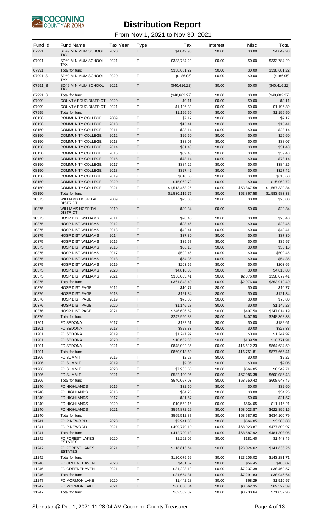

| Fund Id<br>07991 | <b>Fund Name</b><br>SD#9 MINIMUM SCHOOL<br>TAX       | <b>Tax Year</b><br>2020 | <b>Type</b><br>T. | Tax<br>\$4,049.93            | Interest<br>\$0.00 | Misc<br>\$0.00             | Total<br>\$4,049.93        |
|------------------|------------------------------------------------------|-------------------------|-------------------|------------------------------|--------------------|----------------------------|----------------------------|
| 07991            | SD#9 MINIMUM SCHOOL<br>TAX                           | 2021                    | T                 | \$333,784.29                 | \$0.00             | \$0.00                     | \$333,784.29               |
| 07991            | Total for fund                                       |                         |                   | \$338.681.22                 | \$0.00             | \$0.00                     | \$338.681.22               |
| 07991 S          | SD#9 MINIMUM SCHOOL<br>TAX                           | 2020                    | T                 | (\$186.05)                   | \$0.00             | \$0.00                     | (\$186.05)                 |
| 07991 S          | SD#9 MINIMUM SCHOOL<br><b>TAX</b>                    | 2021                    | T                 | (\$40,416.22)                | \$0.00             | \$0.00                     | (\$40,416.22)              |
| 07991_S<br>07999 | Total for fund<br><b>COUNTY EDUC DISTRICT</b>        | 2020                    | T                 | (\$40,602.27)<br>\$0.11      | \$0.00<br>\$0.00   | \$0.00<br>\$0.00           | (\$40,602.27)<br>\$0.11    |
| 07999            | COUNTY EDUC DISTRICT                                 | 2021                    | T                 | \$1,196.39                   | \$0.00             | \$0.00                     | \$1,196.39                 |
| 07999            | Total for fund                                       |                         |                   | \$1,196.50                   | \$0.00             | \$0.00                     | \$1,196.50                 |
| 08150            | <b>COMMUNITY COLLEGE</b>                             | 2009                    | Т                 | \$7.17                       | \$0.00             | \$0.00                     | \$7.17                     |
| 08150            | <b>COMMUNITY COLLEGE</b>                             | 2010                    | T.                | \$15.41                      | \$0.00             | \$0.00                     | \$15.41                    |
| 08150            | <b>COMMUNITY COLLEGE</b>                             | 2011                    | T                 | \$23.14                      | \$0.00             | \$0.00                     | \$23.14                    |
| 08150            | <b>COMMUNITY COLLEGE</b>                             | 2012                    | T                 | \$26.60                      | \$0.00             | \$0.00                     | \$26.60                    |
| 08150            | <b>COMMUNITY COLLEGE</b>                             | 2013                    | T                 | \$38.07                      | \$0.00             | \$0.00                     | \$38.07                    |
| 08150            | <b>COMMUNITY COLLEGE</b>                             | 2014                    | T                 | \$31.48                      | \$0.00             | \$0.00                     | \$31.48                    |
| 08150            | <b>COMMUNITY COLLEGE</b>                             | 2015                    | T                 | \$39.48                      | \$0.00             | \$0.00                     | \$39.48                    |
| 08150            | <b>COMMUNITY COLLEGE</b>                             | 2016                    | T.                | \$78.14                      | \$0.00             | \$0.00                     | \$78.14                    |
| 08150            | <b>COMMUNITY COLLEGE</b>                             | 2017                    | T                 | \$384.26                     | \$0.00             | \$0.00                     | \$384.26                   |
| 08150            | <b>COMMUNITY COLLEGE</b>                             | 2018                    | T                 | \$327.42                     | \$0.00             | \$0.00                     | \$327.42                   |
| 08150<br>08150   | <b>COMMUNITY COLLEGE</b><br><b>COMMUNITY COLLEGE</b> | 2019<br>2020            | T<br>T            | \$618.60<br>\$15,062.72      | \$0.00<br>\$0.00   | \$0.00<br>\$0.00           | \$618.60<br>\$15,062.72    |
| 08150            | <b>COMMUNITY COLLEGE</b>                             | 2021                    | $\mathsf{T}$      | \$1,513,463.26               | \$0.00             | \$53,867.58                | \$1,567,330.84             |
| 08150            | Total for fund                                       |                         |                   | \$1,530,115.75               | \$0.00             | \$53,867.58                | \$1,583,983.33             |
| 10375            | <b>WILLIAMS HOSPITAL</b>                             | 2009                    | T                 | \$23.00                      | \$0.00             | \$0.00                     | \$23.00                    |
| 10375            | <b>DISTRICT</b><br><b>WILLIAMS HOSPITAL</b>          | 2010                    | T                 | \$29.34                      | \$0.00             | \$0.00                     | \$29.34                    |
|                  | <b>DISTRICT</b><br><b>HOSP DIST WILLIAMS</b>         | 2011                    | T                 | \$28.40                      |                    |                            |                            |
| 10375<br>10375   | <b>HOSP DIST WILLIAMS</b>                            | 2012                    | T                 | \$28.46                      | \$0.00<br>\$0.00   | \$0.00<br>\$0.00           | \$28.40<br>\$28.46         |
| 10375            | <b>HOSP DIST WILLIAMS</b>                            | 2013                    | T                 | \$42.41                      | \$0.00             | \$0.00                     | \$42.41                    |
| 10375            | <b>HOSP DIST WILLIAMS</b>                            | 2014                    | T                 | \$37.30                      | \$0.00             | \$0.00                     | \$37.30                    |
| 10375            | <b>HOSP DIST WILLIAMS</b>                            | 2015                    | Τ                 | \$35.57                      | \$0.00             | \$0.00                     | \$35.57                    |
| 10375            | <b>HOSP DIST WILLIAMS</b>                            | 2016                    | T.                | \$36.16                      | \$0.00             | \$0.00                     | \$36.16                    |
| 10375            | <b>HOSP DIST WILLIAMS</b>                            | 2017                    | T                 | \$502.46                     | \$0.00             | \$0.00                     | \$502.46                   |
| 10375            | <b>HOSP DIST WILLIAMS</b>                            | 2018                    | T                 | \$54.36                      | \$0.00             | \$0.00                     | \$54.36                    |
| 10375            | <b>HOSP DIST WILLIAMS</b>                            | 2019                    | Т                 | \$203.65                     | \$0.00             | \$0.00                     | \$203.65                   |
| 10375            | <b>HOSP DIST WILLIAMS</b>                            | 2020                    | T                 | \$4,818.88                   | \$0.00             | \$0.00                     | \$4,818.88                 |
| 10375            | <b>HOSP DIST WILLIAMS</b>                            | 2021                    | T                 | \$356,003.41                 | \$0.00             | \$2,076.00                 | \$358,079.41               |
| 10375            | Total for fund                                       |                         |                   | \$361,843.40                 | \$0.00             | \$2,076.00                 | \$363,919.40               |
| 10376            | <b>HOSP DIST PAGE</b>                                | 2012                    | Т                 | \$10.77                      | \$0.00             | \$0.00                     | \$10.77                    |
| 10376<br>10376   | <b>HOSP DIST PAGE</b><br><b>HOSP DIST PAGE</b>       | 2018<br>2019            | T<br>Т            | \$121.34<br>\$75.80          | \$0.00<br>\$0.00   | \$0.00<br>\$0.00           | \$121.34<br>\$75.80        |
| 10376            | <b>HOSP DIST PAGE</b>                                | 2020                    | Τ                 | \$1,146.28                   | \$0.00             | \$0.00                     | \$1,146.28                 |
| 10376            | HOSP DIST PAGE                                       | 2021                    | Т                 | \$246,606.69                 | \$0.00             | \$407.50                   | \$247,014.19               |
| 10376            | Total for fund                                       |                         |                   | \$247,960.88                 | \$0.00             | \$407.50                   | \$248,368.38               |
| 11201            | <b>FD SEDONA</b>                                     | 2017                    | Т                 | \$182.61                     | \$0.00             | \$0.00                     | \$182.61                   |
| 11201            | <b>FD SEDONA</b>                                     | 2018                    | T                 | \$828.33                     | \$0.00             | \$0.00                     | \$828.33                   |
| 11201            | FD SEDONA                                            | 2019                    | Т                 | \$1,247.97                   | \$0.00             | \$0.00                     | \$1,247.97                 |
| 11201            | <b>FD SEDONA</b>                                     | 2020                    | Τ                 | \$10,632.33                  | \$0.00             | \$139.58                   | \$10,771.91                |
| 11201            | FD SEDONA                                            | 2021                    | Т                 | \$848,022.36                 | \$0.00             | \$16,612.23                | \$864,634.59               |
| 11201            | Total for fund                                       |                         |                   | \$860,913.60                 | \$0.00             | \$16,751.81                | \$877,665.41               |
| 11206            | <b>FD SUMMIT</b>                                     | 2015                    | Т                 | \$2.27                       | \$0.00             | \$0.00                     | \$2.27                     |
| 11206            | <b>FD SUMMIT</b>                                     | 2019                    | T                 | \$9.05                       | \$0.00             | \$0.00                     | \$9.05                     |
| 11206<br>11206   | <b>FD SUMMIT</b><br><b>FD SUMMIT</b>                 | 2020<br>2021            | Т<br>T            | \$7,985.66                   | \$0.00             | \$564.05                   | \$8,549.71<br>\$600,086.43 |
| 11206            | Total for fund                                       |                         |                   | \$532,100.05<br>\$540,097.03 | \$0.00<br>\$0.00   | \$67,986.38<br>\$68,550.43 | \$608,647.46               |
| 11240            | FD HIGHLANDS                                         | 2015                    | T                 | \$32.60                      | \$0.00             | \$0.00                     | \$32.60                    |
| 11240            | FD HIGHLANDS                                         | 2016                    | Т                 | \$34.25                      | \$0.00             | \$0.00                     | \$34.25                    |
| 11240            | FD HIGHLANDS                                         | 2017                    | T                 | \$21.57                      | \$0.00             | \$0.00                     | \$21.57                    |
| 11240            | FD HIGHLANDS                                         | 2020                    | т                 | \$10,552.16                  | \$0.00             | \$564.05                   | \$11,116.21                |
| 11240            | FD HIGHLANDS                                         | 2021                    | Τ                 | \$554,872.29                 | \$0.00             | \$68,023.87                | \$622,896.16               |
| 11240            | Total for fund                                       |                         |                   | \$565,512.87                 | \$0.00             | \$68,587.92                | \$634,100.79               |
| 11241            | FD PINEWOOD                                          | 2020                    | T                 | \$2,941.03                   | \$0.00             | \$564.05                   | \$3,505.08                 |
| 11241            | FD PINEWOOD                                          | 2021                    | Т                 | \$409,779.10                 | \$0.00             | \$68,023.87                | \$477,802.97               |
| 11241            | Total for fund                                       |                         |                   | \$412,720.13                 | \$0.00             | \$68,587.92                | \$481,308.05               |
| 11242            | FD FOREST LAKES<br><b>ESTATES</b>                    | 2020                    | Τ                 | \$1,262.05                   | \$0.00             | \$181.40                   | \$1,443.45                 |
| 11242            | <b>FD FOREST LAKES</b><br><b>ESTATES</b>             | 2021                    | T                 | \$118,813.64                 | \$0.00             | \$23,024.62                | \$141,838.26               |
| 11242            | Total for fund                                       |                         |                   | \$120,075.69                 | \$0.00             | \$23,206.02                | \$143,281.71               |
| 11246            | <b>FD GREENEHAVEN</b>                                | 2020                    | T                 | \$431.62                     | \$0.00             | \$54.45                    | \$486.07                   |
| 11246            | <b>FD GREENEHAVEN</b>                                | 2021                    | Т                 | \$31,223.19                  | \$0.00             | \$7,237.38                 | \$38,460.57                |
| 11246<br>11247   | Total for fund                                       |                         |                   | \$31,654.81                  | \$0.00             | \$7,291.83                 | \$38,946.64                |
| 11247            | FD MORMON LAKE<br>FD MORMON LAKE                     | 2020<br>2021            | Т<br>T            | \$1,442.28<br>\$60,860.04    | \$0.00<br>\$0.00   | \$68.29<br>\$8,662.35      | \$1,510.57<br>\$69,522.39  |
| 11247            | Total for fund                                       |                         |                   | \$62,302.32                  | \$0.00             | \$8,730.64                 | \$71,032.96                |
|                  |                                                      |                         |                   |                              |                    |                            |                            |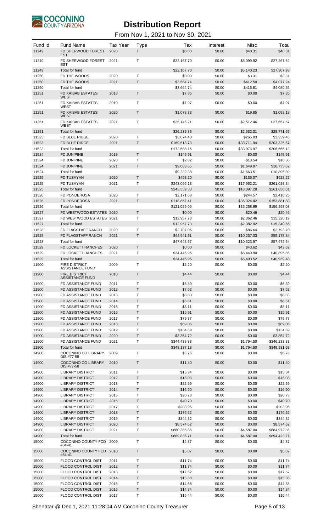

#### From Nov 1, 2021 to Nov 30, 2021

| Fund Id<br>11249 | <b>Fund Name</b><br>FD SHERWOOD FOREST             | <b>Tax Year</b><br>2020 | <b>Type</b><br>T. | Tax<br>\$0.00                | Interest<br>\$0.00 | Misc<br>\$40.31          | Total<br>\$40.31             |
|------------------|----------------------------------------------------|-------------------------|-------------------|------------------------------|--------------------|--------------------------|------------------------------|
| 11249            | <b>EST</b><br>FD SHERWOOD FOREST<br><b>EST</b>     | 2021                    | Т                 | \$22,167.70                  | \$0.00             | \$5,099.92               | \$27,267.62                  |
| 11249            | Total for fund                                     |                         |                   | \$22,167.70                  | \$0.00             | \$5,140.23               | \$27,307.93                  |
| 11250            | FD THE WOODS                                       | 2020                    | T                 | \$0.00                       | \$0.00             | \$3.31                   | \$3.31                       |
| 11250            | FD THE WOODS                                       | 2021                    | T.                | \$3,664.74                   | \$0.00             | \$412.50                 | \$4,077.24                   |
| 11250            | Total for fund                                     |                         |                   | \$3,664.74                   | \$0.00             | \$415.81                 | \$4,080.55                   |
| 11251            | <b>FD KAIBAB ESTATES</b><br><b>WEST</b>            | 2018                    | $\mathsf T$       | \$7.85                       | \$0.00             | \$0.00                   | \$7.85                       |
| 11251            | FD KAIBAB ESTATES<br>WEST                          | 2019                    | $\mathsf{T}$      | \$7.97                       | \$0.00             | \$0.00                   | \$7.97                       |
| 11251            | FD KAIBAB ESTATES<br><b>WEST</b>                   | 2020                    | T                 | \$1,078.33                   | \$0.00             | \$19.85                  | \$1,098.18                   |
| 11251            | FD KAIBAB ESTATES<br>WEST                          | 2021                    | T                 | \$25,145.21                  | \$0.00             | \$2,512.46               | \$27,657.67                  |
| 11251            | Total for fund                                     |                         |                   | \$26,239.36                  | \$0.00             | \$2,532.31               | \$28,771.67                  |
| 11523            | FD BLUE RIDGE                                      | 2020                    | T.                | \$3,074.43                   | \$0.00             | \$265.03                 | \$3,339.46                   |
| 11523            | FD BLUE RIDGE                                      | 2021                    | T.                | \$169,613.73                 | \$0.00             | \$33,711.94              | \$203,325.67                 |
| 11523            | Total for fund                                     |                         |                   | \$172,688.16                 | \$0.00             | \$33,976.97              | \$206,665.13                 |
| 11524            | <b>FD JUNIPINE</b>                                 | 2019                    | T.                | \$145.91                     | \$0.00             | \$0.00                   | \$145.91                     |
| 11524            | FD JUNIPINE                                        | 2020                    | T                 | \$2.82                       | \$0.00             | \$13.54                  | \$16.36                      |
| 11524            | <b>FD JUNIPINE</b>                                 | 2021                    | T                 | \$9,083.65                   | \$0.00             | \$1,649.97               | \$10,733.62                  |
| 11524            | Total for fund                                     |                         |                   | \$9,232.38                   | \$0.00             | \$1,663.51               | \$10,895.89                  |
| 11525            | <b>FD TUSAYAN</b>                                  | 2020                    | T.                | \$493.20                     | \$0.00             | \$135.07                 | \$628.27                     |
| 11525            | FD TUSAYAN                                         | 2021                    | T                 | \$243,066.13                 | \$0.00             | \$17,962.21              | \$261,028.34                 |
| 11525            | Total for fund                                     |                         |                   | \$243,559.33                 | \$0.00             | \$18,097.28              | \$261,656.61                 |
| 11526            | FD PONDEROSA                                       | 2020                    | T                 | \$2,171.68                   | \$0.00             | \$244.57                 | \$2,416.25                   |
| 11526            | <b>FD PONDEROSA</b>                                | 2021                    | T.                | \$118,857.41                 | \$0.00             | \$35,024.42              | \$153,881.83                 |
| 11526            | Total for fund                                     |                         |                   | \$121,029.09                 | \$0.00             | \$35,268.99              | \$156,298.08                 |
| 11527            | FD WESTWOOD ESTATES 2020                           |                         | T.                | \$0.00                       | \$0.00             | \$20.46                  | \$20.46                      |
| 11527            | FD WESTWOOD ESTATES 2021                           |                         | T                 | \$12,957.73                  | \$0.00             | \$2,362.46               | \$15,320.19                  |
| 11527            | Total for fund                                     |                         |                   | \$12,957.73                  | \$0.00             | \$2,382.92               | \$15,340.65                  |
| 11528            | FD FLAGSTAFF RANCH                                 | 2020                    | т                 | \$2,707.06                   | \$0.00             | \$86.64                  | \$2,793.70                   |
| 11528            | FD FLAGSTAFF RANCH                                 | 2021                    | $\top$            | \$44,941.51                  | \$0.00             | \$10,237.33              | \$55,178.84                  |
| 11528            | Total for fund                                     |                         |                   | \$47,648.57                  | \$0.00             | \$10,323.97              | \$57,972.54                  |
| 11529            | FD LOCKETT RANCHES                                 | 2020                    | T.                | \$0.00                       | \$0.00             | \$43.62                  | \$43.62                      |
| 11529            | FD LOCKETT RANCHES                                 | 2021                    | T                 | \$34,445.96                  | \$0.00             | \$6,449.90               | \$40,895.86                  |
| 11529            | Total for fund                                     |                         |                   | \$34,445.96                  | \$0.00             | \$6,493.52               | \$40,939.48                  |
| 11900            | <b>FIRE DISTRICT</b><br><b>ASSISTANCE FUND</b>     | 2009                    | $\mathsf{T}$      | \$2.20                       | \$0.00             | \$0.00                   | \$2.20                       |
| 11900            | <b>FIRE DISTRICT</b><br><b>ASSISTANCE FUND</b>     | 2010                    | T                 | \$4.44                       | \$0.00             | \$0.00                   | \$4.44                       |
| 11900            | <b>FD ASSISTANCE FUND</b>                          | 2011                    | Т                 | \$6.39                       | \$0.00             | \$0.00                   | \$6.39                       |
| 11900            | <b>FD ASSISTANCE FUND</b>                          | 2012                    | T                 | \$7.62                       | \$0.00             | \$0.00                   | \$7.62                       |
| 11900            | <b>FD ASSISTANCE FUND</b>                          | 2013                    | T                 | \$8.83                       | \$0.00             | \$0.00                   | \$8.83                       |
| 11900            | FD ASSISTANCE FUND                                 | 2014                    | T                 | \$6.61                       | \$0.00             | \$0.00                   | \$6.61                       |
| 11900            | FD ASSISTANCE FUND                                 | 2015                    | T                 | \$8.11                       | \$0.00             | \$0.00                   | \$8.11                       |
| 11900            | FD ASSISTANCE FUND                                 | 2016                    | T                 | \$15.91                      | \$0.00             | \$0.00                   | \$15.91                      |
| 11900            | <b>FD ASSISTANCE FUND</b>                          | 2017                    | T                 | \$79.77                      | \$0.00             | \$0.00                   | \$79.77                      |
| 11900            | <b>FD ASSISTANCE FUND</b>                          | 2018                    | T                 | \$69.06                      | \$0.00             | \$0.00                   | \$69.06                      |
| 11900            | FD ASSISTANCE FUND                                 | 2019                    | T                 | \$134.69                     | \$0.00             | \$0.00                   | \$134.69                     |
| 11900            | FD ASSISTANCE FUND                                 | 2020                    | T<br>T            | \$3,354.72                   | \$0.00             | \$0.00                   | \$3,354.72                   |
| 11900<br>11900   | FD ASSISTANCE FUND<br>Total for fund               | 2021                    |                   | \$344,438.83<br>\$348,137.18 | \$0.00<br>\$0.00   | \$1,794.50<br>\$1,794.50 | \$346,233.33<br>\$349,931.68 |
| 14900            | COCONINO CO LIBRARY                                | 2009                    | Т                 | \$5.76                       | \$0.00             | \$0.00                   | \$5.76                       |
| 14900            | DIS #77-58<br>COCONINO CO LIBRARY                  | 2010                    | $\mathsf{T}$      | \$11.40                      | \$0.00             | \$0.00                   | \$11.40                      |
|                  | DIS #77-58                                         |                         |                   |                              |                    |                          |                              |
| 14900<br>14900   | <b>LIBRARY DISTRICT</b><br><b>LIBRARY DISTRICT</b> | 2011<br>2012            | Т<br>T            | \$15.34<br>\$18.03           | \$0.00<br>\$0.00   | \$0.00<br>\$0.00         | \$15.34<br>\$18.03           |
| 14900            | <b>LIBRARY DISTRICT</b>                            | 2013                    | T                 | \$22.59                      | \$0.00             | \$0.00                   | \$22.59                      |
| 14900            | <b>LIBRARY DISTRICT</b>                            | 2014                    | T                 | \$16.90                      | \$0.00             | \$0.00                   | \$16.90                      |
| 14900            | <b>LIBRARY DISTRICT</b>                            | 2015                    | T                 | \$20.73                      | \$0.00             | \$0.00                   | \$20.73                      |
| 14900            | <b>LIBRARY DISTRICT</b>                            | 2016                    | $\mathsf{T}$      | \$40.70                      | \$0.00             | \$0.00                   | \$40.70                      |
| 14900            | <b>LIBRARY DISTRICT</b>                            | 2017                    | T                 | \$203.95                     | \$0.00             | \$0.00                   | \$203.95                     |
| 14900            | <b>LIBRARY DISTRICT</b>                            | 2018                    | T                 | \$176.52                     | \$0.00             | \$0.00                   | \$176.52                     |
| 14900            | <b>LIBRARY DISTRICT</b>                            | 2019                    | T                 | \$344.32                     | \$0.00             | \$0.00                   | \$344.32                     |
| 14900            | <b>LIBRARY DISTRICT</b>                            | 2020                    | T                 | \$8,574.62                   | \$0.00             | \$0.00                   | \$8,574.62                   |
| 14900            | <b>LIBRARY DISTRICT</b>                            | 2021                    | T                 | \$880,385.85                 | \$0.00             | \$4,587.00               | \$884,972.85                 |
| 14900            | Total for fund                                     |                         |                   | \$889,836.71                 | \$0.00             | \$4,587.00               | \$894,423.71                 |
| 15000            | COCONINO COUNTY FCD<br>#84-41                      | 2009                    | Т                 | \$4.87                       | \$0.00             | \$0.00                   | \$4.87                       |
| 15000            | COCONINO COUNTY FCD<br>#84-41                      | 2010                    | $\mathsf{T}$      | \$5.87                       | \$0.00             | \$0.00                   | \$5.87                       |
| 15000            | <b>FLOOD CONTROL DIST</b>                          | 2011                    | Т                 | \$11.74                      | \$0.00             | \$0.00                   | \$11.74                      |
| 15000            | <b>FLOOD CONTROL DIST</b>                          | 2012                    | T                 | \$11.74                      | \$0.00             | \$0.00                   | \$11.74                      |
| 15000            | <b>FLOOD CONTROL DIST</b>                          | 2013                    | T                 | \$17.52                      | \$0.00             | \$0.00                   | \$17.52                      |
| 15000            | <b>FLOOD CONTROL DIST</b>                          | 2014                    | T                 | \$15.38                      | \$0.00             | \$0.00                   | \$15.38                      |
| 15000            | FLOOD CONTROL DIST                                 | 2015                    | T                 | \$14.58                      | \$0.00             | \$0.00                   | \$14.58                      |
| 15000            | <b>FLOOD CONTROL DIST</b>                          | 2016                    | $\mathsf{T}$      | \$14.84                      | \$0.00             | \$0.00                   | \$14.84                      |
| 15000            | FLOOD CONTROL DIST                                 | 2017                    | т                 | \$16.44                      | \$0.00             | \$0.00                   | \$16.44                      |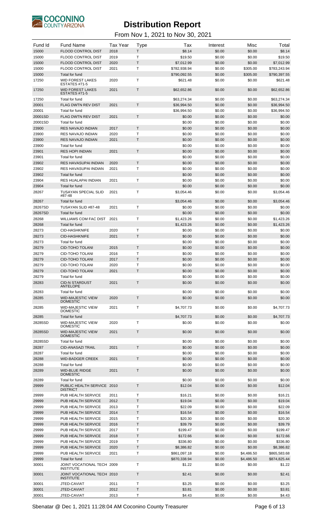

| Fund Id        | <b>Fund Name</b>                                 | <b>Tax Year</b> | <b>Type</b>  | Tax                      | Interest         | Misc               | Total                    |
|----------------|--------------------------------------------------|-----------------|--------------|--------------------------|------------------|--------------------|--------------------------|
| 15000          | FLOOD CONTROL DIST                               | 2018            | T            | \$8.14                   | \$0.00           | \$0.00             | \$8.14                   |
| 15000          | <b>FLOOD CONTROL DIST</b>                        | 2019            | T            | \$19.50                  | \$0.00           | \$0.00             | \$19.50                  |
| 15000          | <b>FLOOD CONTROL DIST</b>                        | 2020            | T            | \$7,012.99               | \$0.00           | \$0.00             | \$7,012.99               |
| 15000          | FLOOD CONTROL DIST                               | 2021            | T            | \$782,938.94             | \$0.00           | \$305.00           | \$783,243.94             |
| 15000<br>17250 | <b>Total for fund</b><br><b>WID FOREST LAKES</b> | 2020            | Т            | \$790,092.55<br>\$621.48 | \$0.00<br>\$0.00 | \$305.00<br>\$0.00 | \$790,397.55<br>\$621.48 |
| 17250          | ESTATES #71-5<br><b>WID FOREST LAKES</b>         | 2021            | Τ            | \$62,652.86              | \$0.00           | \$0.00             | \$62,652.86              |
|                | ESTATES #71-5                                    |                 |              |                          |                  |                    |                          |
| 17250          | Total for fund                                   |                 |              | \$63,274.34              | \$0.00           | \$0.00             | \$63,274.34              |
| 20001          | <b>FLAG DWTN REV DIST</b>                        | 2021            | T            | \$36,994.50              | \$0.00           | \$0.00             | \$36,994.50              |
| 20001          | Total for fund                                   |                 |              | \$36,994.50              | \$0.00           | \$0.00             | \$36,994.50              |
| 20001SD        | <b>FLAG DWTN REV DIST</b>                        | 2021            | T            | \$0.00                   | \$0.00           | \$0.00             | \$0.00                   |
| 20001SD        | Total for fund                                   |                 | T            | \$0.00                   | \$0.00           | \$0.00             | \$0.00                   |
| 23900          | <b>RES NAVAJO INDIAN</b><br>RES NAVAJO INDIAN    | 2017<br>2020    | Τ            | \$0.00                   | \$0.00           | \$0.00             | \$0.00                   |
| 23900<br>23900 | <b>RES NAVAJO INDIAN</b>                         | 2021            | T            | \$0.00<br>\$0.00         | \$0.00<br>\$0.00 | \$0.00<br>\$0.00   | \$0.00<br>\$0.00         |
| 23900          | Total for fund                                   |                 |              | \$0.00                   | \$0.00           | \$0.00             | \$0.00                   |
| 23901          | <b>RES HOPI INDIAN</b>                           | 2021            | T            | \$0.00                   | \$0.00           | \$0.00             | \$0.00                   |
| 23901          | Total for fund                                   |                 |              | \$0.00                   | \$0.00           | \$0.00             | \$0.00                   |
| 23902          | <b>RES HAVASUPAI INDIAN</b>                      | 2020            | T            | \$0.00                   | \$0.00           | \$0.00             | \$0.00                   |
| 23902          | RES HAVASUPAI INDIAN                             | 2021            | т            | \$0.00                   | \$0.00           | \$0.00             | \$0.00                   |
| 23902          | Total for fund                                   |                 |              | \$0.00                   | \$0.00           | \$0.00             | \$0.00                   |
| 23904          | RES HUALAPAI INDIAN                              | 2021            | Т            | \$0.00                   | \$0.00           | \$0.00             | \$0.00                   |
| 23904          | Total for fund                                   |                 |              | \$0.00                   | \$0.00           | \$0.00             | \$0.00                   |
| 28267          | <b>TUSAYAN SPECIAL SLID</b>                      | 2021            | Τ            | \$3,054.46               | \$0.00           | \$0.00             | \$3,054.46               |
|                | #87-48                                           |                 |              |                          |                  |                    |                          |
| 28267          | Total for fund                                   |                 |              | \$3,054.46               | \$0.00           | \$0.00             | \$3,054.46               |
| 28267SD        | TUSAYAN SLID #87-48                              | 2021            | т            | \$0.00                   | \$0.00           | \$0.00             | \$0.00                   |
| 28267SD        | Total for fund                                   |                 |              | \$0.00                   | \$0.00           | \$0.00             | \$0.00                   |
| 28268          | WILLIAMS COM FAC DIST                            | 2021            | $\mathsf{T}$ | \$1,423.26               | \$0.00           | \$0.00             | \$1,423.26               |
| 28268<br>28273 | Total for fund                                   |                 |              | \$1,423.26               | \$0.00           | \$0.00             | \$1,423.26               |
| 28273          | <b>CID-HASHKNIFE</b><br><b>CID-HASHKNIFE</b>     | 2020<br>2021    | т<br>T       | \$0.00<br>\$0.00         | \$0.00<br>\$0.00 | \$0.00<br>\$0.00   | \$0.00                   |
| 28273          | Total for fund                                   |                 |              | \$0.00                   | \$0.00           | \$0.00             | \$0.00<br>\$0.00         |
| 28279          | <b>CID-TOHO TOLANI</b>                           | 2015            | T            | \$0.00                   | \$0.00           | \$0.00             | \$0.00                   |
| 28279          | CID-TOHO TOLANI                                  | 2016            | T            | \$0.00                   | \$0.00           | \$0.00             | \$0.00                   |
| 28279          | <b>CID-TOHO TOLANI</b>                           | 2017            | T            | \$0.00                   | \$0.00           | \$0.00             | \$0.00                   |
| 28279          | CID-TOHO TOLANI                                  | 2020            | Τ            | \$0.00                   | \$0.00           | \$0.00             | \$0.00                   |
| 28279          | <b>CID-TOHO TOLANI</b>                           | 2021            | T            | \$0.00                   | \$0.00           | \$0.00             | \$0.00                   |
| 28279          | Total for fund                                   |                 |              | \$0.00                   | \$0.00           | \$0.00             | \$0.00                   |
| 28283          | <b>CID-N STARDUST</b>                            | 2021            | Т            | \$0.00                   | \$0.00           | \$0.00             | \$0.00                   |
|                | <b>ANTELOPE</b>                                  |                 |              |                          |                  |                    |                          |
| 28283          | Total for fund                                   |                 |              | \$0.00                   | \$0.00           | \$0.00             | \$0.00                   |
| 28285          | <b>WID-MAJESTIC VIEW</b><br><b>DOMESTIC</b>      | 2020            | $\mathsf{T}$ | \$0.00                   | \$0.00           | \$0.00             | \$0.00                   |
| 28285          | <b>WID-MAJESTIC VIEW</b>                         | 2021            | T            | \$4.707.73               | \$0.00           | \$0.00             | \$4,707.73               |
|                | <b>DOMESTIC</b>                                  |                 |              |                          |                  |                    |                          |
| 28285          | Total for fund                                   |                 |              | \$4,707.73               | \$0.00           | \$0.00             | \$4,707.73               |
| 28285SD        | <b>WID-MAJESTIC VIEW</b>                         | 2020            | т            | \$0.00                   | \$0.00           | \$0.00             | \$0.00                   |
| 28285SD        | <b>DOMESTIC</b><br><b>WID-MAJESTIC VIEW</b>      | 2021            | T            | \$0.00                   | \$0.00           | \$0.00             | \$0.00                   |
|                | <b>DOMESTIC</b>                                  |                 |              |                          |                  |                    |                          |
| 28285SD        | Total for fund                                   |                 | T            | \$0.00                   | \$0.00           | \$0.00             | \$0.00                   |
| 28287<br>28287 | <b>CID-ANASAZI TRAIL</b><br>Total for fund       | 2021            |              | \$0.00                   | \$0.00<br>\$0.00 | \$0.00             | \$0.00<br>\$0.00         |
| 28288          | <b>WID-BADGER CREEK</b>                          | 2021            | T            | \$0.00<br>\$0.00         | \$0.00           | \$0.00<br>\$0.00   | \$0.00                   |
| 28288          | Total for fund                                   |                 |              | \$0.00                   | \$0.00           | \$0.00             | \$0.00                   |
| 28289          | <b>WID-BLUE RIDGE</b>                            | 2021            | $\mathsf{T}$ | \$0.00                   | \$0.00           | \$0.00             | \$0.00                   |
|                | <b>DOMESTIC</b>                                  |                 |              |                          |                  |                    |                          |
| 28289          | Total for fund                                   |                 |              | \$0.00                   | \$0.00           | \$0.00             | \$0.00                   |
| 29999          | PUBLIC HEALTH SERVICE 2010<br><b>DISTRICT</b>    |                 | T            | \$12.04                  | \$0.00           | \$0.00             | \$12.04                  |
| 29999          | PUB HEALTH SERVICE                               | 2011            | T            | \$16.21                  | \$0.00           | \$0.00             | \$16.21                  |
| 29999          | PUB HEALTH SERVICE                               | 2012            | T            | \$19.04                  | \$0.00           | \$0.00             | \$19.04                  |
| 29999          | PUB HEALTH SERVICE                               | 2013            | T            | \$22.09                  | \$0.00           | \$0.00             | \$22.09                  |
| 29999          | PUB HEALTH SERVICE                               | 2014            | Τ            | \$16.54                  | \$0.00           | \$0.00             | \$16.54                  |
| 29999          | PUB HEALTH SERVICE                               | 2015            | Τ            | \$20.30                  | \$0.00           | \$0.00             | \$20.30                  |
| 29999          | PUB HEALTH SERVICE                               | 2016            | T            | \$39.79                  | \$0.00           | \$0.00             | \$39.79                  |
| 29999          | PUB HEALTH SERVICE                               | 2017            | T            | \$199.47                 | \$0.00           | \$0.00             | \$199.47                 |
| 29999          | PUB HEALTH SERVICE                               | 2018            | T            | \$172.66                 | \$0.00           | \$0.00             | \$172.66                 |
| 29999          | PUB HEALTH SERVICE                               | 2019            | T            | \$336.80                 | \$0.00           | \$0.00             | \$336.80                 |
| 29999          | PUB HEALTH SERVICE                               | 2020            | Τ            | \$8,386.82               | \$0.00           | \$0.00             | \$8,386.82               |
| 29999          | PUB HEALTH SERVICE                               | 2021            | т            | \$861,097.18             | \$0.00           | \$4,486.50         | \$865,583.68             |
| 29999          | Total for fund                                   |                 |              | \$870,338.94             | \$0.00           | \$4,486.50         | \$874,825.44             |
| 30001          | JOINT VOCATIONAL TECH 2009<br><b>INSTITUTE</b>   |                 | т            | \$1.22                   | \$0.00           | \$0.00             | \$1.22                   |
| 30001          | JOINT VOCATIONAL TECH 2010<br><b>INSTITUTE</b>   |                 | T            | \$2.41                   | \$0.00           | \$0.00             | \$2.41                   |
| 30001          | JTED-CAVIAT                                      | 2011            | Τ            | \$3.25                   | \$0.00           | \$0.00             | \$3.25                   |
| 30001          | JTED-CAVIAT                                      | 2012            | T            | \$3.81                   | \$0.00           | \$0.00             | \$3.81                   |
| 30001          | JTED-CAVIAT                                      | 2013            | Τ            | \$4.43                   | \$0.00           | \$0.00             | \$4.43                   |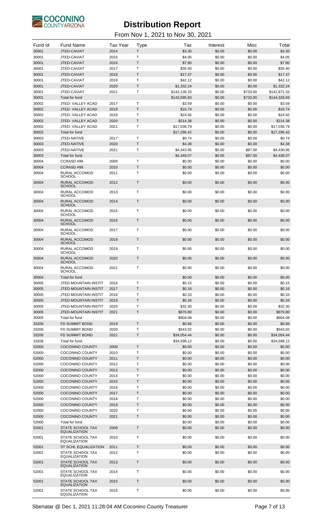

| Fund Id        | <b>Fund Name</b>                                    | <b>Tax Year</b> | <b>Type</b>             | Tax                        | Interest         | Misc              | Total                      |
|----------------|-----------------------------------------------------|-----------------|-------------------------|----------------------------|------------------|-------------------|----------------------------|
| 30001          | JTED-CAVIAT                                         | 2014            | T.                      | \$3.30                     | \$0.00           | \$0.00            | \$3.30                     |
| 30001          | JTED-CAVIAT                                         | 2015            | $\mathsf{T}$            | \$4.05                     | \$0.00           | \$0.00            | \$4.05                     |
| 30001          | JTED-CAVIAT                                         | 2016            | $\mathsf{T}$            | \$7.80                     | \$0.00           | \$0.00            | \$7.80                     |
| 30001<br>30001 | JTED-CAVIAT<br>JTED-CAVIAT                          | 2017<br>2018    | T<br>$\mathsf T$        | \$35.40<br>\$17.47         | \$0.00<br>\$0.00 | \$0.00<br>\$0.00  | \$35.40<br>\$17.47         |
| 30001          | JTED-CAVIAT                                         | 2019            | $\mathsf{T}$            | \$42.12                    | \$0.00           | \$0.00            | \$42.12                    |
| 30001          | JTED-CAVIAT                                         | 2020            | T                       | \$1,332.24                 | \$0.00           | \$0.00            | \$1,332.24                 |
| 30001          | JTED-CAVIAT                                         | 2021            | T                       | \$142,138.33               | \$0.00           | \$733.00          | \$142.871.33               |
| 30001          | Total for fund                                      |                 |                         | \$143,595.83               | \$0.00           | \$733.00          | \$144,328.83               |
| 30002<br>30002 | JTED-VALLEY ACAD<br>JTED-VALLEY ACAD                | 2017<br>2018    | Τ<br>$\mathsf T$        | \$3.59<br>\$16.74          | \$0.00<br>\$0.00 | \$0.00<br>\$0.00  | \$3.59<br>\$16.74          |
| 30002          | JTED-VALLEY ACAD                                    | 2019            | $\mathsf{T}$            | \$24.92                    | \$0.00           | \$0.00            | \$24.92                    |
| 30002          | JTED- VALLEY ACAD                                   | 2020            | T                       | \$214.38                   | \$0.00           | \$0.00            | \$214.38                   |
| 30002          | JTED-VALLEY ACAD                                    | 2021            | T                       | \$17,036.79                | \$0.00           | \$0.00            | \$17,036.79                |
| 30002          | Total for fund                                      |                 |                         | \$17,296.42                | \$0.00           | \$0.00            | \$17,296.42                |
| 30003          | JTED-NATIVE                                         | 2017            | Τ                       | \$0.74                     | \$0.00           | \$0.00            | \$0.74                     |
| 30003<br>30003 | JTED-NATIVE<br>JTED-NATIVE                          | 2020<br>2021    | $\sf T$<br>$\mathsf{T}$ | \$4.38<br>\$4,343.95       | \$0.00<br>\$0.00 | \$0.00<br>\$87.00 | \$4.38<br>\$4,430.95       |
| 30003          | <b>Total for fund</b>                               |                 |                         | \$4,349.07                 | \$0.00           | \$87.00           | \$4,436.07                 |
| 30004          | CCRASD#99                                           | 2009            | Τ                       | \$0.00                     | \$0.00           | \$0.00            | \$0.00                     |
| 30004          | CCRASD#99                                           | 2010            | T                       | \$0.00                     | \$0.00           | \$0.00            | \$0.00                     |
| 30004          | RURAL ACCOMOD<br><b>SCHOOL</b>                      | 2011            | T                       | \$0.00                     | \$0.00           | \$0.00            | \$0.00                     |
| 30004          | RURAL ACCOMOD<br><b>SCHOOL</b>                      | 2012            | $\mathsf T$             | \$0.00                     | \$0.00           | \$0.00            | \$0.00                     |
| 30004          | RURAL ACCOMOD<br><b>SCHOOL</b>                      | 2013            | Τ                       | \$0.00                     | \$0.00           | \$0.00            | \$0.00                     |
| 30004          | RURAL ACCOMOD<br><b>SCHOOL</b>                      | 2014            | $\mathsf T$             | \$0.00                     | \$0.00           | \$0.00            | \$0.00                     |
| 30004          | RURAL ACCOMOD<br><b>SCHOOL</b>                      | 2015            | Т                       | \$0.00                     | \$0.00           | \$0.00            | \$0.00                     |
| 30004          | RURAL ACCOMOD<br><b>SCHOOL</b>                      | 2016            | $\mathsf T$             | \$0.00                     | \$0.00           | \$0.00            | \$0.00                     |
| 30004          | RURAL ACCOMOD<br><b>SCHOOL</b>                      | 2017            | Τ                       | \$0.00                     | \$0.00           | \$0.00            | \$0.00                     |
| 30004          | RURAL ACCOMOD<br><b>SCHOOL</b>                      | 2018            | $\mathsf T$             | \$0.00                     | \$0.00           | \$0.00            | \$0.00                     |
| 30004          | RURAL ACCOMOD<br><b>SCHOOL</b>                      | 2019            | Т                       | \$0.00                     | \$0.00           | \$0.00            | \$0.00                     |
| 30004          | RURAL ACCOMOD<br><b>SCHOOL</b>                      | 2020            | $\mathsf T$             | \$0.00                     | \$0.00           | \$0.00            | \$0.00                     |
| 30004          | RURAL ACCOMOD<br><b>SCHOOL</b>                      | 2021            | Τ                       | \$0.00                     | \$0.00           | \$0.00            | \$0.00                     |
| 30004          | Total for fund                                      |                 |                         | \$0.00                     | \$0.00           | \$0.00            | \$0.00                     |
| 30005          | <b>JTED-MOUNTAIN INSTIT</b>                         | 2016            | Τ                       | \$0.15                     | \$0.00           | \$0.00            | \$0.15                     |
| 30005          | <b>JTED-MOUNTAIN INSTIT</b>                         | 2017            | T<br>$\mathsf{T}$       | \$0.16                     | \$0.00           | \$0.00            | \$0.16                     |
| 30005<br>30005 | <b>JTED-MOUNTAIN INSTIT</b><br>JTED-MOUNTAIN INSTIT | 2018<br>2019    | T                       | \$0.33<br>\$0.34           | \$0.00<br>\$0.00 | \$0.00<br>\$0.00  | \$0.33<br>\$0.34           |
| 30005          | JTED-MOUNTAIN INSTIT                                | 2020            | $\mathsf{T}$            | \$32.30                    | \$0.00           | \$0.00            | \$32.30                    |
| 30005          | JTED-MOUNTAIN INSTIT                                | 2021            | T                       | \$870.80                   | \$0.00           | \$0.00            | \$870.80                   |
| 30005          | Total for fund                                      |                 |                         | \$904.08                   | \$0.00           | \$0.00            | \$904.08                   |
| 33206          | <b>FD SUMMIT BOND</b>                               | 2019            | $\mathsf T$             | \$0.66                     | \$0.00           | \$0.00            | \$0.66                     |
| 33206          | FD SUMMIT BOND                                      | 2020            | T                       | \$543.02                   | \$0.00           | \$0.00            | \$543.02                   |
| 33206<br>33206 | <b>FD SUMMIT BOND</b><br><b>Total for fund</b>      | 2021            | $\mathsf T$             | \$34,054.44<br>\$34,598.12 | \$0.00<br>\$0.00 | \$0.00<br>\$0.00  | \$34,054.44<br>\$34,598.12 |
| 52000          | <b>COCONINO COUNTY</b>                              | 2009            | T                       | \$0.00                     | \$0.00           | \$0.00            | \$0.00                     |
| 52000          | <b>COCONINO COUNTY</b>                              | 2010            | T                       | \$0.00                     | \$0.00           | \$0.00            | \$0.00                     |
| 52000          | <b>COCONINO COUNTY</b>                              | 2011            | T                       | \$0.00                     | \$0.00           | \$0.00            | \$0.00                     |
| 52000          | <b>COCONINO COUNTY</b>                              | 2012            | $\mathsf{T}$            | \$0.00                     | \$0.00           | \$0.00            | \$0.00                     |
| 52000<br>52000 | <b>COCONINO COUNTY</b><br><b>COCONINO COUNTY</b>    | 2013<br>2014    | T<br>$\mathsf{T}$       | \$0.00<br>\$0.00           | \$0.00<br>\$0.00 | \$0.00<br>\$0.00  | \$0.00<br>\$0.00           |
| 52000          | <b>COCONINO COUNTY</b>                              | 2015            | $\sf T$                 | \$0.00                     | \$0.00           | \$0.00            | \$0.00                     |
| 52000          | <b>COCONINO COUNTY</b>                              | 2016            | T                       | \$0.00                     | \$0.00           | \$0.00            | \$0.00                     |
| 52000          | <b>COCONINO COUNTY</b>                              | 2017            | T                       | \$0.00                     | \$0.00           | \$0.00            | \$0.00                     |
| 52000          | <b>COCONINO COUNTY</b>                              | 2018            | T                       | \$0.00                     | \$0.00           | \$0.00            | \$0.00                     |
| 52000          | <b>COCONINO COUNTY</b>                              | 2019            | T                       | \$0.00                     | \$0.00           | \$0.00            | \$0.00                     |
| 52000          | <b>COCONINO COUNTY</b><br><b>COCONINO COUNTY</b>    | 2020            | $\mathsf{T}$<br>T       | \$0.00                     | \$0.00           | \$0.00            | \$0.00                     |
| 52000<br>52000 | Total for fund                                      | 2021            |                         | \$0.00<br>\$0.00           | \$0.00<br>\$0.00 | \$0.00<br>\$0.00  | \$0.00<br>\$0.00           |
| 52001          | <b>STATE SCHOOL TAX</b>                             | 2009            | $\mathsf{T}$            | \$0.00                     | \$0.00           | \$0.00            | \$0.00                     |
| 52001          | <b>EQUALIZATION</b><br>STATE SCHOOL TAX             | 2010            | $\mathsf{T}$            | \$0.00                     | \$0.00           | \$0.00            | \$0.00                     |
| 52001          | <b>EQUALIZATION</b><br>ST SCHL EQUALIZATION         | 2011            | $\mathsf{T}$            | \$0.00                     | \$0.00           | \$0.00            | \$0.00                     |
| 52001          | STATE SCHOOL TAX<br><b>EQUALIZATION</b>             | 2012            | T                       | \$0.00                     | \$0.00           | \$0.00            | \$0.00                     |
| 52001          | <b>STATE SCHOOL TAX</b><br><b>EQUALIZATION</b>      | 2013            | $\mathsf{T}$            | \$0.00                     | \$0.00           | \$0.00            | \$0.00                     |
| 52001          | STATE SCHOOL TAX<br><b>EQUALIZATION</b>             | 2014            | Τ                       | \$0.00                     | \$0.00           | \$0.00            | \$0.00                     |
| 52001          | <b>STATE SCHOOL TAX</b><br><b>EQUALIZATION</b>      | 2015            | $\mathsf{T}$            | \$0.00                     | \$0.00           | \$0.00            | \$0.00                     |
| 52001          | STATE SCHOOL TAX<br>EQUALIZATION                    | 2016            | T                       | \$0.00                     | \$0.00           | \$0.00            | \$0.00                     |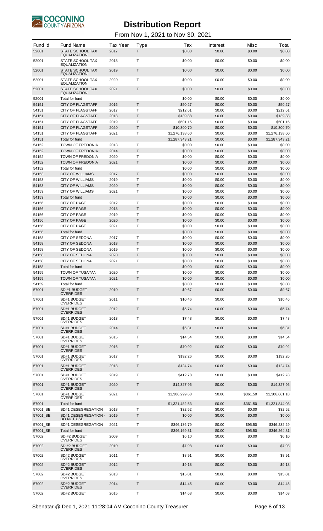

| Fund Id<br>52001 | <b>Fund Name</b><br><b>STATE SCHOOL TAX</b><br><b>EQUALIZATION</b> | <b>Tax Year</b><br>2017 | Type<br>T    | Tax<br>\$0.00       | Interest<br>\$0.00 | Misc<br>\$0.00   | Total<br>\$0.00     |
|------------------|--------------------------------------------------------------------|-------------------------|--------------|---------------------|--------------------|------------------|---------------------|
| 52001            | STATE SCHOOL TAX<br><b>EQUALIZATION</b>                            | 2018                    | Т            | \$0.00              | \$0.00             | \$0.00           | \$0.00              |
| 52001            | <b>STATE SCHOOL TAX</b><br><b>EQUALIZATION</b>                     | 2019                    | $\mathsf{T}$ | \$0.00              | \$0.00             | \$0.00           | \$0.00              |
| 52001            | STATE SCHOOL TAX<br><b>EQUALIZATION</b>                            | 2020                    | $\mathsf{T}$ | \$0.00              | \$0.00             | \$0.00           | \$0.00              |
| 52001            | STATE SCHOOL TAX<br><b>EQUALIZATION</b>                            | 2021                    | T            | \$0.00              | \$0.00             | \$0.00           | \$0.00              |
| 52001            | Total for fund                                                     |                         |              | \$0.00              | \$0.00             | \$0.00           | \$0.00              |
| 54151<br>54151   | <b>CITY OF FLAGSTAFF</b><br><b>CITY OF FLAGSTAFF</b>               | 2016<br>2017            | T<br>Τ       | \$50.27<br>\$212.61 | \$0.00<br>\$0.00   | \$0.00<br>\$0.00 | \$50.27<br>\$212.61 |
| 54151            | <b>CITY OF FLAGSTAFF</b>                                           | 2018                    | Τ            | \$139.88            | \$0.00             | \$0.00           | \$139.88            |
| 54151            | <b>CITY OF FLAGSTAFF</b>                                           | 2019                    | Τ            | \$501.15            | \$0.00             | \$0.00           | \$501.15            |
| 54151            | <b>CITY OF FLAGSTAFF</b>                                           | 2020                    | Τ            | \$10,300.70         | \$0.00             | \$0.00           | \$10,300.70         |
| 54151            | <b>CITY OF FLAGSTAFF</b>                                           | 2021                    | Т            | \$1,276,138.60      | \$0.00             | \$0.00           | \$1,276,138.60      |
| 54151            | Total for fund                                                     |                         |              | \$1,287,343.21      | \$0.00             | \$0.00           | \$1,287,343.21      |
| 54152            | TOWN OF FREDONIA                                                   | 2013                    | Т            | \$0.00              | \$0.00             | \$0.00           | \$0.00              |
| 54152            | <b>TOWN OF FREDONIA</b>                                            | 2014                    | T            | \$0.00              | \$0.00             | \$0.00           | \$0.00              |
| 54152            | TOWN OF FREDONIA                                                   | 2020                    | Т            | \$0.00              | \$0.00             | \$0.00           | \$0.00              |
| 54152            | <b>TOWN OF FREDONIA</b>                                            | 2021                    | Τ            | \$0.00              | \$0.00             | \$0.00           | \$0.00              |
| 54152<br>54153   | Total for fund<br><b>CITY OF WILLIAMS</b>                          | 2017                    | T            | \$0.00<br>\$0.00    | \$0.00<br>\$0.00   | \$0.00<br>\$0.00 | \$0.00<br>\$0.00    |
| 54153            | <b>CITY OF WILLIAMS</b>                                            | 2019                    | Τ            | \$0.00              | \$0.00             | \$0.00           | \$0.00              |
| 54153            | <b>CITY OF WILLIAMS</b>                                            | 2020                    | T            | \$0.00              | \$0.00             | \$0.00           | \$0.00              |
| 54153            | <b>CITY OF WILLIAMS</b>                                            | 2021                    | Τ            | \$0.00              | \$0.00             | \$0.00           | \$0.00              |
| 54153            | Total for fund                                                     |                         |              | \$0.00              | \$0.00             | \$0.00           | \$0.00              |
| 54156            | <b>CITY OF PAGE</b>                                                | 2012                    | Τ            | \$0.00              | \$0.00             | \$0.00           | \$0.00              |
| 54156            | <b>CITY OF PAGE</b>                                                | 2018                    | T            | \$0.00              | \$0.00             | \$0.00           | \$0.00              |
| 54156            | <b>CITY OF PAGE</b>                                                | 2019                    | Τ            | \$0.00              | \$0.00             | \$0.00           | \$0.00              |
| 54156            | <b>CITY OF PAGE</b>                                                | 2020                    | T            | \$0.00              | \$0.00             | \$0.00           | \$0.00              |
| 54156            | <b>CITY OF PAGE</b>                                                | 2021                    | Т            | \$0.00              | \$0.00             | \$0.00           | \$0.00              |
| 54156            | Total for fund                                                     |                         |              | \$0.00              | \$0.00             | \$0.00           | \$0.00              |
| 54158            | <b>CITY OF SEDONA</b>                                              | 2017                    | Т            | \$0.00              | \$0.00             | \$0.00           | \$0.00              |
| 54158<br>54158   | <b>CITY OF SEDONA</b><br><b>CITY OF SEDONA</b>                     | 2018<br>2019            | T<br>т       | \$0.00<br>\$0.00    | \$0.00<br>\$0.00   | \$0.00<br>\$0.00 | \$0.00<br>\$0.00    |
| 54158            | <b>CITY OF SEDONA</b>                                              | 2020                    | T            | \$0.00              | \$0.00             | \$0.00           | \$0.00              |
| 54158            | <b>CITY OF SEDONA</b>                                              | 2021                    | Τ            | \$0.00              | \$0.00             | \$0.00           | \$0.00              |
| 54158            | Total for fund                                                     |                         |              | \$0.00              | \$0.00             | \$0.00           | \$0.00              |
| 54159            | TOWN OF TUSAYAN                                                    | 2020                    | T            | \$0.00              | \$0.00             | \$0.00           | \$0.00              |
| 54159            | <b>TOWN OF TUSAYAN</b>                                             | 2021                    | T            | \$0.00              | \$0.00             | \$0.00           | \$0.00              |
| 54159            | Total for fund                                                     |                         |              | \$0.00              | \$0.00             | \$0.00           | \$0.00              |
| 57001            | SD #1 BUDGET<br><b>OVERRIDES</b>                                   | 2010                    | T            | \$9.67              | \$0.00             | \$0.00           | \$9.67              |
| 57001            | SD#1 BUDGET<br><b>OVERRIDES</b>                                    | 2011                    | T            | \$10.46             | \$0.00             | \$0.00           | \$10.46             |
| 57001            | SD#1 BUDGET<br><b>OVERRIDES</b>                                    | 2012                    | $\mathsf{T}$ | \$5.74              | \$0.00             | \$0.00           | \$5.74              |
| 57001            | SD#1 BUDGET<br><b>OVERRIDES</b>                                    | 2013                    | T            | \$7.48              | \$0.00             | \$0.00           | \$7.48              |
| 57001            | SD#1 BUDGET<br><b>OVERRIDES</b>                                    | 2014                    | $\mathsf{T}$ | \$6.31              | \$0.00             | \$0.00           | \$6.31              |
| 57001            | SD#1 BUDGET<br><b>OVERRIDES</b>                                    | 2015                    | T            | \$14.54             | \$0.00             | \$0.00           | \$14.54             |
| 57001            | SD#1 BUDGET<br><b>OVERRIDES</b>                                    | 2016                    | T            | \$70.92             | \$0.00             | \$0.00           | \$70.92             |
| 57001            | SD#1 BUDGET<br><b>OVERRIDES</b>                                    | 2017                    | T            | \$192.26            | \$0.00             | \$0.00           | \$192.26            |
| 57001            | SD#1 BUDGET<br><b>OVERRIDES</b>                                    | 2018                    | $\mathsf{T}$ | \$124.74            | \$0.00             | \$0.00           | \$124.74            |
| 57001            | SD#1 BUDGET<br><b>OVERRIDES</b>                                    | 2019                    | T            | \$412.78            | \$0.00             | \$0.00           | \$412.78            |
| 57001            | SD#1 BUDGET<br><b>OVERRIDES</b>                                    | 2020                    | $\mathsf{T}$ | \$14,327.95         | \$0.00             | \$0.00           | \$14,327.95         |
| 57001            | SD#1 BUDGET<br><b>OVERRIDES</b>                                    | 2021                    | T            | \$1,306,299.68      | \$0.00             | \$361.50         | \$1,306,661.18      |
| 57001            | Total for fund                                                     |                         |              | \$1,321,482.53      | \$0.00             | \$361.50         | \$1,321,844.03      |
| 57001 SE         | SD#1 DESEGREGATION                                                 | 2018                    | т            | \$32.52             | \$0.00             | \$0.00           | \$32.52             |
| 57001_SE         | SD#1 DESEGREGATION -<br>DO NOT USE                                 | 2019                    | Τ            | \$0.00              | \$0.00             | \$0.00           | \$0.00              |
| 57001 SE         | SD#1 DESEGREGATION                                                 | 2021                    | т            | \$346,136.79        | \$0.00             | \$95.50          | \$346,232.29        |
| 57001 SE         | Total for fund                                                     |                         |              | \$346,169.31        | \$0.00             | \$95.50          | \$346,264.81        |
| 57002            | SD #2 BUDGET<br><b>OVERRIDES</b>                                   | 2009                    | т            | \$6.10              | \$0.00             | \$0.00           | \$6.10              |
| 57002            | SD #2 BUDGET<br><b>OVERRIDES</b>                                   | 2010                    | $\mathsf{T}$ | \$7.98              | \$0.00             | \$0.00           | \$7.98              |
| 57002            | SD#2 BUDGET<br><b>OVERRIDES</b>                                    | 2011                    | т            | \$8.91              | \$0.00             | \$0.00           | \$8.91              |
| 57002            | SD#2 BUDGET<br><b>OVERRIDES</b>                                    | 2012                    | $\mathsf{T}$ | \$9.18              | \$0.00             | \$0.00           | \$9.18              |
| 57002            | SD#2 BUDGET<br><b>OVERRIDES</b>                                    | 2013                    | т            | \$15.01             | \$0.00             | \$0.00           | \$15.01             |
| 57002            | SD#2 BUDGET<br><b>OVERRIDES</b>                                    | 2014                    | T            | \$14.45             | \$0.00             | \$0.00           | \$14.45             |
| 57002            | SD#2 BUDGET                                                        | 2015                    | Т            | \$14.63             | \$0.00             | \$0.00           | \$14.63             |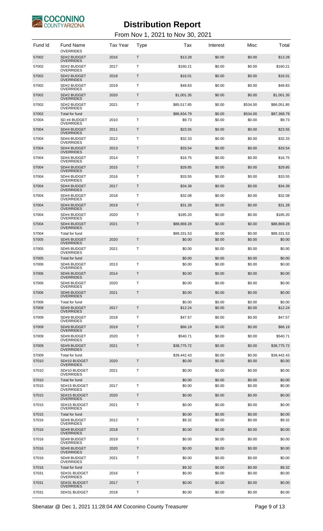

| Fund Id        | <b>Fund Name</b><br><b>OVERRIDES</b> | <b>Tax Year</b> | <b>Type</b>  | Tax              | Interest         | Misc             | Total            |
|----------------|--------------------------------------|-----------------|--------------|------------------|------------------|------------------|------------------|
| 57002          | SD#2 BUDGET<br><b>OVERRIDES</b>      | 2016            | $\mathsf T$  | \$13.28          | \$0.00           | \$0.00           | \$13.28          |
| 57002          | SD#2 BUDGET<br><b>OVERRIDES</b>      | 2017            | T            | \$160.21         | \$0.00           | \$0.00           | \$160.21         |
| 57002          | SD#2 BUDGET<br><b>OVERRIDES</b>      | 2018            | $\mathsf T$  | \$16.01          | \$0.00           | \$0.00           | \$16.01          |
| 57002          | SD#2 BUDGET                          | 2019            | T            | \$49.83          | \$0.00           | \$0.00           | \$49.83          |
| 57002          | <b>OVERRIDES</b><br>SD#2 BUDGET      | 2020            | $\mathsf T$  | \$1,001.35       | \$0.00           | \$0.00           | \$1,001.35       |
| 57002          | <b>OVERRIDES</b><br>SD#2 BUDGET      | 2021            | T            | \$85,517.85      | \$0.00           | \$534.00         | \$86,051.85      |
| 57002          | <b>OVERRIDES</b><br>Total for fund   |                 |              | \$86,834.79      | \$0.00           | \$534.00         | \$87,368.79      |
| 57004          | SD #4 BUDGET<br><b>OVERRIDES</b>     | 2010            | Τ            | \$9.73           | \$0.00           | \$0.00           | \$9.73           |
| 57004          | SD#4 BUDGET<br><b>OVERRIDES</b>      | 2011            | $\mathsf{T}$ | \$23.55          | \$0.00           | \$0.00           | \$23.55          |
| 57004          | SD#4 BUDGET<br><b>OVERRIDES</b>      | 2012            | Τ            | \$32.33          | \$0.00           | \$0.00           | \$32.33          |
| 57004          | SD#4 BUDGET<br><b>OVERRIDES</b>      | 2013            | $\mathsf{T}$ | \$33.54          | \$0.00           | \$0.00           | \$33.54          |
| 57004          | SD#4 BUDGET<br><b>OVERRIDES</b>      | 2014            | Τ            | \$16.75          | \$0.00           | \$0.00           | \$16.75          |
| 57004          | SD#4 BUDGET<br><b>OVERRIDES</b>      | 2015            | $\mathsf{T}$ | \$29.85          | \$0.00           | \$0.00           | \$29.85          |
| 57004          | SD#4 BUDGET                          | 2016            | Τ            | \$33.55          | \$0.00           | \$0.00           | \$33.55          |
| 57004          | <b>OVERRIDES</b><br>SD#4 BUDGET      | 2017            | $\mathsf{T}$ | \$34.39          | \$0.00           | \$0.00           | \$34.39          |
| 57004          | <b>OVERRIDES</b><br>SD#4 BUDGET      | 2018            | Τ            | \$32.08          | \$0.00           | \$0.00           | \$32.08          |
| 57004          | <b>OVERRIDES</b><br>SD#4 BUDGET      | 2019            | $\mathsf{T}$ | \$31.28          | \$0.00           | \$0.00           | \$31.28          |
| 57004          | <b>OVERRIDES</b><br>SD#4 BUDGET      | 2020            | Τ            | \$185.20         | \$0.00           | \$0.00           | \$185.20         |
| 57004          | <b>OVERRIDES</b><br>SD#4 BUDGET      | 2021            | $\mathsf{T}$ | \$88,869.28      | \$0.00           | \$0.00           | \$88,869.28      |
| 57004          | <b>OVERRIDES</b><br>Total for fund   |                 |              | \$89,331.53      | \$0.00           | \$0.00           | \$89,331.53      |
| 57005          | SD#5 BUDGET                          | 2020            | $\mathsf{T}$ | \$0.00           | \$0.00           | \$0.00           | \$0.00           |
| 57005          | <b>OVERRIDES</b><br>SD#5 BUDGET      | 2021            | T            | \$0.00           | \$0.00           | \$0.00           | \$0.00           |
| 57005          | <b>OVERRIDES</b><br>Total for fund   |                 |              | \$0.00           | \$0.00           | \$0.00           | \$0.00           |
| 57006          | SD#6 BUDGET<br><b>OVERRIDES</b>      | 2013            | Т            | \$0.00           | \$0.00           | \$0.00           | \$0.00           |
| 57006          | SD#6 BUDGET<br><b>OVERRIDES</b>      | 2014            | Τ            | \$0.00           | \$0.00           | \$0.00           | \$0.00           |
| 57006          | SD#6 BUDGET<br><b>OVERRIDES</b>      | 2020            | т            | \$0.00           | \$0.00           | \$0.00           | \$0.00           |
| 57006          | SD#6 BUDGET<br><b>OVERRIDES</b>      | 2021            | T            | \$0.00           | \$0.00           | \$0.00           | \$0.00           |
| 57006          | Total for fund                       |                 |              | \$0.00           | \$0.00           | \$0.00           | \$0.00           |
| 57009          | SD#9 BUDGET<br><b>OVERRIDES</b>      | 2017            | $\mathsf T$  | \$12.24          | \$0.00           | \$0.00           | \$12.24          |
| 57009          | SD#9 BUDGET<br><b>OVERRIDES</b>      | 2018            | Τ            | \$47.57          | \$0.00           | \$0.00           | \$47.57          |
| 57009          | SD#9 BUDGET<br><b>OVERRIDES</b>      | 2019            | $\mathsf T$  | \$66.19          | \$0.00           | \$0.00           | \$66.19          |
| 57009          | SD#9 BUDGET<br><b>OVERRIDES</b>      | 2020            | Τ            | \$540.71         | \$0.00           | \$0.00           | \$540.71         |
| 57009          | SD#9 BUDGET<br><b>OVERRIDES</b>      | 2021            | $\mathsf T$  | \$38,775.72      | \$0.00           | \$0.00           | \$38,775.72      |
| 57009          | Total for fund                       |                 |              | \$39,442.43      | \$0.00           | \$0.00           | \$39,442.43      |
| 57010          | SD#10 BUDGET<br><b>OVERRIDES</b>     | 2020            | $\mathsf T$  | \$0.00           | \$0.00           | \$0.00           | \$0.00           |
| 57010          | SD#10 BUDGET<br><b>OVERRIDES</b>     | 2021            | Τ            | \$0.00           | \$0.00           | \$0.00           | \$0.00           |
| 57010<br>57015 | Total for fund<br>SD#15 BUDGET       | 2017            | T            | \$0.00<br>\$0.00 | \$0.00<br>\$0.00 | \$0.00<br>\$0.00 | \$0.00<br>\$0.00 |
| 57015          | <b>OVERRIDES</b><br>SD#15 BUDGET     | 2020            | $\mathsf T$  | \$0.00           | \$0.00           | \$0.00           | \$0.00           |
|                | <b>OVERRIDES</b>                     |                 |              |                  |                  |                  |                  |
| 57015          | SD#15 BUDGET<br><b>OVERRIDES</b>     | 2021            | T            | \$0.00           | \$0.00           | \$0.00           | \$0.00           |
| 57015<br>57016 | Total for fund<br>SD#8 BUDGET        | 2012            | T            | \$0.00<br>\$9.32 | \$0.00<br>\$0.00 | \$0.00<br>\$0.00 | \$0.00<br>\$9.32 |
| 57016          | <b>OVERRIDES</b><br>SD#8 BUDGET      | 2018            | $\mathsf{T}$ | \$0.00           | \$0.00           | \$0.00           | \$0.00           |
| 57016          | <b>OVERRIDES</b><br>SD#8 BUDGET      | 2019            | T            | \$0.00           | \$0.00           | \$0.00           | \$0.00           |
| 57016          | <b>OVERRIDES</b><br>SD#8 BUDGET      | 2020            | $\mathsf{T}$ | \$0.00           | \$0.00           | \$0.00           | \$0.00           |
| 57016          | <b>OVERRIDES</b><br>SD#8 BUDGET      | 2021            | Τ            | \$0.00           | \$0.00           | \$0.00           | \$0.00           |
|                | <b>OVERRIDES</b>                     |                 |              |                  |                  |                  |                  |
| 57016<br>57031 | Total for fund<br>SD#31 BUDGET       | 2016            | T            | \$9.32<br>\$0.00 | \$0.00<br>\$0.00 | \$0.00<br>\$0.00 | \$9.32<br>\$0.00 |
| 57031          | <b>OVERRIDES</b><br>SD#31 BUDGET     | 2017            | $\mathsf{T}$ | \$0.00           | \$0.00           | \$0.00           | \$0.00           |
| 57031          | <b>OVERRIDES</b><br>SD#31 BUDGET     | 2018            | Τ            | \$0.00           | \$0.00           | \$0.00           | \$0.00           |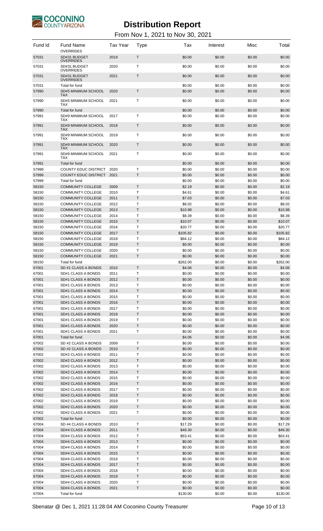

| Fund Id        | <b>Fund Name</b><br><b>OVERRIDES</b>                 | <b>Tax Year</b> | Type   | Tax               | Interest         | Misc             | Total             |
|----------------|------------------------------------------------------|-----------------|--------|-------------------|------------------|------------------|-------------------|
| 57031          | SD#31 BUDGET<br><b>OVERRIDES</b>                     | 2019            | T      | \$0.00            | \$0.00           | \$0.00           | \$0.00            |
| 57031          | SD#31 BUDGET<br><b>OVERRIDES</b>                     | 2020            | т      | \$0.00            | \$0.00           | \$0.00           | \$0.00            |
| 57031          | SD#31 BUDGET<br><b>OVERRIDES</b>                     | 2021            | Τ      | \$0.00            | \$0.00           | \$0.00           | \$0.00            |
| 57031          | Total for fund                                       |                 |        | \$0.00            | \$0.00           | \$0.00           | \$0.00            |
| 57990          | SD#5 MINIMUM SCHOOL<br><b>TAX</b>                    | 2020            | T      | \$0.00            | \$0.00           | \$0.00           | \$0.00            |
| 57990          | SD#5 MINIMUM SCHOOL<br>TAX                           | 2021            | T      | \$0.00            | \$0.00           | \$0.00           | \$0.00            |
| 57990          | Total for fund                                       |                 |        | \$0.00            | \$0.00           | \$0.00           | \$0.00            |
| 57991          | SD#9 MINIMUM SCHOOL<br><b>TAX</b>                    | 2017            | т      | \$0.00            | \$0.00           | \$0.00           | \$0.00            |
| 57991          | SD#9 MINIMUM SCHOOL<br><b>TAX</b>                    | 2018            | Т      | \$0.00            | \$0.00           | \$0.00           | \$0.00            |
| 57991          | SD#9 MINIMUM SCHOOL<br><b>TAX</b>                    | 2019            | т      | \$0.00            | \$0.00           | \$0.00           | \$0.00            |
| 57991          | SD#9 MINIMUM SCHOOL<br><b>TAX</b>                    | 2020            | T      | \$0.00            | \$0.00           | \$0.00           | \$0.00            |
| 57991          | SD#9 MINIMUM SCHOOL<br><b>TAX</b>                    | 2021            | т      | \$0.00            | \$0.00           | \$0.00           | \$0.00            |
| 57991<br>57999 | Total for fund<br><b>COUNTY EDUC DISTRICT</b>        | 2020            | т      | \$0.00<br>\$0.00  | \$0.00<br>\$0.00 | \$0.00<br>\$0.00 | \$0.00<br>\$0.00  |
| 57999          | <b>COUNTY EDUC DISTRICT</b>                          | 2021            | T      | \$0.00            | \$0.00           | \$0.00           | \$0.00            |
| 57999          | Total for fund                                       |                 |        | \$0.00            | \$0.00           | \$0.00           | \$0.00            |
| 58150          | <b>COMMUNITY COLLEGE</b>                             | 2009            | T      | \$2.19            | \$0.00           | \$0.00           | \$2.19            |
| 58150          | <b>COMMUNITY COLLEGE</b>                             | 2010            | T      | \$4.61            | \$0.00           | \$0.00           | \$4.61            |
| 58150<br>58150 | <b>COMMUNITY COLLEGE</b><br><b>COMMUNITY COLLEGE</b> | 2011<br>2012    | Τ<br>Τ | \$7.03<br>\$8.02  | \$0.00<br>\$0.00 | \$0.00<br>\$0.00 | \$7.03<br>\$8.02  |
| 58150          | <b>COMMUNITY COLLEGE</b>                             | 2013            | T      | \$10.98           | \$0.00           | \$0.00           | \$10.98           |
| 58150          | <b>COMMUNITY COLLEGE</b>                             | 2014            | Т      | \$8.39            | \$0.00           | \$0.00           | \$8.39            |
| 58150          | <b>COMMUNITY COLLEGE</b>                             | 2015            | T      | \$10.07           | \$0.00           | \$0.00           | \$10.07           |
| 58150          | <b>COMMUNITY COLLEGE</b>                             | 2016            | T      | \$20.77           | \$0.00           | \$0.00           | \$20.77           |
| 58150          | <b>COMMUNITY COLLEGE</b>                             | 2017            | Τ      | \$105.82          | \$0.00           | \$0.00           | \$105.82          |
| 58150<br>58150 | <b>COMMUNITY COLLEGE</b><br><b>COMMUNITY COLLEGE</b> | 2018<br>2019    | Τ<br>T | \$84.12<br>\$0.00 | \$0.00<br>\$0.00 | \$0.00<br>\$0.00 | \$84.12<br>\$0.00 |
| 58150          | <b>COMMUNITY COLLEGE</b>                             | 2020            | Τ      | \$0.00            | \$0.00           | \$0.00           | \$0.00            |
| 58150          | <b>COMMUNITY COLLEGE</b>                             | 2021            | Τ      | \$0.00            | \$0.00           | \$0.00           | \$0.00            |
| 58150          | Total for fund                                       |                 |        | \$262.00          | \$0.00           | \$0.00           | \$262.00          |
| 67001          | SD #1 CLASS A BONDS                                  | 2010            | Τ      | \$4.06            | \$0.00           | \$0.00           | \$4.06            |
| 67001          | SD#1 CLASS A BONDS                                   | 2011            | Τ      | \$0.00            | \$0.00           | \$0.00           | \$0.00            |
| 67001<br>67001 | SD#1 CLASS A BONDS<br>SD#1 CLASS A BONDS             | 2012            | T<br>T | \$0.00<br>\$0.00  | \$0.00<br>\$0.00 | \$0.00<br>\$0.00 | \$0.00<br>\$0.00  |
| 67001          | SD#1 CLASS A BONDS                                   | 2013<br>2014    | T      | \$0.00            | \$0.00           | \$0.00           | \$0.00            |
| 67001          | SD#1 CLASS A BONDS                                   | 2015            | Т      | \$0.00            | \$0.00           | \$0.00           | \$0.00            |
| 67001          | SD#1 CLASS A BONDS                                   | 2016            | Τ      | \$0.00            | \$0.00           | \$0.00           | \$0.00            |
| 67001          | SD#1 CLASS A BONDS                                   | 2017            | Τ      | \$0.00            | \$0.00           | \$0.00           | \$0.00            |
| 67001          | SD#1 CLASS A BONDS                                   | 2018            | T      | \$0.00            | \$0.00           | \$0.00           | \$0.00            |
| 67001          | SD#1 CLASS A BONDS                                   | 2019            | Т      | \$0.00            | \$0.00           | \$0.00           | \$0.00            |
| 67001<br>67001 | SD#1 CLASS A BONDS<br>SD#1 CLASS A BONDS             | 2020<br>2021    | T<br>Т | \$0.00<br>\$0.00  | \$0.00<br>\$0.00 | \$0.00<br>\$0.00 | \$0.00<br>\$0.00  |
| 67001          | Total for fund                                       |                 |        | \$4.06            | \$0.00           | \$0.00           | \$4.06            |
| 67002          | SD #2 CLASS A BONDS                                  | 2009            | Τ      | \$0.00            | \$0.00           | \$0.00           | \$0.00            |
| 67002          | SD #2 CLASS A BONDS                                  | 2010            | T      | \$0.00            | \$0.00           | \$0.00           | \$0.00            |
| 67002          | SD#2 CLASS A BONDS                                   | 2011            | T      | \$0.00            | \$0.00           | \$0.00           | \$0.00            |
| 67002          | SD#2 CLASS A BONDS                                   | 2012            | T      | \$0.00            | \$0.00           | \$0.00           | \$0.00            |
| 67002          | SD#2 CLASS A BONDS                                   | 2013            | Т      | \$0.00            | \$0.00           | \$0.00           | \$0.00            |
| 67002<br>67002 | SD#2 CLASS A BONDS<br>SD#2 CLASS A BONDS             | 2014<br>2015    | Τ<br>Τ | \$0.00<br>\$0.00  | \$0.00<br>\$0.00 | \$0.00<br>\$0.00 | \$0.00<br>\$0.00  |
| 67002          | SD#2 CLASS A BONDS                                   | 2016            | T      | \$0.00            | \$0.00           | \$0.00           | \$0.00            |
| 67002          | SD#2 CLASS A BONDS                                   | 2017            | T      | \$0.00            | \$0.00           | \$0.00           | \$0.00            |
| 67002          | SD#2 CLASS A BONDS                                   | 2018            | T      | \$0.00            | \$0.00           | \$0.00           | \$0.00            |
| 67002          | SD#2 CLASS A BONDS                                   | 2019            | Т      | \$0.00            | \$0.00           | \$0.00           | \$0.00            |
| 67002          | SD#2 CLASS A BONDS                                   | 2020            | Τ      | \$0.00            | \$0.00           | \$0.00           | \$0.00            |
| 67002<br>67002 | SD#2 CLASS A BONDS<br>Total for fund                 | 2021            | Τ      | \$0.00<br>\$0.00  | \$0.00<br>\$0.00 | \$0.00<br>\$0.00 | \$0.00<br>\$0.00  |
| 67004          | SD #4 CLASS A BONDS                                  | 2010            | T      | \$17.29           | \$0.00           | \$0.00           | \$17.29           |
| 67004          | SD#4 CLASS A BONDS                                   | 2011            | T      | \$49.30           | \$0.00           | \$0.00           | \$49.30           |
| 67004          | SD#4 CLASS A BONDS                                   | 2012            | Т      | \$63.41           | \$0.00           | \$0.00           | \$63.41           |
| 67004          | SD#4 CLASS A BONDS                                   | 2013            | Τ      | \$0.00            | \$0.00           | \$0.00           | \$0.00            |
| 67004          | SD#4 CLASS A BONDS                                   | 2014            | Τ      | \$0.00            | \$0.00           | \$0.00           | \$0.00            |
| 67004<br>67004 | SD#4 CLASS A BONDS<br>SD#4 CLASS A BONDS             | 2015<br>2016    | T<br>Т | \$0.00<br>\$0.00  | \$0.00<br>\$0.00 | \$0.00<br>\$0.00 | \$0.00<br>\$0.00  |
| 67004          | SD#4 CLASS A BONDS                                   | 2017            | T      | \$0.00            | \$0.00           | \$0.00           | \$0.00            |
| 67004          | SD#4 CLASS A BONDS                                   | 2018            | Т      | \$0.00            | \$0.00           | \$0.00           | \$0.00            |
| 67004          | SD#4 CLASS A BONDS                                   | 2019            | Τ      | \$0.00            | \$0.00           | \$0.00           | \$0.00            |
| 67004          | SD#4 CLASS A BONDS                                   | 2020            | Τ      | \$0.00            | \$0.00           | \$0.00           | \$0.00            |
| 67004          | SD#4 CLASS A BONDS                                   | 2021            | T      | \$0.00            | \$0.00           | \$0.00           | \$0.00            |
| 67004          | Total for fund                                       |                 |        | \$130.00          | \$0.00           | \$0.00           | \$130.00          |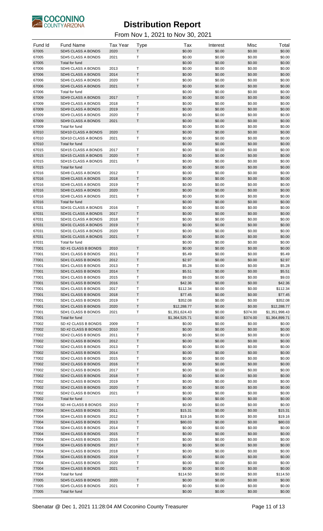

| Fund Id        | <b>Fund Name</b>                           | <b>Tax Year</b> | <b>Type</b>       | Tax                 | Interest         | Misc             | Total               |
|----------------|--------------------------------------------|-----------------|-------------------|---------------------|------------------|------------------|---------------------|
| 67005          | SD#5 CLASS A BONDS                         | 2020            | T                 | \$0.00              | \$0.00           | \$0.00           | \$0.00              |
| 67005          | SD#5 CLASS A BONDS                         | 2021            | Т                 | \$0.00              | \$0.00           | \$0.00           | \$0.00              |
| 67005          | Total for fund                             |                 |                   | \$0.00              | \$0.00           | \$0.00           | \$0.00              |
| 67006<br>67006 | SD#6 CLASS A BONDS<br>SD#6 CLASS A BONDS   | 2013<br>2014    | T<br>$\top$       | \$0.00<br>\$0.00    | \$0.00<br>\$0.00 | \$0.00<br>\$0.00 | \$0.00<br>\$0.00    |
| 67006          | SD#6 CLASS A BONDS                         | 2020            | T                 | \$0.00              | \$0.00           | \$0.00           | \$0.00              |
| 67006          | SD#6 CLASS A BONDS                         | 2021            | $\sf T$           | \$0.00              | \$0.00           | \$0.00           | \$0.00              |
| 67006          | Total for fund                             |                 |                   | \$0.00              | \$0.00           | \$0.00           | \$0.00              |
| 67009          | SD#9 CLASS A BONDS                         | 2017            | $\mathsf T$       | \$0.00              | \$0.00           | \$0.00           | \$0.00              |
| 67009          | SD#9 CLASS A BONDS                         | 2018            | Т                 | \$0.00              | \$0.00           | \$0.00           | \$0.00              |
| 67009          | SD#9 CLASS A BONDS                         | 2019            | $\sf T$           | \$0.00              | \$0.00           | \$0.00           | \$0.00              |
| 67009<br>67009 | SD#9 CLASS A BONDS<br>SD#9 CLASS A BONDS   | 2020<br>2021    | T<br>$\sf T$      | \$0.00<br>\$0.00    | \$0.00<br>\$0.00 | \$0.00<br>\$0.00 | \$0.00<br>\$0.00    |
| 67009          | Total for fund                             |                 |                   | \$0.00              | \$0.00           | \$0.00           | \$0.00              |
| 67010          | SD#10 CLASS A BONDS                        | 2020            | $\mathsf T$       | \$0.00              | \$0.00           | \$0.00           | \$0.00              |
| 67010          | SD#10 CLASS A BONDS                        | 2021            | Т                 | \$0.00              | \$0.00           | \$0.00           | \$0.00              |
| 67010          | Total for fund                             |                 |                   | \$0.00              | \$0.00           | \$0.00           | \$0.00              |
| 67015          | SD#15 CLASS A BONDS                        | 2017            | T                 | \$0.00              | \$0.00           | \$0.00           | \$0.00              |
| 67015          | SD#15 CLASS A BONDS                        | 2020            | $\sf T$           | \$0.00              | \$0.00           | \$0.00           | \$0.00              |
| 67015          | SD#15 CLASS A BONDS                        | 2021            | Τ                 | \$0.00              | \$0.00           | \$0.00           | \$0.00              |
| 67015<br>67016 | Total for fund<br>SD#8 CLASS A BONDS       | 2012            | Т                 | \$0.00<br>\$0.00    | \$0.00<br>\$0.00 | \$0.00<br>\$0.00 | \$0.00<br>\$0.00    |
| 67016          | SD#8 CLASS A BONDS                         | 2018            | $\top$            | \$0.00              | \$0.00           | \$0.00           | \$0.00              |
| 67016          | SD#8 CLASS A BONDS                         | 2019            | T                 | \$0.00              | \$0.00           | \$0.00           | \$0.00              |
| 67016          | SD#8 CLASS A BONDS                         | 2020            | $\sf T$           | \$0.00              | \$0.00           | \$0.00           | \$0.00              |
| 67016          | SD#8 CLASS A BONDS                         | 2021            | T                 | \$0.00              | \$0.00           | \$0.00           | \$0.00              |
| 67016          | Total for fund                             |                 |                   | \$0.00              | \$0.00           | \$0.00           | \$0.00              |
| 67031          | SD#31 CLASS A BONDS                        | 2016            | Т                 | \$0.00              | \$0.00           | \$0.00           | \$0.00              |
| 67031          | SD#31 CLASS A BONDS                        | 2017            | $\top$            | \$0.00              | \$0.00           | \$0.00           | \$0.00              |
| 67031          | SD#31 CLASS A BONDS                        | 2018            | T                 | \$0.00              | \$0.00           | \$0.00           | \$0.00              |
| 67031<br>67031 | SD#31 CLASS A BONDS<br>SD#31 CLASS A BONDS | 2019<br>2020    | $\sf T$<br>Т      | \$0.00<br>\$0.00    | \$0.00<br>\$0.00 | \$0.00<br>\$0.00 | \$0.00<br>\$0.00    |
| 67031          | SD#31 CLASS A BONDS                        | 2021            | $\top$            | \$0.00              | \$0.00           | \$0.00           | \$0.00              |
| 67031          | Total for fund                             |                 |                   | \$0.00              | \$0.00           | \$0.00           | \$0.00              |
| 77001          | SD #1 CLASS B BONDS                        | 2010            | $\mathsf T$       | \$0.00              | \$0.00           | \$0.00           | \$0.00              |
| 77001          | SD#1 CLASS B BONDS                         | 2011            | T                 | \$5.49              | \$0.00           | \$0.00           | \$5.49              |
| 77001          | SD#1 CLASS B BONDS                         | 2012            | $\sf T$           | \$2.97              | \$0.00           | \$0.00           | \$2.97              |
| 77001          | SD#1 CLASS B BONDS                         | 2013            | Т                 | \$5.28              | \$0.00           | \$0.00           | \$5.28              |
| 77001          | SD#1 CLASS B BONDS                         | 2014            | $\top$            | \$5.51              | \$0.00           | \$0.00           | \$5.51              |
| 77001          | SD#1 CLASS B BONDS                         | 2015            | T<br>$\mathsf T$  | \$9.03              | \$0.00           | \$0.00           | \$9.03              |
| 77001<br>77001 | SD#1 CLASS B BONDS<br>SD#1 CLASS B BONDS   | 2016<br>2017    | T                 | \$42.36<br>\$112.34 | \$0.00<br>\$0.00 | \$0.00<br>\$0.00 | \$42.36<br>\$112.34 |
| 77001          | SD#1 CLASS B BONDS                         | 2018            | $\mathsf{T}$      | \$77.45             | \$0.00           | \$0.00           | \$77.45             |
| 77001          | SD#1 CLASS B BONDS                         | 2019            | Τ                 | \$352.08            | \$0.00           | \$0.00           | \$352.08            |
| 77001          | SD#1 CLASS B BONDS                         | 2020            | T                 | \$12,288.77         | \$0.00           | \$0.00           | \$12,288.77         |
| 77001          | SD#1 CLASS B BONDS                         | 2021            | Τ                 | \$1,351,624.43      | \$0.00           | \$374.00         | \$1,351,998.43      |
| 77001          | Total for fund                             |                 |                   | \$1,364,525.71      | \$0.00           | \$374.00         | \$1,364,899.71      |
| 77002          | SD #2 CLASS B BONDS                        | 2009            | Τ                 | \$0.00              | \$0.00           | \$0.00           | \$0.00              |
| 77002<br>77002 | SD #2 CLASS B BONDS<br>SD#2 CLASS B BONDS  | 2010<br>2011    | $\sf T$<br>Τ      | \$0.00<br>\$0.00    | \$0.00<br>\$0.00 | \$0.00<br>\$0.00 | \$0.00<br>\$0.00    |
| 77002          | SD#2 CLASS B BONDS                         | 2012            | T                 | \$0.00              | \$0.00           | \$0.00           | \$0.00              |
| 77002          | SD#2 CLASS B BONDS                         | 2013            | Т                 | \$0.00              | \$0.00           | \$0.00           | \$0.00              |
| 77002          | SD#2 CLASS B BONDS                         | 2014            | $\mathsf T$       | \$0.00              | \$0.00           | \$0.00           | \$0.00              |
| 77002          | SD#2 CLASS B BONDS                         | 2015            | T                 | \$0.00              | \$0.00           | \$0.00           | \$0.00              |
| 77002          | SD#2 CLASS B BONDS                         | 2016            | $\mathsf T$       | \$0.00              | \$0.00           | \$0.00           | \$0.00              |
| 77002          | SD#2 CLASS B BONDS                         | 2017            | Τ                 | \$0.00              | \$0.00           | \$0.00           | \$0.00              |
| 77002          | SD#2 CLASS B BONDS                         | 2018            | T                 | \$0.00              | \$0.00           | \$0.00           | \$0.00              |
| 77002<br>77002 | SD#2 CLASS B BONDS<br>SD#2 CLASS B BONDS   | 2019<br>2020    | $\top$<br>$\sf T$ | \$0.00<br>\$0.00    | \$0.00<br>\$0.00 | \$0.00<br>\$0.00 | \$0.00<br>\$0.00    |
| 77002          | SD#2 CLASS B BONDS                         | 2021            | T                 | \$0.00              | \$0.00           | \$0.00           | \$0.00              |
| 77002          | Total for fund                             |                 |                   | \$0.00              | \$0.00           | \$0.00           | \$0.00              |
| 77004          | SD #4 CLASS B BONDS                        | 2010            | Τ                 | \$0.00              | \$0.00           | \$0.00           | \$0.00              |
| 77004          | SD#4 CLASS B BONDS                         | 2011            | $\top$            | \$15.31             | \$0.00           | \$0.00           | \$15.31             |
| 77004          | SD#4 CLASS B BONDS                         | 2012            | Т                 | \$19.16             | \$0.00           | \$0.00           | \$19.16             |
| 77004          | SD#4 CLASS B BONDS                         | 2013            | $\mathsf T$       | \$80.03             | \$0.00           | \$0.00           | \$80.03             |
| 77004          | SD#4 CLASS B BONDS                         | 2014            | T                 | \$0.00              | \$0.00           | \$0.00           | \$0.00              |
| 77004<br>77004 | SD#4 CLASS B BONDS<br>SD#4 CLASS B BONDS   | 2015<br>2016    | $\mathsf T$<br>Τ  | \$0.00<br>\$0.00    | \$0.00<br>\$0.00 | \$0.00<br>\$0.00 | \$0.00<br>\$0.00    |
| 77004          | SD#4 CLASS B BONDS                         | 2017            | T                 | \$0.00              | \$0.00           | \$0.00           | \$0.00              |
| 77004          | SD#4 CLASS B BONDS                         | 2018            | Т                 | \$0.00              | \$0.00           | \$0.00           | \$0.00              |
| 77004          | SD#4 CLASS B BONDS                         | 2019            | $\sf T$           | \$0.00              | \$0.00           | \$0.00           | \$0.00              |
| 77004          | SD#4 CLASS B BONDS                         | 2020            | T                 | \$0.00              | \$0.00           | \$0.00           | \$0.00              |
| 77004          | SD#4 CLASS B BONDS                         | 2021            | $\mathsf T$       | \$0.00              | \$0.00           | \$0.00           | \$0.00              |
| 77004          | Total for fund                             |                 |                   | \$114.50            | \$0.00           | \$0.00           | \$114.50            |
| 77005          | SD#5 CLASS B BONDS                         | 2020            | $\mathsf{T}$      | \$0.00              | \$0.00           | \$0.00           | \$0.00              |
| 77005<br>77005 | SD#5 CLASS B BONDS<br>Total for fund       | 2021            | Т                 | \$0.00<br>\$0.00    | \$0.00<br>\$0.00 | \$0.00<br>\$0.00 | \$0.00<br>\$0.00    |
|                |                                            |                 |                   |                     |                  |                  |                     |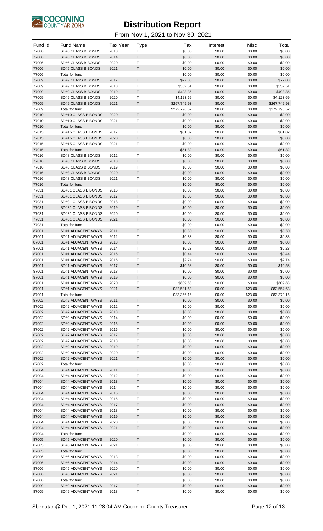

| Fund Id        | <b>Fund Name</b>                         | <b>Tax Year</b> | <b>Type</b> | Tax                    | Interest         | Misc             | Total                  |
|----------------|------------------------------------------|-----------------|-------------|------------------------|------------------|------------------|------------------------|
| 77006          | SD#6 CLASS B BONDS                       | 2013            | Т           | \$0.00                 | \$0.00           | \$0.00           | \$0.00                 |
| 77006          | SD#6 CLASS B BONDS                       | 2014            | T           | \$0.00                 | \$0.00           | \$0.00           | \$0.00                 |
| 77006          | SD#6 CLASS B BONDS                       | 2020            | Т           | \$0.00                 | \$0.00           | \$0.00           | \$0.00                 |
| 77006          | SD#6 CLASS B BONDS                       | 2021            | $\sf T$     | \$0.00                 | \$0.00           | \$0.00           | \$0.00                 |
| 77006          | Total for fund                           |                 |             | \$0.00                 | \$0.00           | \$0.00           | \$0.00                 |
| 77009          | SD#9 CLASS B BONDS                       | 2017            | $\mathsf T$ | \$77.03                | \$0.00           | \$0.00           | \$77.03                |
| 77009          | SD#9 CLASS B BONDS                       | 2018            | Т           | \$352.51               | \$0.00           | \$0.00           | \$352.51               |
| 77009          | SD#9 CLASS B BONDS                       | 2019            | T           | \$493.36               | \$0.00           | \$0.00           | \$493.36               |
| 77009          | SD#9 CLASS B BONDS                       | 2020            | Т           | \$4,123.69             | \$0.00           | \$0.00           | \$4,123.69             |
| 77009          | SD#9 CLASS B BONDS                       | 2021            | $\sf T$     | \$267,749.93           | \$0.00           | \$0.00           | \$267,749.93           |
| 77009<br>77010 | Total for fund<br>SD#10 CLASS B BONDS    | 2020            | $\sf T$     | \$272,796.52<br>\$0.00 | \$0.00<br>\$0.00 | \$0.00<br>\$0.00 | \$272,796.52<br>\$0.00 |
| 77010          | SD#10 CLASS B BONDS                      | 2021            | Т           | \$0.00                 | \$0.00           | \$0.00           | \$0.00                 |
| 77010          | Total for fund                           |                 |             | \$0.00                 | \$0.00           | \$0.00           | \$0.00                 |
| 77015          | SD#15 CLASS B BONDS                      | 2017            | Т           | \$61.82                | \$0.00           | \$0.00           | \$61.82                |
| 77015          | SD#15 CLASS B BONDS                      | 2020            | $\top$      | \$0.00                 | \$0.00           | \$0.00           | \$0.00                 |
| 77015          | SD#15 CLASS B BONDS                      | 2021            | T           | \$0.00                 | \$0.00           | \$0.00           | \$0.00                 |
| 77015          | Total for fund                           |                 |             | \$61.82                | \$0.00           | \$0.00           | \$61.82                |
| 77016          | SD#8 CLASS B BONDS                       | 2012            | T           | \$0.00                 | \$0.00           | \$0.00           | \$0.00                 |
| 77016          | SD#8 CLASS B BONDS                       | 2018            | $\sf T$     | \$0.00                 | \$0.00           | \$0.00           | \$0.00                 |
| 77016          | SD#8 CLASS B BONDS                       | 2019            | Т           | \$0.00                 | \$0.00           | \$0.00           | \$0.00                 |
| 77016          | <b>SD#8 CLASS B BONDS</b>                | 2020            | $\sf T$     | \$0.00                 | \$0.00           | \$0.00           | \$0.00                 |
| 77016          | <b>SD#8 CLASS B BONDS</b>                | 2021            | $\mathsf T$ | \$0.00                 | \$0.00           | \$0.00           | \$0.00                 |
| 77016          | Total for fund                           |                 |             | \$0.00                 | \$0.00           | \$0.00           | \$0.00                 |
| 77031          | SD#31 CLASS B BONDS                      | 2016            | Т           | \$0.00                 | \$0.00           | \$0.00           | \$0.00                 |
| 77031          | SD#31 CLASS B BONDS                      | 2017            | $\sf T$     | \$0.00                 | \$0.00           | \$0.00           | \$0.00                 |
| 77031          | SD#31 CLASS B BONDS                      | 2018            | Т           | \$0.00                 | \$0.00           | \$0.00           | \$0.00                 |
| 77031          | SD#31 CLASS B BONDS                      | 2019            | $\sf T$     | \$0.00                 | \$0.00           | \$0.00           | \$0.00                 |
| 77031          | SD#31 CLASS B BONDS                      | 2020            | T           | \$0.00                 | \$0.00           | \$0.00           | \$0.00                 |
| 77031          | SD#31 CLASS B BONDS                      | 2021            | $\mathsf T$ | \$0.00                 | \$0.00           | \$0.00           | \$0.00                 |
| 77031          | Total for fund                           |                 |             | \$0.00                 | \$0.00           | \$0.00           | \$0.00                 |
| 87001          | SD#1 ADJACENT WAYS                       | 2011            | T           | \$0.30                 | \$0.00           | \$0.00           | \$0.30                 |
| 87001          | SD#1 ADJACENT WAYS                       | 2012            | Т           | \$0.33                 | \$0.00           | \$0.00           | \$0.33                 |
| 87001          | SD#1 ADJACENT WAYS                       | 2013            | $\sf T$     | \$0.08                 | \$0.00           | \$0.00           | \$0.08                 |
| 87001          | SD#1 ADJACENT WAYS                       | 2014            | Т           | \$0.23                 | \$0.00           | \$0.00           | \$0.23                 |
| 87001          | SD#1 ADJACENT WAYS                       | 2015            | T           | \$0.44                 | \$0.00           | \$0.00           | \$0.44                 |
| 87001          | SD#1 ADJACENT WAYS                       | 2016            | Т           | \$2.74                 | \$0.00           | \$0.00           | \$2.74                 |
| 87001          | SD#1 ADJACENT WAYS                       | 2017            | $\sf T$     | \$10.58                | \$0.00           | \$0.00           | \$10.58                |
| 87001          | SD#1 ADJACENT WAYS                       | 2018            | Т           | \$0.00                 | \$0.00           | \$0.00           | \$0.00                 |
| 87001<br>87001 | SD#1 ADJACENT WAYS<br>SD#1 ADJACENT WAYS | 2019<br>2020    | Т           | \$0.00<br>\$809.83     | \$0.00<br>\$0.00 | \$0.00<br>\$0.00 | \$0.00<br>\$809.83     |
| 87001          | SD#1 ADJACENT WAYS                       | 2021            | T           | \$82,531.63            | \$0.00           | \$23.00          | \$82,554.63            |
| 87001          | Total for fund                           |                 |             | \$83,356.16            | \$0.00           | \$23.00          | \$83,379.16            |
| 87002          | SD#2 ADJACENT WAYS                       | 2011            | $\sf T$     | \$0.00                 | \$0.00           | \$0.00           | \$0.00                 |
| 87002          | SD#2 ADJACENT WAYS                       | 2012            | Т           | \$0.00                 | \$0.00           | \$0.00           | \$0.00                 |
| 87002          | SD#2 ADJACENT WAYS                       | 2013            | T           | \$0.00                 | \$0.00           | \$0.00           | \$0.00                 |
| 87002          | SD#2 ADJACENT WAYS                       | 2014            | T           | \$0.00                 | \$0.00           | \$0.00           | \$0.00                 |
| 87002          | SD#2 ADJACENT WAYS                       | 2015            | T           | \$0.00                 | \$0.00           | \$0.00           | \$0.00                 |
| 87002          | SD#2 ADJACENT WAYS                       | 2016            | Т           | \$0.00                 | \$0.00           | \$0.00           | \$0.00                 |
| 87002          | SD#2 ADJACENT WAYS                       | 2017            | $\sf T$     | \$0.00                 | \$0.00           | \$0.00           | \$0.00                 |
| 87002          | SD#2 ADJACENT WAYS                       | 2018            | т           | \$0.00                 | \$0.00           | \$0.00           | \$0.00                 |
| 87002          | SD#2 ADJACENT WAYS                       | 2019            | $\sf T$     | \$0.00                 | \$0.00           | \$0.00           | \$0.00                 |
| 87002          | SD#2 ADJACENT WAYS                       | 2020            | T           | \$0.00                 | \$0.00           | \$0.00           | \$0.00                 |
| 87002          | SD#2 ADJACENT WAYS                       | 2021            | T           | \$0.00                 | \$0.00           | \$0.00           | \$0.00                 |
| 87002          | Total for fund                           |                 |             | \$0.00                 | \$0.00           | \$0.00           | \$0.00                 |
| 87004          | SD#4 ADJACENT WAYS                       | 2011            | $\sf T$     | \$0.00                 | \$0.00           | \$0.00           | \$0.00                 |
| 87004          | SD#4 ADJACENT WAYS                       | 2012            | Т           | \$0.00                 | \$0.00           | \$0.00           | \$0.00                 |
| 87004          | SD#4 ADJACENT WAYS                       | 2013            | T           | \$0.00                 | \$0.00           | \$0.00           | \$0.00                 |
| 87004          | SD#4 ADJACENT WAYS                       | 2014            | T           | \$0.00                 | \$0.00           | \$0.00           | \$0.00                 |
| 87004          | SD#4 ADJACENT WAYS                       | 2015            | T           | \$0.00                 | \$0.00           | \$0.00           | \$0.00                 |
| 87004          | SD#4 ADJACENT WAYS                       | 2016            | Т           | \$0.00                 | \$0.00           | \$0.00           | \$0.00                 |
| 87004          | SD#4 ADJACENT WAYS                       | 2017            | $\sf T$     | \$0.00                 | \$0.00           | \$0.00           | \$0.00                 |
| 87004          | SD#4 ADJACENT WAYS                       | 2018            | т           | \$0.00                 | \$0.00           | \$0.00           | \$0.00                 |
| 87004          | SD#4 ADJACENT WAYS                       | 2019            | $\sf T$     | \$0.00                 | \$0.00           | \$0.00           | \$0.00                 |
| 87004          | SD#4 ADJACENT WAYS                       | 2020            | Т           | \$0.00                 | \$0.00           | \$0.00           | \$0.00                 |
| 87004          | SD#4 ADJACENT WAYS                       | 2021            | T           | \$0.00                 | \$0.00           | \$0.00           | \$0.00                 |
| 87004<br>87005 | Total for fund                           |                 | $\sf T$     | \$0.00<br>\$0.00       | \$0.00<br>\$0.00 | \$0.00<br>\$0.00 | \$0.00<br>\$0.00       |
| 87005          | SD#5 ADJACENT WAYS<br>SD#5 ADJACENT WAYS | 2020<br>2021    | Т           | \$0.00                 | \$0.00           | \$0.00           | \$0.00                 |
| 87005          | Total for fund                           |                 |             | \$0.00                 | \$0.00           | \$0.00           | \$0.00                 |
| 87006          | SD#6 ADJACENT WAYS                       | 2013            | Т           | \$0.00                 | \$0.00           | \$0.00           | \$0.00                 |
| 87006          | SD#6 ADJACENT WAYS                       | 2014            | T           | \$0.00                 | \$0.00           | \$0.00           | \$0.00                 |
| 87006          | SD#6 ADJACENT WAYS                       | 2020            | Т           | \$0.00                 | \$0.00           | \$0.00           | \$0.00                 |
| 87006          | SD#6 ADJACENT WAYS                       | 2021            | T           | \$0.00                 | \$0.00           | \$0.00           | \$0.00                 |
| 87006          | Total for fund                           |                 |             | \$0.00                 | \$0.00           | \$0.00           | \$0.00                 |
| 87009          | SD#9 ADJACENT WAYS                       | 2017            | T           | \$0.00                 | \$0.00           | \$0.00           | \$0.00                 |
| 87009          | SD#9 ADJACENT WAYS                       | 2018            | Т           | \$0.00                 | \$0.00           | \$0.00           | \$0.00                 |
|                |                                          |                 |             |                        |                  |                  |                        |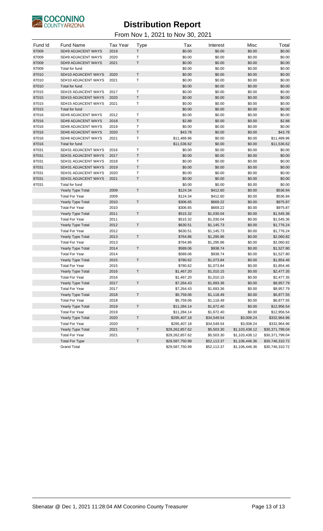

| Fund Id | <b>Fund Name</b>         | <b>Tax Year</b> | <b>Type</b> | Tax             | Interest    | Misc             | Total           |
|---------|--------------------------|-----------------|-------------|-----------------|-------------|------------------|-----------------|
| 87009   | SD#9 ADJACENT WAYS       | 2019            | Т           | \$0.00          | \$0.00      | \$0.00           | \$0.00          |
| 87009   | SD#9 ADJACENT WAYS       | 2020            | T           | \$0.00          | \$0.00      | \$0.00           | \$0.00          |
| 87009   | SD#9 ADJACENT WAYS       | 2021            | $\top$      | \$0.00          | \$0.00      | \$0.00           | \$0.00          |
| 87009   | Total for fund           |                 |             | \$0.00          | \$0.00      | \$0.00           | \$0.00          |
| 87010   | SD#10 ADJACENT WAYS      | 2020            | $\top$      | \$0.00          | \$0.00      | \$0.00           | \$0.00          |
| 87010   | SD#10 ADJACENT WAYS      | 2021            | $\top$      | \$0.00          | \$0.00      | \$0.00           | \$0.00          |
| 87010   | Total for fund           |                 |             | \$0.00          | \$0.00      | \$0.00           | \$0.00          |
| 87015   | SD#15 ADJACENT WAYS      | 2017            | $\top$      | \$0.00          | \$0.00      | \$0.00           | \$0.00          |
| 87015   | SD#15 ADJACENT WAYS      | 2020            | $\top$      | \$0.00          | \$0.00      | \$0.00           | \$0.00          |
| 87015   | SD#15 ADJACENT WAYS      | 2021            | T           | \$0.00          | \$0.00      | \$0.00           | \$0.00          |
| 87015   | Total for fund           |                 |             | \$0.00          | \$0.00      | \$0.00           | \$0.00          |
| 87016   | SD#8 ADJACENT WAYS       | 2012            | T           | \$0.00          | \$0.00      | \$0.00           | \$0.00          |
| 87016   | SD#8 ADJACENT WAYS       | 2018            | $\sf T$     | \$2.88          | \$0.00      | \$0.00           | \$2.88          |
| 87016   | SD#8 ADJACENT WAYS       | 2019            | T           | \$0.00          | \$0.00      | \$0.00           | \$0.00          |
| 87016   | SD#8 ADJACENT WAYS       | 2020            | $\top$      | \$43.78         | \$0.00      | \$0.00           | \$43.78         |
| 87016   | SD#8 ADJACENT WAYS       | 2021            | Τ           | \$11,489.96     | \$0.00      | \$0.00           | \$11,489.96     |
| 87016   | Total for fund           |                 |             | \$11,536.62     | \$0.00      | \$0.00           | \$11,536.62     |
| 87031   | SD#31 ADJACENT WAYS      | 2016            | $\top$      | \$0.00          | \$0.00      | \$0.00           | \$0.00          |
| 87031   | SD#31 ADJACENT WAYS      | 2017            | $\sf T$     | \$0.00          | \$0.00      | \$0.00           | \$0.00          |
| 87031   | SD#31 ADJACENT WAYS      | 2018            | T           | \$0.00          | \$0.00      | \$0.00           | \$0.00          |
| 87031   | SD#31 ADJACENT WAYS      | 2019            | $\top$      | \$0.00          | \$0.00      | \$0.00           | \$0.00          |
| 87031   | SD#31 ADJACENT WAYS      | 2020            | $\top$      | \$0.00          | \$0.00      | \$0.00           | \$0.00          |
| 87031   | SD#31 ADJACENT WAYS      | 2021            | T           | \$0.00          | \$0.00      | \$0.00           | \$0.00          |
| 87031   |                          |                 |             | \$0.00          | \$0.00      | \$0.00           | \$0.00          |
|         | Total for fund           |                 | $\mathsf T$ |                 |             | \$0.00           |                 |
|         | <b>Yearly Type Total</b> | 2009            |             | \$124.34        | \$412.60    |                  | \$536.94        |
|         | <b>Total For Year</b>    | 2009            | $\top$      | \$124.34        | \$412.60    | \$0.00<br>\$0.00 | \$536.94        |
|         | Yearly Type Total        | 2010            |             | \$306.65        | \$669.22    |                  | \$975.87        |
|         | <b>Total For Year</b>    | 2010            |             | \$306.65        | \$669.22    | \$0.00           | \$975.87        |
|         | <b>Yearly Type Total</b> | 2011            | $\mathsf T$ | \$515.32        | \$1,030.04  | \$0.00           | \$1,545.36      |
|         | <b>Total For Year</b>    | 2011            |             | \$515.32        | \$1,030.04  | \$0.00           | \$1,545.36      |
|         | Yearly Type Total        | 2012            | $\mathsf T$ | \$630.51        | \$1,145.73  | \$0.00           | \$1,776.24      |
|         | <b>Total For Year</b>    | 2012            |             | \$630.51        | \$1,145.73  | \$0.00           | \$1,776.24      |
|         | Yearly Type Total        | 2013            | $\top$      | \$764.86        | \$1,295.96  | \$0.00           | \$2,060.82      |
|         | <b>Total For Year</b>    | 2013            |             | \$764.86        | \$1,295.96  | \$0.00           | \$2,060.82      |
|         | <b>Yearly Type Total</b> | 2014            | $\mathsf T$ | \$589.06        | \$938.74    | \$0.00           | \$1,527.80      |
|         | <b>Total For Year</b>    | 2014            |             | \$589.06        | \$938.74    | \$0.00           | \$1,527.80      |
|         | Yearly Type Total        | 2015            | $\mathsf T$ | \$780.62        | \$1,073.84  | \$0.00           | \$1,854.46      |
|         | <b>Total For Year</b>    | 2015            |             | \$780.62        | \$1,073.84  | \$0.00           | \$1,854.46      |
|         | <b>Yearly Type Total</b> | 2016            | $\top$      | \$1,467.20      | \$1,010.15  | \$0.00           | \$2,477.35      |
|         | <b>Total For Year</b>    | 2016            |             | \$1,467.20      | \$1,010.15  | \$0.00           | \$2,477.35      |
|         | <b>Yearly Type Total</b> | 2017            | T           | \$7,264.43      | \$1,693.36  | \$0.00           | \$8,957.79      |
|         | <b>Total For Year</b>    | 2017            |             | \$7,264.43      | \$1,693.36  | \$0.00           | \$8,957.79      |
|         | Yearly Type Total        | 2018            | $\sf T$     | \$5,759.06      | \$1,118.49  | \$0.00           | \$6,877.55      |
|         | <b>Total For Year</b>    | 2018            |             | \$5,759.06      | \$1,118.49  | \$0.00           | \$6,877.55      |
|         | Yearly Type Total        | 2019            | $\mathsf T$ | \$11,284.14     | \$1,672.40  | \$0.00           | \$12,956.54     |
|         | <b>Total For Year</b>    | 2019            |             | \$11,284.14     | \$1,672.40  | \$0.00           | \$12,956.54     |
|         | Yearly Type Total        | 2020            | Τ           | \$295,407.18    | \$34,549.54 | \$3,008.24       | \$332,964.96    |
|         | <b>Total For Year</b>    | 2020            |             | \$295,407.18    | \$34,549.54 | \$3,008.24       | \$332,964.96    |
|         | <b>Yearly Type Total</b> | 2021            | Τ           | \$29,262,857.62 | \$5,503.30  | \$1,103,438.12   | \$30,371,799.04 |
|         | <b>Total For Year</b>    | 2021            |             | \$29,262,857.62 | \$5,503.30  | \$1,103,438.12   | \$30,371,799.04 |
|         | <b>Total For Type</b>    |                 | $\sf T$     | \$29,587,750.99 | \$52,113.37 | \$1,106,446.36   | \$30,746,310.72 |
|         | <b>Grand Total</b>       |                 |             | \$29,587,750.99 | \$52,113.37 | \$1,106,446.36   | \$30,746,310.72 |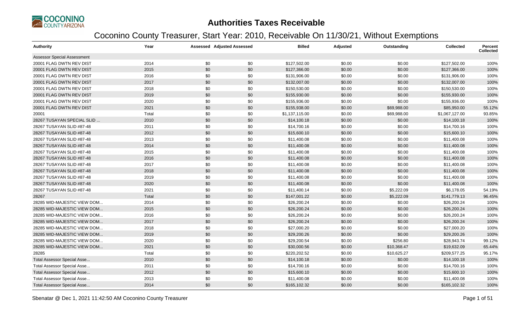

| <b>Authority</b>                   | Year  |     | <b>Assessed Adjusted Assessed</b> | <b>Billed</b>  | Adjusted | Outstanding | <b>Collected</b> | <b>Percent</b><br><b>Collected</b> |
|------------------------------------|-------|-----|-----------------------------------|----------------|----------|-------------|------------------|------------------------------------|
| <b>Assessor Special Assessment</b> |       |     |                                   |                |          |             |                  |                                    |
| 20001 FLAG DWTN REV DIST           | 2014  | \$0 | \$0                               | \$127,502.00   | \$0.00   | \$0.00      | \$127,502.00     | 100%                               |
| 20001 FLAG DWTN REV DIST           | 2015  | \$0 | \$0                               | \$127,366.00   | \$0.00   | \$0.00      | \$127,366.00     | 100%                               |
| 20001 FLAG DWTN REV DIST           | 2016  | \$0 | \$0                               | \$131,906.00   | \$0.00   | \$0.00      | \$131,906.00     | 100%                               |
| 20001 FLAG DWTN REV DIST           | 2017  | \$0 | \$0                               | \$132,007.00   | \$0.00   | \$0.00      | \$132,007.00     | 100%                               |
| 20001 FLAG DWTN REV DIST           | 2018  | \$0 | \$0                               | \$150,530.00   | \$0.00   | \$0.00      | \$150,530.00     | 100%                               |
| 20001 FLAG DWTN REV DIST           | 2019  | \$0 | \$0                               | \$155,930.00   | \$0.00   | \$0.00      | \$155,930.00     | 100%                               |
| 20001 FLAG DWTN REV DIST           | 2020  | \$0 | \$0                               | \$155,936.00   | \$0.00   | \$0.00      | \$155,936.00     | 100%                               |
| 20001 FLAG DWTN REV DIST           | 2021  | \$0 | \$0                               | \$155,938.00   | \$0.00   | \$69,988.00 | \$85,950.00      | 55.12%                             |
| 20001                              | Total | \$0 | \$0                               | \$1,137,115.00 | \$0.00   | \$69,988.00 | \$1,067,127.00   | 93.85%                             |
| 28267 TUSAYAN SPECIAL SLID         | 2010  | \$0 | \$0                               | \$14,100.18    | \$0.00   | \$0.00      | \$14,100.18      | 100%                               |
| 28267 TUSAYAN SLID #87-48          | 2011  | \$0 | \$0                               | \$14,700.16    | \$0.00   | \$0.00      | \$14,700.16      | 100%                               |
| 28267 TUSAYAN SLID #87-48          | 2012  | \$0 | \$0                               | \$15,600.10    | \$0.00   | \$0.00      | \$15,600.10      | 100%                               |
| 28267 TUSAYAN SLID #87-48          | 2013  | \$0 | \$0                               | \$11,400.08    | \$0.00   | \$0.00      | \$11,400.08      | 100%                               |
| 28267 TUSAYAN SLID #87-48          | 2014  | \$0 | \$0                               | \$11,400.08    | \$0.00   | \$0.00      | \$11,400.08      | 100%                               |
| 28267 TUSAYAN SLID #87-48          | 2015  | \$0 | \$0                               | \$11,400.08    | \$0.00   | \$0.00      | \$11,400.08      | 100%                               |
| 28267 TUSAYAN SLID #87-48          | 2016  | \$0 | \$0                               | \$11,400.08    | \$0.00   | \$0.00      | \$11,400.08      | 100%                               |
| 28267 TUSAYAN SLID #87-48          | 2017  | \$0 | \$0                               | \$11,400.08    | \$0.00   | \$0.00      | \$11,400.08      | 100%                               |
| 28267 TUSAYAN SLID #87-48          | 2018  | \$0 | \$0                               | \$11,400.08    | \$0.00   | \$0.00      | \$11,400.08      | 100%                               |
| 28267 TUSAYAN SLID #87-48          | 2019  | \$0 | \$0                               | \$11,400.08    | \$0.00   | \$0.00      | \$11,400.08      | 100%                               |
| 28267 TUSAYAN SLID #87-48          | 2020  | \$0 | \$0                               | \$11,400.08    | \$0.00   | \$0.00      | \$11,400.08      | 100%                               |
| 28267 TUSAYAN SLID #87-48          | 2021  | \$0 | \$0                               | \$11,400.14    | \$0.00   | \$5,222.09  | \$6,178.05       | 54.19%                             |
| 28267                              | Total | \$0 | \$0                               | \$147,001.22   | \$0.00   | \$5,222.09  | \$141,779.13     | 96.45%                             |
| 28285 WID-MAJESTIC VIEW DOM        | 2014  | \$0 | \$0                               | \$26,200.24    | \$0.00   | \$0.00      | \$26,200.24      | 100%                               |
| 28285 WID-MAJESTIC VIEW DOM        | 2015  | \$0 | \$0                               | \$26,200.24    | \$0.00   | \$0.00      | \$26,200.24      | 100%                               |
| 28285 WID-MAJESTIC VIEW DOM        | 2016  | \$0 | \$0                               | \$26,200.24    | \$0.00   | \$0.00      | \$26,200.24      | 100%                               |
| 28285 WID-MAJESTIC VIEW DOM        | 2017  | \$0 | \$0                               | \$26,200.24    | \$0.00   | \$0.00      | \$26,200.24      | 100%                               |
| 28285 WID-MAJESTIC VIEW DOM        | 2018  | \$0 | \$0                               | \$27,000.20    | \$0.00   | \$0.00      | \$27,000.20      | 100%                               |
| 28285 WID-MAJESTIC VIEW DOM        | 2019  | \$0 | \$0                               | \$29,200.26    | \$0.00   | \$0.00      | \$29,200.26      | 100%                               |
| 28285 WID-MAJESTIC VIEW DOM        | 2020  | \$0 | \$0                               | \$29,200.54    | \$0.00   | \$256.80    | \$28,943.74      | 99.12%                             |
| 28285 WID-MAJESTIC VIEW DOM        | 2021  | \$0 | \$0                               | \$30,000.56    | \$0.00   | \$10,368.47 | \$19,632.09      | 65.44%                             |
| 28285                              | Total | \$0 | \$0                               | \$220,202.52   | \$0.00   | \$10,625.27 | \$209,577.25     | 95.17%                             |
| <b>Total Assessor Special Asse</b> | 2010  | \$0 | \$0                               | \$14,100.18    | \$0.00   | \$0.00      | \$14,100.18      | 100%                               |
| Total Assessor Special Asse        | 2011  | \$0 | \$0                               | \$14,700.16    | \$0.00   | \$0.00      | \$14,700.16      | 100%                               |
| Total Assessor Special Asse        | 2012  | \$0 | \$0                               | \$15,600.10    | \$0.00   | \$0.00      | \$15,600.10      | 100%                               |
| Total Assessor Special Asse        | 2013  | \$0 | \$0                               | \$11,400.08    | \$0.00   | \$0.00      | \$11,400.08      | 100%                               |
| Total Assessor Special Asse        | 2014  | \$0 | \$0                               | \$165,102.32   | \$0.00   | \$0.00      | \$165,102.32     | 100%                               |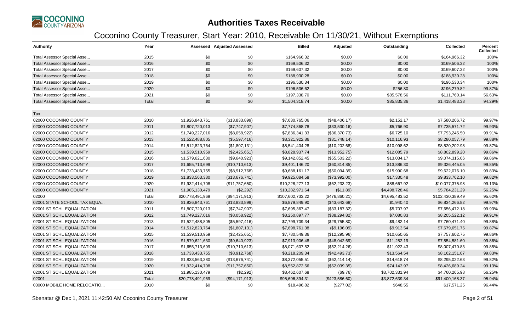

| <b>Authority</b>                   | Year  |                  | Assessed Adjusted Assessed | <b>Billed</b>    | Adjusted       | Outstanding    | <b>Collected</b> | <b>Percent</b><br><b>Collected</b> |
|------------------------------------|-------|------------------|----------------------------|------------------|----------------|----------------|------------------|------------------------------------|
| Total Assessor Special Asse        | 2015  | \$0              | \$0                        | \$164,966.32     | \$0.00         | \$0.00         | \$164,966.32     | 100%                               |
| <b>Total Assessor Special Asse</b> | 2016  | \$0              | \$0                        | \$169,506.32     | \$0.00         | \$0.00         | \$169,506.32     | 100%                               |
| Total Assessor Special Asse        | 2017  | \$0              | \$0                        | \$169,607.32     | \$0.00         | \$0.00         | \$169,607.32     | 100%                               |
| <b>Total Assessor Special Asse</b> | 2018  | \$0              | \$0                        | \$188,930.28     | \$0.00         | \$0.00         | \$188,930.28     | 100%                               |
| Total Assessor Special Asse        | 2019  | \$0              | \$0                        | \$196,530.34     | \$0.00         | \$0.00         | \$196,530.34     | 100%                               |
| <b>Total Assessor Special Asse</b> | 2020  | \$0              | \$0                        | \$196,536.62     | \$0.00         | \$256.80       | \$196,279.82     | 99.87%                             |
| Total Assessor Special Asse        | 2021  | \$0              | \$0                        | \$197,338.70     | \$0.00         | \$85,578.56    | \$111,760.14     | 56.63%                             |
| <b>Total Assessor Special Asse</b> | Total | \$0              | \$0                        | \$1,504,318.74   | \$0.00         | \$85,835.36    | \$1,418,483.38   | 94.29%                             |
|                                    |       |                  |                            |                  |                |                |                  |                                    |
| Tax                                |       |                  |                            |                  |                |                |                  |                                    |
| 02000 COCONINO COUNTY              | 2010  | \$1,926,843,761  | (\$13,833,899)             | \$7,630,765.06   | (\$48,406.17)  | \$2,152.17     | \$7,580,206.72   | 99.97%                             |
| 02000 COCONINO COUNTY              | 2011  | \$1,807,720,013  | (\$7,747,907)              | \$7,774,868.78   | (\$33,530.16)  | \$5,766.90     | \$7,735,571.72   | 99.93%                             |
| 02000 COCONINO COUNTY              | 2012  | \$1,749,227,016  | (\$8,058,922)              | \$7,836,341.33   | (\$36,370.73)  | \$6,725.10     | \$7,793,245.50   | 99.91%                             |
| 02000 COCONINO COUNTY              | 2013  | \$1,522,488,805  | (\$5,597,416)              | \$8,321,922.86   | (\$31,748.14)  | \$10,116.93    | \$8,280,057.79   | 99.88%                             |
| 02000 COCONINO COUNTY              | 2014  | \$1,512,823,764  | (\$1,807,131)              | \$8,541,404.28   | (\$10,202.68)  | \$10,998.62    | \$8,520,202.98   | 99.87%                             |
| 02000 COCONINO COUNTY              | 2015  | \$1,539,510,959  | (\$2,425,651)              | \$8,828,937.74   | (\$13,952.75)  | \$12,085.79    | \$8,802,899.20   | 99.86%                             |
| 02000 COCONINO COUNTY              | 2016  | \$1,579,621,630  | (\$9,640,923)              | \$9,142,852.45   | (\$55,503.22)  | \$13,034.17    | \$9,074,315.06   | 99.86%                             |
| 02000 COCONINO COUNTY              | 2017  | \$1,655,713,699  | (\$10,710,613)             | \$9,401,146.20   | (\$60, 814.85) | \$13,886.30    | \$9,326,445.05   | 99.85%                             |
| 02000 COCONINO COUNTY              | 2018  | \$1,733,433,755  | (\$8,912,768)              | \$9,688,161.17   | (\$50,094.39)  | \$15,990.68    | \$9,622,076.10   | 99.83%                             |
| 02000 COCONINO COUNTY              | 2019  | \$1,833,563,380  | (\$13,676,741)             | \$9,925,084.58   | (\$73,992.00)  | \$17,330.48    | \$9,833,762.10   | 99.82%                             |
| 02000 COCONINO COUNTY              | 2020  | \$1,932,414,708  | (\$11,757,650)             | \$10,228,277.13  | (\$62,233.23)  | \$88,667.92    | \$10,077,375.98  | 99.13%                             |
| 02000 COCONINO COUNTY              | 2021  | \$1,985,130,479  | (\$2,292)                  | \$10,282,971.64  | (\$11.89)      | \$4,498,728.46 | \$5,784,231.29   | 56.25%                             |
| 02000                              | Total | \$20,778,491,969 | (\$94,171,913)             | \$107,602,733.22 | (\$476,860.21) | \$4,695,483.52 | \$102,430,389.49 | 95.62%                             |
| 02001 STATE SCHOOL TAX EQUA        | 2010  | \$1,926,843,761  | (\$13,833,899)             | \$6,879,849.90   | (\$43,642.68)  | \$1,940.40     | \$6,834,266.82   | 99.97%                             |
| 02001 ST SCHL EQUALIZATION         | 2011  | \$1,807,720,013  | (\$7,747,907)              | \$7,695,367.47   | (\$33,187.32)  | \$5,707.97     | \$7,656,472.18   | 99.93%                             |
| 02001 ST SCHL EQUALIZATION         | 2012  | \$1,749,227,016  | (\$8,058,922)              | \$8,250,897.77   | (\$38,294.82)  | \$7,080.83     | \$8,205,522.12   | 99.91%                             |
| 02001 ST SCHL EQUALIZATION         | 2013  | \$1,522,488,805  | (\$5,597,416)              | \$7,799,709.34   | (\$29,755.80)  | \$9,482.14     | \$7,760,471.40   | 99.88%                             |
| 02001 ST SCHL EQUALIZATION         | 2014  | \$1,512,823,764  | (\$1,807,131)              | \$7,698,761.38   | (\$9,196.09)   | \$9,913.54     | \$7,679,651.75   | 99.87%                             |
| 02001 ST SCHL EQUALIZATION         | 2015  | \$1,539,510,959  | (\$2,425,651)              | \$7,780,549.36   | (\$12,295.96)  | \$10,650.65    | \$7,757,602.75   | 99.86%                             |
| 02001 ST SCHL EQUALIZATION         | 2016  | \$1,579,621,630  | (\$9,640,923)              | \$7,913,906.48   | (\$48,042.69)  | \$11,282.19    | \$7,854,581.60   | 99.86%                             |
| 02001 ST SCHL EQUALIZATION         | 2017  | \$1,655,713,699  | (\$10,710,613)             | \$8,071,607.52   | (\$52,214.26)  | \$11,922.43    | \$8,007,470.83   | 99.85%                             |
| 02001 ST SCHL EQUALIZATION         | 2018  | \$1,733,433,755  | (\$8,912,768)              | \$8,218,209.34   | (\$42,493.73)  | \$13,564.54    | \$8,162,151.07   | 99.83%                             |
| 02001 ST SCHL EQUALIZATION         | 2019  | \$1,833,563,380  | (\$13,676,741)             | \$8,372,055.51   | (\$62,414.14)  | \$14,618.74    | \$8,295,022.63   | 99.82%                             |
| 02001 ST SCHL EQUALIZATION         | 2020  | \$1,932,414,708  | (\$11,757,650)             | \$8,552,872.56   | (\$52,039.35)  | \$74,143.97    | \$8,426,689.24   | 99.13%                             |
| 02001 ST SCHL EQUALIZATION         | 2021  | \$1,985,130,479  | (\$2,292)                  | \$8,462,607.68   | (\$9.76)       | \$3,702,331.94 | \$4,760,265.98   | 56.25%                             |
| 02001                              | Total | \$20,778,491,969 | (\$94,171,913)             | \$95,696,394.31  | (\$423,586.60) | \$3,872,639.34 | \$91,400,168.37  | 95.94%                             |
| 03000 MOBILE HOME RELOCATIO        | 2010  | \$0              | \$0                        | \$18,496.82      | (\$277.02)     | \$648.55       | \$17,571.25      | 96.44%                             |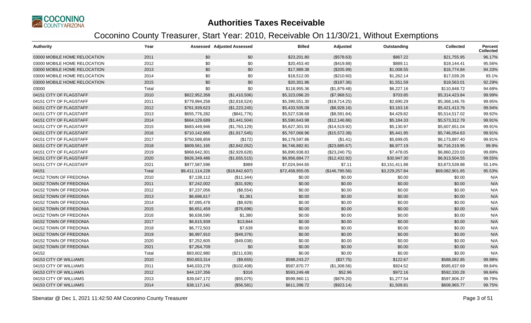

| <b>Authority</b>             | Year  |                 | <b>Assessed Adjusted Assessed</b> | <b>Billed</b>   | Adjusted       | Outstanding    | <b>Collected</b> | <b>Percent</b><br><b>Collected</b> |
|------------------------------|-------|-----------------|-----------------------------------|-----------------|----------------|----------------|------------------|------------------------------------|
| 03000 MOBILE HOME RELOCATION | 2011  | \$0             | \$0                               | \$23,201.80     | (\$578.63)     | \$867.22       | \$21,755.95      | 96.17%                             |
| 03000 MOBILE HOME RELOCATION | 2012  | \$0             | \$0                               | \$20,453.40     | (\$419.88)     | \$889.11       | \$19,144.41      | 95.56%                             |
| 03000 MOBILE HOME RELOCATION | 2013  | \$0             | \$0                               | \$17,989.38     | (\$205.99)     | \$1,008.55     | \$16,774.84      | 94.33%                             |
| 03000 MOBILE HOME RELOCATION | 2014  | \$0             | \$0                               | \$18,512.00     | (\$210.60)     | \$1,262.14     | \$17,039.26      | 93.1%                              |
| 03000 MOBILE HOME RELOCATION | 2015  | \$0             | \$0                               | \$20,301.96     | (\$187.36)     | \$1,551.59     | \$18,563.01      | 92.29%                             |
| 03000                        | Total | \$0             | \$0                               | \$118,955.36    | (\$1,879.48)   | \$6,227.16     | \$110,848.72     | 94.68%                             |
| 04151 CITY OF FLAGSTAFF      | 2010  | \$822,952,358   | (\$1,410,506)                     | \$5,323,096.20  | (\$7,968.51)   | \$703.85       | \$5,314,423.84   | 99.99%                             |
| 04151 CITY OF FLAGSTAFF      | 2011  | \$779,994,258   | (\$2,818,524)                     | \$5,390,551.30  | (\$19,714.25)  | \$2,690.29     | \$5,368,146.76   | 99.95%                             |
| 04151 CITY OF FLAGSTAFF      | 2012  | \$761,939,623   | (\$1,223,245)                     | \$5,433,505.08  | (\$8,928.16)   | \$3,163.16     | \$5,421,413.76   | 99.94%                             |
| 04151 CITY OF FLAGSTAFF      | 2013  | \$655,776,282   | (\$841,776)                       | \$5,527,538.68  | (\$8,591.84)   | \$4,429.82     | \$5,514,517.02   | 99.92%                             |
| 04151 CITY OF FLAGSTAFF      | 2014  | \$664,129,689   | (\$1,441,504)                     | \$5,590,643.98  | (\$12,146.86)  | \$5,184.33     | \$5,573,312.79   | 99.91%                             |
| 04151 CITY OF FLAGSTAFF      | 2015  | \$683,449,946   | (\$1,763,129)                     | \$5,627,301.93  | (\$14,519.92)  | \$5,130.97     | \$5,607,651.04   | 99.91%                             |
| 04151 CITY OF FLAGSTAFF      | 2016  | \$710,142,665   | (\$1,917,545)                     | \$5,767,068.96  | (\$15,572.38)  | \$5,441.95     | \$5,746,054.63   | 99.91%                             |
| 04151 CITY OF FLAGSTAFF      | 2017  | \$750,588,859   | (\$172)                           | \$6,179,597.86  | (\$1.41)       | \$5,699.05     | \$6,173,897.40   | 99.91%                             |
| 04151 CITY OF FLAGSTAFF      | 2018  | \$809,561,165   | (\$2,842,052)                     | \$6,746,882.81  | (\$23,685.67)  | \$6,977.19     | \$6,716,219.95   | 99.9%                              |
| 04151 CITY OF FLAGSTAFF      | 2019  | \$868,642,301   | (\$2,929,628)                     | \$6,890,938.83  | (\$23,240.75)  | \$7,478.05     | \$6,860,220.03   | 99.89%                             |
| 04151 CITY OF FLAGSTAFF      | 2020  | \$926,349,486   | (\$1,655,515)                     | \$6,956,884.77  | (\$12,432.92)  | \$30,947.30    | \$6,913,504.55   | 99.55%                             |
| 04151 CITY OF FLAGSTAFF      | 2021  | \$977,587,596   | \$989                             | \$7,024,944.65  | \$7.11         | \$3,151,411.88 | \$3,873,539.88   | 55.14%                             |
| 04151                        | Total | \$9,411,114,228 | (\$18,842,607)                    | \$72,458,955.05 | (\$146,795.56) | \$3,229,257.84 | \$69,082,901.65  | 95.53%                             |
| 04152 TOWN OF FREDONIA       | 2010  | \$7,138,112     | (\$11,344)                        | \$0.00          | \$0.00         | \$0.00         | \$0.00           | N/A                                |
| 04152 TOWN OF FREDONIA       | 2011  | \$7,242,002     | (\$31,926)                        | \$0.00          | \$0.00         | \$0.00         | \$0.00           | N/A                                |
| 04152 TOWN OF FREDONIA       | 2012  | \$7,237,056     | (\$8,554)                         | \$0.00          | \$0.00         | \$0.00         | \$0.00           | N/A                                |
| 04152 TOWN OF FREDONIA       | 2013  | \$6,696,617     | \$1,361                           | \$0.00          | \$0.00         | \$0.00         | \$0.00           | N/A                                |
| 04152 TOWN OF FREDONIA       | 2014  | \$7,095,478     | (\$8,929)                         | \$0.00          | \$0.00         | \$0.00         | \$0.00           | N/A                                |
| 04152 TOWN OF FREDONIA       | 2015  | \$6,651,459     | (\$76,696)                        | \$0.00          | \$0.00         | \$0.00         | \$0.00           | N/A                                |
| 04152 TOWN OF FREDONIA       | 2016  | \$6,638,590     | \$1,380                           | \$0.00          | \$0.00         | \$0.00         | \$0.00           | N/A                                |
| 04152 TOWN OF FREDONIA       | 2017  | \$6,615,939     | \$13,844                          | \$0.00          | \$0.00         | \$0.00         | \$0.00           | N/A                                |
| 04152 TOWN OF FREDONIA       | 2018  | \$6,772,503     | \$7,639                           | \$0.00          | \$0.00         | \$0.00         | \$0.00           | N/A                                |
| 04152 TOWN OF FREDONIA       | 2019  | \$6,997,910     | (\$49,376)                        | \$0.00          | \$0.00         | \$0.00         | \$0.00           | N/A                                |
| 04152 TOWN OF FREDONIA       | 2020  | \$7,252,605     | (\$49,038)                        | \$0.00          | \$0.00         | \$0.00         | \$0.00           | N/A                                |
| 04152 TOWN OF FREDONIA       | 2021  | \$7,264,709     | \$0                               | \$0.00          | \$0.00         | \$0.00         | \$0.00           | N/A                                |
| 04152                        | Total | \$83,602,980    | (\$211,639)                       | \$0.00          | \$0.00         | \$0.00         | \$0.00           | N/A                                |
| 04153 CITY OF WILLIAMS       | 2010  | \$50,653,314    | (\$9,655)                         | \$588,243.27    | (\$37.75)      | \$122.67       | \$588,082.85     | 99.98%                             |
| 04153 CITY OF WILLIAMS       | 2011  | \$46,033,278    | (\$102,408)                       | \$587,870.77    | (\$1,308.56)   | \$924.52       | \$585,637.69     | 99.84%                             |
| 04153 CITY OF WILLIAMS       | 2012  | \$44,137,356    | \$316                             | \$593,249.48    | \$52.96        | \$972.16       | \$592,330.28     | 99.84%                             |
| 04153 CITY OF WILLIAMS       | 2013  | \$39,047,172    | (\$55,075)                        | \$599,960.11    | (\$876.20)     | \$1,277.54     | \$597,806.37     | 99.79%                             |
| 04153 CITY OF WILLIAMS       | 2014  | \$38,117,141    | (\$56,581)                        | \$611,398.72    | (\$923.14)     | \$1,509.81     | \$608,965.77     | 99.75%                             |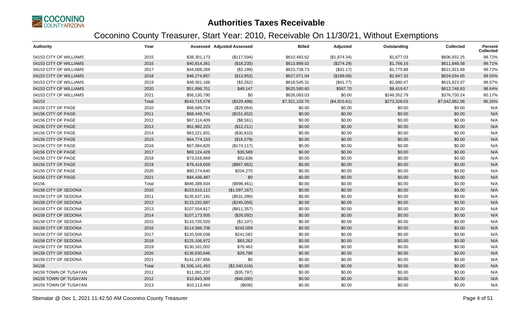

| <b>Authority</b>       | Year  |                 | <b>Assessed Adjusted Assessed</b> | <b>Billed</b>  | Adjusted     | Outstanding  | <b>Collected</b> | Percent<br><b>Collected</b> |
|------------------------|-------|-----------------|-----------------------------------|----------------|--------------|--------------|------------------|-----------------------------|
| 04153 CITY OF WILLIAMS | 2015  | \$38,301,173    | (\$117,594)                       | \$610,483.62   | (\$1,874.34) | \$1,677.03   | \$606,932.25     | 99.72%                      |
| 04153 CITY OF WILLIAMS | 2016  | \$40,814,361    | (\$18,235)                        | \$613,889.02   | (\$274.28)   | \$1,766.16   | \$611,848.58     | 99.71%                      |
| 04153 CITY OF WILLIAMS | 2017  | \$44,008,269    | (\$2,199)                         | \$623,728.73   | (\$31.17)    | \$1,775.88   | \$621,921.68     | 99.72%                      |
| 04153 CITY OF WILLIAMS | 2018  | \$46,274,857    | (\$13,952)                        | \$627,071.04   | (\$189.06)   | \$2,847.33   | \$624,034.65     | 99.55%                      |
| 04153 CITY OF WILLIAMS | 2019  | \$48,301,166    | (\$3,262)                         | \$618,545.31   | (\$41.77)    | \$2,680.47   | \$615,823.07     | 99.57%                      |
| 04153 CITY OF WILLIAMS | 2020  | \$51,896,701    | \$49,147                          | \$620,580.60   | \$587.70     | \$8,419.67   | \$612,748.63     | 98.64%                      |
| 04153 CITY OF WILLIAMS | 2021  | \$56,130,790    | \$0                               | \$626,083.03   | \$0.00       | \$249,352.79 | \$376,730.24     | 60.17%                      |
| 04153                  | Total | \$543,715,578   | (\$329,498)                       | \$7,321,103.70 | (\$4,915.61) | \$273,326.03 | \$7,042,862.06   | 96.26%                      |
| 04156 CITY OF PAGE     | 2010  | \$68,589,724    | (\$29,064)                        | \$0.00         | \$0.00       | \$0.00       | \$0.00           | N/A                         |
| 04156 CITY OF PAGE     | 2011  | \$68,449,741    | (\$151,652)                       | \$0.00         | \$0.00       | \$0.00       | \$0.00           | N/A                         |
| 04156 CITY OF PAGE     | 2012  | \$67,114,409    | (\$8,561)                         | \$0.00         | \$0.00       | \$0.00       | \$0.00           | N/A                         |
| 04156 CITY OF PAGE     | 2013  | \$61,982,223    | (\$12,211)                        | \$0.00         | \$0.00       | \$0.00       | \$0.00           | N/A                         |
| 04156 CITY OF PAGE     | 2014  | \$63,221,831    | (\$30, 810)                       | \$0.00         | \$0.00       | \$0.00       | \$0.00           | N/A                         |
| 04156 CITY OF PAGE     | 2015  | \$64,774,153    | (\$16,579)                        | \$0.00         | \$0.00       | \$0.00       | \$0.00           | N/A                         |
| 04156 CITY OF PAGE     | 2016  | \$67,084,820    | (\$174, 117)                      | \$0.00         | \$0.00       | \$0.00       | \$0.00           | N/A                         |
| 04156 CITY OF PAGE     | 2017  | \$69,124,428    | \$35,589                          | \$0.00         | \$0.00       | \$0.00       | \$0.00           | N/A                         |
| 04156 CITY OF PAGE     | 2018  | \$73,016,869    | \$52,636                          | \$0.00         | \$0.00       | \$0.00       | \$0.00           | N/A                         |
| 04156 CITY OF PAGE     | 2019  | \$78,419,609    | (\$867,962)                       | \$0.00         | \$0.00       | \$0.00       | \$0.00           | N/A                         |
| 04156 CITY OF PAGE     | 2020  | \$80,174,640    | \$204,270                         | \$0.00         | \$0.00       | \$0.00       | \$0.00           | N/A                         |
| 04156 CITY OF PAGE     | 2021  | \$84,436,487    | \$0                               | \$0.00         | \$0.00       | \$0.00       | \$0.00           | N/A                         |
| 04156                  | Total | \$846,388,934   | (\$998,461)                       | \$0.00         | \$0.00       | \$0.00       | \$0.00           | N/A                         |
| 04158 CITY OF SEDONA   | 2010  | \$153,610,113   | (\$1,097,167)                     | \$0.00         | \$0.00       | \$0.00       | \$0.00           | N/A                         |
| 04158 CITY OF SEDONA   | 2011  | \$135,637,191   | (\$531,390)                       | \$0.00         | \$0.00       | \$0.00       | \$0.00           | N/A                         |
| 04158 CITY OF SEDONA   | 2012  | \$123,232,687   | (\$245,056)                       | \$0.00         | \$0.00       | \$0.00       | \$0.00           | N/A                         |
| 04158 CITY OF SEDONA   | 2013  | \$107,554,817   | (\$811,357)                       | \$0.00         | \$0.00       | \$0.00       | \$0.00           | N/A                         |
| 04158 CITY OF SEDONA   | 2014  | \$107,173,505   | (\$26,092)                        | \$0.00         | \$0.00       | \$0.00       | \$0.00           | N/A                         |
| 04158 CITY OF SEDONA   | 2015  | \$110,720,920   | (\$2,107)                         | \$0.00         | \$0.00       | \$0.00       | \$0.00           | N/A                         |
| 04158 CITY OF SEDONA   | 2016  | \$114,586,706   | \$242,059                         | \$0.00         | \$0.00       | \$0.00       | \$0.00           | N/A                         |
| 04158 CITY OF SEDONA   | 2017  | \$120,509,038   | \$241,582                         | \$0.00         | \$0.00       | \$0.00       | \$0.00           | N/A                         |
| 04158 CITY OF SEDONA   | 2018  | \$125,106,972   | \$83,262                          | \$0.00         | \$0.00       | \$0.00       | \$0.00           | N/A                         |
| 04158 CITY OF SEDONA   | 2019  | \$130,181,002   | \$76,462                          | \$0.00         | \$0.00       | \$0.00       | \$0.00           | N/A                         |
| 04158 CITY OF SEDONA   | 2020  | \$136,630,646   | \$29,788                          | \$0.00         | \$0.00       | \$0.00       | \$0.00           | N/A                         |
| 04158 CITY OF SEDONA   | 2021  | \$141,197,856   | \$0                               | \$0.00         | \$0.00       | \$0.00       | \$0.00           | N/A                         |
| 04158                  | Total | \$1,506,141,453 | (\$2,040,016)                     | \$0.00         | \$0.00       | \$0.00       | \$0.00           | N/A                         |
| 04159 TOWN OF TUSAYAN  | 2011  | \$11,091,237    | (\$35,797)                        | \$0.00         | \$0.00       | \$0.00       | \$0.00           | N/A                         |
| 04159 TOWN OF TUSAYAN  | 2012  | \$10,843,309    | (\$46,000)                        | \$0.00         | \$0.00       | \$0.00       | \$0.00           | N/A                         |
| 04159 TOWN OF TUSAYAN  | 2013  | \$10,113,464    | (\$606)                           | \$0.00         | \$0.00       | \$0.00       | \$0.00           | N/A                         |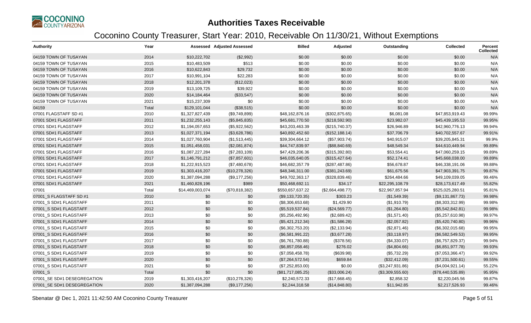

| <b>Authority</b>            | Year  |                  | <b>Assessed Adjusted Assessed</b> | <b>Billed</b>     | Adjusted         | Outstanding      | <b>Collected</b>  | Percent<br><b>Collected</b> |
|-----------------------------|-------|------------------|-----------------------------------|-------------------|------------------|------------------|-------------------|-----------------------------|
| 04159 TOWN OF TUSAYAN       | 2014  | \$10,222,702     | (\$2,992)                         | \$0.00            | \$0.00           | \$0.00           | \$0.00            | N/A                         |
| 04159 TOWN OF TUSAYAN       | 2015  | \$10,483,509     | \$513                             | \$0.00            | \$0.00           | \$0.00           | \$0.00            | N/A                         |
| 04159 TOWN OF TUSAYAN       | 2016  | \$10,622,843     | \$29,732                          | \$0.00            | \$0.00           | \$0.00           | \$0.00            | N/A                         |
| 04159 TOWN OF TUSAYAN       | 2017  | \$10,991,104     | \$22,283                          | \$0.00            | \$0.00           | \$0.00           | \$0.00            | N/A                         |
| 04159 TOWN OF TUSAYAN       | 2018  | \$12,201,378     | (\$12,023)                        | \$0.00            | \$0.00           | \$0.00           | \$0.00            | N/A                         |
| 04159 TOWN OF TUSAYAN       | 2019  | \$13,109,725     | \$39,922                          | \$0.00            | \$0.00           | \$0.00           | \$0.00            | N/A                         |
| 04159 TOWN OF TUSAYAN       | 2020  | \$14,184,464     | (\$33,547)                        | \$0.00            | \$0.00           | \$0.00           | \$0.00            | N/A                         |
| 04159 TOWN OF TUSAYAN       | 2021  | \$15,237,309     | \$0                               | \$0.00            | \$0.00           | \$0.00           | \$0.00            | N/A                         |
| 04159                       | Total | \$129,101,044    | (\$38,515)                        | \$0.00            | \$0.00           | \$0.00           | \$0.00            | N/A                         |
| 07001 FLAGSTAFF SD #1       | 2010  | \$1,327,827,439  | (\$9,749,899)                     | \$48,162,876.16   | (\$302,875.65)   | \$6,081.08       | \$47,853,919.43   | 99.99%                      |
| 07001 SD#1 FLAGSTAFF        | 2011  | \$1,232,255,143  | (\$5,845,835)                     | \$45,681,770.50   | (\$218,592.90)   | \$23,982.07      | \$45,439,195.53   | 99.95%                      |
| 07001 SD#1 FLAGSTAFF        | 2012  | \$1,194,057,653  | (\$5,922,562)                     | \$43,203,463.39   | (\$215,740.37)   | \$26,946.89      | \$42,960,776.13   | 99.94%                      |
| 07001 SD#1 FLAGSTAFF        | 2013  | \$1,027,371,194  | (\$3,628,786)                     | \$40,892,452.60   | (\$152, 188.14)  | \$37,706.79      | \$40,702,557.67   | 99.91%                      |
| 07001 SD#1 FLAGSTAFF        | 2014  | \$1,027,760,904  | (\$1,513,445)                     | \$39,304,664.12   | (\$57,903.74)    | \$40,915.07      | \$39,205,845.31   | 99.9%                       |
| 07001 SD#1 FLAGSTAFF        | 2015  | \$1,051,458,031  | (\$2,081,874)                     | \$44,747,839.97   | (\$88, 840.69)   | \$48,549.34      | \$44,610,449.94   | 99.89%                      |
| 07001 SD#1 FLAGSTAFF        | 2016  | \$1,087,227,284  | (\$7,283,109)                     | \$47,429,206.36   | (\$315,392.80)   | \$53,554.41      | \$47,060,259.15   | 99.89%                      |
| 07001 SD#1 FLAGSTAFF        | 2017  | \$1,146,791,212  | (\$7,857,601)                     | \$46,035,640.05   | (\$315,427.64)   | \$52,174.41      | \$45,668,038.00   | 99.89%                      |
| 07001 SD#1 FLAGSTAFF        | 2018  | \$1,222,915,523  | (\$7,480,678)                     | \$46,682,357.79   | (\$287,487.86)   | \$56,678.87      | \$46,338,191.06   | 99.88%                      |
| 07001 SD#1 FLAGSTAFF        | 2019  | \$1,303,416,207  | (\$10,278,326)                    | \$48,346,311.00   | (\$381, 243.69)  | \$61,675.56      | \$47,903,391.75   | 99.87%                      |
| 07001 SD#1 FLAGSTAFF        | 2020  | \$1,387,094,288  | (\$9,177,256)                     | \$49,702,363.17   | (\$328,839.46)   | \$264,484.66     | \$49,109,039.05   | 99.46%                      |
| 07001 SD#1 FLAGSTAFF        | 2021  | \$1,460,828,196  | \$989                             | \$50,468,692.11   | \$34.17          | \$22,295,108.79  | \$28,173,617.49   | 55.82%                      |
| 07001                       | Total | \$14,469,003,074 | (\$70,818,382)                    | \$550,657,637.22  | (\$2,664,498.77) | \$22,967,857.94  | \$525,025,280.51  | 95.81%                      |
| 07001_S FLAGSTAFF SD #1     | 2010  | \$0              | \$0                               | (\$9,133,720.35)  | \$303.23         | (\$1,549.39)     | (\$9,131,867.73)  | 99.98%                      |
| 07001 S SD#1 FLAGSTAFF      | 2011  | \$0              | \$0                               | (\$8,306,653.68)  | \$1,429.90       | (\$1,910.79)     | (\$8,303,312.99)  | 99.98%                      |
| 07001 S SD#1 FLAGSTAFF      | 2012  | \$0              | \$0                               | (\$5,519,537.84)  | (\$24,569.77)    | (\$1,264.80)     | (\$5,542,842.81)  | 99.98%                      |
| 07001_S SD#1 FLAGSTAFF      | 2013  | \$0              | \$0                               | (\$5,256,492.96)  | (\$2,689.42)     | (\$1,571.40)     | (\$5,257,610.98)  | 99.97%                      |
| 07001 S SD#1 FLAGSTAFF      | 2014  | \$0              | \$0                               | (\$5,421,212.34)  | (\$1,586.28)     | (\$2,057.82)     | (\$5,420,740.80)  | 99.96%                      |
| 07001 S SD#1 FLAGSTAFF      | 2015  | \$0              | \$0                               | (\$6,302,753.20)  | (\$2,133.94)     | (\$2,871.46)     | (\$6,302,015.68)  | 99.95%                      |
| 07001_S SD#1 FLAGSTAFF      | 2016  | \$0              | \$0                               | (\$6,581,991.22)  | (\$3,677.28)     | (\$3,118.97)     | (\$6,582,549.53)  | 99.95%                      |
| 07001 S SD#1 FLAGSTAFF      | 2017  | \$0              | \$0                               | (\$6,761,780.88)  | (\$378.56)       | (\$4,330.07)     | (\$6,757,829.37)  | 99.94%                      |
| 07001_S SD#1 FLAGSTAFF      | 2018  | \$0              | \$0                               | (\$6,857,058.46)  | \$276.02         | (\$4,804.66)     | (\$6,851,977.78)  | 99.93%                      |
| 07001 S SD#1 FLAGSTAFF      | 2019  | \$0              | \$0                               | (\$7,058,458.78)  | (\$639.98)       | (\$5,732.29)     | (\$7,053,366.47)  | 99.92%                      |
| 07001 S SD#1 FLAGSTAFF      | 2020  | \$0              | \$0                               | (\$7,264,572.54)  | \$659.84         | (\$32,412.09)    | (\$7,231,500.61)  | 99.55%                      |
| 07001_S SD#1 FLAGSTAFF      | 2021  | \$0              | \$0                               | (\$7,252,853.00)  | \$0.00           | (\$3,247,931.86) | (\$4,004,921.14)  | 55.22%                      |
| 07001_S                     | Total | \$0              | \$0                               | (\$81,717,085.25) | (\$33,006.24)    | (\$3,309,555.60) | (\$78,440,535.89) | 95.95%                      |
| 07001_SE SD#1 DESEGREGATION | 2019  | \$1,303,416,207  | (\$10,278,326)                    | \$2,240,572.33    | (\$17,668.45)    | \$2,858.32       | \$2,220,045.56    | 99.87%                      |
| 07001 SE SD#1 DESEGREGATION | 2020  | \$1,387,094,288  | (\$9,177,256)                     | \$2,244,318.58    | (\$14,848.80)    | \$11,942.85      | \$2,217,526.93    | 99.46%                      |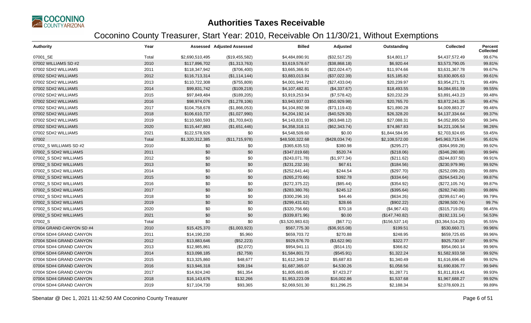

| <b>Authority</b>         | Year  |                 | <b>Assessed Adjusted Assessed</b> | <b>Billed</b>    | Adjusted       | Outstanding    | <b>Collected</b> | Percent<br><b>Collected</b> |
|--------------------------|-------|-----------------|-----------------------------------|------------------|----------------|----------------|------------------|-----------------------------|
| 07001_SE                 | Total | \$2,690,510,495 | (\$19,455,582)                    | \$4,484,890.91   | (\$32,517.25)  | \$14,801.17    | \$4,437,572.49   | 99.67%                      |
| 07002 WILLIAMS SD #2     | 2010  | \$117,896,702   | (\$1,313,763)                     | \$3,619,578.67   | (\$38,868.18)  | \$6,920.44     | \$3,573,790.05   | 99.81%                      |
| 07002 SD#2 WILLIAMS      | 2011  | \$118,347,942   | (\$706,400)                       | \$3,665,366.91   | (\$22,024.47)  | \$11,974.66    | \$3,631,367.78   | 99.67%                      |
| 07002 SD#2 WILLIAMS      | 2012  | \$116,713,314   | (\$1,114,144)                     | \$3,883,013.84   | (\$37,022.39)  | \$15,185.82    | \$3,830,805.63   | 99.61%                      |
| 07002 SD#2 WILLIAMS      | 2013  | \$110,722,308   | (\$755,809)                       | \$4,001,944.72   | (\$27,433.04)  | \$20,239.97    | \$3,954,271.71   | 99.49%                      |
| 07002 SD#2 WILLIAMS      | 2014  | \$99,831,742    | (\$109,219)                       | \$4,107,482.81   | (\$4,337.67)   | \$18,493.55    | \$4,084,651.59   | 99.55%                      |
| 07002 SD#2 WILLIAMS      | 2015  | \$97,849,484    | (\$189,205)                       | \$3,919,253.94   | (\$7,578.42)   | \$20,232.29    | \$3,891,443.23   | 99.48%                      |
| 07002 SD#2 WILLIAMS      | 2016  | \$98,974,076    | (\$1,278,106)                     | \$3,943,937.03   | (\$50,929.98)  | \$20,765.70    | \$3,872,241.35   | 99.47%                      |
| 07002 SD#2 WILLIAMS      | 2017  | \$104,758,678   | (\$1,866,053)                     | \$4,104,892.98   | (\$73,119.43)  | \$21,890.28    | \$4,009,883.27   | 99.46%                      |
| 07002 SD#2 WILLIAMS      | 2018  | \$106,610,737   | (\$1,027,990)                     | \$4,204,192.14   | (\$40,529.30)  | \$26,328.20    | \$4,137,334.64   | 99.37%                      |
| 07002 SD#2 WILLIAMS      | 2019  | \$110,580,593   | (\$1,703,843)                     | \$4,143,831.93   | (\$63,848.12)  | \$27,088.31    | \$4,052,895.50   | 99.34%                      |
| 07002 SD#2 WILLIAMS      | 2020  | \$115,447,883   | (\$1,651,446)                     | \$4,358,318.11   | (\$62,343.74)  | \$74,867.83    | \$4,221,106.54   | 98.26%                      |
| 07002 SD#2 WILLIAMS      | 2021  | \$122,578,926   | \$0                               | \$4,548,509.60   | \$0.00         | \$1,844,584.95 | \$2,703,924.65   | 59.45%                      |
| 07002                    | Total | \$1,320,312,385 | (\$11,715,978)                    | \$48,500,322.68  | (\$428,034.74) | \$2,108,572.00 | \$45,963,715.94  | 95.61%                      |
| 07002_S WILLIAMS SD #2   | 2010  | \$0             | \$0                               | (\$365,635.53)   | \$380.98       | (\$295.27)     | (\$364,959.28)   | 99.92%                      |
| 07002_S SD#2 WILLIAMS    | 2011  | \$0             | \$0                               | (\$347,019.68)   | \$520.74       | (\$218.06)     | (\$346,280.88)   | 99.94%                      |
| 07002_S SD#2 WILLIAMS    | 2012  | \$0             | \$0                               | (\$243,071.78)   | (\$1,977.34)   | (\$211.62)     | (\$244, 837.50)  | 99.91%                      |
| 07002_S SD#2 WILLIAMS    | 2013  | \$0             | \$0                               | (\$231, 232.16)  | \$67.61        | (\$184.56)     | (\$230,979.99)   | 99.92%                      |
| 07002 S SD#2 WILLIAMS    | 2014  | \$0             | \$0                               | (\$252,641.44)   | \$244.54       | (\$297.70)     | (\$252,099.20)   | 99.88%                      |
| 07002_S SD#2 WILLIAMS    | 2015  | \$0             | \$0                               | (\$265,270.66)   | \$392.78       | (\$334.64)     | (\$264,543.24)   | 99.87%                      |
| 07002_S SD#2 WILLIAMS    | 2016  | \$0             | \$0                               | (\$272,375.22)   | (\$85.44)      | (\$354.92)     | (\$272,105.74)   | 99.87%                      |
| 07002 S SD#2 WILLIAMS    | 2017  | \$0             | \$0                               | (\$283,380.76)   | \$245.12       | (\$395.64)     | (\$282,740.00)   | 99.86%                      |
| 07002_S SD#2 WILLIAMS    | 2018  | \$0             | \$0                               | (\$300, 296.16)  | \$44.46        | (\$634.26)     | (\$299,617.44)   | 99.79%                      |
| 07002 S SD#2 WILLIAMS    | 2019  | \$0             | \$0                               | (\$299,431.62)   | \$28.66        | (\$902.22)     | (\$298,500.74)   | 99.7%                       |
| 07002 S SD#2 WILLIAMS    | 2020  | \$0             | \$0                               | (\$320,756.66)   | \$70.18        | (\$4,967.43)   | (\$315,719.05)   | 98.45%                      |
| 07002_S SD#2 WILLIAMS    | 2021  | \$0             | \$0                               | (\$339,871.96)   | \$0.00         | (\$147,740.82) | (\$192, 131.14)  | 56.53%                      |
| 07002_S                  | Total | \$0             | \$0                               | (\$3,520,983.63) | (\$67.71)      | (\$156,537.14) | (\$3,364,514.20) | 95.55%                      |
| 07004 GRAND CANYON SD #4 | 2010  | \$15,425,370    | (\$1,003,923)                     | \$567,775.30     | (\$36,915.08)  | \$199.51       | \$530,660.71     | 99.96%                      |
| 07004 SD#4 GRAND CANYON  | 2011  | \$14,190,230    | \$5,960                           | \$659,703.72     | \$270.88       | \$248.95       | \$659,725.65     | 99.96%                      |
| 07004 SD#4 GRAND CANYON  | 2012  | \$13,883,646    | (\$52,223)                        | \$929,676.70     | (\$3,622.96)   | \$322.77       | \$925,730.97     | 99.97%                      |
| 07004 SD#4 GRAND CANYON  | 2013  | \$12,985,861    | (\$2,072)                         | \$954,941.11     | (\$514.15)     | \$366.82       | \$954,060.14     | 99.96%                      |
| 07004 SD#4 GRAND CANYON  | 2014  | \$13,098,185    | (\$2,759)                         | \$1,584,801.73   | (\$545.91)     | \$1,322.24     | \$1,582,933.58   | 99.92%                      |
| 07004 SD#4 GRAND CANYON  | 2015  | \$13,325,860    | \$48,677                          | \$1,612,349.12   | \$5,687.83     | \$1,340.49     | \$1,616,696.46   | 99.92%                      |
| 07004 SD#4 GRAND CANYON  | 2016  | \$13,946,318    | \$39,194                          | \$1,687,365.07   | \$4,530.26     | \$1,058.56     | \$1,690,836.77   | 99.94%                      |
| 07004 SD#4 GRAND CANYON  | 2017  | \$14,924,240    | \$61,354                          | \$1,805,683.85   | \$7,423.27     | \$1,287.71     | \$1,811,819.41   | 99.93%                      |
| 07004 SD#4 GRAND CANYON  | 2018  | \$16,143,676    | \$132,266                         | \$1,953,223.09   | \$16,002.86    | \$1,537.68     | \$1,967,688.27   | 99.92%                      |
| 07004 SD#4 GRAND CANYON  | 2019  | \$17,104,730    | \$93,365                          | \$2,069,501.30   | \$11,296.25    | \$2,188.34     | \$2,078,609.21   | 99.89%                      |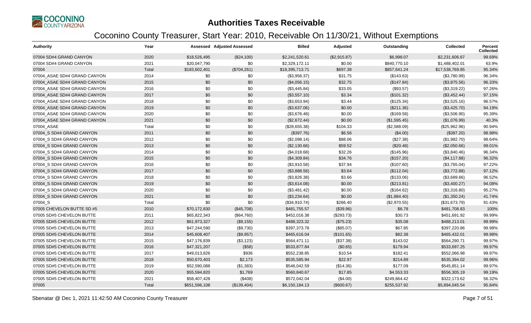

| <b>Authority</b>             | Year  |               | <b>Assessed Adjusted Assessed</b> | <b>Billed</b>   | Adjusted     | Outstanding  | <b>Collected</b> | <b>Percent</b><br><b>Collected</b> |
|------------------------------|-------|---------------|-----------------------------------|-----------------|--------------|--------------|------------------|------------------------------------|
| 07004 SD#4 GRAND CANYON      | 2020  | \$18,526,495  | (\$24,100)                        | \$2,241,520.61  | (\$2,915.87) | \$6,998.07   | \$2.231.606.67   | 99.69%                             |
| 07004 SD#4 GRAND CANYON      | 2021  | \$20,047,790  | \$0                               | \$2,329,172.11  | \$0.00       | \$840,770.10 | \$1,488,402.01   | 63.9%                              |
| 07004                        | Total | \$183,602,401 | (\$704,261)                       | \$18,395,713.71 | \$697.38     | \$857,641.24 | \$17,538,769.85  | 95.34%                             |
| 07004_ASAE SD#4 GRAND CANYON | 2014  | \$0           | \$0                               | (\$3,956.37)    | \$31.75      | (\$143.63)   | (\$3,780.99)     | 96.34%                             |
| 07004 ASAE SD#4 GRAND CANYON | 2015  | \$0           | \$0                               | (\$4,056.15)    | \$32.75      | (\$147.84)   | (\$3,875.56)     | 96.33%                             |
| 07004_ASAE SD#4 GRAND CANYON | 2016  | \$0           | \$0                               | (\$3,445.84)    | \$33.05      | (\$93.57)    | (\$3,319.22)     | 97.26%                             |
| 07004 ASAE SD#4 GRAND CANYON | 2017  | \$0           | \$0                               | (\$3,557.10)    | \$3.34       | (\$101.32)   | (\$3,452.44)     | 97.15%                             |
| 07004 ASAE SD#4 GRAND CANYON | 2018  | \$0           | \$0                               | (\$3,653.94)    | \$3.44       | (\$125.34)   | (\$3,525.16)     | 96.57%                             |
| 07004 ASAE SD#4 GRAND CANYON | 2019  | \$0           | \$0                               | (\$3,637.06)    | \$0.00       | (\$211.36)   | (\$3,425.70)     | 94.19%                             |
| 07004 ASAE SD#4 GRAND CANYON | 2020  | \$0           | \$0                               | (\$3,676.48)    | \$0.00       | (\$169.58)   | (\$3,506.90)     | 95.39%                             |
| 07004 ASAE SD#4 GRAND CANYON | 2021  | \$0           | \$0                               | (\$2,672.44)    | \$0.00       | (\$1,595.45) | (\$1,076.99)     | 40.3%                              |
| 07004_ASAE                   | Total | \$0           | \$0                               | (\$28,655.38)   | \$104.33     | (\$2,588.09) | (\$25,962.96)    | 90.94%                             |
| 07004 S SD#4 GRAND CANYON    | 2011  | \$0           | \$0                               | (\$397.76)      | \$6.56       | (\$4.00)     | (\$387.20)       | 98.98%                             |
| 07004 S SD#4 GRAND CANYON    | 2012  | \$0           | \$0                               | (\$2,098.14)    | \$88.06      | (\$27.38)    | (\$1,982.70)     | 98.64%                             |
| 07004 S SD#4 GRAND CANYON    | 2013  | \$0           | \$0                               | (\$2,130.66)    | \$59.52      | (\$20.48)    | (\$2,050.66)     | 99.01%                             |
| 07004 S SD#4 GRAND CANYON    | 2014  | \$0           | \$0                               | (\$4,018.68)    | \$32.26      | (\$145.96)   | (\$3,840.46)     | 96.34%                             |
| 07004 S SD#4 GRAND CANYON    | 2015  | \$0           | \$0                               | (\$4,309.84)    | \$34.76      | (\$157.20)   | (\$4,117.88)     | 96.32%                             |
| 07004_S SD#4 GRAND CANYON    | 2016  | \$0           | \$0                               | (\$3,910.58)    | \$37.94      | (\$107.60)   | (\$3,765.04)     | 97.22%                             |
| 07004 S SD#4 GRAND CANYON    | 2017  | \$0           | \$0                               | (\$3,888.56)    | \$3.64       | (\$112.04)   | (\$3,772.88)     | 97.12%                             |
| 07004_S SD#4 GRAND CANYON    | 2018  | \$0           | \$0                               | (\$3,826.38)    | \$3.66       | (\$133.06)   | (\$3,689.66)     | 96.52%                             |
| 07004 S SD#4 GRAND CANYON    | 2019  | \$0           | \$0                               | (\$3,614.08)    | \$0.00       | (\$213.81)   | (\$3,400.27)     | 94.08%                             |
| 07004 S SD#4 GRAND CANYON    | 2020  | \$0           | \$0                               | (\$3,481.42)    | \$0.00       | (\$164.62)   | (\$3,316.80)     | 95.27%                             |
| 07004_S SD#4 GRAND CANYON    | 2021  | \$0           | \$0                               | (\$3,234.64)    | \$0.00       | (\$1,884.40) | (\$1,350.24)     | 41.74%                             |
| 07004_S                      | Total | \$0           | \$0                               | (\$34,910.74)   | \$266.40     | (\$2,970.55) | (\$31,673.79)    | 91.43%                             |
| 07005 CHEVELON BUTTE SD #5   | 2010  | \$70,172,830  | (\$45,708)                        | \$481,755.57    | (\$39.96)    | \$6.78       | \$481,708.83     | 100%                               |
| 07005 SD#5 CHEVELON BUTTE    | 2011  | \$65,822,343  | (\$64,760)                        | \$452,016.38    | (\$293.73)   | \$30.73      | \$451,691.92     | 99.99%                             |
| 07005 SD#5 CHEVELON BUTTE    | 2012  | \$61,973,327  | (\$9,155)                         | \$488,323.32    | (\$75.23)    | \$35.08      | \$488,213.01     | 99.99%                             |
| 07005 SD#5 CHEVELON BUTTE    | 2013  | \$47,244,590  | (\$9,730)                         | \$397,373.78    | (\$85.07)    | \$67.85      | \$397,220.86     | 99.98%                             |
| 07005 SD#5 CHEVELON BUTTE    | 2014  | \$45,608,407  | (\$9,957)                         | \$465,616.04    | (\$101.65)   | \$82.38      | \$465,432.01     | 99.98%                             |
| 07005 SD#5 CHEVELON BUTTE    | 2015  | \$47,176,839  | (\$3,123)                         | \$564,471.11    | (\$37.38)    | \$143.02     | \$564,290.71     | 99.97%                             |
| 07005 SD#5 CHEVELON BUTTE    | 2016  | \$47,321,207  | (\$58)                            | \$533,877.84    | (\$0.65)     | \$179.94     | \$533,697.25     | 99.97%                             |
| 07005 SD#5 CHEVELON BUTTE    | 2017  | \$49,013,826  | \$936                             | \$552,238.85    | \$10.54      | \$182.41     | \$552,066.98     | 99.97%                             |
| 07005 SD#5 CHEVELON BUTTE    | 2018  | \$50,670,403  | \$2,173                           | \$535,585.94    | \$22.97      | \$214.89     | \$535,394.02     | 99.96%                             |
| 07005 SD#5 CHEVELON BUTTE    | 2019  | \$52,590,088  | (\$1,383)                         | \$546,042.59    | (\$14.36)    | \$177.09     | \$545,851.14     | 99.97%                             |
| 07005 SD#5 CHEVELON BUTTE    | 2020  | \$55,594,820  | \$1,769                           | \$560,840.67    | \$17.85      | \$4,553.33   | \$556,305.19     | 99.19%                             |
| 07005 SD#5 CHEVELON BUTTE    | 2021  | \$58,407,428  | (\$408)                           | \$572,042.04    | (\$4.00)     | \$249,864.42 | \$322,173.62     | 56.32%                             |
| 07005                        | Total | \$651,596,108 | (\$139,404)                       | \$6,150,184.13  | (\$600.67)   | \$255,537.92 | \$5,894,045.54   | 95.84%                             |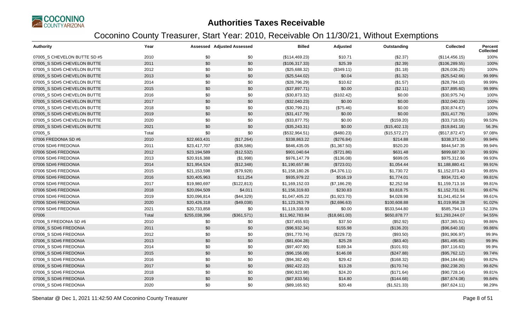

| <b>Authority</b>             | Year  |               | <b>Assessed Adjusted Assessed</b> | <b>Billed</b>   | Adjusted      | Outstanding   | <b>Collected</b> | Percent<br><b>Collected</b> |
|------------------------------|-------|---------------|-----------------------------------|-----------------|---------------|---------------|------------------|-----------------------------|
| 07005 S CHEVELON BUTTE SD #5 | 2010  | \$0           | \$0                               | (\$114,469.23)  | \$10.71       | (\$2.37)      | (\$114,456.15)   | 100%                        |
| 07005 S SD#5 CHEVELON BUTTE  | 2011  | \$0           | \$0                               | (\$106,317.33)  | \$25.39       | (\$2.39)      | (\$106, 289.55)  | 100%                        |
| 07005 S SD#5 CHEVELON BUTTE  | 2012  | \$0           | \$0                               | (\$25,688.32)   | (\$349.11)    | (\$1.18)      | (\$26,036.25)    | 100%                        |
| 07005 S SD#5 CHEVELON BUTTE  | 2013  | \$0           | \$0                               | (\$25,544.02)   | \$0.04        | (\$1.32)      | (\$25,542.66)    | 99.99%                      |
| 07005 S SD#5 CHEVELON BUTTE  | 2014  | \$0           | \$0                               | (\$28,796.29)   | \$10.62       | (\$1.57)      | (\$28,784.10)    | 99.99%                      |
| 07005 S SD#5 CHEVELON BUTTE  | 2015  | \$0           | \$0                               | (\$37,897.71)   | \$0.00        | (\$2.11)      | (\$37,895.60)    | 99.99%                      |
| 07005 S SD#5 CHEVELON BUTTE  | 2016  | \$0           | \$0                               | (\$30,873.32)   | (\$102.42)    | \$0.00        | (\$30,975.74)    | 100%                        |
| 07005 S SD#5 CHEVELON BUTTE  | 2017  | \$0           | \$0                               | (\$32,040.23)   | \$0.00        | \$0.00        | (\$32,040.23)    | 100%                        |
| 07005_S SD#5 CHEVELON BUTTE  | 2018  | \$0           | \$0                               | (\$30,799.21)   | (\$75.46)     | \$0.00        | (\$30,874.67)    | 100%                        |
| 07005 S SD#5 CHEVELON BUTTE  | 2019  | \$0           | \$0                               | (\$31,417.79)   | \$0.00        | \$0.00        | (\$31,417.79)    | 100%                        |
| 07005 S SD#5 CHEVELON BUTTE  | 2020  | \$0           | \$0                               | (\$33,877.75)   | \$0.00        | (\$159.20)    | (\$33,718.55)    | 99.53%                      |
| 07005_S SD#5 CHEVELON BUTTE  | 2021  | \$0           | \$0                               | (\$35,243.31)   | \$0.00        | (\$15,402.13) | (\$19,841.18)    | 56.3%                       |
| 07005_S                      | Total | \$0           | \$0                               | (\$532,964.51)  | (\$480.23)    | (\$15,572.27) | (\$517,872.47)   | 97.08%                      |
| 07006 FREDONIA SD #6         | 2010  | \$22,663,431  | (\$17,264)                        | \$338,863.22    | (\$276.84)    | \$214.88      | \$338,371.50     | 99.94%                      |
| 07006 SD#6 FREDONIA          | 2011  | \$23,417,707  | (\$36,586)                        | \$846,435.05    | (\$1,367.50)  | \$520.20      | \$844,547.35     | 99.94%                      |
| 07006 SD#6 FREDONIA          | 2012  | \$23,194,589  | (\$12,532)                        | \$901,040.64    | (\$721.86)    | \$631.48      | \$899,687.30     | 99.93%                      |
| 07006 SD#6 FREDONIA          | 2013  | \$20,916,388  | (\$1,998)                         | \$976,147.79    | (\$136.08)    | \$699.05      | \$975,312.66     | 99.93%                      |
| 07006 SD#6 FREDONIA          | 2014  | \$21,954,524  | (\$12,348)                        | \$1,190,657.86  | (\$723.01)    | \$1,054.44    | \$1,188,880.41   | 99.91%                      |
| 07006 SD#6 FREDONIA          | 2015  | \$21,153,598  | (\$79,928)                        | \$1,158,180.26  | (\$4,376.11)  | \$1,730.72    | \$1,152,073.43   | 99.85%                      |
| 07006 SD#6 FREDONIA          | 2016  | \$20,405,963  | \$11,254                          | \$935,979.22    | \$516.19      | \$1,774.01    | \$934,721.40     | 99.81%                      |
| 07006 SD#6 FREDONIA          | 2017  | \$19,980,697  | (\$122,813)                       | \$1,169,152.03  | (\$7,186.29)  | \$2,252.58    | \$1,159,713.16   | 99.81%                      |
| 07006 SD#6 FREDONIA          | 2018  | \$20,094,509  | \$4,011                           | \$1,156,319.83  | \$230.83      | \$3,818.75    | \$1,152,731.91   | 99.67%                      |
| 07006 SD#6 FREDONIA          | 2019  | \$20,096,814  | (\$44,329)                        | \$1,047,405.22  | (\$1,923.70)  | \$4,028.98    | \$1,041,452.54   | 99.61%                      |
| 07006 SD#6 FREDONIA          | 2020  | \$20,426,318  | (\$49,038)                        | \$1,123,263.79  | (\$2,696.63)  | \$100,608.88  | \$1,019,958.28   | 91.02%                      |
| 07006 SD#6 FREDONIA          | 2021  | \$20,733,858  | \$0                               | \$1,119,338.93  | \$0.00        | \$533,544.80  | \$585,794.13     | 52.33%                      |
| 07006                        | Total | \$255,038,396 | (\$361,571)                       | \$11,962,783.84 | (\$18,661.00) | \$650,878.77  | \$11,293,244.07  | 94.55%                      |
| 07006_S FREDONIA SD #6       | 2010  | \$0           | \$0                               | (\$37,455.93)   | \$37.50       | (\$52.92)     | (\$37,365.51)    | 99.86%                      |
| 07006 S SD#6 FREDONIA        | 2011  | \$0           | \$0                               | (\$96,932.34)   | \$155.98      | (\$136.20)    | (\$96,640.16)    | 99.86%                      |
| 07006_S SD#6 FREDONIA        | 2012  | \$0           | \$0                               | (\$91,770.74)   | (\$229.73)    | (\$93.50)     | (\$91,906.97)    | 99.9%                       |
| 07006_S SD#6 FREDONIA        | 2013  | \$0           | \$0                               | (\$81,604.28)   | \$25.28       | (\$83.40)     | (\$81,495.60)    | 99.9%                       |
| 07006 S SD#6 FREDONIA        | 2014  | \$0           | \$0                               | (\$97,407.90)   | \$189.34      | (\$101.93)    | (\$97,116.63)    | 99.9%                       |
| 07006 S SD#6 FREDONIA        | 2015  | \$0           | \$0                               | (\$96,156.08)   | \$146.08      | (\$247.88)    | (\$95,762.12)    | 99.74%                      |
| 07006 S SD#6 FREDONIA        | 2016  | \$0           | \$0                               | (\$94,382.40)   | \$29.42       | (\$168.32)    | (\$94,184.66)    | 99.82%                      |
| 07006_S SD#6 FREDONIA        | 2017  | \$0           | \$0                               | (\$92,422.22)   | \$13.28       | (\$170.74)    | (\$92,238.20)    | 99.82%                      |
| 07006_S SD#6 FREDONIA        | 2018  | \$0           | \$0                               | (\$90,923.98)   | \$24.20       | (\$171.64)    | (\$90,728.14)    | 99.81%                      |
| 07006 S SD#6 FREDONIA        | 2019  | \$0           | \$0                               | (\$87,833.56)   | \$14.80       | (\$144.68)    | (\$87,674.08)    | 99.84%                      |
| 07006 S SD#6 FREDONIA        | 2020  | \$0           | \$0                               | (\$89,165.92)   | \$20.48       | (\$1,521.33)  | (\$87,624.11)    | 98.29%                      |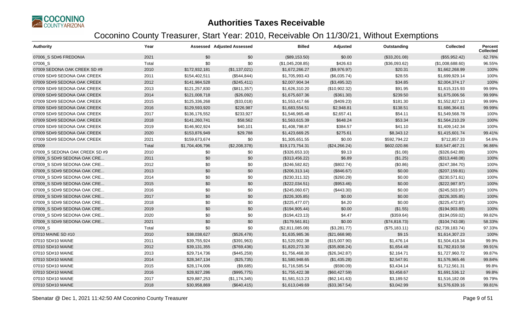

| Authority                      | Year  |                 | <b>Assessed Adjusted Assessed</b> | <b>Billed</b>    | <b>Adjusted</b> | Outstanding   | <b>Collected</b> | <b>Percent</b><br><b>Collected</b> |
|--------------------------------|-------|-----------------|-----------------------------------|------------------|-----------------|---------------|------------------|------------------------------------|
| 07006 S SD#6 FREDONIA          | 2021  | \$0             | \$0                               | (\$89,153.50)    | \$0.00          | (\$33,201.08) | (\$55,952.42)    | 62.76%                             |
| 07006_S                        | Total | \$0             | \$0                               | (\$1,045,208.85) | \$426.63        | (\$36,093.62) | (\$1,008,688.60) | 96.55%                             |
| 07009 SEDONA OAK CREEK SD #9   | 2010  | \$172,932,181   | (\$1,137,021)                     | \$1,672,266.27   | (\$9,976.97)    | \$20.31       | \$1,662,268.99   | 100%                               |
| 07009 SD#9 SEDONA OAK CREEK    | 2011  | \$154,402,511   | (\$544, 844)                      | \$1,705,993.43   | (\$6,035.74)    | \$28.55       | \$1,699,929.14   | 100%                               |
| 07009 SD#9 SEDONA OAK CREEK    | 2012  | \$141,984,528   | (\$245,411)                       | \$2,007,904.34   | (\$3,495.32)    | \$34.85       | \$2,004,374.17   | 100%                               |
| 07009 SD#9 SEDONA OAK CREEK    | 2013  | \$121,257,830   | (\$811,357)                       | \$1,626,310.20   | (\$10,902.32)   | \$91.95       | \$1,615,315.93   | 99.99%                             |
| 07009 SD#9 SEDONA OAK CREEK    | 2014  | \$121,008,718   | (\$26,092)                        | \$1,675,607.36   | (\$361.30)      | \$239.50      | \$1,675,006.56   | 99.99%                             |
| 07009 SD#9 SEDONA OAK CREEK    | 2015  | \$125,336,268   | (\$33,018)                        | \$1,553,417.66   | (\$409.23)      | \$181.30      | \$1,552,827.13   | 99.99%                             |
| 07009 SD#9 SEDONA OAK CREEK    | 2016  | \$129,593,920   | \$226,987                         | \$1,683,554.51   | \$2,948.81      | \$138.51      | \$1,686,364.81   | 99.99%                             |
| 07009 SD#9 SEDONA OAK CREEK    | 2017  | \$136,176,552   | \$233,927                         | \$1,546,965.48   | \$2,657.41      | \$54.11       | \$1,549,568.78   | 100%                               |
| 07009 SD#9 SEDONA OAK CREEK    | 2018  | \$141,260,741   | \$58,562                          | \$1,563,615.39   | \$648.24        | \$53.34       | \$1,564,210.29   | 100%                               |
| 07009 SD#9 SEDONA OAK CREEK    | 2019  | \$146,902,924   | \$40,101                          | \$1,408,798.87   | \$384.57        | \$41.10       | \$1,409,142.34   | 100%                               |
| 07009 SD#9 SEDONA OAK CREEK    | 2020  | \$153,876,949   | \$29,788                          | \$1,423,669.25   | \$275.61        | \$8,343.12    | \$1,415,601.74   | 99.41%                             |
| 07009 SD#9 SEDONA OAK CREEK    | 2021  | \$159,673,674   | \$0                               | \$1,305,651.55   | \$0.00          | \$592,794.22  | \$712,857.33     | 54.6%                              |
| 07009                          | Total | \$1,704,406,796 | (\$2,208,378)                     | \$19,173,754.31  | (\$24, 266.24)  | \$602,020.86  | \$18,547,467.21  | 96.86%                             |
| 07009 S SEDONA OAK CREEK SD #9 | 2010  | \$0             | \$0                               | (\$326,653.10)   | \$9.13          | (\$1.08)      | (\$326,642.89)   | 100%                               |
| 07009 S SD#9 SEDONA OAK CRE    | 2011  | \$0             | \$0                               | (\$313,456.22)   | \$6.89          | (\$1.25)      | (\$313,448.08)   | 100%                               |
| 07009_S SD#9 SEDONA OAK CRE    | 2012  | \$0             | \$0                               | (\$246,582.82)   | (\$802.74)      | (\$0.86)      | (\$247,384.70)   | 100%                               |
| 07009 S SD#9 SEDONA OAK CRE    | 2013  | \$0             | \$0                               | (\$206,313.14)   | (\$846.67)      | \$0.00        | (\$207,159.81)   | 100%                               |
| 07009_S SD#9 SEDONA OAK CRE    | 2014  | \$0             | \$0                               | (\$230,311.32)   | $(\$260.29)$    | \$0.00        | (\$230,571.61)   | 100%                               |
| 07009 S SD#9 SEDONA OAK CRE    | 2015  | \$0             | \$0                               | (\$222,034.51)   | (\$953.46)      | \$0.00        | (\$222,987.97)   | 100%                               |
| 07009_S SD#9 SEDONA OAK CRE    | 2016  | \$0             | \$0                               | (\$245,060.67)   | (\$443.30)      | \$0.00        | (\$245,503.97)   | 100%                               |
| 07009 S SD#9 SEDONA OAK CRE    | 2017  | \$0             | \$0                               | (\$226,305.85)   | \$0.00          | \$0.00        | $(\$226,305.85)$ | 100%                               |
| 07009_S SD#9 SEDONA OAK CRE    | 2018  | \$0             | \$0                               | (\$225,477.07)   | \$4.20          | \$0.00        | (\$225,472.87)   | 100%                               |
| 07009 S SD#9 SEDONA OAK CRE    | 2019  | \$0             | \$0                               | (\$194,905.44)   | \$0.00          | (\$1.55)      | (\$194,903.89)   | 100%                               |
| 07009_S SD#9 SEDONA OAK CRE    | 2020  | \$0             | \$0                               | (\$194, 423.13)  | \$4.47          | (\$359.64)    | (\$194,059.02)   | 99.82%                             |
| 07009_S SD#9 SEDONA OAK CRE    | 2021  | \$0             | \$0                               | (\$179,561.81)   | \$0.00          | (\$74,818.73) | (\$104,743.08)   | 58.33%                             |
| 07009_S                        | Total | \$0             | \$0                               | (\$2,811,085.08) | (\$3,281.77)    | (\$75,183.11) | (\$2,739,183.74) | 97.33%                             |
| 07010 MAINE SD #10             | 2010  | \$38,038,627    | (\$526,478)                       | \$1,635,985.36   | (\$21,668.98)   | \$9.15        | \$1,614,307.23   | 100%                               |
| 07010 SD#10 MAINE              | 2011  | \$39,755,924    | (\$391,963)                       | \$1,520,902.38   | (\$15,007.90)   | \$1,476.14    | \$1,504,418.34   | 99.9%                              |
| 07010 SD#10 MAINE              | 2012  | \$39,131,355    | (\$769,436)                       | \$1,820,273.30   | (\$35,808.24)   | \$1,654.48    | \$1,782,810.58   | 99.91%                             |
| 07010 SD#10 MAINE              | 2013  | \$29,714,736    | (\$445,259)                       | \$1,756,468.30   | (\$26,342.87)   | \$2,164.71    | \$1,727,960.72   | 99.87%                             |
| 07010 SD#10 MAINE              | 2014  | \$28,347,134    | (\$25,735)                        | \$1,580,948.65   | (\$1,435.28)    | \$2,547.91    | \$1,576,965.46   | 99.84%                             |
| 07010 SD#10 MAINE              | 2015  | \$28,174,006    | (\$9,685)                         | \$1,716,585.54   | (\$590.09)      | \$3,434.14    | \$1,712,561.31   | 99.8%                              |
| 07010 SD#10 MAINE              | 2016  | \$28,927,286    | (\$995,775)                       | \$1,755,422.38   | (\$60,427.59)   | \$3,458.67    | \$1,691,536.12   | 99.8%                              |
| 07010 SD#10 MAINE              | 2017  | \$29,887,253    | (\$1,174,345)                     | \$1,581,513.23   | (\$62,141.63)   | \$3,189.52    | \$1,516,182.08   | 99.79%                             |
| 07010 SD#10 MAINE              | 2018  | \$30,958,869    | (\$640, 415)                      | \$1,613,049.69   | (\$33,367.54)   | \$3,042.99    | \$1,576,639.16   | 99.81%                             |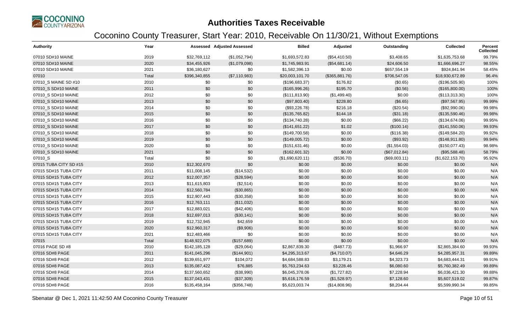

| Authority              | Year  |               | <b>Assessed Adjusted Assessed</b> | <b>Billed</b>    | Adjusted       | Outstanding   | <b>Collected</b> | Percent<br><b>Collected</b> |
|------------------------|-------|---------------|-----------------------------------|------------------|----------------|---------------|------------------|-----------------------------|
| 07010 SD#10 MAINE      | 2019  | \$32,769,112  | (\$1,052,794)                     | \$1,693,572.83   | (\$54,410.50)  | \$3,408.65    | \$1,635,753.68   | 99.79%                      |
| 07010 SD#10 MAINE      | 2020  | \$34,455,926  | (\$1,079,098)                     | \$1,745,983.91   | (\$54,681.14)  | \$24,606.50   | \$1,666,696.27   | 98.55%                      |
| 07010 SD#10 MAINE      | 2021  | \$36,180,627  | \$0                               | \$1,582,396.13   | \$0.00         | \$657,554.19  | \$924,841.94     | 58.45%                      |
| 07010                  | Total | \$396,340,855 | (\$7,110,983)                     | \$20,003,101.70  | (\$365,881.76) | \$706,547.05  | \$18,930,672.89  | 96.4%                       |
| 07010_S MAINE SD #10   | 2010  | \$0           | \$0                               | (\$196,683.37)   | \$176.82       | (\$0.65)      | (\$196,505.90)   | 100%                        |
| 07010_S SD#10 MAINE    | 2011  | \$0           | \$0                               | (\$165,996.26)   | \$195.70       | (\$0.56)      | (\$165,800.00)   | 100%                        |
| 07010_S SD#10 MAINE    | 2012  | \$0           | \$0                               | (\$111, 813.90)  | (\$1,499.40)   | \$0.00        | (\$113,313.30)   | 100%                        |
| 07010 S SD#10 MAINE    | 2013  | \$0           | \$0                               | (\$97,803.40)    | \$228.80       | (\$6.65)      | (\$97,567.95)    | 99.99%                      |
| 07010_S SD#10 MAINE    | 2014  | \$0           | \$0                               | (\$93,226.78)    | \$216.18       | (\$20.54)     | (\$92,990.06)    | 99.98%                      |
| 07010 S SD#10 MAINE    | 2015  | \$0           | \$0                               | (\$135,765.82)   | \$144.18       | (\$31.18)     | (\$135,590.46)   | 99.98%                      |
| 07010 S SD#10 MAINE    | 2016  | \$0           | \$0                               | (\$134,740.28)   | \$0.00         | (\$66.22)     | (\$134,674.06)   | 99.95%                      |
| 07010_S SD#10 MAINE    | 2017  | \$0           | \$0                               | (\$141,651.22)   | \$1.02         | (\$100.14)    | (\$141,550.06)   | 99.93%                      |
| 07010 S SD#10 MAINE    | 2018  | \$0           | \$0                               | (\$149,700.58)   | \$0.00         | (\$116.38)    | (\$149,584.20)   | 99.92%                      |
| 07010_S SD#10 MAINE    | 2019  | \$0           | \$0                               | (\$149,005.72)   | \$0.00         | (\$93.92)     | (\$148,911.80)   | 99.94%                      |
| 07010_S SD#10 MAINE    | 2020  | \$0           | \$0                               | (\$151,631.46)   | \$0.00         | (\$1,554.03)  | (\$150,077.43)   | 98.98%                      |
| 07010_S SD#10 MAINE    | 2021  | \$0           | \$0                               | (\$162,601.32)   | \$0.00         | (\$67,012.84) | (\$95,588.48)    | 58.79%                      |
| 07010_S                | Total | \$0           | \$0                               | (\$1,690,620.11) | (\$536.70)     | (\$69,003.11) | (\$1,622,153.70) | 95.92%                      |
| 07015 TUBA CITY SD #15 | 2010  | \$12,302,670  | \$0                               | \$0.00           | \$0.00         | \$0.00        | \$0.00           | N/A                         |
| 07015 SD#15 TUBA CITY  | 2011  | \$11,008,145  | (\$14,532)                        | \$0.00           | \$0.00         | \$0.00        | \$0.00           | N/A                         |
| 07015 SD#15 TUBA CITY  | 2012  | \$12,007,357  | (\$28,594)                        | \$0.00           | \$0.00         | \$0.00        | \$0.00           | N/A                         |
| 07015 SD#15 TUBA CITY  | 2013  | \$11,615,803  | (\$2,514)                         | \$0.00           | \$0.00         | \$0.00        | \$0.00           | N/A                         |
| 07015 SD#15 TUBA CITY  | 2014  | \$12,560,784  | (\$30,865)                        | \$0.00           | \$0.00         | \$0.00        | \$0.00           | N/A                         |
| 07015 SD#15 TUBA CITY  | 2015  | \$12,907,443  | (\$30,358)                        | \$0.00           | \$0.00         | \$0.00        | \$0.00           | N/A                         |
| 07015 SD#15 TUBA CITY  | 2016  | \$12,763,111  | (\$11,032)                        | \$0.00           | \$0.00         | \$0.00        | \$0.00           | N/A                         |
| 07015 SD#15 TUBA CITY  | 2017  | \$12,883,021  | (\$42,406)                        | \$0.00           | \$0.00         | \$0.00        | \$0.00           | N/A                         |
| 07015 SD#15 TUBA CITY  | 2018  | \$12,697,013  | (\$30,141)                        | \$0.00           | \$0.00         | \$0.00        | \$0.00           | N/A                         |
| 07015 SD#15 TUBA CITY  | 2019  | \$12,732,945  | \$42,659                          | \$0.00           | \$0.00         | \$0.00        | \$0.00           | N/A                         |
| 07015 SD#15 TUBA CITY  | 2020  | \$12,960,317  | (\$9,906)                         | \$0.00           | \$0.00         | \$0.00        | \$0.00           | N/A                         |
| 07015 SD#15 TUBA CITY  | 2021  | \$12,483,466  | \$0                               | \$0.00           | \$0.00         | \$0.00        | \$0.00           | N/A                         |
| 07015                  | Total | \$148,922,075 | (\$157,689)                       | \$0.00           | \$0.00         | \$0.00        | \$0.00           | N/A                         |
| 07016 PAGE SD #8       | 2010  | \$142,185,128 | (\$29,064)                        | \$2,867,839.30   | (\$487.73)     | \$1,966.97    | \$2,865,384.60   | 99.93%                      |
| 07016 SD#8 PAGE        | 2011  | \$141,045,296 | (\$144,901)                       | \$4,295,313.67   | (\$4,710.07)   | \$4,646.29    | \$4,285,957.31   | 99.89%                      |
| 07016 SD#8 PAGE        | 2012  | \$139,651,977 | \$104,072                         | \$4,684,588.83   | \$3,179.21     | \$4,323.73    | \$4,683,444.31   | 99.91%                      |
| 07016 SD#8 PAGE        | 2013  | \$135,087,422 | \$76,885                          | \$5,763,234.63   | \$3,228.46     | \$6,080.60    | \$5,760,382.49   | 99.89%                      |
| 07016 SD#8 PAGE        | 2014  | \$137,560,652 | (\$38,990)                        | \$6,045,378.06   | (\$1,727.82)   | \$7,228.94    | \$6,036,421.30   | 99.88%                      |
| 07016 SD#8 PAGE        | 2015  | \$137,043,431 | (\$37,309)                        | \$5,616,176.59   | (\$1,528.97)   | \$7,128.60    | \$5,607,519.02   | 99.87%                      |
| 07016 SD#8 PAGE        | 2016  | \$135,458,164 | (\$356,748)                       | \$5,623,003.74   | (\$14,808.96)  | \$8,204.44    | \$5,599,990.34   | 99.85%                      |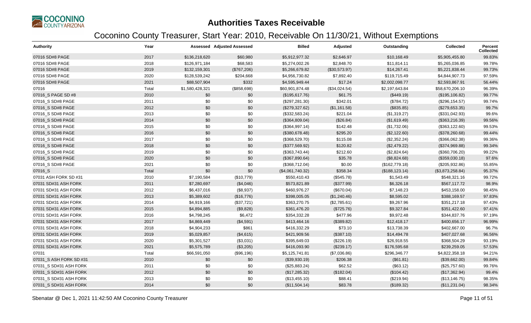

| <b>Authority</b>        | Year  |                 | <b>Assessed Adjusted Assessed</b> | <b>Billed</b>    | Adjusted      | Outstanding     | <b>Collected</b> | Percent<br><b>Collected</b> |
|-------------------------|-------|-----------------|-----------------------------------|------------------|---------------|-----------------|------------------|-----------------------------|
| 07016 SD#8 PAGE         | 2017  | \$136,218,620   | \$60,980                          | \$5,912,977.32   | \$2,646.97    | \$10,168.49     | \$5,905,455.80   | 99.83%                      |
| 07016 SD#8 PAGE         | 2018  | \$126,971,184   | \$68,583                          | \$5,274,002.26   | \$2,848.70    | \$11,814.11     | \$5,265,036.85   | 99.78%                      |
| 07016 SD#8 PAGE         | 2019  | \$132,159,301   | (\$767,206)                       | \$5,266,679.82   | (\$30,573.97) | \$14,267.41     | \$5,221,838.44   | 99.73%                      |
| 07016 SD#8 PAGE         | 2020  | \$128,539,242   | \$204,668                         | \$4,956,730.82   | \$7,892.40    | \$119,715.49    | \$4,844,907.73   | 97.59%                      |
| 07016 SD#8 PAGE         | 2021  | \$88,507,904    | \$332                             | \$4,595,949.44   | \$17.24       | \$2,002,098.77  | \$2,593,867.91   | 56.44%                      |
| 07016                   | Total | \$1,580,428,321 | (\$858,698)                       | \$60,901,874.48  | (\$34,024.54) | \$2,197,643.84  | \$58,670,206.10  | 96.39%                      |
| 07016_S PAGE SD #8      | 2010  | \$0             | \$0                               | (\$195,617.76)   | \$61.75       | (\$449.19)      | (\$195, 106.82)  | 99.77%                      |
| 07016_S SD#8 PAGE       | 2011  | \$0             | \$0                               | (\$297, 281.30)  | \$342.01      | (\$784.72)      | (\$296, 154.57)  | 99.74%                      |
| 07016_S SD#8 PAGE       | 2012  | \$0             | \$0                               | (\$279,327.62)   | (\$1,161.58)  | (\$835.85)      | (\$279,653.35)   | 99.7%                       |
| 07016 S SD#8 PAGE       | 2013  | \$0             | \$0                               | (\$332,583.24)   | \$221.04      | (\$1,319.27)    | (\$331,042.93)   | 99.6%                       |
| 07016 S SD#8 PAGE       | 2014  | \$0             | \$0                               | (\$364,809.04)   | (\$26.84)     | (\$1,619.49)    | (\$363,216.39)   | 99.56%                      |
| 07016_S SD#8 PAGE       | 2015  | \$0             | \$0                               | (\$364,997.14)   | \$142.48      | (\$1,732.06)    | (\$363, 122.60)  | 99.53%                      |
| 07016 S SD#8 PAGE       | 2016  | \$0             | \$0                               | (\$380,678.48)   | \$295.20      | (\$2,122.60)    | (\$378,260.68)   | 99.44%                      |
| 07016_S SD#8 PAGE       | 2017  | \$0             | \$0                               | (\$368,529.70)   | \$115.08      | (\$2,352.24)    | (\$366,062.38)   | 99.36%                      |
| 07016_S SD#8 PAGE       | 2018  | \$0             | \$0                               | (\$377,569.92)   | \$120.82      | (\$2,479.22)    | (\$374,969.88)   | 99.34%                      |
| 07016 S SD#8 PAGE       | 2019  | \$0             | \$0                               | (\$363,743.44)   | \$212.60      | (\$2,824.64)    | (\$360,706.20)   | 99.22%                      |
| 07016_S SD#8 PAGE       | 2020  | \$0             | \$0                               | (\$367,890.64)   | \$35.78       | (\$8,824.68)    | (\$359,030.18)   | 97.6%                       |
| 07016_S SD#8 PAGE       | 2021  | \$0             | \$0                               | (\$368,712.04)   | \$0.00        | (\$162,779.18)  | (\$205,932.86)   | 55.85%                      |
| 07016_S                 | Total | \$0             | \$0                               | (\$4,061,740.32) | \$358.34      | (\$188, 123.14) | (\$3,873,258.84) | 95.37%                      |
| 07031 ASH FORK SD #31   | 2010  | \$7,190,584     | (\$10,779)                        | \$550,410.43     | (\$545.78)    | \$1,543.49      | \$548,321.16     | 99.72%                      |
| 07031 SD#31 ASH FORK    | 2011  | \$7,280,697     | (\$4,046)                         | \$573,821.89     | (\$377.99)    | \$6,326.18      | \$567,117.72     | 98.9%                       |
| 07031 SD#31 ASH FORK    | 2012  | \$6,437,016     | (\$8,937)                         | \$460,976.27     | (\$670.04)    | \$7,148.23      | \$453,158.00     | 98.45%                      |
| 07031 SD#31 ASH FORK    | 2013  | \$5,389,602     | (\$16,776)                        | \$398,005.05     | (\$1,240.46)  | \$8,595.02      | \$388,169.57     | 97.83%                      |
| 07031 SD#31 ASH FORK    | 2014  | \$4,919,166     | (\$37,721)                        | \$363,270.75     | (\$2,785.61)  | \$9,267.96      | \$351,217.18     | 97.43%                      |
| 07031 SD#31 ASH FORK    | 2015  | \$4,894,885     | (\$9,828)                         | \$361,476.20     | (\$725.76)    | \$9,327.84      | \$351,422.60     | 97.41%                      |
| 07031 SD#31 ASH FORK    | 2016  | \$4,798,245     | \$6,472                           | \$354,332.28     | \$477.96      | \$9,972.48      | \$344,837.76     | 97.19%                      |
| 07031 SD#31 ASH FORK    | 2017  | \$4,869,449     | (\$4,591)                         | \$413,464.16     | (\$389.82)    | \$12,418.17     | \$400,656.17     | 96.99%                      |
| 07031 SD#31 ASH FORK    | 2018  | \$4,904,233     | \$861                             | \$416,332.29     | \$73.10       | \$13,738.39     | \$402,667.00     | 96.7%                       |
| 07031 SD#31 ASH FORK    | 2019  | \$5,029,857     | (\$4,615)                         | \$421,909.56     | (\$387.10)    | \$14,494.78     | \$407,027.68     | 96.56%                      |
| 07031 SD#31 ASH FORK    | 2020  | \$5,301,527     | (\$3,031)                         | \$395,649.03     | (\$226.19)    | \$26,918.55     | \$368,504.29     | 93.19%                      |
| 07031 SD#31 ASH FORK    | 2021  | \$5,575,789     | (\$3,205)                         | \$416,093.90     | (\$239.17)    | \$176,595.68    | \$239,259.05     | 57.53%                      |
| 07031                   | Total | \$66,591,050    | (\$96,196)                        | \$5,125,741.81   | (\$7,036.86)  | \$296,346.77    | \$4,822,358.18   | 94.21%                      |
| 07031_S ASH FORK SD #31 | 2010  | \$0             | \$0                               | (\$39,930.19)    | \$206.38      | (\$61.81)       | (\$39,662.00)    | 99.84%                      |
| 07031_S SD#31 ASH FORK  | 2011  | \$0             | \$0                               | (\$25,883.24)    | \$62.52       | (\$63.12)       | (\$25,757.60)    | 99.76%                      |
| 07031_S SD#31 ASH FORK  | 2012  | \$0             | \$0                               | (\$17,285.32)    | (\$182.04)    | (\$104.42)      | (\$17,362.94)    | 99.4%                       |
| 07031 S SD#31 ASH FORK  | 2013  | \$0             | \$0                               | (\$13,455.10)    | \$88.41       | (\$219.94)      | (\$13,146.75)    | 98.35%                      |
| 07031_S SD#31 ASH FORK  | 2014  | \$0             | \$0                               | (\$11,504.14)    | \$83.78       | (\$189.32)      | (\$11,231.04)    | 98.34%                      |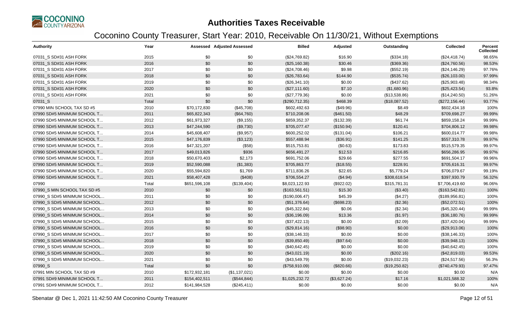

| <b>Authority</b>             | Year  |               | <b>Assessed Adjusted Assessed</b> | <b>Billed</b>  | Adjusted     | Outstanding   | <b>Collected</b> | <b>Percent</b><br><b>Collected</b> |
|------------------------------|-------|---------------|-----------------------------------|----------------|--------------|---------------|------------------|------------------------------------|
| 07031_S SD#31 ASH FORK       | 2015  | \$0           | \$0                               | (\$24,769.82)  | \$16.90      | (\$334.18)    | (\$24,418.74)    | 98.65%                             |
| 07031 S SD#31 ASH FORK       | 2016  | \$0           | \$0                               | (\$25,160.38)  | \$30.46      | (\$369.36)    | (\$24,760.56)    | 98.53%                             |
| 07031_S SD#31 ASH FORK       | 2017  | \$0           | \$0                               | (\$24,708.46)  | \$9.98       | (\$552.19)    | (\$24,146.29)    | 97.76%                             |
| 07031_S SD#31 ASH FORK       | 2018  | \$0           | \$0                               | (\$26,783.64)  | \$144.90     | (\$535.74)    | (\$26,103.00)    | 97.99%                             |
| 07031_S SD#31 ASH FORK       | 2019  | \$0           | \$0                               | (\$26,341.10)  | \$0.00       | (\$437.62)    | (\$25,903.48)    | 98.34%                             |
| 07031_S SD#31 ASH FORK       | 2020  | \$0           | \$0                               | (\$27,111.60)  | \$7.10       | (\$1,680.96)  | (\$25,423.54)    | 93.8%                              |
| 07031_S SD#31 ASH FORK       | 2021  | \$0           | \$0                               | (\$27,779.36)  | \$0.00       | (\$13,538.86) | (\$14,240.50)    | 51.26%                             |
| 07031_S                      | Total | \$0           | \$0                               | (\$290,712.35) | \$468.39     | (\$18,087.52) | (\$272,156.44)   | 93.77%                             |
| 07990 MIN SCHOOL TAX SD #5   | 2010  | \$70,172,830  | (\$45,708)                        | \$602,492.63   | (\$49.96)    | \$8.49        | \$602,434.18     | 100%                               |
| 07990 SD#5 MINIMUM SCHOOL T  | 2011  | \$65,822,343  | (\$64,760)                        | \$710,208.06   | (\$461.50)   | \$48.29       | \$709,698.27     | 99.99%                             |
| 07990 SD#5 MINIMUM SCHOOL T  | 2012  | \$61,973,327  | (\$9,155)                         | \$859,352.37   | (\$132.39)   | \$61.74       | \$859,158.24     | 99.99%                             |
| 07990 SD#5 MINIMUM SCHOOL T  | 2013  | \$47,244,590  | (\$9,730)                         | \$705,077.47   | (\$150.94)   | \$120.41      | \$704,806.12     | 99.98%                             |
| 07990 SD#5 MINIMUM SCHOOL T  | 2014  | \$45,608,407  | (\$9,957)                         | \$600,252.02   | (\$131.04)   | \$106.21      | \$600,014.77     | 99.98%                             |
| 07990 SD#5 MINIMUM SCHOOL T  | 2015  | \$47,176,839  | (\$3,123)                         | \$557,488.94   | (\$36.91)    | \$141.25      | \$557,310.78     | 99.97%                             |
| 07990 SD#5 MINIMUM SCHOOL T  | 2016  | \$47,321,207  | (\$58)                            | \$515,753.81   | (\$0.63)     | \$173.83      | \$515,579.35     | 99.97%                             |
| 07990 SD#5 MINIMUM SCHOOL T  | 2017  | \$49,013,826  | \$936                             | \$656,491.27   | \$12.53      | \$216.85      | \$656,286.95     | 99.97%                             |
| 07990 SD#5 MINIMUM SCHOOL T  | 2018  | \$50,670,403  | \$2,173                           | \$691,752.06   | \$29.66      | \$277.55      | \$691,504.17     | 99.96%                             |
| 07990 SD#5 MINIMUM SCHOOL T  | 2019  | \$52,590,088  | (\$1,383)                         | \$705,863.77   | (\$18.55)    | \$228.91      | \$705,616.31     | 99.97%                             |
| 07990 SD#5 MINIMUM SCHOOL T  | 2020  | \$55,594,820  | \$1,769                           | \$711,836.26   | \$22.65      | \$5,779.24    | \$706,079.67     | 99.19%                             |
| 07990 SD#5 MINIMUM SCHOOL T  | 2021  | \$58,407,428  | (\$408)                           | \$706,554.27   | (\$4.94)     | \$308,618.54  | \$397,930.79     | 56.32%                             |
| 07990                        | Total | \$651,596,108 | (\$139,404)                       | \$8,023,122.93 | (\$922.02)   | \$315,781.31  | \$7,706,419.60   | 96.06%                             |
| 07990 S MIN SCHOOL TAX SD #5 | 2010  | \$0           | \$0                               | (\$163,561.51) | \$15.30      | (\$3.40)      | (\$163,542.81)   | 100%                               |
| 07990_S SD#5 MINIMUM SCHOOL  | 2011  | \$0           | \$0                               | (\$190,006.47) | \$45.39      | (\$4.27)      | (\$189,956.81)   | 100%                               |
| 07990_S SD#5 MINIMUM SCHOOL  | 2012  | \$0           | \$0                               | (\$51,376.64)  | (\$698.23)   | (\$2.36)      | (\$52,072.51)    | 100%                               |
| 07990 S SD#5 MINIMUM SCHOOL  | 2013  | \$0           | \$0                               | (\$45,322.84)  | \$0.06       | (\$2.34)      | (\$45,320.44)    | 99.99%                             |
| 07990 S SD#5 MINIMUM SCHOOL  | 2014  | \$0           | \$0                               | (\$36,196.09)  | \$13.36      | (\$1.97)      | (\$36,180.76)    | 99.99%                             |
| 07990_S SD#5 MINIMUM SCHOOL  | 2015  | \$0           | \$0                               | (\$37,422.13)  | \$0.00       | (\$2.09)      | (\$37,420.04)    | 99.99%                             |
| 07990 S SD#5 MINIMUM SCHOOL  | 2016  | \$0           | \$0                               | (\$29,814.16)  | (\$98.90)    | \$0.00        | (\$29,913.06)    | 100%                               |
| 07990_S SD#5 MINIMUM SCHOOL  | 2017  | \$0           | \$0                               | (\$38,146.33)  | \$0.00       | \$0.00        | (\$38,146.33)    | 100%                               |
| 07990 S SD#5 MINIMUM SCHOOL  | 2018  | \$0           | \$0                               | (\$39,850.49)  | (\$97.64)    | \$0.00        | (\$39,948.13)    | 100%                               |
| 07990 S SD#5 MINIMUM SCHOOL  | 2019  | \$0           | \$0                               | (\$40,642.45)  | \$0.00       | \$0.00        | (\$40,642.45)    | 100%                               |
| 07990_S SD#5 MINIMUM SCHOOL  | 2020  | \$0           | \$0                               | (\$43,021.19)  | \$0.00       | (\$202.16)    | (\$42,819.03)    | 99.53%                             |
| 07990 S SD#5 MINIMUM SCHOOL  | 2021  | \$0           | \$0                               | (\$43,549.79)  | \$0.00       | (\$19,032.23) | (\$24,517.56)    | 56.3%                              |
| 07990_S                      | Total | \$0           | \$0                               | (\$758,910.09) | (\$820.66)   | (\$19,250.82) | (\$740,479.93)   | 97.47%                             |
| 07991 MIN SCHOOL TAX SD #9   | 2010  | \$172,932,181 | (\$1,137,021)                     | \$0.00         | \$0.00       | \$0.00        | \$0.00           | N/A                                |
| 07991 SD#9 MINIMUM SCHOOL T  | 2011  | \$154,402,511 | (\$544, 844)                      | \$1,025,232.72 | (\$3,627.24) | \$17.16       | \$1,021,588.32   | 100%                               |
| 07991 SD#9 MINIMUM SCHOOL T  | 2012  | \$141,984,528 | (\$245,411)                       | \$0.00         | \$0.00       | \$0.00        | \$0.00           | N/A                                |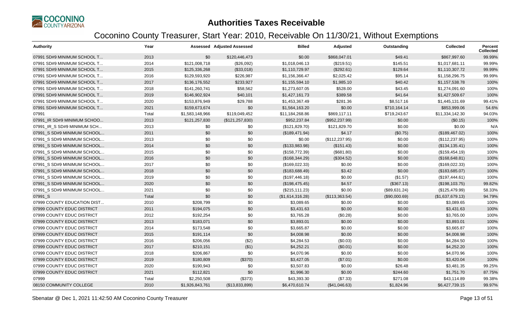

| <b>Authority</b>            | Year  |                 | <b>Assessed Adjusted Assessed</b> | <b>Billed</b>    | Adjusted        | Outstanding   | Collected        | <b>Percent</b><br><b>Collected</b> |
|-----------------------------|-------|-----------------|-----------------------------------|------------------|-----------------|---------------|------------------|------------------------------------|
| 07991 SD#9 MINIMUM SCHOOL T | 2013  | \$0             | \$120,446,473                     | \$0.00           | \$868,047.01    | \$49.41       | \$867,997.60     | 99.99%                             |
| 07991 SD#9 MINIMUM SCHOOL T | 2014  | \$121,008,718   | (\$26,092)                        | \$1,018,046.13   | (\$219.51)      | \$145.51      | \$1,017,681.11   | 99.99%                             |
| 07991 SD#9 MINIMUM SCHOOL T | 2015  | \$125,336,268   | (\$33,018)                        | \$1,110,729.97   | (\$292.61)      | \$129.64      | \$1,110,307.72   | 99.99%                             |
| 07991 SD#9 MINIMUM SCHOOL T | 2016  | \$129,593,920   | \$226,987                         | \$1,156,366.47   | \$2,025.42      | \$95.14       | \$1,158,296.75   | 99.99%                             |
| 07991 SD#9 MINIMUM SCHOOL T | 2017  | \$136,176,552   | \$233,927                         | \$1,155,594.10   | \$1,985.10      | \$40.42       | \$1,157,538.78   | 100%                               |
| 07991 SD#9 MINIMUM SCHOOL T | 2018  | \$141,260,741   | \$58,562                          | \$1,273,607.05   | \$528.00        | \$43.45       | \$1,274,091.60   | 100%                               |
| 07991 SD#9 MINIMUM SCHOOL T | 2019  | \$146,902,924   | \$40,101                          | \$1,427,161.73   | \$389.58        | \$41.64       | \$1,427,509.67   | 100%                               |
| 07991 SD#9 MINIMUM SCHOOL T | 2020  | \$153,876,949   | \$29,788                          | \$1,453,367.49   | \$281.36        | \$8,517.16    | \$1,445,131.69   | 99.41%                             |
| 07991 SD#9 MINIMUM SCHOOL T | 2021  | \$159,673,674   | \$0                               | \$1,564,163.20   | \$0.00          | \$710,164.14  | \$853,999.06     | 54.6%                              |
| 07991                       | Total | \$1,583,148,966 | \$119,049,452                     | \$11,184,268.86  | \$869,117.11    | \$719,243.67  | \$11,334,142.30  | 94.03%                             |
| 07991 IR SD#9 MINIMUM SCHOO | 2013  | \$121,257,830   | (\$121, 257, 830)                 | \$952,237.84     | (\$952,237.99)  | \$0.00        | (\$0.15)         | 100%                               |
| 07991 IR S SD#9 MINIMUM SCH | 2013  | \$0             | \$0                               | (\$121,829.70)   | \$121,829.70    | \$0.00        | \$0.00           | N/A                                |
| 07991 S SD#9 MINIMUM SCHOOL | 2011  | \$0             | \$0                               | (\$189,471.94)   | \$4.17          | (\$0.75)      | (\$189,467.02)   | 100%                               |
| 07991 S SD#9 MINIMUM SCHOOL | 2013  | \$0             | \$0                               | \$0.00           | (\$112, 237.95) | \$0.00        | (\$112, 237.95)  | 100%                               |
| 07991_S SD#9 MINIMUM SCHOOL | 2014  | \$0             | \$0                               | (\$133,983.98)   | (\$151.43)      | \$0.00        | (\$134, 135.41)  | 100%                               |
| 07991 S SD#9 MINIMUM SCHOOL | 2015  | \$0             | \$0                               | (\$158,772.39)   | (\$681.80)      | \$0.00        | (\$159,454.19)   | 100%                               |
| 07991 S SD#9 MINIMUM SCHOOL | 2016  | \$0             | \$0                               | (\$168,344.29)   | (\$304.52)      | \$0.00        | (\$168, 648.81)  | 100%                               |
| 07991_S SD#9 MINIMUM SCHOOL | 2017  | \$0             | \$0                               | (\$169,022.33)   | \$0.00          | \$0.00        | (\$169,022.33)   | 100%                               |
| 07991 S SD#9 MINIMUM SCHOOL | 2018  | \$0             | \$0                               | (\$183,688.49)   | \$3.42          | \$0.00        | (\$183,685.07)   | 100%                               |
| 07991 S SD#9 MINIMUM SCHOOL | 2019  | \$0             | \$0                               | (\$197,446.18)   | \$0.00          | (\$1.57)      | (\$197,444.61)   | 100%                               |
| 07991 S SD#9 MINIMUM SCHOOL | 2020  | \$0             | \$0                               | (\$198,475.45)   | \$4.57          | (\$367.13)    | (\$198, 103.75)  | 99.82%                             |
| 07991 S SD#9 MINIMUM SCHOOL | 2021  | \$0             | \$0                               | (\$215, 111.23)  | \$0.00          | (\$89,631.24) | (\$125,479.99)   | 58.33%                             |
| 07991_S                     | Total | \$0             | \$0                               | (\$1,614,316.28) | (\$113,363.54)  | (\$90,000.69) | (\$1,637,679.13) | 94.79%                             |
| 07999 COUNTY EDUCATION DIST | 2010  | \$208,799       | \$0                               | \$3,089.65       | \$0.00          | \$0.00        | \$3,089.65       | 100%                               |
| 07999 COUNTY EDUC DISTRICT  | 2011  | \$194,075       | \$0                               | \$3,431.63       | \$0.00          | \$0.00        | \$3,431.63       | 100%                               |
| 07999 COUNTY EDUC DISTRICT  | 2012  | \$192,254       | \$0                               | \$3,765.28       | (\$0.28)        | \$0.00        | \$3,765.00       | 100%                               |
| 07999 COUNTY EDUC DISTRICT  | 2013  | \$183,071       | \$0                               | \$3,893.01       | \$0.00          | \$0.00        | \$3,893.01       | 100%                               |
| 07999 COUNTY EDUC DISTRICT  | 2014  | \$173,548       | \$0                               | \$3,665.87       | \$0.00          | \$0.00        | \$3,665.87       | 100%                               |
| 07999 COUNTY EDUC DISTRICT  | 2015  | \$191,114       | \$0                               | \$4,008.98       | \$0.00          | \$0.00        | \$4,008.98       | 100%                               |
| 07999 COUNTY EDUC DISTRICT  | 2016  | \$206,056       | (\$2)                             | \$4,284.53       | (\$0.03)        | \$0.00        | \$4,284.50       | 100%                               |
| 07999 COUNTY EDUC DISTRICT  | 2017  | \$210,151       | ( \$1)                            | \$4,252.21       | (\$0.01)        | \$0.00        | \$4,252.20       | 100%                               |
| 07999 COUNTY EDUC DISTRICT  | 2018  | \$206,867       | \$0                               | \$4,070.96       | \$0.00          | \$0.00        | \$4,070.96       | 100%                               |
| 07999 COUNTY EDUC DISTRICT  | 2019  | \$180,809       | (\$370)                           | \$3,427.05       | (\$7.01)        | \$0.00        | \$3,420.04       | 100%                               |
| 07999 COUNTY EDUC DISTRICT  | 2020  | \$190,943       | \$0                               | \$3,507.83       | \$0.00          | \$26.48       | \$3,481.35       | 99.25%                             |
| 07999 COUNTY EDUC DISTRICT  | 2021  | \$112,821       | \$0                               | \$1,996.30       | \$0.00          | \$244.60      | \$1,751.70       | 87.75%                             |
| 07999                       | Total | \$2,250,508     | (\$373)                           | \$43,393.30      | (\$7.33)        | \$271.08      | \$43,114.89      | 99.38%                             |
| 08150 COMMUNITY COLLEGE     | 2010  | \$1,926,843,761 | (\$13,833,899)                    | \$6,470,610.74   | (\$41,046.63)   | \$1,824.96    | \$6,427,739.15   | 99.97%                             |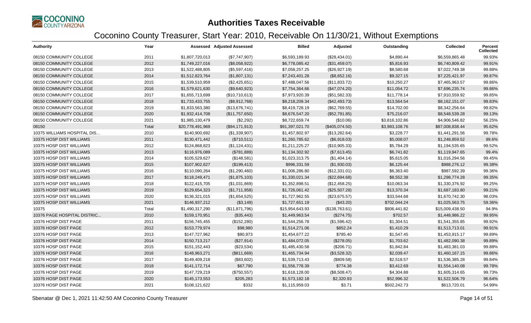

| <b>Authority</b>            | Year  |                  | <b>Assessed Adjusted Assessed</b> | <b>Billed</b>   | Adjusted       | Outstanding    | <b>Collected</b> | Percent<br><b>Collected</b> |
|-----------------------------|-------|------------------|-----------------------------------|-----------------|----------------|----------------|------------------|-----------------------------|
| 08150 COMMUNITY COLLEGE     | 2011  | \$1,807,720,013  | (\$7,747,907)                     | \$6,593,189.93  | (\$28,434.01)  | \$4,890.44     | \$6,559,865.48   | 99.93%                      |
| 08150 COMMUNITY COLLEGE     | 2012  | \$1,749,227,016  | (\$8,058,922)                     | \$6,778,085.42  | (\$31,459.07)  | \$5,816.93     | \$6,740,809.42   | 99.91%                      |
| 08150 COMMUNITY COLLEGE     | 2013  | \$1,522,488,805  | (\$5,597,416)                     | \$7,058,257.25  | (\$26,927.19)  | \$8,580.68     | \$7,022,749.38   | 99.88%                      |
| 08150 COMMUNITY COLLEGE     | 2014  | \$1,512,823,764  | (\$1,807,131)                     | \$7,243,401.28  | (\$8,652.16)   | \$9,327.15     | \$7,225,421.97   | 99.87%                      |
| 08150 COMMUNITY COLLEGE     | 2015  | \$1,539,510,959  | (\$2,425,651)                     | \$7,488,047.56  | (\$11,833.72)  | \$10,250.27    | \$7,465,963.57   | 99.86%                      |
| 08150 COMMUNITY COLLEGE     | 2016  | \$1,579,621,630  | (\$9,640,923)                     | \$7,754,364.66  | (\$47,074.20)  | \$11,054.72    | \$7,696,235.74   | 99.86%                      |
| 08150 COMMUNITY COLLEGE     | 2017  | \$1,655,713,699  | (\$10,710,613)                    | \$7,973,920.39  | (\$51,582.33)  | \$11,778.14    | \$7,910,559.92   | 99.85%                      |
| 08150 COMMUNITY COLLEGE     | 2018  | \$1,733,433,755  | (\$8,912,768)                     | \$8,218,209.34  | (\$42,493.73)  | \$13,564.54    | \$8,162,151.07   | 99.83%                      |
| 08150 COMMUNITY COLLEGE     | 2019  | \$1,833,563,380  | (\$13,676,741)                    | \$8,419,728.19  | (\$62,769.55)  | \$14,702.00    | \$8,342,256.64   | 99.82%                      |
| 08150 COMMUNITY COLLEGE     | 2020  | \$1,932,414,708  | (\$11,757,650)                    | \$8,676,547.20  | (\$52,791.85)  | \$75,216.07    | \$8,548,539.28   | 99.13%                      |
| 08150 COMMUNITY COLLEGE     | 2021  | \$1,985,130,479  | (\$2,292)                         | \$8,722,659.74  | (\$10.06)      | \$3,816,102.86 | \$4,906,546.82   | 56.25%                      |
| 08150                       | Total | \$20,778,491,969 | (\$94,171,913)                    | \$91,397,021.70 | (\$405,074.50) | \$3,983,108.76 | \$87,008,838.44  | 95.62%                      |
| 10375 WILLIAMS HOSPITAL DIS | 2010  | \$140,900,692    | (\$1,339,907)                     | \$1,457,802.97  | (\$13,282.64)  | \$3,228.77     | \$1,441,291.56   | 99.78%                      |
| 10375 HOSP DIST WILLIAMS    | 2011  | \$130,471,442    | (\$710,511)                       | \$1,260,785.62  | (\$6,918.03)   | \$5,008.07     | \$1,248,859.52   | 99.6%                       |
| 10375 HOSP DIST WILLIAMS    | 2012  | \$124,868,823    | (\$1,124,431)                     | \$1,211,225.27  | (\$10,905.33)  | \$5,784.29     | \$1,194,535.65   | 99.52%                      |
| 10375 HOSP DIST WILLIAMS    | 2013  | \$116,976,089    | (\$781,889)                       | \$1,134,302.92  | (\$7,613.45)   | \$6,741.82     | \$1,119,947.65   | 99.4%                       |
| 10375 HOSP DIST WILLIAMS    | 2014  | \$105,529,627    | (\$148,581)                       | \$1,023,313.75  | (\$1,404.14)   | \$5,615.05     | \$1,016,294.56   | 99.45%                      |
| 10375 HOSP DIST WILLIAMS    | 2015  | \$107,902,627    | (\$199,413)                       | \$996,331.59    | (\$1,930.03)   | \$6,125.44     | \$988,276.12     | 99.38%                      |
| 10375 HOSP DIST WILLIAMS    | 2016  | \$110,090,264    | (\$1,290,460)                     | \$1,006,286.80  | (\$12,331.01)  | \$6,363.40     | \$987,592.39     | 99.36%                      |
| 10375 HOSP DIST WILLIAMS    | 2017  | \$118,249,471    | (\$1,875,103)                     | \$1,330,021.34  | (\$22,694.68)  | \$8,552.38     | \$1,298,774.28   | 99.35%                      |
| 10375 HOSP DIST WILLIAMS    | 2018  | \$122,415,705    | (\$1,031,869)                     | \$1,352,898.51  | (\$12,458.25)  | \$10,063.34    | \$1,330,376.92   | 99.25%                      |
| 10375 HOSP DIST WILLIAMS    | 2019  | \$129,654,323    | (\$1,711,958)                     | \$1,726,061.42  | (\$25,507.28)  | \$13,370.34    | \$1,687,183.80   | 99.21%                      |
| 10375 HOSP DIST WILLIAMS    | 2020  | \$136,321,015    | (\$1,654,525)                     | \$1,727,962.55  | (\$23,675.57)  | \$33,544.68    | \$1,670,742.30   | 98.03%                      |
| 10375 HOSP DIST WILLIAMS    | 2021  | \$146,937,212    | (\$3,149)                         | \$1,727,651.19  | (\$43.20)      | \$702,044.24   | \$1,025,563.75   | 59.36%                      |
| 10375                       | Total | \$1,490,317,290  | (\$11,871,796)                    | \$15,954,643.93 | (\$138,763.61) | \$806,441.82   | \$15,009,438.50  | 94.9%                       |
| 10376 PAGE HOSPITAL DISTRIC | 2010  | \$159,170,951    | (\$35,443)                        | \$1,449,963.54  | (\$274.75)     | \$702.57       | \$1,448,986.22   | 99.95%                      |
| 10376 HOSP DIST PAGE        | 2011  | \$156,745,455    | (\$152,280)                       | \$1,544,256.78  | (\$1,596.42)   | \$1,304.51     | \$1,541,355.85   | 99.92%                      |
| 10376 HOSP DIST PAGE        | 2012  | \$153,779,974    | \$98,980                          | \$1,514,271.06  | \$852.24       | \$1,410.29     | \$1,513,713.01   | 99.91%                      |
| 10376 HOSP DIST PAGE        | 2013  | \$147,727,962    | \$80,973                          | \$1,454,677.22  | \$785.40       | \$1,547.45     | \$1,453,915.17   | 99.89%                      |
| 10376 HOSP DIST PAGE        | 2014  | \$150,713,217    | (\$27,914)                        | \$1,484,072.05  | (\$278.05)     | \$1,703.62     | \$1,482,090.38   | 99.89%                      |
| 10376 HOSP DIST PAGE        | 2015  | \$151,152,443    | (\$23,534)                        | \$1,485,430.58  | (\$206.71)     | \$1,842.84     | \$1,483,381.03   | 99.88%                      |
| 10376 HOSP DIST PAGE        | 2016  | \$148,963,271    | (\$811,669)                       | \$1,465,734.94  | (\$3,528.32)   | \$2,039.47     | \$1,460,167.15   | 99.86%                      |
| 10376 HOSP DIST PAGE        | 2017  | \$149,409,218    | (\$83,602)                        | \$1,539,713.43  | (\$809.58)     | \$2,518.57     | \$1,536,385.28   | 99.84%                      |
| 10376 HOSP DIST PAGE        | 2018  | \$141,172,714    | \$67,790                          | \$1,556,778.39  | \$774.38       | \$3,412.69     | \$1,554,140.08   | 99.78%                      |
| 10376 HOSP DIST PAGE        | 2019  | \$147,729,219    | (\$750,557)                       | \$1,618,128.00  | (\$8,508.47)   | \$4,304.88     | \$1,605,314.65   | 99.73%                      |
| 10376 HOSP DIST PAGE        | 2020  | \$145,173,553    | \$205,283                         | \$1,573,182.18  | \$2,320.93     | \$52,996.32    | \$1,522,506.79   | 96.64%                      |
| 10376 HOSP DIST PAGE        | 2021  | \$108,121,622    | \$332                             | \$1,115,959.03  | \$3.71         | \$502,242.73   | \$613,720.01     | 54.99%                      |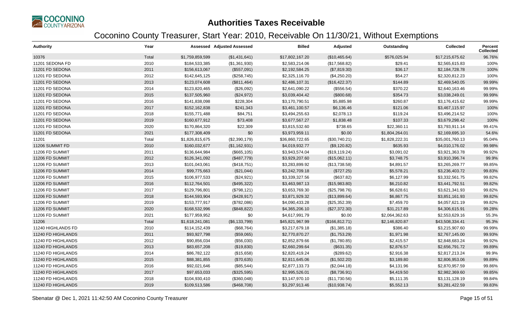

| <b>Authority</b>   | Year  |                 | <b>Assessed Adjusted Assessed</b> | <b>Billed</b>   | Adjusted        | Outstanding    | <b>Collected</b> | <b>Percent</b><br>Collected |
|--------------------|-------|-----------------|-----------------------------------|-----------------|-----------------|----------------|------------------|-----------------------------|
| 10376              | Total | \$1,759,859,599 | (\$1,431,641)                     | \$17,802,167.20 | (\$10,465.64)   | \$576,025.94   | \$17,215,675.62  | 96.76%                      |
| 11201 SEDONA FD    | 2010  | \$184,533,385   | (\$1,361,930)                     | \$2,583,214.06  | (\$17,568.82)   | \$29.41        | \$2,565,615.83   | 100%                        |
| 11201 FD SEDONA    | 2011  | \$156,613,067   | (\$557,091)                       | \$2,192,584.25  | (\$7,819.30)    | \$36.17        | \$2,184,728.78   | 100%                        |
| 11201 FD SEDONA    | 2012  | \$142,645,125   | (\$258,745)                       | \$2,325,116.70  | (\$4,250.20)    | \$54.27        | \$2,320,812.23   | 100%                        |
| 11201 FD SEDONA    | 2013  | \$123,074,608   | (\$811,464)                       | \$2,486,107.31  | (\$16,422.37)   | \$144.89       | \$2,469,540.05   | 99.99%                      |
| 11201 FD SEDONA    | 2014  | \$123,820,465   | (\$26,092)                        | \$2,641,090.22  | (\$556.54)      | \$370.22       | \$2,640,163.46   | 99.99%                      |
| 11201 FD SEDONA    | 2015  | \$137,505,960   | (\$24,972)                        | \$3,039,404.42  | (\$800.68)      | \$354.73       | \$3,038,249.01   | 99.99%                      |
| 11201 FD SEDONA    | 2016  | \$141,838,098   | \$228,304                         | \$3,170,790.51  | \$5,885.98      | \$260.87       | \$3,176,415.62   | 99.99%                      |
| 11201 FD SEDONA    | 2017  | \$152,162,838   | \$241,343                         | \$3,461,100.57  | \$6,136.46      | \$121.06       | \$3,467,115.97   | 100%                        |
| 11201 FD SEDONA    | 2018  | \$155,771,488   | \$84,751                          | \$3,494,255.63  | \$2,078.13      | \$119.24       | \$3,496,214.52   | 100%                        |
| 11201 FD SEDONA    | 2019  | \$160,677,912   | \$73,408                          | \$3,677,567.27  | \$1,838.48      | \$107.33       | \$3,679,298.42   | 100%                        |
| 11201 FD SEDONA    | 2020  | \$170,864,320   | \$22,309                          | \$3,815,532.60  | \$738.65        | \$22,360.11    | \$3,793,911.14   | 99.41%                      |
| 11201 FD SEDONA    | 2021  | \$177,308,409   | \$0                               | \$3,973,959.11  | \$0.00          | \$1,804,264.01 | \$2,169,695.10   | 54.6%                       |
| 11201              | Total | \$1,826,815,675 | (\$2,390,179)                     | \$36,860,722.65 | (\$30,740.21)   | \$1,828,222.31 | \$35,001,760.13  | 95.04%                      |
| 11206 SUMMIT FD    | 2010  | \$160,032,677   | (\$1,162,931)                     | \$4,019,932.77  | (\$9,120.82)    | \$635.93       | \$4,010,176.02   | 99.98%                      |
| 11206 FD SUMMIT    | 2011  | \$136,644,984   | (\$665, 105)                      | \$3,943,574.04  | (\$19, 119.24)  | \$3,091.02     | \$3,921,363.78   | 99.92%                      |
| 11206 FD SUMMIT    | 2012  | \$126,341,092   | (\$487,779)                       | \$3,929,207.60  | (\$15,062.11)   | \$3,748.75     | \$3,910,396.74   | 99.9%                       |
| 11206 FD SUMMIT    | 2013  | \$101,043,061   | (\$418,751)                       | \$3,283,899.92  | (\$13,738.58)   | \$4,891.57     | \$3,265,269.77   | 99.85%                      |
| 11206 FD SUMMIT    | 2014  | \$99,775,663    | (\$21,044)                        | \$3,242,709.18  | (\$727.25)      | \$5,578.21     | \$3,236,403.72   | 99.83%                      |
| 11206 FD SUMMIT    | 2015  | \$106,977,533   | (\$24,921)                        | \$3,339,327.56  | (\$637.82)      | \$6,127.99     | \$3,332,561.75   | 99.82%                      |
| 11206 FD SUMMIT    | 2016  | \$112,764,501   | (\$495,322)                       | \$3,463,987.13  | (\$15,983.80)   | \$6,210.82     | \$3,441,792.51   | 99.82%                      |
| 11206 FD SUMMIT    | 2017  | \$129,796,801   | (\$798, 121)                      | \$3,653,769.30  | (\$25,798.76)   | \$6,628.61     | \$3,621,341.93   | 99.82%                      |
| 11206 FD SUMMIT    | 2018  | \$144,593,904   | (\$428,917)                       | \$3,871,929.32  | (\$13,899.64)   | \$6,867.75     | \$3,851,161.93   | 99.82%                      |
| 11206 FD SUMMIT    | 2019  | \$153,777,917   | (\$782,086)                       | \$4,090,433.28  | (\$25,352.39)   | \$7,459.70     | \$4,057,621.19   | 99.82%                      |
| 11206 FD SUMMIT    | 2020  | \$168,532,996   | (\$848, 822)                      | \$4,365,206.10  | (\$27,372.30)   | \$31,217.89    | \$4,306,615.91   | 99.28%                      |
| 11206 FD SUMMIT    | 2021  | \$177,959,952   | \$0                               | \$4,617,991.79  | \$0.00          | \$2,064,362.63 | \$2,553,629.16   | 55.3%                       |
| 11206              | Total | \$1,618,241,081 | (\$6,133,799)                     | \$45,821,967.99 | (\$166, 812.71) | \$2,146,820.87 | \$43,508,334.41  | 95.3%                       |
| 11240 HIGHLANDS FD | 2010  | \$114,152,439   | (\$68,764)                        | \$3,217,679.18  | (\$1,385.18)    | \$386.40       | \$3,215,907.60   | 99.99%                      |
| 11240 FD HIGHLANDS | 2011  | \$93,927,798    | (\$59,065)                        | \$2,770,870.27  | (\$1,753.29)    | \$1,971.98     | \$2,767,145.00   | 99.93%                      |
| 11240 FD HIGHLANDS | 2012  | \$90,856,034    | (\$56,030)                        | \$2,852,879.66  | (\$1,780.85)    | \$2,415.57     | \$2,848,683.24   | 99.92%                      |
| 11240 FD HIGHLANDS | 2013  | \$83,657,208    | (\$19,830)                        | \$2,660,299.64  | (\$631.35)      | \$2,876.57     | \$2,656,791.72   | 99.89%                      |
| 11240 FD HIGHLANDS | 2014  | \$86,782,122    | (\$15,658)                        | \$2,820,419.24  | (\$289.62)      | \$2,916.38     | \$2,817,213.24   | 99.9%                       |
| 11240 FD HIGHLANDS | 2015  | \$88,381,855    | (\$70,635)                        | \$2,811,645.06  | (\$1,502.20)    | \$3,189.80     | \$2,806,953.06   | 99.89%                      |
| 11240 FD HIGHLANDS | 2016  | \$92,021,646    | (\$85,544)                        | \$2,877,133.73  | (\$2,044.18)    | \$4,131.96     | \$2,870,957.59   | 99.86%                      |
| 11240 FD HIGHLANDS | 2017  | \$97,653,033    | (\$325,595)                       | \$2,995,526.01  | (\$8,736.91)    | \$4,419.50     | \$2,982,369.60   | 99.85%                      |
| 11240 FD HIGHLANDS | 2018  | \$104,930,410   | (\$360,048)                       | \$3,147,970.10  | (\$11,730.56)   | \$5,111.35     | \$3,131,128.19   | 99.84%                      |
| 11240 FD HIGHLANDS | 2019  | \$109,513,586   | (\$468,708)                       | \$3,297,913.46  | (\$10,938.74)   | \$5,552.13     | \$3,281,422.59   | 99.83%                      |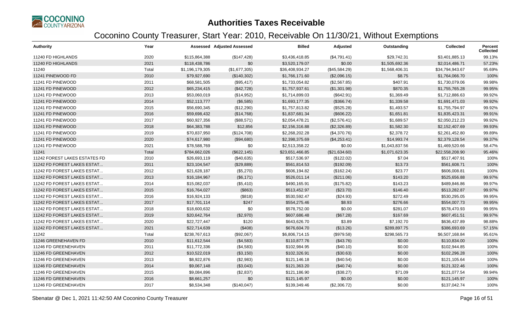

| <b>Authority</b>              | Year  |                 | Assessed Adjusted Assessed | <b>Billed</b>   | Adjusted      | Outstanding    | <b>Collected</b> | Percent<br><b>Collected</b> |
|-------------------------------|-------|-----------------|----------------------------|-----------------|---------------|----------------|------------------|-----------------------------|
| 11240 FD HIGHLANDS            | 2020  | \$115,864,388   | (\$147,428)                | \$3,436,418.85  | (\$4,791.41)  | \$29,742.31    | \$3,401,885.13   | 99.13%                      |
| 11240 FD HIGHLANDS            | 2021  | \$118,438,786   | \$0                        | \$3,520,179.07  | \$0.00        | \$1,505,692.36 | \$2,014,486.71   | 57.23%                      |
| 11240                         | Total | \$1,196,179,305 | (\$1,677,305)              | \$36,408,934.27 | (\$45,584.29) | \$1,568,406.31 | \$34,794,943.67  | 95.69%                      |
| 11241 PINEWOOD FD             | 2010  | \$79,927,690    | (\$140,302)                | \$1,766,171.60  | (\$2,096.15)  | \$8.75         | \$1,764,066.70   | 100%                        |
| 11241 FD PINEWOOD             | 2011  | \$68,581,505    | (\$95,417)                 | \$1,733,054.82  | (\$2,567.85)  | \$407.91       | \$1,730,079.06   | 99.98%                      |
| 11241 FD PINEWOOD             | 2012  | \$65,234,415    | (\$42,728)                 | \$1,757,937.61  | (\$1,301.98)  | \$870.35       | \$1,755,765.28   | 99.95%                      |
| 11241 FD PINEWOOD             | 2013  | \$53,060,019    | (\$14,952)                 | \$1,714,899.03  | (\$642.91)    | \$1,369.49     | \$1,712,886.63   | 99.92%                      |
| 11241 FD PINEWOOD             | 2014  | \$52,113,777    | (\$6,585)                  | \$1,693,177.35  | (\$366.74)    | \$1,339.58     | \$1,691,471.03   | 99.92%                      |
| 11241 FD PINEWOOD             | 2015  | \$56,690,345    | (\$12,290)                 | \$1,757,813.82  | (\$525.28)    | \$1,493.57     | \$1,755,794.97   | 99.92%                      |
| 11241 FD PINEWOOD             | 2016  | \$59,698,432    | (\$14,768)                 | \$1,837,681.34  | (\$606.22)    | \$1,651.81     | \$1,835,423.31   | 99.91%                      |
| 11241 FD PINEWOOD             | 2017  | \$60,927,356    | (\$88,571)                 | \$2,054,478.21  | (\$2,576.41)  | \$1,689.57     | \$2,050,212.23   | 99.92%                      |
| 11241 FD PINEWOOD             | 2018  | \$64,383,788    | \$12,856                   | \$2,156,316.88  | (\$2,326.89)  | \$1,582.30     | \$2,152,407.69   | 99.93%                      |
| 11241 FD PINEWOOD             | 2019  | \$70,837,950    | (\$124,708)                | \$2,268,202.28  | (\$4,370.76)  | \$2,378.72     | \$2,261,452.80   | 99.89%                      |
| 11241 FD PINEWOOD             | 2020  | \$74,617,980    | (\$94,680)                 | \$2,398,375.69  | (\$4,253.41)  | \$14,993.74    | \$2,379,128.54   | 99.37%                      |
| 11241 FD PINEWOOD             | 2021  | \$78,588,769    | \$0                        | \$2,513,358.22  | \$0.00        | \$1,043,837.56 | \$1,469,520.66   | 58.47%                      |
| 11241                         | Total | \$784,662,026   | (\$622, 145)               | \$23,651,466.85 | (\$21,634.60) | \$1,071,623.35 | \$22,558,208.90  | 95.46%                      |
| 11242 FOREST LAKES ESTATES FD | 2010  | \$26,693,119    | (\$40,635)                 | \$517,536.97    | (\$122.02)    | \$7.04         | \$517,407.91     | 100%                        |
| 11242 FD FOREST LAKES ESTAT   | 2011  | \$23,104,547    | (\$29,889)                 | \$561,814.53    | (\$192.09)    | \$13.73        | \$561,608.71     | 100%                        |
| 11242 FD FOREST LAKES ESTAT   | 2012  | \$21,628,187    | (\$5,270)                  | \$606,194.82    | (\$162.24)    | \$23.77        | \$606,008.81     | 100%                        |
| 11242 FD FOREST LAKES ESTAT   | 2013  | \$16,184,967    | (\$6,171)                  | \$526,011.14    | (\$211.06)    | \$143.20       | \$525,656.88     | 99.97%                      |
| 11242 FD FOREST LAKES ESTAT   | 2014  | \$15,082,037    | (\$5,410)                  | \$490,165.91    | (\$175.82)    | \$143.23       | \$489,846.86     | 99.97%                      |
| 11242 FD FOREST LAKES ESTAT   | 2015  | \$16,764,027    | (\$863)                    | \$513,452.97    | (\$23.70)     | \$146.40       | \$513,282.87     | 99.97%                      |
| 11242 FD FOREST LAKES ESTAT   | 2016  | \$16,924,133    | (\$818)                    | \$530,592.47    | (\$24.93)     | \$272.49       | \$530,295.05     | 99.95%                      |
| 11242 FD FOREST LAKES ESTAT   | 2017  | \$17,701,114    | \$247                      | \$554,275.46    | \$8.93        | \$276.66       | \$554,007.73     | 99.95%                      |
| 11242 FD FOREST LAKES ESTAT   | 2018  | \$18,600,632    | \$0                        | \$578,752.00    | \$0.00        | \$281.07       | \$578,470.93     | 99.95%                      |
| 11242 FD FOREST LAKES ESTAT   | 2019  | \$20,642,764    | (\$2,970)                  | \$607,686.48    | (\$67.28)     | \$167.69       | \$607,451.51     | 99.97%                      |
| 11242 FD FOREST LAKES ESTAT   | 2020  | \$22,727,447    | \$120                      | \$643,626.70    | \$3.89        | \$7,192.70     | \$636,437.89     | 98.88%                      |
| 11242 FD FOREST LAKES ESTAT   | 2021  | \$22,714,639    | (\$408)                    | \$676,604.70    | (\$13.26)     | \$289,897.75   | \$386,693.69     | 57.15%                      |
| 11242                         | Total | \$238,767,613   | (\$92,067)                 | \$6,806,714.15  | (\$979.58)    | \$298,565.73   | \$6,507,168.84   | 95.61%                      |
| 11246 GREENEHAVEN FD          | 2010  | \$11,612,544    | (\$4,583)                  | \$110,877.76    | (\$43.76)     | \$0.00         | \$110,834.00     | 100%                        |
| 11246 FD GREENEHAVEN          | 2011  | \$11,772,336    | (\$4,583)                  | \$102,984.95    | (\$40.10)     | \$0.00         | \$102,944.85     | 100%                        |
| 11246 FD GREENEHAVEN          | 2012  | \$10,522,019    | (\$3,150)                  | \$102,326.91    | (\$30.63)     | \$0.00         | \$102,296.28     | 100%                        |
| 11246 FD GREENEHAVEN          | 2013  | \$8,922,876     | (\$2,983)                  | \$121,146.18    | $(\$40.54)$   | \$0.00         | \$121,105.64     | 100%                        |
| 11246 FD GREENEHAVEN          | 2014  | \$9,067,148     | (\$3,043)                  | \$121,363.20    | (\$40.74)     | \$0.00         | \$121,322.46     | 100%                        |
| 11246 FD GREENEHAVEN          | 2015  | \$9,084,896     | (\$2,837)                  | \$121,186.90    | (\$38.27)     | \$71.09        | \$121,077.54     | 99.94%                      |
| 11246 FD GREENEHAVEN          | 2016  | \$8,661,257     | \$0                        | \$121,145.97    | \$0.00        | \$0.00         | \$121,145.97     | 100%                        |
| 11246 FD GREENEHAVEN          | 2017  | \$8,534,348     | (\$140,047)                | \$139,349.46    | (\$2,306.72)  | \$0.00         | \$137,042.74     | 100%                        |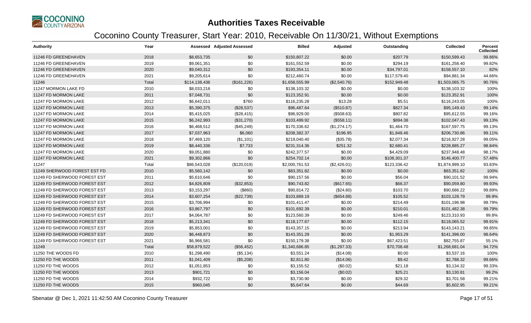

| <b>Authority</b>             | Year  |               | <b>Assessed Adjusted Assessed</b> | <b>Billed</b>  | Adjusted     | Outstanding  | <b>Collected</b> | <b>Percent</b><br><b>Collected</b> |
|------------------------------|-------|---------------|-----------------------------------|----------------|--------------|--------------|------------------|------------------------------------|
| 11246 FD GREENEHAVEN         | 2018  | \$8,653,735   | \$0                               | \$150,807.22   | \$0.00       | \$207.79     | \$150,599.43     | 99.86%                             |
| 11246 FD GREENEHAVEN         | 2019  | \$9,061,351   | \$0                               | \$161,552.59   | \$0.00       | \$294.19     | \$161,258.40     | 99.82%                             |
| 11246 FD GREENEHAVEN         | 2020  | \$9,040,312   | \$0                               | \$193,354.11   | \$0.00       | \$34,797.01  | \$158,557.10     | 82%                                |
| 11246 FD GREENEHAVEN         | 2021  | \$9,205,614   | \$0                               | \$212,460.74   | \$0.00       | \$117,579.40 | \$94,881.34      | 44.66%                             |
| 11246                        | Total | \$114,138,436 | (\$161,226)                       | \$1,658,555.99 | (\$2,540.76) | \$152,949.48 | \$1,503,065.75   | 90.76%                             |
| 11247 MORMON LAKE FD         | 2010  | \$8,033,216   | \$0                               | \$138,103.32   | \$0.00       | \$0.00       | \$138,103.32     | 100%                               |
| 11247 FD MORMON LAKE         | 2011  | \$7,048,731   | \$0                               | \$123,352.91   | \$0.00       | \$0.00       | \$123,352.91     | 100%                               |
| 11247 FD MORMON LAKE         | 2012  | \$6,642,011   | \$760                             | \$116,235.28   | \$13.28      | \$5.51       | \$116,243.05     | 100%                               |
| 11247 FD MORMON LAKE         | 2013  | \$5,390,375   | (\$28,537)                        | \$96,487.64    | (\$510.87)   | \$827.34     | \$95,149.43      | 99.14%                             |
| 11247 FD MORMON LAKE         | 2014  | \$5,415,025   | (\$28,415)                        | \$96,929.00    | (\$508.63)   | \$807.82     | \$95,612.55      | 99.16%                             |
| 11247 FD MORMON LAKE         | 2015  | \$6,242,993   | (\$31,270)                        | \$103,499.92   | (\$558.11)   | \$894.38     | \$102,047.43     | 99.13%                             |
| 11247 FD MORMON LAKE         | 2016  | \$6,468,512   | (\$45,249)                        | \$170,336.62   | (\$1,274.17) | \$1,464.70   | \$167,597.75     | 99.13%                             |
| 11247 FD MORMON LAKE         | 2017  | \$7,037,963   | \$6,060                           | \$208,382.37   | \$196.95     | \$1,848.46   | \$206,730.86     | 99.11%                             |
| 11247 FD MORMON LAKE         | 2018  | \$7,469,120   | (\$1,101)                         | \$219,040.40   | (\$35.78)    | \$2,077.34   | \$216,927.28     | 99.05%                             |
| 11247 FD MORMON LAKE         | 2019  | \$8,440,336   | \$7,733                           | \$231,314.36   | \$251.32     | \$2,680.41   | \$228,885.27     | 98.84%                             |
| 11247 FD MORMON LAKE         | 2020  | \$9,051,880   | \$0                               | \$242,377.57   | \$0.00       | \$4,429.09   | \$237,948.48     | 98.17%                             |
| 11247 FD MORMON LAKE         | 2021  | \$9,302,866   | \$0                               | \$254,702.14   | \$0.00       | \$108,301.37 | \$146,400.77     | 57.48%                             |
| 11247                        | Total | \$86,543,028  | (\$120,019)                       | \$2,000,761.53 | (\$2,426.01) | \$123,336.42 | \$1,874,999.10   | 93.83%                             |
| 11249 SHERWOOD FOREST EST FD | 2010  | \$5,560,142   | \$0                               | \$83,351.82    | \$0.00       | \$0.00       | \$83,351.82      | 100%                               |
| 11249 FD SHERWOOD FOREST EST | 2011  | \$5,610,646   | \$0                               | \$90,157.56    | \$0.00       | \$56.04      | \$90,101.52      | 99.94%                             |
| 11249 FD SHERWOOD FOREST EST | 2012  | \$4,826,809   | (\$32,853)                        | \$90,743.82    | (\$617.65)   | \$66.37      | \$90,059.80      | 99.93%                             |
| 11249 FD SHERWOOD FOREST EST | 2013  | \$3,153,297   | (\$860)                           | \$90,814.72    | (\$24.80)    | \$103.70     | \$90,686.22      | 99.89%                             |
| 11249 FD SHERWOOD FOREST EST | 2014  | \$3,607,254   | (\$22,739)                        | \$103,889.19   | (\$654.88)   | \$105.52     | \$103,128.79     | 99.9%                              |
| 11249 FD SHERWOOD FOREST EST | 2015  | \$3,706,994   | \$0                               | \$101,411.47   | \$0.00       | \$214.49     | \$101,196.98     | 99.79%                             |
| 11249 FD SHERWOOD FOREST EST | 2016  | \$3,867,797   | \$0                               | \$101,692.39   | \$0.00       | \$210.01     | \$101,482.38     | 99.79%                             |
| 11249 FD SHERWOOD FOREST EST | 2017  | \$4,064,787   | \$0                               | \$123,560.39   | \$0.00       | \$249.46     | \$123,310.93     | 99.8%                              |
| 11249 FD SHERWOOD FOREST EST | 2018  | \$5,213,341   | \$0                               | \$118,177.67   | \$0.00       | \$112.15     | \$118,065.52     | 99.91%                             |
| 11249 FD SHERWOOD FOREST EST | 2019  | \$5,853,001   | \$0                               | \$143,357.15   | \$0.00       | \$213.94     | \$143,143.21     | 99.85%                             |
| 11249 FD SHERWOOD FOREST EST | 2020  | \$6,448,873   | \$0                               | \$143,351.29   | \$0.00       | \$1,953.29   | \$141,398.00     | 98.64%                             |
| 11249 FD SHERWOOD FOREST EST | 2021  | \$6,966,581   | \$0                               | \$150,179.38   | \$0.00       | \$67,423.51  | \$82,755.87      | 55.1%                              |
| 11249                        | Total | \$58,879,522  | (\$56,452)                        | \$1,340,686.85 | (\$1,297.33) | \$70,708.48  | \$1,268,681.04   | 94.72%                             |
| 11250 THE WOODS FD           | 2010  | \$1,298,490   | (\$5,134)                         | \$3,551.24     | (\$14.08)    | \$0.00       | \$3,537.16       | 100%                               |
| 11250 FD THE WOODS           | 2011  | \$1,041,409   | (\$5,208)                         | \$2,811.80     | (\$14.06)    | \$9.42       | \$2,788.32       | 99.66%                             |
| 11250 FD THE WOODS           | 2012  | \$1,051,853   | \$0                               | \$3,155.52     | (\$0.02)     | \$21.18      | \$3,134.32       | 99.33%                             |
| 11250 FD THE WOODS           | 2013  | \$901,721     | \$0                               | \$3,156.04     | (\$0.02)     | \$25.21      | \$3,130.81       | 99.2%                              |
| 11250 FD THE WOODS           | 2014  | \$932,722     | \$0                               | \$3,730.90     | \$0.00       | \$29.32      | \$3,701.58       | 99.21%                             |
| 11250 FD THE WOODS           | 2015  | \$960,045     | \$0                               | \$5,647.64     | \$0.00       | \$44.69      | \$5,602.95       | 99.21%                             |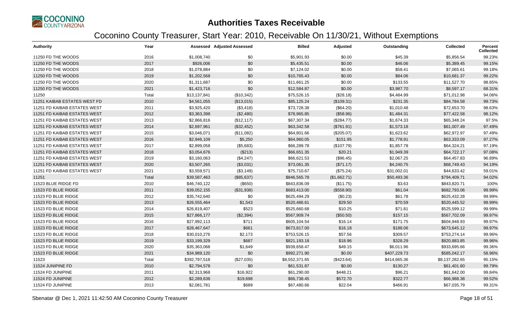

| <b>Authority</b>             | Year  |               | <b>Assessed Adjusted Assessed</b> | <b>Billed</b>  | Adjusted     | Outstanding  | <b>Collected</b> | <b>Percent</b><br><b>Collected</b> |
|------------------------------|-------|---------------|-----------------------------------|----------------|--------------|--------------|------------------|------------------------------------|
| 11250 FD THE WOODS           | 2016  | \$1,008,740   | \$0                               | \$5,901.93     | \$0.00       | \$45.39      | \$5,856.54       | 99.23%                             |
| 11250 FD THE WOODS           | 2017  | \$926,006     | \$0                               | \$5,435.51     | \$0.00       | \$46.06      | \$5,389.45       | 99.15%                             |
| 11250 FD THE WOODS           | 2018  | \$1,078,884   | \$0                               | \$7,124.02     | \$0.00       | \$58.41      | \$7,065.61       | 99.18%                             |
| 11250 FD THE WOODS           | 2019  | \$1,202,568   | \$0                               | \$10,765.43    | \$0.00       | \$84.06      | \$10,681.37      | 99.22%                             |
| 11250 FD THE WOODS           | 2020  | \$1,311,687   | \$0                               | \$11,661.25    | \$0.00       | \$133.55     | \$11,527.70      | 98.85%                             |
| 11250 FD THE WOODS           | 2021  | \$1,423,716   | \$0                               | \$12,584.87    | \$0.00       | \$3,987.70   | \$8,597.17       | 68.31%                             |
| 11250                        | Total | \$13,137,841  | (\$10,342)                        | \$75,526.15    | (\$28.18)    | \$4,484.99   | \$71,012.98      | 94.06%                             |
| 11251 KAIBAB ESTATES WEST FD | 2010  | \$4,561,055   | (\$13,015)                        | \$85,125.24    | (\$109.31)   | \$231.35     | \$84,784.58      | 99.73%                             |
| 11251 FD KAIBAB ESTATES WEST | 2011  | \$3,925,420   | (\$3,418)                         | \$73,728.38    | (\$64.20)    | \$1,010.48   | \$72,653.70      | 98.63%                             |
| 11251 FD KAIBAB ESTATES WEST | 2012  | \$3,363,398   | (\$2,480)                         | \$78,965.85    | (\$58.96)    | \$1,484.31   | \$77,422.58      | 98.12%                             |
| 11251 FD KAIBAB ESTATES WEST | 2013  | \$2,866,816   | (\$12, 117)                       | \$67,307.34    | (\$284.77)   | \$1,674.33   | \$65,348.24      | 97.5%                              |
| 11251 FD KAIBAB ESTATES WEST | 2014  | \$2,697,961   | (\$32,452)                        | \$63,342.58    | (\$761.91)   | \$1,573.18   | \$61,007.49      | 97.49%                             |
| 11251 FD KAIBAB ESTATES WEST | 2015  | \$3,046,071   | (\$11,082)                        | \$64,801.66    | (\$205.07)   | \$1,623.62   | \$62,972.97      | 97.49%                             |
| 11251 FD KAIBAB ESTATES WEST | 2016  | \$2,946,109   | \$5,250                           | \$64,960.05    | \$151.95     | \$1,778.91   | \$63,333.09      | 97.27%                             |
| 11251 FD KAIBAB ESTATES WEST | 2017  | \$2,899,058   | (\$5,683)                         | \$66,289.78    | (\$107.79)   | \$1,857.78   | \$64,324.21      | 97.19%                             |
| 11251 FD KAIBAB ESTATES WEST | 2018  | \$3,054,676   | (\$213)                           | \$66,651.35    | \$20.21      | \$1,949.39   | \$64,722.17      | 97.08%                             |
| 11251 FD KAIBAB ESTATES WEST | 2019  | \$3,160,063   | (\$4,247)                         | \$66,621.53    | (\$96.45)    | \$2,067.25   | \$64,457.83      | 96.89%                             |
| 11251 FD KAIBAB ESTATES WEST | 2020  | \$3,507,265   | (\$3,031)                         | \$73,061.35    | (\$71.17)    | \$4,240.75   | \$68,749.43      | 94.19%                             |
| 11251 FD KAIBAB ESTATES WEST | 2021  | \$3,559,571   | (\$3,149)                         | \$75,710.67    | (\$75.24)    | \$31,002.01  | \$44,633.42      | 59.01%                             |
| 11251                        | Total | \$39,587,463  | (\$85,637)                        | \$846,565.78   | (\$1,662.71) | \$50,493.36  | \$794,409.71     | 94.02%                             |
| 11523 BLUE RIDGE FD          | 2010  | \$46,740,122  | (\$650)                           | \$843,836.09   | (\$11.75)    | \$3.63       | \$843,820.71     | 100%                               |
| 11523 FD BLUE RIDGE          | 2011  | \$39,052,155  | (\$31,938)                        | \$683,413.00   | (\$558.90)   | \$61.04      | \$682,793.06     | 99.99%                             |
| 11523 FD BLUE RIDGE          | 2012  | \$35,742,640  | \$0                               | \$625,494.29   | (\$0.23)     | \$61.78      | \$625,432.28     | 99.99%                             |
| 11523 FD BLUE RIDGE          | 2013  | \$26,555,464  | \$1,543                           | \$520,486.61   | \$29.50      | \$70.59      | \$520,445.52     | 99.99%                             |
| 11523 FD BLUE RIDGE          | 2014  | \$26,819,407  | \$523                             | \$525,660.68   | \$10.25      | \$71.81      | \$525,599.12     | 99.99%                             |
| 11523 FD BLUE RIDGE          | 2015  | \$27,866,177  | (\$2,394)                         | \$567,909.74   | (\$50.50)    | \$157.15     | \$567,702.09     | 99.97%                             |
| 11523 FD BLUE RIDGE          | 2016  | \$27,992,113  | \$711                             | \$605,104.54   | \$16.14      | \$171.75     | \$604,948.93     | 99.97%                             |
| 11523 FD BLUE RIDGE          | 2017  | \$28,467,647  | \$661                             | \$673,817.00   | \$16.18      | \$188.06     | \$673,645.12     | 99.97%                             |
| 11523 FD BLUE RIDGE          | 2018  | \$30,010,276  | \$2,173                           | \$753,526.15   | \$57.56      | \$309.57     | \$753,274.14     | 99.96%                             |
| 11523 FD BLUE RIDGE          | 2019  | \$33,199,329  | \$687                             | \$821,193.18   | \$18.96      | \$328.29     | \$820,883.85     | 99.96%                             |
| 11523 FD BLUE RIDGE          | 2020  | \$35,363,068  | \$1,649                           | \$939,658.47   | \$49.15      | \$6,011.96   | \$933,695.66     | 99.36%                             |
| 11523 FD BLUE RIDGE          | 2021  | \$34,989,120  | \$0                               | \$992,271.90   | \$0.00       | \$407,229.73 | \$585,042.17     | 58.96%                             |
| 11523                        | Total | \$392,797,518 | (\$27,035)                        | \$8,552,371.65 | (\$423.64)   | \$414,665.36 | \$8,137,282.65   | 95.15%                             |
| 11524 JUNIPINE FD            | 2010  | \$2,794,578   | \$0                               | \$61,531.87    | \$0.00       | \$130.27     | \$61,401.60      | 99.79%                             |
| 11524 FD JUNIPINE            | 2011  | \$2,313,968   | \$16,922                          | \$61,290.00    | \$448.21     | \$96.21      | \$61,642.00      | 99.84%                             |
| 11524 FD JUNIPINE            | 2012  | \$2,289,636   | \$19,698                          | \$66,738.45    | \$572.70     | \$322.77     | \$66,988.38      | 99.52%                             |
| 11524 FD JUNIPINE            | 2013  | \$2,081,781   | \$689                             | \$67,480.66    | \$22.04      | \$466.91     | \$67,035.79      | 99.31%                             |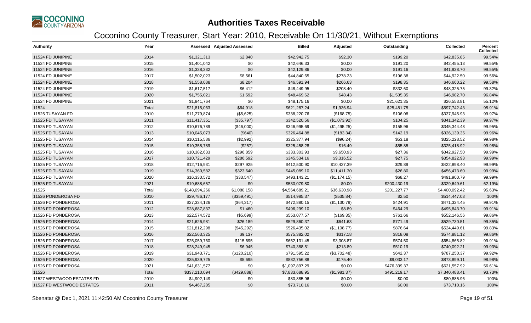

| <b>Authority</b>          | Year  |               | <b>Assessed Adjusted Assessed</b> | <b>Billed</b>  | Adjusted     | Outstanding  | <b>Collected</b> | <b>Percent</b><br><b>Collected</b> |
|---------------------------|-------|---------------|-----------------------------------|----------------|--------------|--------------|------------------|------------------------------------|
| 11524 FD JUNIPINE         | 2014  | \$1,321,313   | \$2,840                           | \$42,942.75    | \$92.30      | \$199.20     | \$42,835.85      | 99.54%                             |
| 11524 FD JUNIPINE         | 2015  | \$1,401,042   | \$0                               | \$42,646.33    | \$0.00       | \$191.20     | \$42,455.13      | 99.55%                             |
| 11524 FD JUNIPINE         | 2016  | \$1,338,332   | \$0                               | \$42,129.86    | \$0.00       | \$191.16     | \$41,938.70      | 99.55%                             |
| 11524 FD JUNIPINE         | 2017  | \$1,502,023   | \$8,561                           | \$44,840.65    | \$278.23     | \$196.38     | \$44,922.50      | 99.56%                             |
| 11524 FD JUNIPINE         | 2018  | \$1,558,088   | \$8,204                           | \$46,591.94    | \$266.63     | \$198.35     | \$46,660.22      | 99.58%                             |
| 11524 FD JUNIPINE         | 2019  | \$1,617,517   | \$6,412                           | \$48,449.95    | \$208.40     | \$332.60     | \$48,325.75      | 99.32%                             |
| 11524 FD JUNIPINE         | 2020  | \$1,755,021   | \$1,592                           | \$48,469.62    | \$48.43      | \$1,535.35   | \$46,982.70      | 96.84%                             |
| 11524 FD JUNIPINE         | 2021  | \$1,841,764   | \$0                               | \$48,175.16    | \$0.00       | \$21,621.35  | \$26,553.81      | 55.12%                             |
| 11524                     | Total | \$21,815,063  | \$64,918                          | \$621,287.24   | \$1,936.94   | \$25,481.75  | \$597,742.43     | 95.91%                             |
| 11525 TUSAYAN FD          | 2010  | \$11,279,874  | (\$5,625)                         | \$338,220.76   | (\$168.75)   | \$106.08     | \$337,945.93     | 99.97%                             |
| 11525 FD TUSAYAN          | 2011  | \$11,417,351  | (\$35,797)                        | \$342,520.56   | (\$1,073.92) | \$104.25     | \$341,342.39     | 99.97%                             |
| 11525 FD TUSAYAN          | 2012  | \$10,676,789  | (\$46,000)                        | \$346,995.69   | (\$1,495.25) | \$155.96     | \$345,344.48     | 99.95%                             |
| 11525 FD TUSAYAN          | 2013  | \$10,045,073  | (\$640)                           | \$326,464.88   | (\$183.34)   | \$142.19     | \$326,139.35     | 99.96%                             |
| 11525 FD TUSAYAN          | 2014  | \$10,115,586  | (\$2,992)                         | \$325,377.94   | (\$96.24)    | \$53.18      | \$325,228.52     | 99.98%                             |
| 11525 FD TUSAYAN          | 2015  | \$10,358,789  | (\$257)                           | \$325,458.28   | \$16.49      | \$55.85      | \$325,418.92     | 99.98%                             |
| 11525 FD TUSAYAN          | 2016  | \$10,382,633  | \$296,859                         | \$333,303.93   | \$9,650.93   | \$27.36      | \$342,927.50     | 99.99%                             |
| 11525 FD TUSAYAN          | 2017  | \$10,721,429  | \$286,592                         | \$345,534.16   | \$9,316.52   | \$27.75      | \$354,822.93     | 99.99%                             |
| 11525 FD TUSAYAN          | 2018  | \$12,716,931  | \$297,925                         | \$412,500.90   | \$10,427.39  | \$29.89      | \$422,898.40     | 99.99%                             |
| 11525 FD TUSAYAN          | 2019  | \$14,360,582  | \$323,640                         | \$445,089.10   | \$11,411.30  | \$26.80      | \$456,473.60     | 99.99%                             |
| 11525 FD TUSAYAN          | 2020  | \$16,330,572  | (\$33,547)                        | \$493,143.21   | (\$1,174.15) | \$68.27      | \$491,900.79     | 99.99%                             |
| 11525 FD TUSAYAN          | 2021  | \$19,688,657  | \$0                               | \$530,079.80   | \$0.00       | \$200,430.19 | \$329,649.61     | 62.19%                             |
| 11525                     | Total | \$148,094,266 | \$1,080,158                       | \$4,564,689.21 | \$36,630.98  | \$201,227.77 | \$4,400,092.42   | 95.63%                             |
| 11526 PONDEROSA FD        | 2010  | \$29,786,177  | (\$359,491)                       | \$514,985.37   | (\$535.84)   | \$2.50       | \$514,447.03     | 100%                               |
| 11526 FD PONDEROSA        | 2011  | \$27,334,126  | (\$64,317)                        | \$472,880.15   | (\$1,130.79) | \$424.91     | \$471,324.45     | 99.91%                             |
| 11526 FD PONDEROSA        | 2012  | \$28,687,837  | \$1,460                           | \$496,299.10   | \$8.89       | \$464.29     | \$495,843.70     | 99.91%                             |
| 11526 FD PONDEROSA        | 2013  | \$22,574,572  | (\$5,699)                         | \$553,077.57   | (\$169.35)   | \$761.66     | \$552,146.56     | 99.86%                             |
| 11526 FD PONDEROSA        | 2014  | \$21,626,981  | \$26,189                          | \$529,860.37   | \$641.63     | \$771.49     | \$529,730.51     | 99.85%                             |
| 11526 FD PONDEROSA        | 2015  | \$21,812,298  | (\$45,292)                        | \$526,435.02   | (\$1,108.77) | \$876.64     | \$524,449.61     | 99.83%                             |
| 11526 FD PONDEROSA        | 2016  | \$22,563,325  | \$9,137                           | \$575,382.02   | \$317.18     | \$818.08     | \$574,881.12     | 99.86%                             |
| 11526 FD PONDEROSA        | 2017  | \$25,059,760  | \$115,695                         | \$652,131.45   | \$3,308.87   | \$574.50     | \$654,865.82     | 99.91%                             |
| 11526 FD PONDEROSA        | 2018  | \$28,249,945  | \$6,945                           | \$740,388.51   | \$213.89     | \$510.19     | \$740,092.21     | 99.93%                             |
| 11526 FD PONDEROSA        | 2019  | \$31,943,771  | (\$120,210)                       | \$791,595.22   | (\$3,702.48) | \$642.37     | \$787,250.37     | 99.92%                             |
| 11526 FD PONDEROSA        | 2020  | \$35,939,725  | \$5,695                           | \$882,756.88   | \$175.40     | \$9,033.17   | \$873,899.11     | 98.98%                             |
| 11526 FD PONDEROSA        | 2021  | \$41,631,577  | \$0                               | \$1,097,897.29 | \$0.00       | \$476,339.37 | \$621,557.92     | 56.61%                             |
| 11526                     | Total | \$337,210,094 | (\$429,888)                       | \$7,833,688.95 | (\$1,981.37) | \$491,219.17 | \$7,340,488.41   | 93.73%                             |
| 11527 WESTWOOD ESTATES FD | 2010  | \$4,902,149   | \$0                               | \$80,885.96    | \$0.00       | \$0.00       | \$80,885.96      | 100%                               |
| 11527 FD WESTWOOD ESTATES | 2011  | \$4,467,285   | \$0                               | \$73,710.16    | \$0.00       | \$0.00       | \$73,710.16      | 100%                               |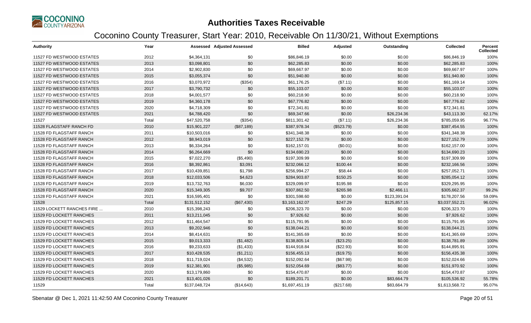

| <b>Authority</b>           | Year  |               | <b>Assessed Adjusted Assessed</b> | <b>Billed</b>  | Adjusted   | Outstanding  | <b>Collected</b> | Percent<br><b>Collected</b> |
|----------------------------|-------|---------------|-----------------------------------|----------------|------------|--------------|------------------|-----------------------------|
| 11527 FD WESTWOOD ESTATES  | 2012  | \$4,364,131   | \$0                               | \$86,846.19    | \$0.00     | \$0.00       | \$86,846.19      | 100%                        |
| 11527 FD WESTWOOD ESTATES  | 2013  | \$3,098,801   | \$0                               | \$62,285.83    | \$0.00     | \$0.00       | \$62,285.83      | 100%                        |
| 11527 FD WESTWOOD ESTATES  | 2014  | \$2,902,830   | \$0                               | \$69,667.97    | \$0.00     | \$0.00       | \$69,667.97      | 100%                        |
| 11527 FD WESTWOOD ESTATES  | 2015  | \$3,055,374   | \$0                               | \$51,940.80    | \$0.00     | \$0.00       | \$51,940.80      | 100%                        |
| 11527 FD WESTWOOD ESTATES  | 2016  | \$3,070,972   | (\$354)                           | \$61,176.25    | (\$7.11)   | \$0.00       | \$61,169.14      | 100%                        |
| 11527 FD WESTWOOD ESTATES  | 2017  | \$3,790,732   | \$0                               | \$55,103.07    | \$0.00     | \$0.00       | \$55,103.07      | 100%                        |
| 11527 FD WESTWOOD ESTATES  | 2018  | \$4,001,577   | \$0                               | \$60,218.90    | \$0.00     | \$0.00       | \$60,218.90      | 100%                        |
| 11527 FD WESTWOOD ESTATES  | 2019  | \$4,360,178   | \$0                               | \$67,776.82    | \$0.00     | \$0.00       | \$67,776.82      | 100%                        |
| 11527 FD WESTWOOD ESTATES  | 2020  | \$4,718,309   | \$0                               | \$72,341.81    | \$0.00     | \$0.00       | \$72,341.81      | 100%                        |
| 11527 FD WESTWOOD ESTATES  | 2021  | \$4,788,420   | \$0                               | \$69,347.66    | \$0.00     | \$26,234.36  | \$43,113.30      | 62.17%                      |
| 11527                      | Total | \$47,520,758  | (\$354)                           | \$811,301.42   | (\$7.11)   | \$26,234.36  | \$785,059.95     | 96.77%                      |
| 11528 FLAGSTAFF RANCH FD   | 2010  | \$15,901,227  | (\$87,189)                        | \$387,978.34   | (\$523.79) | \$0.00       | \$387,454.55     | 100%                        |
| 11528 FD FLAGSTAFF RANCH   | 2011  | \$10,503,016  | \$0                               | \$341,348.38   | \$0.00     | \$0.00       | \$341,348.38     | 100%                        |
| 11528 FD FLAGSTAFF RANCH   | 2012  | \$8,943,019   | \$0                               | \$227,152.79   | \$0.00     | \$0.00       | \$227,152.79     | 100%                        |
| 11528 FD FLAGSTAFF RANCH   | 2013  | \$6,334,264   | \$0                               | \$162,157.01   | (\$0.01)   | \$0.00       | \$162,157.00     | 100%                        |
| 11528 FD FLAGSTAFF RANCH   | 2014  | \$6,264,669   | \$0                               | \$134,690.23   | \$0.00     | \$0.00       | \$134,690.23     | 100%                        |
| 11528 FD FLAGSTAFF RANCH   | 2015  | \$7,022,270   | (\$5,490)                         | \$197,309.99   | \$0.00     | \$0.00       | \$197,309.99     | 100%                        |
| 11528 FD FLAGSTAFF RANCH   | 2016  | \$8,392,861   | \$3,091                           | \$232,066.12   | \$100.44   | \$0.00       | \$232,166.56     | 100%                        |
| 11528 FD FLAGSTAFF RANCH   | 2017  | \$10,439,851  | \$1,798                           | \$256,994.27   | \$58.44    | \$0.00       | \$257,052.71     | 100%                        |
| 11528 FD FLAGSTAFF RANCH   | 2018  | \$12,033,506  | \$4,623                           | \$284,903.87   | \$150.25   | \$0.00       | \$285,054.12     | 100%                        |
| 11528 FD FLAGSTAFF RANCH   | 2019  | \$13,732,763  | \$6,030                           | \$329,099.97   | \$195.98   | \$0.00       | \$329,295.95     | 100%                        |
| 11528 FD FLAGSTAFF RANCH   | 2020  | \$15,349,305  | \$9,707                           | \$307,862.50   | \$265.98   | \$2,466.11   | \$305,662.37     | 99.2%                       |
| 11528 FD FLAGSTAFF RANCH   | 2021  | \$16,595,401  | \$0                               | \$301,598.60   | \$0.00     | \$123,391.04 | \$178,207.56     | 59.09%                      |
| 11528                      | Total | \$131,512,152 | (\$67,430)                        | \$3,163,162.07 | \$247.29   | \$125,857.15 | \$3,037,552.21   | 96.02%                      |
| 11529 LOCKETT RANCHES FIRE | 2010  | \$15,398,243  | \$0                               | \$206,323.70   | \$0.00     | \$0.00       | \$206,323.70     | 100%                        |
| 11529 FD LOCKETT RANCHES   | 2011  | \$13,211,045  | \$0                               | \$7,926.62     | \$0.00     | \$0.00       | \$7,926.62       | 100%                        |
| 11529 FD LOCKETT RANCHES   | 2012  | \$11,464,547  | \$0                               | \$115,791.95   | \$0.00     | \$0.00       | \$115,791.95     | 100%                        |
| 11529 FD LOCKETT RANCHES   | 2013  | \$9,202,946   | \$0                               | \$138,044.21   | \$0.00     | \$0.00       | \$138,044.21     | 100%                        |
| 11529 FD LOCKETT RANCHES   | 2014  | \$8,414,631   | \$0                               | \$141,365.69   | \$0.00     | \$0.00       | \$141,365.69     | 100%                        |
| 11529 FD LOCKETT RANCHES   | 2015  | \$9,013,333   | (\$1,482)                         | \$138,805.14   | (\$23.25)  | \$0.00       | \$138,781.89     | 100%                        |
| 11529 FD LOCKETT RANCHES   | 2016  | \$9,233,633   | (\$1,433)                         | \$144,918.84   | (\$22.93)  | \$0.00       | \$144,895.91     | 100%                        |
| 11529 FD LOCKETT RANCHES   | 2017  | \$10,428,535  | (\$1,211)                         | \$156,455.13   | (\$19.75)  | \$0.00       | \$156,435.38     | 100%                        |
| 11529 FD LOCKETT RANCHES   | 2018  | \$11,719,024  | (\$4,532)                         | \$152,092.64   | (\$67.98)  | \$0.00       | \$152,024.66     | 100%                        |
| 11529 FD LOCKETT RANCHES   | 2019  | \$12,381,901  | (\$5,985)                         | \$152,054.69   | (\$83.77)  | \$0.00       | \$151,970.92     | 100%                        |
| 11529 FD LOCKETT RANCHES   | 2020  | \$13,179,860  | \$0                               | \$154,470.87   | \$0.00     | \$0.00       | \$154,470.87     | 100%                        |
| 11529 FD LOCKETT RANCHES   | 2021  | \$13,401,026  | \$0                               | \$189,201.71   | \$0.00     | \$83,664.79  | \$105,536.92     | 55.78%                      |
| 11529                      | Total | \$137,048,724 | (\$14,643)                        | \$1,697,451.19 | (\$217.68) | \$83,664.79  | \$1,613,568.72   | 95.07%                      |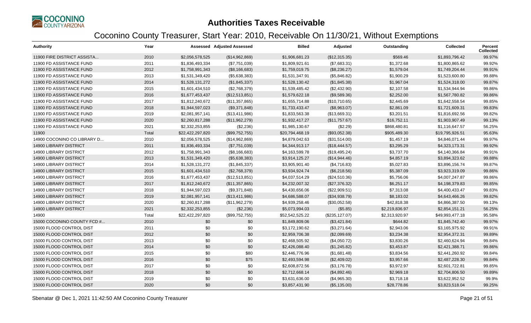

| <b>Authority</b>              | Year  |                  | <b>Assessed Adjusted Assessed</b> | <b>Billed</b>   | Adjusted        | Outstanding    | <b>Collected</b> | Percent<br><b>Collected</b> |
|-------------------------------|-------|------------------|-----------------------------------|-----------------|-----------------|----------------|------------------|-----------------------------|
| 11900 FIRE DISTRICT ASSISTA   | 2010  | \$2,056,578,525  | (\$14,962,869)                    | \$1,906,681.23  | (\$12,315.35)   | \$569.46       | \$1,893,796.42   | 99.97%                      |
| 11900 FD ASSISTANCE FUND      | 2011  | \$1,836,493,334  | (\$7,751,039)                     | \$1,809,921.61  | (\$7,683.31)    | \$1,372.68     | \$1,800,865.62   | 99.92%                      |
| 11900 FD ASSISTANCE FUND      | 2012  | \$1,758,991,343  | (\$8,166,683)                     | \$1,759,019.75  | (\$8,236.27)    | \$1,579.04     | \$1,749,204.44   | 99.91%                      |
| 11900 FD ASSISTANCE FUND      | 2013  | \$1,531,349,420  | (\$5,638,383)                     | \$1,531,347.91  | (\$5,846.82)    | \$1,900.29     | \$1,523,600.80   | 99.88%                      |
| 11900 FD ASSISTANCE FUND      | 2014  | \$1,528,131,272  | (\$1,845,337)                     | \$1,528,130.42  | (\$1,845.38)    | \$1,967.04     | \$1,524,318.00   | 99.87%                      |
| 11900 FD ASSISTANCE FUND      | 2015  | \$1,601,434,510  | (\$2,768,379)                     | \$1,539,485.42  | (\$2,432.90)    | \$2,107.58     | \$1,534,944.94   | 99.86%                      |
| 11900 FD ASSISTANCE FUND      | 2016  | \$1,677,453,437  | (\$12,513,851)                    | \$1,579,622.18  | (\$9,589.36)    | \$2,252.00     | \$1,567,780.82   | 99.86%                      |
| 11900 FD ASSISTANCE FUND      | 2017  | \$1,812,240,672  | (\$11,357,865)                    | \$1,655,714.88  | (\$10,710.65)   | \$2,445.69     | \$1,642,558.54   | 99.85%                      |
| 11900 FD ASSISTANCE FUND      | 2018  | \$1,944,597,023  | (\$9,371,848)                     | \$1,733,433.47  | (\$8,963.07)    | \$2,861.09     | \$1,721,609.31   | 99.83%                      |
| 11900 FD ASSISTANCE FUND      | 2019  | \$2,081,957,141  | (\$13,411,986)                    | \$1,833,563.38  | (\$13,669.31)   | \$3,201.51     | \$1,816,692.56   | 99.82%                      |
| 11900 FD ASSISTANCE FUND      | 2020  | \$2,260,817,288  | (\$11,962,279)                    | \$1,932,417.27  | (\$11,757.67)   | \$16,752.11    | \$1,903,907.49   | 99.13%                      |
| 11900 FD ASSISTANCE FUND      | 2021  | \$2,332,253,855  | (\$2,236)                         | \$1,985,130.67  | (\$2.29)        | \$868,480.81   | \$1,116,647.57   | 56.25%                      |
| 11900                         | Total | \$22,422,297,820 | (\$99,752,755)                    | \$20,794,468.19 | (\$93,052.38)   | \$905,489.30   | \$19,795,926.51  | 95.63%                      |
| 14900 COCONINO CO LIBRARY D   | 2010  | \$2,056,578,525  | (\$14,962,869)                    | \$4,879,042.63  | (\$31,514.00)   | \$1,457.19     | \$4,846,071.44   | 99.97%                      |
| <b>14900 LIBRARY DISTRICT</b> | 2011  | \$1,836,493,334  | (\$7,751,039)                     | \$4,344,913.17  | (\$18,444.57)   | \$3,295.29     | \$4,323,173.31   | 99.92%                      |
| <b>14900 LIBRARY DISTRICT</b> | 2012  | \$1,758,991,343  | (\$8,166,683)                     | \$4,163,599.78  | (\$19,495.24)   | \$3,737.70     | \$4,140,366.84   | 99.91%                      |
| <b>14900 LIBRARY DISTRICT</b> | 2013  | \$1,531,349,420  | (\$5,638,383)                     | \$3,914,125.27  | (\$14,944.46)   | \$4,857.19     | \$3,894,323.62   | 99.88%                      |
| <b>14900 LIBRARY DISTRICT</b> | 2014  | \$1,528,131,272  | (\$1,845,337)                     | \$3,905,901.40  | (\$4,716.83)    | \$5,027.83     | \$3,896,156.74   | 99.87%                      |
| <b>14900 LIBRARY DISTRICT</b> | 2015  | \$1,601,434,510  | (\$2,768,379)                     | \$3,934,924.74  | (\$6,218.56)    | \$5,387.09     | \$3,923,319.09   | 99.86%                      |
| <b>14900 LIBRARY DISTRICT</b> | 2016  | \$1,677,453,437  | (\$12,513,851)                    | \$4,037,514.29  | (\$24,510.36)   | \$5,756.06     | \$4,007,247.87   | 99.86%                      |
| <b>14900 LIBRARY DISTRICT</b> | 2017  | \$1,812,240,672  | (\$11,357,865)                    | \$4,232,007.32  | (\$27,376.32)   | \$6,251.17     | \$4,198,379.83   | 99.85%                      |
| <b>14900 LIBRARY DISTRICT</b> | 2018  | \$1,944,597,023  | (\$9,371,848)                     | \$4,430,656.06  | (\$22,909.51)   | \$7,313.08     | \$4,400,433.47   | 99.83%                      |
| <b>14900 LIBRARY DISTRICT</b> | 2019  | \$2,081,957,141  | (\$13,411,986)                    | \$4,686,588.07  | (\$34,938.79)   | \$8,183.02     | \$4,643,466.26   | 99.82%                      |
| <b>14900 LIBRARY DISTRICT</b> | 2020  | \$2,260,817,288  | (\$11,962,279)                    | \$4,939,258.46  | (\$30,052.58)   | \$42,818.38    | \$4,866,387.50   | 99.13%                      |
| <b>14900 LIBRARY DISTRICT</b> | 2021  | \$2,332,253,855  | (\$2,236)                         | \$5,073,994.03  | (\$5.85)        | \$2,219,836.97 | \$2,854,151.21   | 56.25%                      |
| 14900                         | Total | \$22,422,297,820 | (\$99,752,755)                    | \$52,542,525.22 | (\$235, 127.07) | \$2,313,920.97 | \$49,993,477.18  | 95.58%                      |
| 15000 COCONINO COUNTY FCD #   | 2010  | \$0              | \$0                               | \$1,849,809.06  | (\$3,421.84)    | \$644.82       | \$1,845,742.40   | 99.97%                      |
| 15000 FLOOD CONTROL DIST      | 2011  | \$0              | \$0                               | \$3,172,190.62  | (\$3,271.64)    | \$2,943.06     | \$3,165,975.92   | 99.91%                      |
| 15000 FLOOD CONTROL DIST      | 2012  | \$0              | \$0                               | \$2,959,706.38  | (\$2,099.69)    | \$3,234.38     | \$2,954,372.31   | 99.89%                      |
| 15000 FLOOD CONTROL DIST      | 2013  | \$0              | \$0                               | \$2,468,505.92  | (\$4,050.72)    | \$3,830.26     | \$2,460,624.94   | 99.84%                      |
| 15000 FLOOD CONTROL DIST      | 2014  | \$0              | \$0                               | \$2,426,088.40  | (\$1,245.82)    | \$3,453.87     | \$2,421,388.71   | 99.86%                      |
| 15000 FLOOD CONTROL DIST      | 2015  | \$0              | \$80                              | \$2,446,776.96  | (\$1,681.48)    | \$3,834.56     | \$2,441,260.92   | 99.84%                      |
| 15000 FLOOD CONTROL DIST      | 2016  | \$0              | \$75                              | \$2,493,594.98  | (\$2,409.02)    | \$3,957.66     | \$2,487,228.30   | 99.84%                      |
| 15000 FLOOD CONTROL DIST      | 2017  | \$0              | \$0                               | \$2,608,872.56  | (\$3,176.78)    | \$3,972.97     | \$2,601,722.81   | 99.85%                      |
| 15000 FLOOD CONTROL DIST      | 2018  | \$0              | \$0                               | \$2,712,668.14  | (\$4,892.46)    | \$2,969.18     | \$2,704,806.50   | 99.89%                      |
| 15000 FLOOD CONTROL DIST      | 2019  | \$0              | \$0                               | \$3,631,636.00  | (\$4,965.30)    | \$3,718.18     | \$3,622,952.52   | 99.9%                       |
| 15000 FLOOD CONTROL DIST      | 2020  | \$0              | \$0                               | \$3,857,431.90  | (\$5,135.00)    | \$28,778.86    | \$3,823,518.04   | 99.25%                      |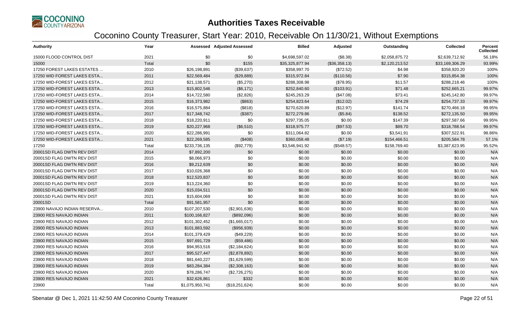

| <b>Authority</b>            | Year  |                 | <b>Assessed Adjusted Assessed</b> | <b>Billed</b>   | Adjusted      | Outstanding    | <b>Collected</b> | <b>Percent</b><br><b>Collected</b> |
|-----------------------------|-------|-----------------|-----------------------------------|-----------------|---------------|----------------|------------------|------------------------------------|
| 15000 FLOOD CONTROL DIST    | 2021  | \$0             | \$0                               | \$4,698,597.02  | (\$8.38)      | \$2.058.875.72 | \$2,639,712.92   | 56.18%                             |
| 15000                       | Total | \$0             | \$155                             | \$35,325,877.94 | (\$36,358.13) | \$2,120,213.52 | \$33,169,306.29  | 93.99%                             |
| 17250 FOREST LAKES ESTATES  | 2010  | \$26,198,891    | (\$39,637)                        | \$358,997.70    | (\$72.52)     | \$4.98         | \$358,920.20     | 100%                               |
| 17250 WID FOREST LAKES ESTA | 2011  | \$22,569,484    | (\$29,889)                        | \$315,972.84    | (\$110.56)    | \$7.90         | \$315,854.38     | 100%                               |
| 17250 WID-FOREST LAKES ESTA | 2012  | \$21,138,571    | (\$5,270)                         | \$288,308.98    | (\$78.95)     | \$11.57        | \$288,218.46     | 100%                               |
| 17250 WID-FOREST LAKES ESTA | 2013  | \$15,802,546    | (\$6,171)                         | \$252,840.60    | (\$103.91)    | \$71.48        | \$252,665.21     | 99.97%                             |
| 17250 WID-FOREST LAKES ESTA | 2014  | \$14,722,580    | (\$2,826)                         | \$245,263.29    | (\$47.08)     | \$73.41        | \$245,142.80     | 99.97%                             |
| 17250 WID-FOREST LAKES ESTA | 2015  | \$16,373,982    | (\$863)                           | \$254,823.64    | (\$12.02)     | \$74.29        | \$254,737.33     | 99.97%                             |
| 17250 WID-FOREST LAKES ESTA | 2016  | \$16,575,884    | (\$818)                           | \$270,620.89    | (\$12.97)     | \$141.74       | \$270,466.18     | 99.95%                             |
| 17250 WID-FOREST LAKES ESTA | 2017  | \$17,348,742    | (\$387)                           | \$272,279.86    | (\$5.84)      | \$138.52       | \$272,135.50     | 99.95%                             |
| 17250 WID-FOREST LAKES ESTA | 2018  | \$18,220,911    | \$0                               | \$297,735.05    | \$0.00        | \$147.39       | \$297,587.66     | 99.95%                             |
| 17250 WID-FOREST LAKES ESTA | 2019  | \$20,227,968    | (\$6,510)                         | \$318,975.77    | (\$97.53)     | \$89.70        | \$318,788.54     | 99.97%                             |
| 17250 WID-FOREST LAKES ESTA | 2020  | \$22,286,991    | \$0                               | \$311,064.82    | \$0.00        | \$3,541.91     | \$307,522.91     | 98.86%                             |
| 17250 WID-FOREST LAKES ESTA | 2021  | \$22,269,585    | (\$408)                           | \$360,058.48    | (\$7.19)      | \$154,466.51   | \$205,584.78     | 57.1%                              |
| 17250                       | Total | \$233,736,135   | (\$92,779)                        | \$3,546,941.92  | (\$548.57)    | \$158,769.40   | \$3,387,623.95   | 95.52%                             |
| 20001SD FLAG DWTN REV DIST  | 2014  | \$7,892,200     | \$0                               | \$0.00          | \$0.00        | \$0.00         | \$0.00           | N/A                                |
| 20001SD FLAG DWTN REV DIST  | 2015  | \$8,066,973     | \$0                               | \$0.00          | \$0.00        | \$0.00         | \$0.00           | N/A                                |
| 20001SD FLAG DWTN REV DIST  | 2016  | \$9,212,639     | \$0                               | \$0.00          | \$0.00        | \$0.00         | \$0.00           | N/A                                |
| 20001SD FLAG DWTN REV DIST  | 2017  | \$10,026,368    | \$0                               | \$0.00          | \$0.00        | \$0.00         | \$0.00           | N/A                                |
| 20001SD FLAG DWTN REV DIST  | 2018  | \$12,520,837    | \$0                               | \$0.00          | \$0.00        | \$0.00         | \$0.00           | N/A                                |
| 20001SD FLAG DWTN REV DIST  | 2019  | \$13,224,360    | \$0                               | \$0.00          | \$0.00        | \$0.00         | \$0.00           | N/A                                |
| 20001SD FLAG DWTN REV DIST  | 2020  | \$15,034,511    | \$0                               | \$0.00          | \$0.00        | \$0.00         | \$0.00           | N/A                                |
| 20001SD FLAG DWTN REV DIST  | 2021  | \$15,604,069    | \$0                               | \$0.00          | \$0.00        | \$0.00         | \$0.00           | N/A                                |
| 20001SD                     | Total | \$91,581,957    | \$0                               | \$0.00          | \$0.00        | \$0.00         | \$0.00           | N/A                                |
| 23900 NAVAJO INDIAN RESERVA | 2010  | \$107,207,530   | (\$2,901,636)                     | \$0.00          | \$0.00        | \$0.00         | \$0.00           | N/A                                |
| 23900 RES NAVAJO INDIAN     | 2011  | \$100,166,827   | (\$892,096)                       | \$0.00          | \$0.00        | \$0.00         | \$0.00           | N/A                                |
| 23900 RES NAVAJO INDIAN     | 2012  | \$101,302,452   | (\$1,665,017)                     | \$0.00          | \$0.00        | \$0.00         | \$0.00           | N/A                                |
| 23900 RES NAVAJO INDIAN     | 2013  | \$101,883,592   | (\$956,939)                       | \$0.00          | \$0.00        | \$0.00         | \$0.00           | N/A                                |
| 23900 RES NAVAJO INDIAN     | 2014  | \$101,379,429   | (\$49,229)                        | \$0.00          | \$0.00        | \$0.00         | \$0.00           | N/A                                |
| 23900 RES NAVAJO INDIAN     | 2015  | \$97,691,729    | (\$59,486)                        | \$0.00          | \$0.00        | \$0.00         | \$0.00           | N/A                                |
| 23900 RES NAVAJO INDIAN     | 2016  | \$94,953,516    | (\$2,184,624)                     | \$0.00          | \$0.00        | \$0.00         | \$0.00           | N/A                                |
| 23900 RES NAVAJO INDIAN     | 2017  | \$95,527,447    | (\$2,878,892)                     | \$0.00          | \$0.00        | \$0.00         | \$0.00           | N/A                                |
| 23900 RES NAVAJO INDIAN     | 2018  | \$81,640,227    | (\$1,629,599)                     | \$0.00          | \$0.00        | \$0.00         | \$0.00           | N/A                                |
| 23900 RES NAVAJO INDIAN     | 2019  | \$83,284,384    | (\$2,308,163)                     | \$0.00          | \$0.00        | \$0.00         | \$0.00           | N/A                                |
| 23900 RES NAVAJO INDIAN     | 2020  | \$78,286,747    | (\$2,726,275)                     | \$0.00          | \$0.00        | \$0.00         | \$0.00           | N/A                                |
| 23900 RES NAVAJO INDIAN     | 2021  | \$32,626,861    | \$332                             | \$0.00          | \$0.00        | \$0.00         | \$0.00           | N/A                                |
| 23900                       | Total | \$1,075,950,741 | (\$18,251,624)                    | \$0.00          | \$0.00        | \$0.00         | \$0.00           | N/A                                |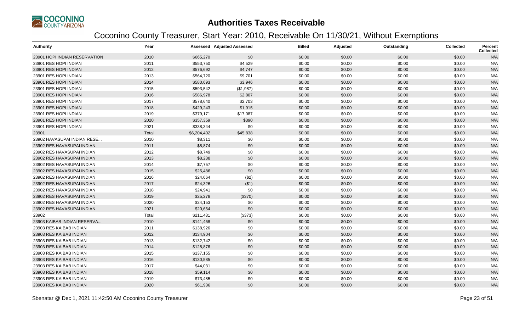

| <b>Authority</b>              | Year  |             | <b>Assessed Adjusted Assessed</b> | <b>Billed</b> | Adjusted | Outstanding | <b>Collected</b> | Percent<br>Collected |
|-------------------------------|-------|-------------|-----------------------------------|---------------|----------|-------------|------------------|----------------------|
| 23901 HOPI INDIAN RESERVATION | 2010  | \$665,270   | \$0                               | \$0.00        | \$0.00   | \$0.00      | \$0.00           | N/A                  |
| 23901 RES HOPI INDIAN         | 2011  | \$553,750   | \$4,529                           | \$0.00        | \$0.00   | \$0.00      | \$0.00           | N/A                  |
| 23901 RES HOPI INDIAN         | 2012  | \$576,692   | \$4,747                           | \$0.00        | \$0.00   | \$0.00      | \$0.00           | N/A                  |
| 23901 RES HOPI INDIAN         | 2013  | \$564,720   | \$9,701                           | \$0.00        | \$0.00   | \$0.00      | \$0.00           | N/A                  |
| 23901 RES HOPI INDIAN         | 2014  | \$580,693   | \$3,946                           | \$0.00        | \$0.00   | \$0.00      | \$0.00           | N/A                  |
| 23901 RES HOPI INDIAN         | 2015  | \$593,542   | (\$1,987)                         | \$0.00        | \$0.00   | \$0.00      | \$0.00           | N/A                  |
| 23901 RES HOPI INDIAN         | 2016  | \$586,978   | \$2,807                           | \$0.00        | \$0.00   | \$0.00      | \$0.00           | N/A                  |
| 23901 RES HOPI INDIAN         | 2017  | \$578,640   | \$2,703                           | \$0.00        | \$0.00   | \$0.00      | \$0.00           | N/A                  |
| 23901 RES HOPI INDIAN         | 2018  | \$429,243   | \$1,915                           | \$0.00        | \$0.00   | \$0.00      | \$0.00           | N/A                  |
| 23901 RES HOPI INDIAN         | 2019  | \$379,171   | \$17,087                          | \$0.00        | \$0.00   | \$0.00      | \$0.00           | N/A                  |
| 23901 RES HOPI INDIAN         | 2020  | \$357,359   | \$390                             | \$0.00        | \$0.00   | \$0.00      | \$0.00           | N/A                  |
| 23901 RES HOPI INDIAN         | 2021  | \$338,344   | \$0                               | \$0.00        | \$0.00   | \$0.00      | \$0.00           | N/A                  |
| 23901                         | Total | \$6,204,402 | \$45,838                          | \$0.00        | \$0.00   | \$0.00      | \$0.00           | N/A                  |
| 23902 HAVASUPAI INDIAN RESE   | 2010  | \$8,311     | \$0                               | \$0.00        | \$0.00   | \$0.00      | \$0.00           | N/A                  |
| 23902 RES HAVASUPAI INDIAN    | 2011  | \$8,874     | \$0                               | \$0.00        | \$0.00   | \$0.00      | \$0.00           | N/A                  |
| 23902 RES HAVASUPAI INDIAN    | 2012  | \$8,749     | \$0                               | \$0.00        | \$0.00   | \$0.00      | \$0.00           | N/A                  |
| 23902 RES HAVASUPAI INDIAN    | 2013  | \$8,238     | \$0                               | \$0.00        | \$0.00   | \$0.00      | \$0.00           | N/A                  |
| 23902 RES HAVASUPAI INDIAN    | 2014  | \$7,757     | \$0                               | \$0.00        | \$0.00   | \$0.00      | \$0.00           | N/A                  |
| 23902 RES HAVASUPAI INDIAN    | 2015  | \$25,486    | \$0                               | \$0.00        | \$0.00   | \$0.00      | \$0.00           | N/A                  |
| 23902 RES HAVASUPAI INDIAN    | 2016  | \$24,664    | (\$2)                             | \$0.00        | \$0.00   | \$0.00      | \$0.00           | N/A                  |
| 23902 RES HAVASUPAI INDIAN    | 2017  | \$24,326    | ( \$1)                            | \$0.00        | \$0.00   | \$0.00      | \$0.00           | N/A                  |
| 23902 RES HAVASUPAI INDIAN    | 2018  | \$24,941    | \$0                               | \$0.00        | \$0.00   | \$0.00      | \$0.00           | N/A                  |
| 23902 RES HAVASUPAI INDIAN    | 2019  | \$25,278    | (\$370)                           | \$0.00        | \$0.00   | \$0.00      | \$0.00           | N/A                  |
| 23902 RES HAVASUPAI INDIAN    | 2020  | \$24,153    | \$0                               | \$0.00        | \$0.00   | \$0.00      | \$0.00           | N/A                  |
| 23902 RES HAVASUPAI INDIAN    | 2021  | \$20,654    | \$0                               | \$0.00        | \$0.00   | \$0.00      | \$0.00           | N/A                  |
| 23902                         | Total | \$211,431   | (\$373)                           | \$0.00        | \$0.00   | \$0.00      | \$0.00           | N/A                  |
| 23903 KAIBAB INDIAN RESERVA.  | 2010  | \$141,468   | \$0                               | \$0.00        | \$0.00   | \$0.00      | \$0.00           | N/A                  |
| 23903 RES KAIBAB INDIAN       | 2011  | \$138,926   | \$0                               | \$0.00        | \$0.00   | \$0.00      | \$0.00           | N/A                  |
| 23903 RES KAIBAB INDIAN       | 2012  | \$134,904   | \$0                               | \$0.00        | \$0.00   | \$0.00      | \$0.00           | N/A                  |
| 23903 RES KAIBAB INDIAN       | 2013  | \$132,742   | \$0                               | \$0.00        | \$0.00   | \$0.00      | \$0.00           | N/A                  |
| 23903 RES KAIBAB INDIAN       | 2014  | \$128,876   | \$0                               | \$0.00        | \$0.00   | \$0.00      | \$0.00           | N/A                  |
| 23903 RES KAIBAB INDIAN       | 2015  | \$137,155   | \$0                               | \$0.00        | \$0.00   | \$0.00      | \$0.00           | N/A                  |
| 23903 RES KAIBAB INDIAN       | 2016  | \$130,585   | \$0                               | \$0.00        | \$0.00   | \$0.00      | \$0.00           | N/A                  |
| 23903 RES KAIBAB INDIAN       | 2017  | \$44,031    | \$0                               | \$0.00        | \$0.00   | \$0.00      | \$0.00           | N/A                  |
| 23903 RES KAIBAB INDIAN       | 2018  | \$59,114    | \$0                               | \$0.00        | \$0.00   | \$0.00      | \$0.00           | N/A                  |
| 23903 RES KAIBAB INDIAN       | 2019  | \$73,485    | \$0                               | \$0.00        | \$0.00   | \$0.00      | \$0.00           | N/A                  |
| 23903 RES KAIBAB INDIAN       | 2020  | \$61,936    | \$0                               | \$0.00        | \$0.00   | \$0.00      | \$0.00           | N/A                  |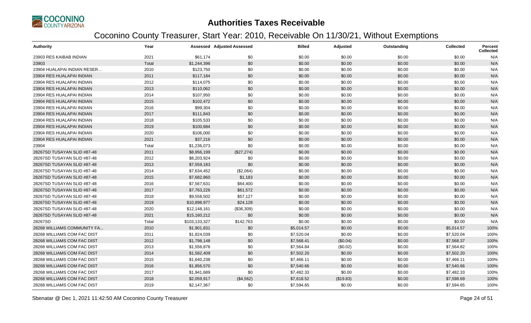

| <b>Authority</b>            | Year  |               | <b>Assessed Adjusted Assessed</b> | <b>Billed</b> | Adjusted  | Outstanding | <b>Collected</b> | <b>Percent</b><br><b>Collected</b> |
|-----------------------------|-------|---------------|-----------------------------------|---------------|-----------|-------------|------------------|------------------------------------|
| 23903 RES KAIBAB INDIAN     | 2021  | \$61,174      | \$0                               | \$0.00        | \$0.00    | \$0.00      | \$0.00           | N/A                                |
| 23903                       | Total | \$1,244,396   | \$0                               | \$0.00        | \$0.00    | \$0.00      | \$0.00           | N/A                                |
| 23904 HUALAPAI INDIAN RESER | 2010  | \$123,750     | \$0                               | \$0.00        | \$0.00    | \$0.00      | \$0.00           | N/A                                |
| 23904 RES HUALAPAI INDIAN   | 2011  | \$117,184     | \$0                               | \$0.00        | \$0.00    | \$0.00      | \$0.00           | N/A                                |
| 23904 RES HUALAPAI INDIAN   | 2012  | \$114,075     | \$0                               | \$0.00        | \$0.00    | \$0.00      | \$0.00           | N/A                                |
| 23904 RES HUALAPAI INDIAN   | 2013  | \$110,062     | \$0                               | \$0.00        | \$0.00    | \$0.00      | \$0.00           | N/A                                |
| 23904 RES HUALAPAI INDIAN   | 2014  | \$107,950     | \$0                               | \$0.00        | \$0.00    | \$0.00      | \$0.00           | N/A                                |
| 23904 RES HUALAPAI INDIAN   | 2015  | \$102,472     | \$0                               | \$0.00        | \$0.00    | \$0.00      | \$0.00           | N/A                                |
| 23904 RES HUALAPAI INDIAN   | 2016  | \$99,304      | \$0                               | \$0.00        | \$0.00    | \$0.00      | \$0.00           | N/A                                |
| 23904 RES HUALAPAI INDIAN   | 2017  | \$111,843     | \$0                               | \$0.00        | \$0.00    | \$0.00      | \$0.00           | N/A                                |
| 23904 RES HUALAPAI INDIAN   | 2018  | \$105,533     | \$0                               | \$0.00        | \$0.00    | \$0.00      | \$0.00           | N/A                                |
| 23904 RES HUALAPAI INDIAN   | 2019  | \$100,684     | \$0                               | \$0.00        | \$0.00    | \$0.00      | \$0.00           | N/A                                |
| 23904 RES HUALAPAI INDIAN   | 2020  | \$106,000     | \$0                               | \$0.00        | \$0.00    | \$0.00      | \$0.00           | N/A                                |
| 23904 RES HUALAPAI INDIAN   | 2021  | \$37,216      | \$0                               | \$0.00        | \$0.00    | \$0.00      | \$0.00           | N/A                                |
| 23904                       | Total | \$1,236,073   | \$0                               | \$0.00        | \$0.00    | \$0.00      | \$0.00           | N/A                                |
| 28267SD TUSAYAN SLID #87-48 | 2011  | \$8,956,199   | (\$27,274)                        | \$0.00        | \$0.00    | \$0.00      | \$0.00           | N/A                                |
| 28267SD TUSAYAN SLID #87-48 | 2012  | \$8,203,924   | \$0                               | \$0.00        | \$0.00    | \$0.00      | \$0.00           | N/A                                |
| 28267SD TUSAYAN SLID #87-48 | 2013  | \$7,559,183   | \$0                               | \$0.00        | \$0.00    | \$0.00      | \$0.00           | N/A                                |
| 28267SD TUSAYAN SLID #87-48 | 2014  | \$7,634,452   | (\$2,064)                         | \$0.00        | \$0.00    | \$0.00      | \$0.00           | N/A                                |
| 28267SD TUSAYAN SLID #87-48 | 2015  | \$7,682,860   | \$1,183                           | \$0.00        | \$0.00    | \$0.00      | \$0.00           | N/A                                |
| 28267SD TUSAYAN SLID #87-48 | 2016  | \$7,567,631   | \$64,400                          | \$0.00        | \$0.00    | \$0.00      | \$0.00           | N/A                                |
| 28267SD TUSAYAN SLID #87-48 | 2017  | \$7,763,226   | \$61,572                          | \$0.00        | \$0.00    | \$0.00      | \$0.00           | N/A                                |
| 28267SD TUSAYAN SLID #87-48 | 2018  | \$9,558,502   | \$57,127                          | \$0.00        | \$0.00    | \$0.00      | \$0.00           | N/A                                |
| 28267SD TUSAYAN SLID #87-48 | 2019  | \$10,898,977  | \$24,128                          | \$0.00        | \$0.00    | \$0.00      | \$0.00           | N/A                                |
| 28267SD TUSAYAN SLID #87-48 | 2020  | \$12,148,161  | (\$36,309)                        | \$0.00        | \$0.00    | \$0.00      | \$0.00           | N/A                                |
| 28267SD TUSAYAN SLID #87-48 | 2021  | \$15,160,212  | \$0                               | \$0.00        | \$0.00    | \$0.00      | \$0.00           | N/A                                |
| 28267SD                     | Total | \$103,133,327 | \$142,763                         | \$0.00        | \$0.00    | \$0.00      | \$0.00           | N/A                                |
| 28268 WILLIAMS COMMUNITY FA | 2010  | \$1,901,831   | \$0                               | \$5,014.57    | \$0.00    | \$0.00      | \$5,014.57       | 100%                               |
| 28268 WILLIAMS COM FAC DIST | 2011  | \$1,824,039   | \$0                               | \$7,520.04    | \$0.00    | \$0.00      | \$7,520.04       | 100%                               |
| 28268 WILLIAMS COM FAC DIST | 2012  | \$1,798,148   | \$0                               | \$7,568.41    | (\$0.04)  | \$0.00      | \$7,568.37       | 100%                               |
| 28268 WILLIAMS COM FAC DIST | 2013  | \$1,556,876   | \$0                               | \$7,564.84    | (\$0.02)  | \$0.00      | \$7,564.82       | 100%                               |
| 28268 WILLIAMS COM FAC DIST | 2014  | \$1,582,409   | \$0                               | \$7,502.20    | \$0.00    | \$0.00      | \$7,502.20       | 100%                               |
| 28268 WILLIAMS COM FAC DIST | 2015  | \$1,640,238   | \$0                               | \$7,466.11    | \$0.00    | \$0.00      | \$7,466.11       | 100%                               |
| 28268 WILLIAMS COM FAC DIST | 2016  | \$1,856,570   | \$0                               | \$7,540.66    | \$0.00    | \$0.00      | \$7,540.66       | 100%                               |
| 28268 WILLIAMS COM FAC DIST | 2017  | \$1,941,689   | \$0                               | \$7,482.33    | \$0.00    | \$0.00      | \$7,482.33       | 100%                               |
| 28268 WILLIAMS COM FAC DIST | 2018  | \$2,059,917   | (\$4,562)                         | \$7,618.52    | (\$19.83) | \$0.00      | \$7,598.69       | 100%                               |
| 28268 WILLIAMS COM FAC DIST | 2019  | \$2,147,367   | \$0                               | \$7,594.65    | \$0.00    | \$0.00      | \$7,594.65       | 100%                               |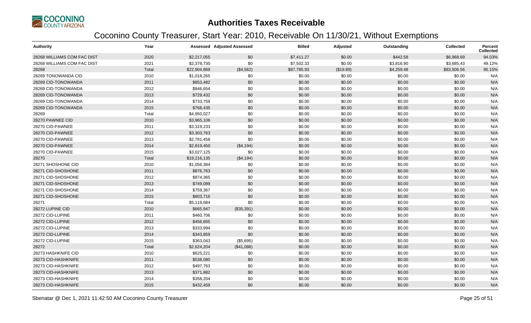

| <b>Authority</b>            | Year  |              | <b>Assessed Adjusted Assessed</b> | <b>Billed</b> | Adjusted  | Outstanding | <b>Collected</b> | Percent<br><b>Collected</b> |
|-----------------------------|-------|--------------|-----------------------------------|---------------|-----------|-------------|------------------|-----------------------------|
| 28268 WILLIAMS COM FAC DIST | 2020  | \$2,217,055  | \$0                               | \$7,411.27    | \$0.00    | \$442.58    | \$6,968.69       | 94.03%                      |
| 28268 WILLIAMS COM FAC DIST | 2021  | \$2,378,730  | \$0                               | \$7,502.33    | \$0.00    | \$3,816.90  | \$3,685.43       | 49.12%                      |
| 28268                       | Total | \$22,904,869 | (\$4,562)                         | \$87,785.93   | (\$19.89) | \$4,259.48  | \$83,506.56      | 95.15%                      |
| 28269 TONOWANDA CID         | 2010  | \$1,018,265  | \$0                               | \$0.00        | \$0.00    | \$0.00      | \$0.00           | N/A                         |
| 28269 CID-TONOWANDA         | 2011  | \$853,482    | \$0                               | \$0.00        | \$0.00    | \$0.00      | \$0.00           | N/A                         |
| 28269 CID-TONOWANDA         | 2012  | \$846,654    | \$0                               | \$0.00        | \$0.00    | \$0.00      | \$0.00           | N/A                         |
| 28269 CID-TONOWANDA         | 2013  | \$729,432    | \$0                               | \$0.00        | \$0.00    | \$0.00      | \$0.00           | N/A                         |
| 28269 CID-TONOWANDA         | 2014  | \$733,759    | \$0                               | \$0.00        | \$0.00    | \$0.00      | \$0.00           | N/A                         |
| 28269 CID-TONOWANDA         | 2015  | \$768,435    | \$0                               | \$0.00        | \$0.00    | \$0.00      | \$0.00           | N/A                         |
| 28269                       | Total | \$4,950,027  | \$0                               | \$0.00        | \$0.00    | \$0.00      | \$0.00           | N/A                         |
| 28270 PAWNEE CID            | 2010  | \$3,965,106  | \$0                               | \$0.00        | \$0.00    | \$0.00      | \$0.00           | N/A                         |
| 28270 CID-PAWNEE            | 2011  | \$3,319,233  | \$0                               | \$0.00        | \$0.00    | \$0.00      | \$0.00           | N/A                         |
| 28270 CID-PAWNEE            | 2012  | \$3,303,763  | \$0                               | \$0.00        | \$0.00    | \$0.00      | \$0.00           | N/A                         |
| 28270 CID-PAWNEE            | 2013  | \$2,781,458  | \$0                               | \$0.00        | \$0.00    | \$0.00      | \$0.00           | N/A                         |
| 28270 CID-PAWNEE            | 2014  | \$2,819,450  | (\$4,194)                         | \$0.00        | \$0.00    | \$0.00      | \$0.00           | N/A                         |
| 28270 CID-PAWNEE            | 2015  | \$3,027,125  | \$0                               | \$0.00        | \$0.00    | \$0.00      | \$0.00           | N/A                         |
| 28270                       | Total | \$19,216,135 | (\$4,194)                         | \$0.00        | \$0.00    | \$0.00      | \$0.00           | N/A                         |
| 28271 SHOSHONE CID          | 2010  | \$1,056,384  | \$0                               | \$0.00        | \$0.00    | \$0.00      | \$0.00           | N/A                         |
| 28271 CID-SHOSHONE          | 2011  | \$876,763    | \$0                               | \$0.00        | \$0.00    | \$0.00      | \$0.00           | N/A                         |
| 28271 CID-SHOSHONE          | 2012  | \$874,365    | \$0                               | \$0.00        | \$0.00    | \$0.00      | \$0.00           | N/A                         |
| 28271 CID-SHOSHONE          | 2013  | \$749,089    | \$0                               | \$0.00        | \$0.00    | \$0.00      | \$0.00           | N/A                         |
| 28271 CID-SHOSHONE          | 2014  | \$759,367    | \$0                               | \$0.00        | \$0.00    | \$0.00      | \$0.00           | N/A                         |
| 28271 CID-SHOSHONE          | 2015  | \$803,716    | \$0                               | \$0.00        | \$0.00    | \$0.00      | \$0.00           | N/A                         |
| 28271                       | Total | \$5,119,684  | \$0                               | \$0.00        | \$0.00    | \$0.00      | \$0.00           | N/A                         |
| 28272 LUPINE CID            | 2010  | \$665,947    | (\$35,391)                        | \$0.00        | \$0.00    | \$0.00      | \$0.00           | N/A                         |
| 28272 CID-LUPINE            | 2011  | \$460,706    | \$0                               | \$0.00        | \$0.00    | \$0.00      | \$0.00           | N/A                         |
| 28272 CID-LUPINE            | 2012  | \$456,655    | \$0                               | \$0.00        | \$0.00    | \$0.00      | \$0.00           | N/A                         |
| 28272 CID-LUPINE            | 2013  | \$333,994    | \$0                               | \$0.00        | \$0.00    | \$0.00      | \$0.00           | N/A                         |
| 28272 CID-LUPINE            | 2014  | \$343,859    | \$0                               | \$0.00        | \$0.00    | \$0.00      | \$0.00           | N/A                         |
| 28272 CID-LUPINE            | 2015  | \$363,043    | (\$5,695)                         | \$0.00        | \$0.00    | \$0.00      | \$0.00           | N/A                         |
| 28272                       | Total | \$2,624,204  | (\$41,086)                        | \$0.00        | \$0.00    | \$0.00      | \$0.00           | N/A                         |
| 28273 HASHKNIFE CID         | 2010  | \$625,221    | \$0                               | \$0.00        | \$0.00    | \$0.00      | \$0.00           | N/A                         |
| 28273 CID-HASHKNIFE         | 2011  | \$538,080    | \$0                               | \$0.00        | \$0.00    | \$0.00      | \$0.00           | N/A                         |
| 28273 CID-HASHKNIFE         | 2012  | \$497,763    | \$0                               | \$0.00        | \$0.00    | \$0.00      | \$0.00           | N/A                         |
| 28273 CID-HASHKNIFE         | 2013  | \$371,882    | \$0                               | \$0.00        | \$0.00    | \$0.00      | \$0.00           | N/A                         |
| 28273 CID-HASHKNIFE         | 2014  | \$358,204    | \$0                               | \$0.00        | \$0.00    | \$0.00      | \$0.00           | N/A                         |
| 28273 CID-HASHKNIFE         | 2015  | \$432,459    | \$0                               | \$0.00        | \$0.00    | \$0.00      | \$0.00           | N/A                         |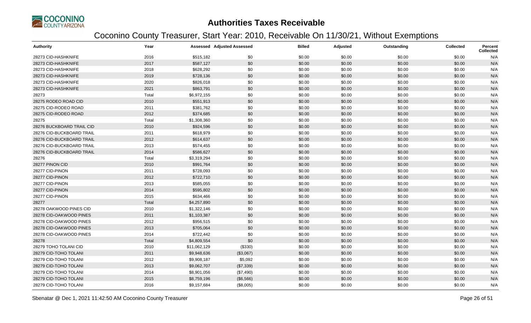

| <b>Authority</b>          | Year  |              | <b>Assessed Adjusted Assessed</b> | <b>Billed</b> | Adjusted | Outstanding | <b>Collected</b> | Percent<br><b>Collected</b> |
|---------------------------|-------|--------------|-----------------------------------|---------------|----------|-------------|------------------|-----------------------------|
| 28273 CID-HASHKNIFE       | 2016  | \$515,182    | \$0                               | \$0.00        | \$0.00   | \$0.00      | \$0.00           | N/A                         |
| 28273 CID-HASHKNIFE       | 2017  | \$587,127    | \$0                               | \$0.00        | \$0.00   | \$0.00      | \$0.00           | N/A                         |
| 28273 CID-HASHKNIFE       | 2018  | \$628,292    | \$0                               | \$0.00        | \$0.00   | \$0.00      | \$0.00           | N/A                         |
| 28273 CID-HASHKNIFE       | 2019  | \$728,136    | \$0                               | \$0.00        | \$0.00   | \$0.00      | \$0.00           | N/A                         |
| 28273 CID-HASHKNIFE       | 2020  | \$826,018    | \$0                               | \$0.00        | \$0.00   | \$0.00      | \$0.00           | N/A                         |
| 28273 CID-HASHKNIFE       | 2021  | \$863,791    | \$0                               | \$0.00        | \$0.00   | \$0.00      | \$0.00           | N/A                         |
| 28273                     | Total | \$6,972,155  | \$0                               | \$0.00        | \$0.00   | \$0.00      | \$0.00           | N/A                         |
| 28275 RODEO ROAD CID      | 2010  | \$551,913    | \$0                               | \$0.00        | \$0.00   | \$0.00      | \$0.00           | N/A                         |
| 28275 CID-RODEO ROAD      | 2011  | \$381,762    | \$0                               | \$0.00        | \$0.00   | \$0.00      | \$0.00           | N/A                         |
| 28275 CID-RODEO ROAD      | 2012  | \$374,685    | \$0                               | \$0.00        | \$0.00   | \$0.00      | \$0.00           | N/A                         |
| 28275                     | Total | \$1,308,360  | \$0                               | \$0.00        | \$0.00   | \$0.00      | \$0.00           | N/A                         |
| 28276 BUCKBOARD TRAIL CID | 2010  | \$924,596    | \$0                               | \$0.00        | \$0.00   | \$0.00      | \$0.00           | N/A                         |
| 28276 CID-BUCKBOARD TRAIL | 2011  | \$618,979    | \$0                               | \$0.00        | \$0.00   | \$0.00      | \$0.00           | N/A                         |
| 28276 CID-BUCKBOARD TRAIL | 2012  | \$614,637    | \$0                               | \$0.00        | \$0.00   | \$0.00      | \$0.00           | N/A                         |
| 28276 CID-BUCKBOARD TRAIL | 2013  | \$574,455    | \$0                               | \$0.00        | \$0.00   | \$0.00      | \$0.00           | N/A                         |
| 28276 CID-BUCKBOARD TRAIL | 2014  | \$586,627    | \$0                               | \$0.00        | \$0.00   | \$0.00      | \$0.00           | N/A                         |
| 28276                     | Total | \$3,319,294  | \$0                               | \$0.00        | \$0.00   | \$0.00      | \$0.00           | N/A                         |
| 28277 PINON CID           | 2010  | \$991,764    | \$0                               | \$0.00        | \$0.00   | \$0.00      | \$0.00           | N/A                         |
| 28277 CID-PINON           | 2011  | \$728,093    | \$0                               | \$0.00        | \$0.00   | \$0.00      | \$0.00           | N/A                         |
| 28277 CID-PINON           | 2012  | \$722,710    | \$0                               | \$0.00        | \$0.00   | \$0.00      | \$0.00           | N/A                         |
| 28277 CID-PINON           | 2013  | \$585,055    | \$0                               | \$0.00        | \$0.00   | \$0.00      | \$0.00           | N/A                         |
| 28277 CID-PINON           | 2014  | \$595,802    | \$0                               | \$0.00        | \$0.00   | \$0.00      | \$0.00           | N/A                         |
| 28277 CID-PINON           | 2015  | \$634,466    | \$0                               | \$0.00        | \$0.00   | \$0.00      | \$0.00           | N/A                         |
| 28277                     | Total | \$4,257,890  | \$0                               | \$0.00        | \$0.00   | \$0.00      | \$0.00           | N/A                         |
| 28278 OAKWOOD PINES CID   | 2010  | \$1,322,146  | \$0                               | \$0.00        | \$0.00   | \$0.00      | \$0.00           | N/A                         |
| 28278 CID-OAKWOOD PINES   | 2011  | \$1,103,387  | \$0                               | \$0.00        | \$0.00   | \$0.00      | \$0.00           | N/A                         |
| 28278 CID-OAKWOOD PINES   | 2012  | \$956,515    | \$0                               | \$0.00        | \$0.00   | \$0.00      | \$0.00           | N/A                         |
| 28278 CID-OAKWOOD PINES   | 2013  | \$705,064    | \$0                               | \$0.00        | \$0.00   | \$0.00      | \$0.00           | N/A                         |
| 28278 CID-OAKWOOD PINES   | 2014  | \$722,442    | \$0                               | \$0.00        | \$0.00   | \$0.00      | \$0.00           | N/A                         |
| 28278                     | Total | \$4,809,554  | \$0                               | \$0.00        | \$0.00   | \$0.00      | \$0.00           | N/A                         |
| 28279 TOHO TOLANI CID     | 2010  | \$11,062,129 | (\$330)                           | \$0.00        | \$0.00   | \$0.00      | \$0.00           | N/A                         |
| 28279 CID-TOHO TOLANI     | 2011  | \$9,948,636  | (\$3,067)                         | \$0.00        | \$0.00   | \$0.00      | \$0.00           | N/A                         |
| 28279 CID-TOHO TOLANI     | 2012  | \$9,908,187  | \$5,092                           | \$0.00        | \$0.00   | \$0.00      | \$0.00           | N/A                         |
| 28279 CID-TOHO TOLANI     | 2013  | \$9,062,707  | (\$7,339)                         | \$0.00        | \$0.00   | \$0.00      | \$0.00           | N/A                         |
| 28279 CID-TOHO TOLANI     | 2014  | \$8,901,056  | (\$7,490)                         | \$0.00        | \$0.00   | \$0.00      | \$0.00           | N/A                         |
| 28279 CID-TOHO TOLANI     | 2015  | \$8,759,196  | (\$6,566)                         | \$0.00        | \$0.00   | \$0.00      | \$0.00           | N/A                         |
| 28279 CID-TOHO TOLANI     | 2016  | \$9,157,684  | (\$8,005)                         | \$0.00        | \$0.00   | \$0.00      | \$0.00           | N/A                         |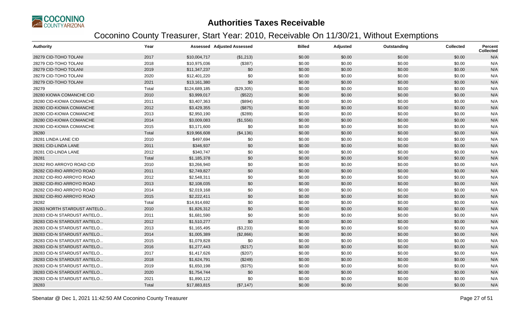

| Authority                   | Year  |               | <b>Assessed Adjusted Assessed</b> | <b>Billed</b> | Adjusted | Outstanding | <b>Collected</b> | <b>Percent</b><br><b>Collected</b> |
|-----------------------------|-------|---------------|-----------------------------------|---------------|----------|-------------|------------------|------------------------------------|
| 28279 CID-TOHO TOLANI       | 2017  | \$10,004,717  | (\$1,213)                         | \$0.00        | \$0.00   | \$0.00      | \$0.00           | N/A                                |
| 28279 CID-TOHO TOLANI       | 2018  | \$10,975,036  | (\$387)                           | \$0.00        | \$0.00   | \$0.00      | \$0.00           | N/A                                |
| 28279 CID-TOHO TOLANI       | 2019  | \$11,347,237  | \$0                               | \$0.00        | \$0.00   | \$0.00      | \$0.00           | N/A                                |
| 28279 CID-TOHO TOLANI       | 2020  | \$12,401,220  | \$0                               | \$0.00        | \$0.00   | \$0.00      | \$0.00           | N/A                                |
| 28279 CID-TOHO TOLANI       | 2021  | \$13,161,380  | \$0                               | \$0.00        | \$0.00   | \$0.00      | \$0.00           | N/A                                |
| 28279                       | Total | \$124,689,185 | (\$29,305)                        | \$0.00        | \$0.00   | \$0.00      | \$0.00           | N/A                                |
| 28280 KIOWA COMANCHE CID    | 2010  | \$3,999,017   | (\$522)                           | \$0.00        | \$0.00   | \$0.00      | \$0.00           | N/A                                |
| 28280 CID-KIOWA COMANCHE    | 2011  | \$3,407,363   | (\$894)                           | \$0.00        | \$0.00   | \$0.00      | \$0.00           | N/A                                |
| 28280 CID-KIOWA COMANCHE    | 2012  | \$3,429,355   | (\$875)                           | \$0.00        | \$0.00   | \$0.00      | \$0.00           | N/A                                |
| 28280 CID-KIOWA COMANCHE    | 2013  | \$2,950,190   | (\$289)                           | \$0.00        | \$0.00   | \$0.00      | \$0.00           | N/A                                |
| 28280 CID-KIOWA COMANCHE    | 2014  | \$3,009,083   | (\$1,556)                         | \$0.00        | \$0.00   | \$0.00      | \$0.00           | N/A                                |
| 28280 CID-KIOWA COMANCHE    | 2015  | \$3,171,600   | \$0                               | \$0.00        | \$0.00   | \$0.00      | \$0.00           | N/A                                |
| 28280                       | Total | \$19,966,608  | (\$4,136)                         | \$0.00        | \$0.00   | \$0.00      | \$0.00           | N/A                                |
| 28281 LINDA LANE CID        | 2010  | \$497,694     | \$0                               | \$0.00        | \$0.00   | \$0.00      | \$0.00           | N/A                                |
| 28281 CID-LINDA LANE        | 2011  | \$346,937     | \$0                               | \$0.00        | \$0.00   | \$0.00      | \$0.00           | N/A                                |
| 28281 CID-LINDA LANE        | 2012  | \$340,747     | \$0                               | \$0.00        | \$0.00   | \$0.00      | \$0.00           | N/A                                |
| 28281                       | Total | \$1,185,378   | \$0                               | \$0.00        | \$0.00   | \$0.00      | \$0.00           | N/A                                |
| 28282 RIO ARROYO ROAD CID   | 2010  | \$3,266,940   | \$0                               | \$0.00        | \$0.00   | \$0.00      | \$0.00           | N/A                                |
| 28282 CID-RIO ARROYO ROAD   | 2011  | \$2,749,827   | \$0                               | \$0.00        | \$0.00   | \$0.00      | \$0.00           | N/A                                |
| 28282 CID-RIO ARROYO ROAD   | 2012  | \$2,548,311   | \$0                               | \$0.00        | \$0.00   | \$0.00      | \$0.00           | N/A                                |
| 28282 CID-RIO ARROYO ROAD   | 2013  | \$2,108,035   | \$0                               | \$0.00        | \$0.00   | \$0.00      | \$0.00           | N/A                                |
| 28282 CID-RIO ARROYO ROAD   | 2014  | \$2,019,168   | \$0                               | \$0.00        | \$0.00   | \$0.00      | \$0.00           | N/A                                |
| 28282 CID-RIO ARROYO ROAD   | 2015  | \$2,222,411   | \$0                               | \$0.00        | \$0.00   | \$0.00      | \$0.00           | N/A                                |
| 28282                       | Total | \$14,914,692  | \$0                               | \$0.00        | \$0.00   | \$0.00      | \$0.00           | N/A                                |
| 28283 NORTH STARDUST ANTELO | 2010  | \$1,826,312   | \$0                               | \$0.00        | \$0.00   | \$0.00      | \$0.00           | N/A                                |
| 28283 CID-N STARDUST ANTELO | 2011  | \$1,681,590   | \$0                               | \$0.00        | \$0.00   | \$0.00      | \$0.00           | N/A                                |
| 28283 CID-N STARDUST ANTELO | 2012  | \$1,510,277   | \$0                               | \$0.00        | \$0.00   | \$0.00      | \$0.00           | N/A                                |
| 28283 CID-N STARDUST ANTELO | 2013  | \$1,165,495   | (\$3,233)                         | \$0.00        | \$0.00   | \$0.00      | \$0.00           | N/A                                |
| 28283 CID-N STARDUST ANTELO | 2014  | \$1,005,389   | (\$2,866)                         | \$0.00        | \$0.00   | \$0.00      | \$0.00           | N/A                                |
| 28283 CID-N STARDUST ANTELO | 2015  | \$1,079,828   | \$0                               | \$0.00        | \$0.00   | \$0.00      | \$0.00           | N/A                                |
| 28283 CID-N STARDUST ANTELO | 2016  | \$1,277,443   | (\$217)                           | \$0.00        | \$0.00   | \$0.00      | \$0.00           | N/A                                |
| 28283 CID-N STARDUST ANTELO | 2017  | \$1,417,626   | (\$207)                           | \$0.00        | \$0.00   | \$0.00      | \$0.00           | N/A                                |
| 28283 CID-N STARDUST ANTELO | 2018  | \$1,624,791   | (\$249)                           | \$0.00        | \$0.00   | \$0.00      | \$0.00           | N/A                                |
| 28283 CID-N STARDUST ANTELO | 2019  | \$1,650,198   | (\$375)                           | \$0.00        | \$0.00   | \$0.00      | \$0.00           | N/A                                |
| 28283 CID-N STARDUST ANTELO | 2020  | \$1,754,744   | \$0                               | \$0.00        | \$0.00   | \$0.00      | \$0.00           | N/A                                |
| 28283 CID-N STARDUST ANTELO | 2021  | \$1,890,122   | \$0                               | \$0.00        | \$0.00   | \$0.00      | \$0.00           | N/A                                |
| 28283                       | Total | \$17,883,815  | (\$7,147)                         | \$0.00        | \$0.00   | \$0.00      | \$0.00           | N/A                                |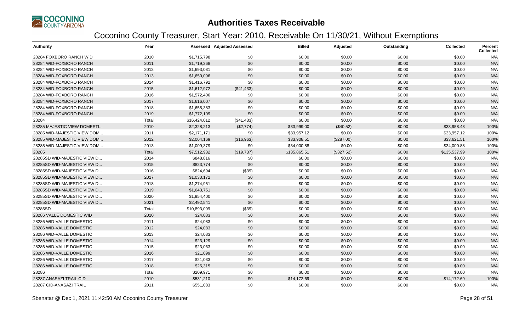

| Authority                    | Year  |              | <b>Assessed Adjusted Assessed</b> | <b>Billed</b> | Adjusted   | Outstanding | <b>Collected</b> | <b>Percent</b><br><b>Collected</b> |
|------------------------------|-------|--------------|-----------------------------------|---------------|------------|-------------|------------------|------------------------------------|
| 28284 FOXBORO RANCH WID      | 2010  | \$1,715,798  | \$0                               | \$0.00        | \$0.00     | \$0.00      | \$0.00           | N/A                                |
| 28284 WID-FOXBORO RANCH      | 2011  | \$1,719,368  | \$0                               | \$0.00        | \$0.00     | \$0.00      | \$0.00           | N/A                                |
| 28284 WID-FOXBORO RANCH      | 2012  | \$1,693,081  | \$0                               | \$0.00        | \$0.00     | \$0.00      | \$0.00           | N/A                                |
| 28284 WID-FOXBORO RANCH      | 2013  | \$1,650,096  | \$0                               | \$0.00        | \$0.00     | \$0.00      | \$0.00           | N/A                                |
| 28284 WID-FOXBORO RANCH      | 2014  | \$1,416,792  | \$0                               | \$0.00        | \$0.00     | \$0.00      | \$0.00           | N/A                                |
| 28284 WID-FOXBORO RANCH      | 2015  | \$1,612,972  | (\$41,433)                        | \$0.00        | \$0.00     | \$0.00      | \$0.00           | N/A                                |
| 28284 WID-FOXBORO RANCH      | 2016  | \$1,572,406  | \$0                               | \$0.00        | \$0.00     | \$0.00      | \$0.00           | N/A                                |
| 28284 WID-FOXBORO RANCH      | 2017  | \$1,616,007  | \$0                               | \$0.00        | \$0.00     | \$0.00      | \$0.00           | N/A                                |
| 28284 WID-FOXBORO RANCH      | 2018  | \$1,655,383  | \$0                               | \$0.00        | \$0.00     | \$0.00      | \$0.00           | N/A                                |
| 28284 WID-FOXBORO RANCH      | 2019  | \$1,772,109  | \$0                               | \$0.00        | \$0.00     | \$0.00      | \$0.00           | N/A                                |
| 28284                        | Total | \$16,424,012 | (\$41,433)                        | \$0.00        | \$0.00     | \$0.00      | \$0.00           | N/A                                |
| 28285 MAJESTIC VIEW DOMESTI  | 2010  | \$2,328,213  | (\$2,774)                         | \$33,999.00   | (\$40.52)  | \$0.00      | \$33,958.48      | 100%                               |
| 28285 WID-MAJESTIC VIEW DOM  | 2011  | \$2,171,171  | \$0                               | \$33,957.12   | \$0.00     | \$0.00      | \$33,957.12      | 100%                               |
| 28285 WID-MAJESTIC VIEW DOM  | 2012  | \$2,004,169  | (\$16,963)                        | \$33,908.51   | (\$287.00) | \$0.00      | \$33,621.51      | 100%                               |
| 28285 WID-MAJESTIC VIEW DOM  | 2013  | \$1,009,379  | \$0                               | \$34,000.88   | \$0.00     | \$0.00      | \$34,000.88      | 100%                               |
| 28285                        | Total | \$7,512,932  | (\$19,737)                        | \$135,865.51  | (\$327.52) | \$0.00      | \$135,537.99     | 100%                               |
| 28285SD WID-MAJESTIC VIEW D  | 2014  | \$848,816    | \$0                               | \$0.00        | \$0.00     | \$0.00      | \$0.00           | N/A                                |
| 28285SD WID-MAJESTIC VIEW D  | 2015  | \$823,774    | \$0                               | \$0.00        | \$0.00     | \$0.00      | \$0.00           | N/A                                |
| 28285SD WID-MAJESTIC VIEW D  | 2016  | \$824,694    | (\$39)                            | \$0.00        | \$0.00     | \$0.00      | \$0.00           | N/A                                |
| 28285SD WID-MAJESTIC VIEW D. | 2017  | \$1,030,172  | \$0                               | \$0.00        | \$0.00     | \$0.00      | \$0.00           | N/A                                |
| 28285SD WID-MAJESTIC VIEW D  | 2018  | \$1,274,951  | \$0                               | \$0.00        | \$0.00     | \$0.00      | \$0.00           | N/A                                |
| 28285SD WID-MAJESTIC VIEW D  | 2019  | \$1,643,751  | \$0                               | \$0.00        | \$0.00     | \$0.00      | \$0.00           | N/A                                |
| 28285SD WID-MAJESTIC VIEW D  | 2020  | \$1,954,400  | \$0                               | \$0.00        | \$0.00     | \$0.00      | \$0.00           | N/A                                |
| 28285SD WID-MAJESTIC VIEW D  | 2021  | \$2,492,541  | \$0                               | \$0.00        | \$0.00     | \$0.00      | \$0.00           | N/A                                |
| 28285SD                      | Total | \$10,893,099 | (\$39)                            | \$0.00        | \$0.00     | \$0.00      | \$0.00           | N/A                                |
| 28286 VALLE DOMESTIC WID     | 2010  | \$24,083     | \$0                               | \$0.00        | \$0.00     | \$0.00      | \$0.00           | N/A                                |
| 28286 WID-VALLE DOMESTIC     | 2011  | \$24,083     | \$0                               | \$0.00        | \$0.00     | \$0.00      | \$0.00           | N/A                                |
| 28286 WID-VALLE DOMESTIC     | 2012  | \$24,083     | \$0                               | \$0.00        | \$0.00     | \$0.00      | \$0.00           | N/A                                |
| 28286 WID-VALLE DOMESTIC     | 2013  | \$24,083     | \$0                               | \$0.00        | \$0.00     | \$0.00      | \$0.00           | N/A                                |
| 28286 WID-VALLE DOMESTIC     | 2014  | \$23,129     | \$0                               | \$0.00        | \$0.00     | \$0.00      | \$0.00           | N/A                                |
| 28286 WID-VALLE DOMESTIC     | 2015  | \$23,063     | \$0                               | \$0.00        | \$0.00     | \$0.00      | \$0.00           | N/A                                |
| 28286 WID-VALLE DOMESTIC     | 2016  | \$21,099     | \$0                               | \$0.00        | \$0.00     | \$0.00      | \$0.00           | N/A                                |
| 28286 WID-VALLE DOMESTIC     | 2017  | \$21,033     | \$0                               | \$0.00        | \$0.00     | \$0.00      | \$0.00           | N/A                                |
| 28286 WID-VALLE DOMESTIC     | 2018  | \$25,315     | \$0                               | \$0.00        | \$0.00     | \$0.00      | \$0.00           | N/A                                |
| 28286                        | Total | \$209,971    | \$0                               | \$0.00        | \$0.00     | \$0.00      | \$0.00           | N/A                                |
| 28287 ANASAZI TRAIL CID      | 2010  | \$531,210    | \$0                               | \$14,172.69   | \$0.00     | \$0.00      | \$14,172.69      | 100%                               |
| 28287 CID-ANASAZI TRAIL      | 2011  | \$551,083    | \$0                               | \$0.00        | \$0.00     | \$0.00      | \$0.00           | N/A                                |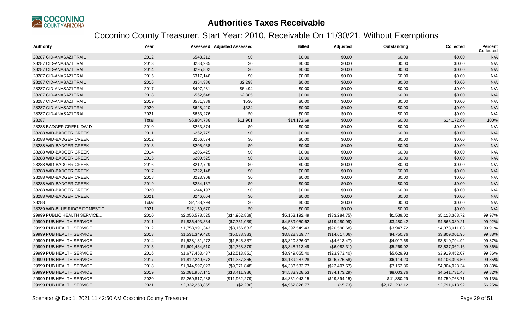

| <b>Authority</b>              | Year  |                 | <b>Assessed Adjusted Assessed</b> | <b>Billed</b>  | Adjusted      | Outstanding    | <b>Collected</b> | <b>Percent</b><br><b>Collected</b> |
|-------------------------------|-------|-----------------|-----------------------------------|----------------|---------------|----------------|------------------|------------------------------------|
| 28287 CID-ANASAZI TRAIL       | 2012  | \$548,212       | \$0                               | \$0.00         | \$0.00        | \$0.00         | \$0.00           | N/A                                |
| 28287 CID-ANASAZI TRAIL       | 2013  | \$283,935       | \$0                               | \$0.00         | \$0.00        | \$0.00         | \$0.00           | N/A                                |
| 28287 CID-ANASAZI TRAIL       | 2014  | \$295,802       | \$0                               | \$0.00         | \$0.00        | \$0.00         | \$0.00           | N/A                                |
| 28287 CID-ANASAZI TRAIL       | 2015  | \$317,146       | \$0                               | \$0.00         | \$0.00        | \$0.00         | \$0.00           | N/A                                |
| 28287 CID-ANASAZI TRAIL       | 2016  | \$354,386       | \$2,298                           | \$0.00         | \$0.00        | \$0.00         | \$0.00           | N/A                                |
| 28287 CID-ANASAZI TRAIL       | 2017  | \$497,281       | \$6,494                           | \$0.00         | \$0.00        | \$0.00         | \$0.00           | N/A                                |
| 28287 CID-ANASAZI TRAIL       | 2018  | \$562,648       | \$2,305                           | \$0.00         | \$0.00        | \$0.00         | \$0.00           | N/A                                |
| 28287 CID-ANASAZI TRAIL       | 2019  | \$581,389       | \$530                             | \$0.00         | \$0.00        | \$0.00         | \$0.00           | N/A                                |
| 28287 CID-ANASAZI TRAIL       | 2020  | \$628,420       | \$334                             | \$0.00         | \$0.00        | \$0.00         | \$0.00           | N/A                                |
| 28287 CID-ANASAZI TRAIL       | 2021  | \$653,276       | \$0                               | \$0.00         | \$0.00        | \$0.00         | \$0.00           | N/A                                |
| 28287                         | Total | \$5,804,788     | \$11,961                          | \$14,172.69    | \$0.00        | \$0.00         | \$14,172.69      | 100%                               |
| 28288 BADGER CREEK DWID       | 2010  | \$263,874       | \$0                               | \$0.00         | \$0.00        | \$0.00         | \$0.00           | N/A                                |
| 28288 WID-BADGER CREEK        | 2011  | \$262,775       | \$0                               | \$0.00         | \$0.00        | \$0.00         | \$0.00           | N/A                                |
| 28288 WID-BADGER CREEK        | 2012  | \$256,574       | \$0                               | \$0.00         | \$0.00        | \$0.00         | \$0.00           | N/A                                |
| 28288 WID-BADGER CREEK        | 2013  | \$205,938       | \$0                               | \$0.00         | \$0.00        | \$0.00         | \$0.00           | N/A                                |
| 28288 WID-BADGER CREEK        | 2014  | \$206,425       | \$0                               | \$0.00         | \$0.00        | \$0.00         | \$0.00           | N/A                                |
| 28288 WID-BADGER CREEK        | 2015  | \$209,525       | \$0                               | \$0.00         | \$0.00        | \$0.00         | \$0.00           | N/A                                |
| 28288 WID-BADGER CREEK        | 2016  | \$212,729       | \$0                               | \$0.00         | \$0.00        | \$0.00         | \$0.00           | N/A                                |
| 28288 WID-BADGER CREEK        | 2017  | \$222,148       | \$0                               | \$0.00         | \$0.00        | \$0.00         | \$0.00           | N/A                                |
| 28288 WID-BADGER CREEK        | 2018  | \$223,908       | \$0                               | \$0.00         | \$0.00        | \$0.00         | \$0.00           | N/A                                |
| 28288 WID-BADGER CREEK        | 2019  | \$234,137       | \$0                               | \$0.00         | \$0.00        | \$0.00         | \$0.00           | N/A                                |
| 28288 WID-BADGER CREEK        | 2020  | \$244,197       | \$0                               | \$0.00         | \$0.00        | \$0.00         | \$0.00           | N/A                                |
| 28288 WID-BADGER CREEK        | 2021  | \$246,064       | \$0                               | \$0.00         | \$0.00        | \$0.00         | \$0.00           | N/A                                |
| 28288                         | Total | \$2,788,294     | \$0                               | \$0.00         | \$0.00        | \$0.00         | \$0.00           | N/A                                |
| 28289 WID-BLUE RIDGE DOMESTIC | 2021  | \$12,159,670    | \$0                               | \$0.00         | \$0.00        | \$0.00         | \$0.00           | N/A                                |
| 29999 PUBLIC HEALTH SERVICE   | 2010  | \$2,056,578,525 | (\$14,962,869)                    | \$5,153,192.49 | (\$33,284.75) | \$1,539.02     | \$5,118,368.72   | 99.97%                             |
| 29999 PUB HEALTH SERVICE      | 2011  | \$1,836,493,334 | (\$7,751,039)                     | \$4,589,050.62 | (\$19,480.99) | \$3,480.42     | \$4,566,089.21   | 99.92%                             |
| 29999 PUB HEALTH SERVICE      | 2012  | \$1,758,991,343 | (\$8,166,683)                     | \$4,397,549.43 | (\$20,590.68) | \$3,947.72     | \$4,373,011.03   | 99.91%                             |
| 29999 PUB HEALTH SERVICE      | 2013  | \$1,531,349,420 | (\$5,638,383)                     | \$3,828,369.77 | (\$14,617.06) | \$4,750.76     | \$3,809,001.95   | 99.88%                             |
| 29999 PUB HEALTH SERVICE      | 2014  | \$1,528,131,272 | (\$1,845,337)                     | \$3,820,326.07 | (\$4,613.47)  | \$4,917.68     | \$3,810,794.92   | 99.87%                             |
| 29999 PUB HEALTH SERVICE      | 2015  | \$1,601,434,510 | (\$2,768,379)                     | \$3,848,713.49 | (\$6,082.31)  | \$5,269.02     | \$3,837,362.16   | 99.86%                             |
| 29999 PUB HEALTH SERVICE      | 2016  | \$1,677,453,437 | (\$12,513,851)                    | \$3,949,055.40 | (\$23,973.40) | \$5,629.93     | \$3,919,452.07   | 99.86%                             |
| 29999 PUB HEALTH SERVICE      | 2017  | \$1,812,240,672 | (\$11,357,865)                    | \$4,139,287.28 | (\$26,776.58) | \$6,114.20     | \$4,106,396.50   | 99.85%                             |
| 29999 PUB HEALTH SERVICE      | 2018  | \$1,944,597,023 | (\$9,371,848)                     | \$4,333,583.77 | (\$22,407.57) | \$7,152.86     | \$4,304,023.34   | 99.83%                             |
| 29999 PUB HEALTH SERVICE      | 2019  | \$2,081,957,141 | (\$13,411,986)                    | \$4,583,908.53 | (\$34,173.29) | \$8,003.76     | \$4,541,731.48   | 99.82%                             |
| 29999 PUB HEALTH SERVICE      | 2020  | \$2,260,817,288 | (\$11,962,279)                    | \$4,831,043.15 | (\$29,394.15) | \$41,880.29    | \$4,759,768.71   | 99.13%                             |
| 29999 PUB HEALTH SERVICE      | 2021  | \$2,332,253,855 | (\$2,236)                         | \$4,962,826.77 | (\$5.73)      | \$2,171,202.12 | \$2,791,618.92   | 56.25%                             |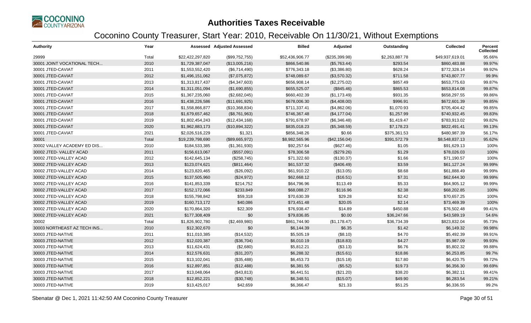

| <b>Authority</b>            | Year  |                  | Assessed Adjusted Assessed | <b>Billed</b>   | Adjusted       | Outstanding    | <b>Collected</b> | Percent<br><b>Collected</b> |
|-----------------------------|-------|------------------|----------------------------|-----------------|----------------|----------------|------------------|-----------------------------|
| 29999                       | Total | \$22,422,297,820 | (\$99,752,755)             | \$52,436,906.77 | (\$235,399.98) | \$2,263,887.78 | \$49,937,619.01  | 95.66%                      |
| 30001 JOINT VOCATIONAL TECH | 2010  | \$1,729,387,047  | (\$13,005,216)             | \$866,540.86    | (\$5,763.44)   | \$293.54       | \$860,483.88     | 99.97%                      |
| 30001 JTED-CAVIAT           | 2011  | \$1,553,552,420  | (\$6,714,490)              | \$776,343.18    | (\$3,386.80)   | \$628.24       | \$772,328.14     | 99.92%                      |
| 30001 JTED-CAVIAT           | 2012  | \$1,496,151,062  | (\$7,075,872)              | \$748,089.67    | (\$3,570.32)   | \$711.58       | \$743,807.77     | 99.9%                       |
| 30001 JTED-CAVIAT           | 2013  | \$1,313,817,437  | (\$4,347,603)              | \$656,908.14    | (\$2,275.02)   | \$857.49       | \$653,775.63     | 99.87%                      |
| 30001 JTED-CAVIAT           | 2014  | \$1,311,051,094  | (\$1,690,855)              | \$655,525.07    | (\$845.46)     | \$865.53       | \$653,814.08     | 99.87%                      |
| 30001 JTED-CAVIAT           | 2015  | \$1,367,235,060  | (\$2,682,045)              | \$660,402.39    | (\$1,173.49)   | \$931.35       | \$658,297.55     | 99.86%                      |
| 30001 JTED-CAVIAT           | 2016  | \$1,438,226,586  | (\$11,691,925)             | \$678,006.30    | (\$4,408.00)   | \$996.91       | \$672,601.39     | 99.85%                      |
| 30001 JTED-CAVIAT           | 2017  | \$1,558,866,877  | (\$10,368,834)             | \$711,337.41    | (\$4,862.06)   | \$1,070.93     | \$705,404.42     | 99.85%                      |
| 30001 JTED-CAVIAT           | 2018  | \$1,679,657,462  | (\$8,761,963)              | \$746,367.48    | (\$4,177.04)   | \$1,257.99     | \$740,932.45     | 99.83%                      |
| 30001 JTED-CAVIAT           | 2019  | \$1,802,454,243  | (\$12,434,168)             | \$791,678.97    | (\$6,346.48)   | \$1,419.47     | \$783,913.02     | 99.82%                      |
| 30001 JTED-CAVIAT           | 2020  | \$1,962,883,173  | (\$10,894,322)             | \$835,018.23    | (\$5,348.59)   | \$7,178.23     | \$822,491.41     | 99.13%                      |
| 30001 JTED-CAVIAT           | 2021  | \$2,026,516,229  | \$1,321                    | \$856,348.26    | \$0.66         | \$375,361.53   | \$480,987.39     | 56.17%                      |
| 30001                       | Total | \$19,239,798,690 | (\$89,665,972)             | \$8,982,565.96  | (\$42,156.04)  | \$391,572.79   | \$8,548,837.13   | 95.62%                      |
| 30002 VALLEY ACADEMY ED DIS | 2010  | \$184,533,385    | (\$1,361,930)              | \$92,257.64     | (\$627.46)     | \$1.05         | \$91,629.13      | 100%                        |
| 30002 JTED-VALLEY ACAD      | 2011  | \$156,613,067    | (\$557,091)                | \$78,306.58     | (\$279.26)     | \$1.29         | \$78,026.03      | 100%                        |
| 30002 JTED-VALLEY ACAD      | 2012  | \$142,645,134    | (\$258,745)                | \$71,322.60     | (\$130.37)     | \$1.66         | \$71,190.57      | 100%                        |
| 30002 JTED-VALLEY ACAD      | 2013  | \$123,074,621    | (\$811,464)                | \$61,537.32     | (\$406.49)     | \$3.59         | \$61,127.24      | 99.99%                      |
| 30002 JTED-VALLEY ACAD      | 2014  | \$123,820,465    | (\$26,092)                 | \$61,910.22     | (\$13.05)      | \$8.68         | \$61,888.49      | 99.99%                      |
| 30002 JTED-VALLEY ACAD      | 2015  | \$137,505,960    | (\$24,972)                 | \$62,668.12     | (\$16.51)      | \$7.31         | \$62,644.30      | 99.99%                      |
| 30002 JTED-VALLEY ACAD      | 2016  | \$141,853,339    | \$214,752                  | \$64,796.96     | \$113.49       | \$5.33         | \$64,905.12      | 99.99%                      |
| 30002 JTED-VALLEY ACAD      | 2017  | \$152,172,066    | \$233,849                  | \$68,088.27     | \$116.96       | \$2.38         | \$68,202.85      | 100%                        |
| 30002 JTED-VALLEY ACAD      | 2018  | \$155,798,842    | \$59,318                   | \$70,630.39     | \$29.28        | \$2.42         | \$70,657.25      | 100%                        |
| 30002 JTED-VALLEY ACAD      | 2019  | \$160,713,172    | \$40,086                   | \$73,451.48     | \$20.05        | \$2.14         | \$73,469.39      | 100%                        |
| 30002 JTED-VALLEY ACAD      | 2020  | \$170,864,320    | \$22,309                   | \$76,938.47     | \$14.89        | \$450.88       | \$76,502.48      | 99.41%                      |
| 30002 JTED-VALLEY ACAD      | 2021  | \$177,308,409    | \$0                        | \$79,836.85     | \$0.00         | \$36,247.66    | \$43,589.19      | 54.6%                       |
| 30002                       | Total | \$1,826,902,780  | (\$2,469,980)              | \$861,744.90    | (\$1,178.47)   | \$36,734.39    | \$823,832.04     | 95.73%                      |
| 30003 NORTHEAST AZ TECH INS | 2010  | \$12,302,670     | \$0                        | \$6,144.39      | \$6.35         | \$1.42         | \$6,149.32       | 99.98%                      |
| 30003 JTED-NATIVE           | 2011  | \$11,010,385     | (\$14,532)                 | \$5,505.19      | (\$8.10)       | \$4.70         | \$5,492.39       | 99.91%                      |
| 30003 JTED-NATIVE           | 2012  | \$12,020,387     | (\$36,704)                 | \$6,010.19      | (\$18.83)      | \$4.27         | \$5,987.09       | 99.93%                      |
| 30003 JTED-NATIVE           | 2013  | \$11,624,431     | (\$2,680)                  | \$5,812.21      | (\$3.13)       | \$6.76         | \$5,802.32       | 99.88%                      |
| 30003 JTED-NATIVE           | 2014  | \$12,576,631     | (\$31,207)                 | \$6,288.32      | (\$15.61)      | \$18.86        | \$6,253.85       | 99.7%                       |
| 30003 JTED-NATIVE           | 2015  | \$13,102,041     | (\$35,488)                 | \$6,453.73      | (\$15.18)      | \$17.80        | \$6,420.75       | 99.72%                      |
| 30003 JTED-NATIVE           | 2016  | \$12,897,851     | (\$12,488)                 | \$6,381.55      | (\$5.52)       | \$19.73        | \$6,356.30       | 99.69%                      |
| 30003 JTED-NATIVE           | 2017  | \$13,048,064     | (\$43,813)                 | \$6,441.51      | (\$21.20)      | \$38.20        | \$6,382.11       | 99.41%                      |
| 30003 JTED-NATIVE           | 2018  | \$12,852,221     | (\$30,748)                 | \$6,348.51      | (\$15.07)      | \$49.90        | \$6,283.54       | 99.21%                      |
| 30003 JTED-NATIVE           | 2019  | \$13,425,017     | \$42,659                   | \$6,366.47      | \$21.33        | \$51.25        | \$6,336.55       | 99.2%                       |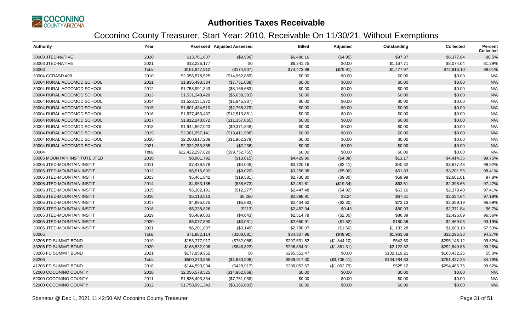

| <b>Authority</b>              | Year  |                  | <b>Assessed Adjusted Assessed</b> | <b>Billed</b> | Adjusted     | Outstanding  | <b>Collected</b> | <b>Percent</b><br><b>Collected</b> |
|-------------------------------|-------|------------------|-----------------------------------|---------------|--------------|--------------|------------------|------------------------------------|
| 30003 JTED-NATIVE             | 2020  | \$13,761,637     | (\$9,906)                         | \$6,480.16    | (\$4.95)     | \$97.37      | \$6,377.84       | 98.5%                              |
| 30003 JTED-NATIVE             | 2021  | \$13,226,177     | \$0                               | \$6,241.75    | \$0.00       | \$1,167.71   | \$5,074.04       | 81.29%                             |
| 30003                         | Total | \$151,847,512    | (\$174,907)                       | \$74,473.98   | (\$79.91)    | \$1,477.97   | \$72,916.10      | 98.01%                             |
| 30004 CCRASD #99              | 2010  | \$2,056,578,525  | (\$14,962,869)                    | \$0.00        | \$0.00       | \$0.00       | \$0.00           | N/A                                |
| 30004 RURAL ACCOMOD SCHOOL    | 2011  | \$1,836,493,334  | (\$7,751,039)                     | \$0.00        | \$0.00       | \$0.00       | \$0.00           | N/A                                |
| 30004 RURAL ACCOMOD SCHOOL    | 2012  | \$1,758,991,343  | (\$8,166,683)                     | \$0.00        | \$0.00       | \$0.00       | \$0.00           | N/A                                |
| 30004 RURAL ACCOMOD SCHOOL    | 2013  | \$1,531,349,420  | (\$5,638,383)                     | \$0.00        | \$0.00       | \$0.00       | \$0.00           | N/A                                |
| 30004 RURAL ACCOMOD SCHOOL    | 2014  | \$1,528,131,272  | (\$1,845,337)                     | \$0.00        | \$0.00       | \$0.00       | \$0.00           | N/A                                |
| 30004 RURAL ACCOMOD SCHOOL    | 2015  | \$1,601,434,510  | (\$2,768,379)                     | \$0.00        | \$0.00       | \$0.00       | \$0.00           | N/A                                |
| 30004 RURAL ACCOMOD SCHOOL    | 2016  | \$1,677,453,437  | (\$12,513,851)                    | \$0.00        | \$0.00       | \$0.00       | \$0.00           | N/A                                |
| 30004 RURAL ACCOMOD SCHOOL    | 2017  | \$1,812,240,672  | (\$11,357,865)                    | \$0.00        | \$0.00       | \$0.00       | \$0.00           | N/A                                |
| 30004 RURAL ACCOMOD SCHOOL    | 2018  | \$1,944,597,023  | (\$9,371,848)                     | \$0.00        | \$0.00       | \$0.00       | \$0.00           | N/A                                |
| 30004 RURAL ACCOMOD SCHOOL    | 2019  | \$2,081,957,141  | (\$13,411,986)                    | \$0.00        | \$0.00       | \$0.00       | \$0.00           | N/A                                |
| 30004 RURAL ACCOMOD SCHOOL    | 2020  | \$2,260,817,288  | (\$11,962,279)                    | \$0.00        | \$0.00       | \$0.00       | \$0.00           | N/A                                |
| 30004 RURAL ACCOMOD SCHOOL    | 2021  | \$2,332,253,855  | (\$2,236)                         | \$0.00        | \$0.00       | \$0.00       | \$0.00           | N/A                                |
| 30004                         | Total | \$22,422,297,820 | (\$99,752,755)                    | \$0.00        | \$0.00       | \$0.00       | \$0.00           | N/A                                |
| 30005 MOUNTAIN INSTITUTE JTED | 2010  | \$8,901,792      | (\$13,015)                        | \$4,429.90    | (\$4.38)     | \$11.17      | \$4,414.35       | 99.75%                             |
| 30005 JTED-MOUNTAIN INSTIT    | 2011  | \$7,439,978      | (\$4,046)                         | \$3,720.16    | (\$2.41)     | \$40.32      | \$3,677.43       | 98.92%                             |
| 30005 JTED-MOUNTAIN INSTIT    | 2012  | \$6,516,602      | (\$9,020)                         | \$3,258.38    | (\$5.00)     | \$51.83      | \$3,201.55       | 98.41%                             |
| 30005 JTED-MOUNTAIN INSTIT    | 2013  | \$5,461,842      | (\$19,581)                        | \$2,730.80    | (\$9.80)     | \$59.99      | \$2,661.01       | 97.8%                              |
| 30005 JTED-MOUNTAIN INSTIT    | 2014  | \$4,963,135      | (\$38,673)                        | \$2,481.61    | (\$19.34)    | \$63.61      | \$2,398.66       | 97.42%                             |
| 30005 JTED-MOUNTAIN INSTIT    | 2015  | \$5,382,191      | (\$12,277)                        | \$2,447.48    | (\$4.92)     | \$63.16      | \$2,379.40       | 97.41%                             |
| 30005 JTED-MOUNTAIN INSTIT    | 2016  | \$5,113,813      | \$5,250                           | \$2,398.91    | \$3.24       | \$67.51      | \$2,334.64       | 97.19%                             |
| 30005 JTED-MOUNTAIN INSTIT    | 2017  | \$4,995,075      | (\$5,683)                         | \$2,434.62    | (\$2.30)     | \$73.13      | \$2,359.19       | 96.99%                             |
| 30005 JTED-MOUNTAIN INSTIT    | 2018  | \$5,338,826      | (\$213)                           | \$2,452.34    | \$0.43       | \$80.93      | \$2,371.84       | 96.7%                              |
| 30005 JTED-MOUNTAIN INSTIT    | 2019  | \$5,489,083      | (\$4,643)                         | \$2,514.78    | (\$2.30)     | \$86.39      | \$2,426.09       | 96.56%                             |
| 30005 JTED-MOUNTAIN INSTIT    | 2020  | \$6,077,890      | (\$3,031)                         | \$2,650.91    | (\$1.52)     | \$180.36     | \$2,469.03       | 93.19%                             |
| 30005 JTED-MOUNTAIN INSTIT    | 2021  | \$6,201,887      | (\$3,149)                         | \$2,788.07    | (\$1.60)     | \$1,183.28   | \$1,603.19       | 57.53%                             |
| 30005                         | Total | \$71,882,114     | (\$108,081)                       | \$34,307.96   | (\$49.90)    | \$1,961.68   | \$32,296.38      | 94.27%                             |
| 33206 FD SUMMIT BOND          | 2019  | \$153,777,917    | (\$782,086)                       | \$297,531.82  | (\$1,844.10) | \$542.60     | \$295,145.12     | 99.82%                             |
| 33206 FD SUMMIT BOND          | 2020  | \$168,532,996    | (\$848, 822)                      | \$296,834.01  | (\$1,861.31) | \$2,122.82   | \$292,849.88     | 99.28%                             |
| 33206 FD SUMMIT BOND          | 2021  | \$177,959,952    | \$0                               | \$295,551.47  | \$0.00       | \$132,119.21 | \$163,432.26     | 55.3%                              |
| 33206                         | Total | \$500,270,865    | (\$1,630,908)                     | \$889,917.30  | (\$3,705.41) | \$134,784.63 | \$751,427.26     | 84.79%                             |
| 41206 FD SUMMIT BOND          | 2018  | \$144,593,904    | (\$428,917)                       | \$296,053.67  | (\$1,062.79) | \$525.12     | \$294,465.76     | 99.82%                             |
| 52000 COCONINO COUNTY         | 2010  | \$2,056,578,525  | (\$14,962,869)                    | \$0.00        | \$0.00       | \$0.00       | \$0.00           | N/A                                |
| 52000 COCONINO COUNTY         | 2011  | \$1,836,493,334  | (\$7,751,039)                     | \$0.00        | \$0.00       | \$0.00       | \$0.00           | N/A                                |
| 52000 COCONINO COUNTY         | 2012  | \$1,758,991,343  | (\$8,166,683)                     | \$0.00        | \$0.00       | \$0.00       | \$0.00           | N/A                                |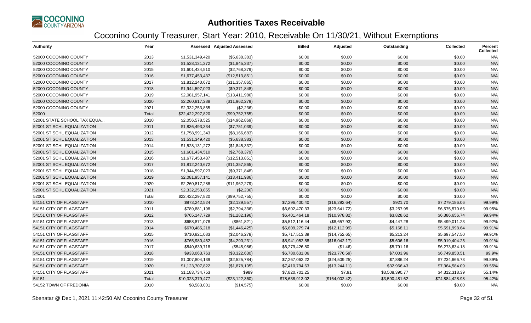

| <b>Authority</b>            | Year  |                  | <b>Assessed Adjusted Assessed</b> | <b>Billed</b>   | Adjusted       | Outstanding    | <b>Collected</b> | <b>Percent</b><br><b>Collected</b> |
|-----------------------------|-------|------------------|-----------------------------------|-----------------|----------------|----------------|------------------|------------------------------------|
| 52000 COCONINO COUNTY       | 2013  | \$1,531,349,420  | (\$5,638,383)                     | \$0.00          | \$0.00         | \$0.00         | \$0.00           | N/A                                |
| 52000 COCONINO COUNTY       | 2014  | \$1,528,131,272  | (\$1,845,337)                     | \$0.00          | \$0.00         | \$0.00         | \$0.00           | N/A                                |
| 52000 COCONINO COUNTY       | 2015  | \$1,601,434,510  | (\$2,768,379)                     | \$0.00          | \$0.00         | \$0.00         | \$0.00           | N/A                                |
| 52000 COCONINO COUNTY       | 2016  | \$1,677,453,437  | (\$12,513,851)                    | \$0.00          | \$0.00         | \$0.00         | \$0.00           | N/A                                |
| 52000 COCONINO COUNTY       | 2017  | \$1,812,240,672  | (\$11,357,865)                    | \$0.00          | \$0.00         | \$0.00         | \$0.00           | N/A                                |
| 52000 COCONINO COUNTY       | 2018  | \$1,944,597,023  | (\$9,371,848)                     | \$0.00          | \$0.00         | \$0.00         | \$0.00           | N/A                                |
| 52000 COCONINO COUNTY       | 2019  | \$2,081,957,141  | (\$13,411,986)                    | \$0.00          | \$0.00         | \$0.00         | \$0.00           | N/A                                |
| 52000 COCONINO COUNTY       | 2020  | \$2,260,817,288  | (\$11,962,279)                    | \$0.00          | \$0.00         | \$0.00         | \$0.00           | N/A                                |
| 52000 COCONINO COUNTY       | 2021  | \$2,332,253,855  | (\$2,236)                         | \$0.00          | \$0.00         | \$0.00         | \$0.00           | N/A                                |
| 52000                       | Total | \$22,422,297,820 | (\$99,752,755)                    | \$0.00          | \$0.00         | \$0.00         | \$0.00           | N/A                                |
| 52001 STATE SCHOOL TAX EQUA | 2010  | \$2,056,578,525  | (\$14,962,869)                    | \$0.00          | \$0.00         | \$0.00         | \$0.00           | N/A                                |
| 52001 ST SCHL EQUALIZATION  | 2011  | \$1,836,493,334  | (\$7,751,039)                     | \$0.00          | \$0.00         | \$0.00         | \$0.00           | N/A                                |
| 52001 ST SCHL EQUALIZATION  | 2012  | \$1,758,991,343  | (\$8,166,683)                     | \$0.00          | \$0.00         | \$0.00         | \$0.00           | N/A                                |
| 52001 ST SCHL EQUALIZATION  | 2013  | \$1,531,349,420  | (\$5,638,383)                     | \$0.00          | \$0.00         | \$0.00         | \$0.00           | N/A                                |
| 52001 ST SCHL EQUALIZATION  | 2014  | \$1,528,131,272  | (\$1,845,337)                     | \$0.00          | \$0.00         | \$0.00         | \$0.00           | N/A                                |
| 52001 ST SCHL EQUALIZATION  | 2015  | \$1,601,434,510  | (\$2,768,379)                     | \$0.00          | \$0.00         | \$0.00         | \$0.00           | N/A                                |
| 52001 ST SCHL EQUALIZATION  | 2016  | \$1,677,453,437  | (\$12,513,851)                    | \$0.00          | \$0.00         | \$0.00         | \$0.00           | N/A                                |
| 52001 ST SCHL EQUALIZATION  | 2017  | \$1,812,240,672  | (\$11,357,865)                    | \$0.00          | \$0.00         | \$0.00         | \$0.00           | N/A                                |
| 52001 ST SCHL EQUALIZATION  | 2018  | \$1,944,597,023  | (\$9,371,848)                     | \$0.00          | \$0.00         | \$0.00         | \$0.00           | N/A                                |
| 52001 ST SCHL EQUALIZATION  | 2019  | \$2,081,957,141  | (\$13,411,986)                    | \$0.00          | \$0.00         | \$0.00         | \$0.00           | N/A                                |
| 52001 ST SCHL EQUALIZATION  | 2020  | \$2,260,817,288  | (\$11,962,279)                    | \$0.00          | \$0.00         | \$0.00         | \$0.00           | N/A                                |
| 52001 ST SCHL EQUALIZATION  | 2021  | \$2,332,253,855  | (\$2,236)                         | \$0.00          | \$0.00         | \$0.00         | \$0.00           | N/A                                |
| 52001                       | Total | \$22,422,297,820 | (\$99,752,755)                    | \$0.00          | \$0.00         | \$0.00         | \$0.00           | N/A                                |
| 54151 CITY OF FLAGSTAFF     | 2010  | \$873,242,524    | (\$2,129,557)                     | \$7,296,400.40  | (\$16,292.64)  | \$921.70       | \$7,279,186.06   | 99.99%                             |
| 54151 CITY OF FLAGSTAFF     | 2011  | \$789,881,198    | (\$2,794,336)                     | \$6,602,470.33  | (\$23,641.72)  | \$3,257.95     | \$6,575,570.66   | 99.95%                             |
| 54151 CITY OF FLAGSTAFF     | 2012  | \$765,147,729    | (\$1,282,196)                     | \$6,401,464.18  | (\$10,978.82)  | \$3,828.62     | \$6,386,656.74   | 99.94%                             |
| 54151 CITY OF FLAGSTAFF     | 2013  | \$658,871,078    | (\$861, 821)                      | \$5,512,116.44  | (\$8,657.93)   | \$4,447.28     | \$5,499,011.23   | 99.92%                             |
| 54151 CITY OF FLAGSTAFF     | 2014  | \$670,485,218    | (\$1,446,425)                     | \$5,609,279.74  | (\$12,112.99)  | \$5,168.11     | \$5,591,998.64   | 99.91%                             |
| 54151 CITY OF FLAGSTAFF     | 2015  | \$710,821,083    | (\$2,046,278)                     | \$5,717,513.39  | (\$14,752.65)  | \$5,213.24     | \$5,697,547.50   | 99.91%                             |
| 54151 CITY OF FLAGSTAFF     | 2016  | \$765,980,452    | (\$4,290,231)                     | \$5,941,052.58  | (\$16,042.17)  | \$5,606.16     | \$5,919,404.25   | 99.91%                             |
| 54151 CITY OF FLAGSTAFF     | 2017  | \$840,639,718    | (\$545,986)                       | \$6,279,426.80  | (\$1.46)       | \$5,791.16     | \$6,273,634.18   | 99.91%                             |
| 54151 CITY OF FLAGSTAFF     | 2018  | \$933,063,763    | (\$3,322,630)                     | \$6,780,631.06  | (\$23,776.59)  | \$7,003.96     | \$6,749,850.51   | 99.9%                              |
| 54151 CITY OF FLAGSTAFF     | 2019  | \$1,007,804,139  | (\$2,525,784)                     | \$7,267,062.22  | (\$24,509.25)  | \$7,886.24     | \$7,234,666.73   | 99.89%                             |
| 54151 CITY OF FLAGSTAFF     | 2020  | \$1,123,707,822  | (\$1,878,105)                     | \$7,410,794.63  | (\$13,244.11)  | \$32,966.43    | \$7,364,584.09   | 99.55%                             |
| 54151 CITY OF FLAGSTAFF     | 2021  | \$1,183,734,753  | \$989                             | \$7,820,701.25  | \$7.91         | \$3,508,390.77 | \$4,312,318.39   | 55.14%                             |
| 54151                       | Total | \$10,323,379,477 | (\$23,122,360)                    | \$78,638,913.02 | (\$164,002.42) | \$3,590,481.62 | \$74,884,428.98  | 95.42%                             |
| 54152 TOWN OF FREDONIA      | 2010  | \$8,583,001      | (\$14,575)                        | \$0.00          | \$0.00         | \$0.00         | \$0.00           | N/A                                |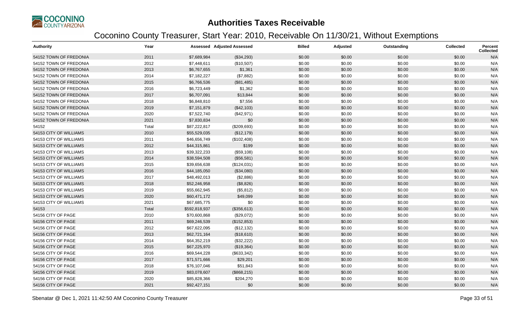

| <b>Authority</b>       | Year  |               | <b>Assessed Adjusted Assessed</b> | <b>Billed</b> | Adjusted | Outstanding | Collected | <b>Percent</b><br><b>Collected</b> |
|------------------------|-------|---------------|-----------------------------------|---------------|----------|-------------|-----------|------------------------------------|
| 54152 TOWN OF FREDONIA | 2011  | \$7,689,984   | (\$34,293)                        | \$0.00        | \$0.00   | \$0.00      | \$0.00    | N/A                                |
| 54152 TOWN OF FREDONIA | 2012  | \$7,448,611   | (\$10,507)                        | \$0.00        | \$0.00   | \$0.00      | \$0.00    | N/A                                |
| 54152 TOWN OF FREDONIA | 2013  | \$6,767,655   | \$1,361                           | \$0.00        | \$0.00   | \$0.00      | \$0.00    | N/A                                |
| 54152 TOWN OF FREDONIA | 2014  | \$7,182,227   | (\$7,882)                         | \$0.00        | \$0.00   | \$0.00      | \$0.00    | N/A                                |
| 54152 TOWN OF FREDONIA | 2015  | \$6,766,536   | (\$81,485)                        | \$0.00        | \$0.00   | \$0.00      | \$0.00    | N/A                                |
| 54152 TOWN OF FREDONIA | 2016  | \$6,723,449   | \$1,362                           | \$0.00        | \$0.00   | \$0.00      | \$0.00    | N/A                                |
| 54152 TOWN OF FREDONIA | 2017  | \$6,707,091   | \$13,844                          | \$0.00        | \$0.00   | \$0.00      | \$0.00    | N/A                                |
| 54152 TOWN OF FREDONIA | 2018  | \$6,848,810   | \$7,556                           | \$0.00        | \$0.00   | \$0.00      | \$0.00    | N/A                                |
| 54152 TOWN OF FREDONIA | 2019  | \$7,151,879   | (\$42,103)                        | \$0.00        | \$0.00   | \$0.00      | \$0.00    | N/A                                |
| 54152 TOWN OF FREDONIA | 2020  | \$7,522,740   | (\$42,971)                        | \$0.00        | \$0.00   | \$0.00      | \$0.00    | N/A                                |
| 54152 TOWN OF FREDONIA | 2021  | \$7,830,834   | \$0                               | \$0.00        | \$0.00   | \$0.00      | \$0.00    | N/A                                |
| 54152                  | Total | \$87,222,817  | (\$209,693)                       | \$0.00        | \$0.00   | \$0.00      | \$0.00    | N/A                                |
| 54153 CITY OF WILLIAMS | 2010  | \$55,529,035  | (\$12,179)                        | \$0.00        | \$0.00   | \$0.00      | \$0.00    | N/A                                |
| 54153 CITY OF WILLIAMS | 2011  | \$46,656,749  | (\$102,408)                       | \$0.00        | \$0.00   | \$0.00      | \$0.00    | N/A                                |
| 54153 CITY OF WILLIAMS | 2012  | \$44,315,861  | \$199                             | \$0.00        | \$0.00   | \$0.00      | \$0.00    | N/A                                |
| 54153 CITY OF WILLIAMS | 2013  | \$39,322,233  | (\$59,108)                        | \$0.00        | \$0.00   | \$0.00      | \$0.00    | N/A                                |
| 54153 CITY OF WILLIAMS | 2014  | \$38,594,508  | (\$56,581)                        | \$0.00        | \$0.00   | \$0.00      | \$0.00    | N/A                                |
| 54153 CITY OF WILLIAMS | 2015  | \$39,656,638  | (\$124,031)                       | \$0.00        | \$0.00   | \$0.00      | \$0.00    | N/A                                |
| 54153 CITY OF WILLIAMS | 2016  | \$44,185,050  | (\$34,080)                        | \$0.00        | \$0.00   | \$0.00      | \$0.00    | N/A                                |
| 54153 CITY OF WILLIAMS | 2017  | \$48,492,013  | (\$2,886)                         | \$0.00        | \$0.00   | \$0.00      | \$0.00    | N/A                                |
| 54153 CITY OF WILLIAMS | 2018  | \$52,246,958  | (\$8,826)                         | \$0.00        | \$0.00   | \$0.00      | \$0.00    | N/A                                |
| 54153 CITY OF WILLIAMS | 2019  | \$55,662,945  | (\$5,812)                         | \$0.00        | \$0.00   | \$0.00      | \$0.00    | N/A                                |
| 54153 CITY OF WILLIAMS | 2020  | \$60,471,172  | \$49,099                          | \$0.00        | \$0.00   | \$0.00      | \$0.00    | N/A                                |
| 54153 CITY OF WILLIAMS | 2021  | \$67,685,775  | \$0                               | \$0.00        | \$0.00   | \$0.00      | \$0.00    | N/A                                |
| 54153                  | Total | \$592,818,937 | (\$356,613)                       | \$0.00        | \$0.00   | \$0.00      | \$0.00    | N/A                                |
| 54156 CITY OF PAGE     | 2010  | \$70,600,868  | (\$29,072)                        | \$0.00        | \$0.00   | \$0.00      | \$0.00    | N/A                                |
| 54156 CITY OF PAGE     | 2011  | \$69,246,539  | (\$152,853)                       | \$0.00        | \$0.00   | \$0.00      | \$0.00    | N/A                                |
| 54156 CITY OF PAGE     | 2012  | \$67,622,095  | (\$12, 132)                       | \$0.00        | \$0.00   | \$0.00      | \$0.00    | N/A                                |
| 54156 CITY OF PAGE     | 2013  | \$62,721,164  | (\$18,610)                        | \$0.00        | \$0.00   | \$0.00      | \$0.00    | N/A                                |
| 54156 CITY OF PAGE     | 2014  | \$64,352,219  | (\$32,222)                        | \$0.00        | \$0.00   | \$0.00      | \$0.00    | N/A                                |
| 54156 CITY OF PAGE     | 2015  | \$67,225,970  | (\$19,364)                        | \$0.00        | \$0.00   | \$0.00      | \$0.00    | N/A                                |
| 54156 CITY OF PAGE     | 2016  | \$69,544,228  | (\$633,342)                       | \$0.00        | \$0.00   | \$0.00      | \$0.00    | N/A                                |
| 54156 CITY OF PAGE     | 2017  | \$71,571,666  | \$29,201                          | \$0.00        | \$0.00   | \$0.00      | \$0.00    | N/A                                |
| 54156 CITY OF PAGE     | 2018  | \$76,107,046  | \$51,843                          | \$0.00        | \$0.00   | \$0.00      | \$0.00    | N/A                                |
| 54156 CITY OF PAGE     | 2019  | \$83,078,607  | (\$868,215)                       | \$0.00        | \$0.00   | \$0.00      | \$0.00    | N/A                                |
| 54156 CITY OF PAGE     | 2020  | \$85,828,366  | \$204,270                         | \$0.00        | \$0.00   | \$0.00      | \$0.00    | N/A                                |
| 54156 CITY OF PAGE     | 2021  | \$92,427,151  | \$0                               | \$0.00        | \$0.00   | \$0.00      | \$0.00    | N/A                                |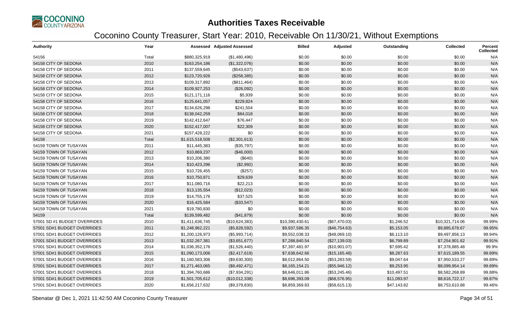

| <b>Authority</b>             | Year  |                 | <b>Assessed Adjusted Assessed</b> | <b>Billed</b>   | Adjusted       | Outstanding | <b>Collected</b> | Percent<br><b>Collected</b> |
|------------------------------|-------|-----------------|-----------------------------------|-----------------|----------------|-------------|------------------|-----------------------------|
| 54156                        | Total | \$880,325,919   | (\$1,480,496)                     | \$0.00          | \$0.00         | \$0.00      | \$0.00           | N/A                         |
| 54158 CITY OF SEDONA         | 2010  | \$163,254,186   | (\$1,322,076)                     | \$0.00          | \$0.00         | \$0.00      | \$0.00           | N/A                         |
| 54158 CITY OF SEDONA         | 2011  | \$137,559,645   | (\$543,637)                       | \$0.00          | \$0.00         | \$0.00      | \$0.00           | N/A                         |
| 54158 CITY OF SEDONA         | 2012  | \$123,720,926   | (\$258,385)                       | \$0.00          | \$0.00         | \$0.00      | \$0.00           | N/A                         |
| 54158 CITY OF SEDONA         | 2013  | \$109,317,892   | (\$811,464)                       | \$0.00          | \$0.00         | \$0.00      | \$0.00           | N/A                         |
| 54158 CITY OF SEDONA         | 2014  | \$109,927,253   | (\$26,092)                        | \$0.00          | \$0.00         | \$0.00      | \$0.00           | N/A                         |
| 54158 CITY OF SEDONA         | 2015  | \$121,171,116   | \$5,939                           | \$0.00          | \$0.00         | \$0.00      | \$0.00           | N/A                         |
| 54158 CITY OF SEDONA         | 2016  | \$125,641,057   | \$229,824                         | \$0.00          | \$0.00         | \$0.00      | \$0.00           | N/A                         |
| 54158 CITY OF SEDONA         | 2017  | \$134,626,298   | \$241,504                         | \$0.00          | \$0.00         | \$0.00      | \$0.00           | N/A                         |
| 54158 CITY OF SEDONA         | 2018  | \$138,042,259   | \$84,018                          | \$0.00          | \$0.00         | \$0.00      | \$0.00           | N/A                         |
| 54158 CITY OF SEDONA         | 2019  | \$142,412,647   | \$76,447                          | \$0.00          | \$0.00         | \$0.00      | \$0.00           | N/A                         |
| 54158 CITY OF SEDONA         | 2020  | \$152,417,007   | \$22,309                          | \$0.00          | \$0.00         | \$0.00      | \$0.00           | N/A                         |
| 54158 CITY OF SEDONA         | 2021  | \$157,428,222   | \$0                               | \$0.00          | \$0.00         | \$0.00      | \$0.00           | N/A                         |
| 54158                        | Total | \$1,615,518,508 | (\$2,301,613)                     | \$0.00          | \$0.00         | \$0.00      | \$0.00           | N/A                         |
| 54159 TOWN OF TUSAYAN        | 2011  | \$11,445,383    | (\$35,797)                        | \$0.00          | \$0.00         | \$0.00      | \$0.00           | N/A                         |
| 54159 TOWN OF TUSAYAN        | 2012  | \$10,869,237    | (\$46,000)                        | \$0.00          | \$0.00         | \$0.00      | \$0.00           | N/A                         |
| 54159 TOWN OF TUSAYAN        | 2013  | \$10,206,380    | (\$640)                           | \$0.00          | \$0.00         | \$0.00      | \$0.00           | N/A                         |
| 54159 TOWN OF TUSAYAN        | 2014  | \$10,423,296    | (\$2,992)                         | \$0.00          | \$0.00         | \$0.00      | \$0.00           | N/A                         |
| 54159 TOWN OF TUSAYAN        | 2015  | \$10,726,455    | (\$257)                           | \$0.00          | \$0.00         | \$0.00      | \$0.00           | N/A                         |
| 54159 TOWN OF TUSAYAN        | 2016  | \$10,750,871    | \$29,639                          | \$0.00          | \$0.00         | \$0.00      | \$0.00           | N/A                         |
| 54159 TOWN OF TUSAYAN        | 2017  | \$11,080,716    | \$22,213                          | \$0.00          | \$0.00         | \$0.00      | \$0.00           | N/A                         |
| 54159 TOWN OF TUSAYAN        | 2018  | \$13,135,554    | (\$12,023)                        | \$0.00          | \$0.00         | \$0.00      | \$0.00           | N/A                         |
| 54159 TOWN OF TUSAYAN        | 2019  | \$14,755,176    | \$37,525                          | \$0.00          | \$0.00         | \$0.00      | \$0.00           | N/A                         |
| 54159 TOWN OF TUSAYAN        | 2020  | \$16,425,584    | (\$33,547)                        | \$0.00          | \$0.00         | \$0.00      | \$0.00           | N/A                         |
| 54159 TOWN OF TUSAYAN        | 2021  | \$19,780,830    | \$0                               | \$0.00          | \$0.00         | \$0.00      | \$0.00           | N/A                         |
| 54159                        | Total | \$139,599,482   | (\$41,879)                        | \$0.00          | \$0.00         | \$0.00      | \$0.00           | N/A                         |
| 57001 SD #1 BUDGET OVERRIDES | 2010  | \$1,411,636,745 | (\$10,624,383)                    | \$10,390,430.61 | (\$67,470.03)  | \$1,246.52  | \$10,321,714.06  | 99.99%                      |
| 57001 SD#1 BUDGET OVERRIDES  | 2011  | \$1,248,962,221 | (\$5,828,592)                     | \$9,937,586.35  | (\$46,754.63)  | \$5,153.05  | \$9,885,678.67   | 99.95%                      |
| 57001 SD#1 BUDGET OVERRIDES  | 2012  | \$1,200,126,973 | (\$5,993,714)                     | \$9,552,038.33  | (\$48,069.10)  | \$6,113.10  | \$9,497,856.13   | 99.94%                      |
| 57001 SD#1 BUDGET OVERRIDES  | 2013  | \$1,032,267,381 | (\$3,651,677)                     | \$7,288,840.54  | (\$27,139.03)  | \$6,799.89  | \$7,254,901.62   | 99.91%                      |
| 57001 SD#1 BUDGET OVERRIDES  | 2014  | \$1,036,352,176 | (\$1,526,440)                     | \$7,397,481.97  | (\$10,901.07)  | \$7,695.42  | \$7,378,885.48   | 99.9%                       |
| 57001 SD#1 BUDGET OVERRIDES  | 2015  | \$1,090,173,006 | (\$2,417,619)                     | \$7,638,642.66  | (\$15, 165.48) | \$8,287.63  | \$7,615,189.55   | 99.89%                      |
| 57001 SD#1 BUDGET OVERRIDES  | 2016  | \$1,160,583,306 | (\$9,630,300)                     | \$8,012,864.50  | (\$53,283.59)  | \$9,047.64  | \$7,950,533.27   | 99.89%                      |
| 57001 SD#1 BUDGET OVERRIDES  | 2017  | \$1,271,463,065 | (\$8,492,471)                     | \$8,165,154.21  | (\$55,946.12)  | \$9,253.95  | \$8,099,954.14   | 99.89%                      |
| 57001 SD#1 BUDGET OVERRIDES  | 2018  | \$1,394,760,686 | (\$7,934,291)                     | \$8,646,011.86  | (\$53,245.46)  | \$10,497.51 | \$8,582,268.89   | 99.88%                      |
| 57001 SD#1 BUDGET OVERRIDES  | 2019  | \$1,501,705,612 | (\$10,012,338)                    | \$8,696,393.09  | (\$68,576.95)  | \$11,093.97 | \$8,616,722.17   | 99.87%                      |
| 57001 SD#1 BUDGET OVERRIDES  | 2020  | \$1,656,217,632 | (\$9,379,830)                     | \$8,859,369.83  | (\$58,615.13)  | \$47,143.82 | \$8,753,610.88   | 99.46%                      |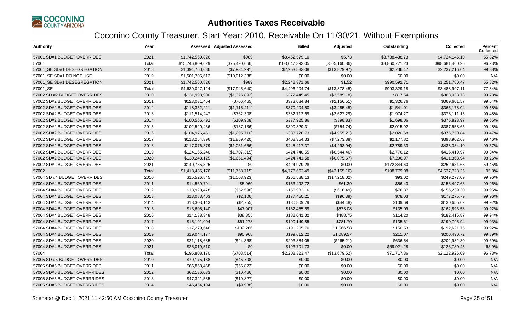

| <b>Authority</b>             | Year  |                  | <b>Assessed Adjusted Assessed</b> | <b>Billed</b>    | Adjusted        | Outstanding    | <b>Collected</b> | <b>Percent</b><br><b>Collected</b> |
|------------------------------|-------|------------------|-----------------------------------|------------------|-----------------|----------------|------------------|------------------------------------|
| 57001 SD#1 BUDGET OVERRIDES  | 2021  | \$1,742,560,826  | \$989                             | \$8,462,579.10   | \$5.73          | \$3,738,438.73 | \$4,724,146.10   | 55.82%                             |
| 57001                        | Total | \$15,746,809,629 | (\$75,490,666)                    | \$103,047,393.05 | (\$505, 160.86) | \$3,860,771.23 | \$98,681,460.96  | 96.23%                             |
| 57001 SE SD#1 DESEGREGATION  | 2018  | \$1,394,760,686  | (\$7,934,291)                     | \$2,253,833.08   | (\$13,879.97)   | \$2,736.47     | \$2,237,216.64   | 99.88%                             |
| 57001 SE SD#1 DO NOT USE     | 2019  | \$1,501,705,612  | (\$10,012,338)                    | \$0.00           | \$0.00          | \$0.00         | \$0.00           | N/A                                |
| 57001 SE SD#1 DESEGREGATION  | 2021  | \$1,742,560,826  | \$989                             | \$2,242,371.66   | \$1.52          | \$990,592.71   | \$1,251,780.47   | 55.82%                             |
| 57001_SE                     | Total | \$4,639,027,124  | (\$17,945,640)                    | \$4,496,204.74   | (\$13,878.45)   | \$993,329.18   | \$3,488,997.11   | 77.84%                             |
| 57002 SD #2 BUDGET OVERRIDES | 2010  | \$131,998,900    | (\$1,326,892)                     | \$372,445.45     | (\$3,589.18)    | \$817.54       | \$368,038.73     | 99.78%                             |
| 57002 SD#2 BUDGET OVERRIDES  | 2011  | \$123,031,464    | (\$706,465)                       | \$373,084.84     | (\$2,156.51)    | \$1,326.76     | \$369,601.57     | 99.64%                             |
| 57002 SD#2 BUDGET OVERRIDES  | 2012  | \$118,352,221    | (\$1,115,411)                     | \$370,204.50     | (\$3,485.45)    | \$1,541.01     | \$365,178.04     | 99.58%                             |
| 57002 SD#2 BUDGET OVERRIDES  | 2013  | \$111,514,247    | (\$762,308)                       | \$382,712.69     | (\$2,627.29)    | \$1,974.27     | \$378,111.13     | 99.48%                             |
| 57002 SD#2 BUDGET OVERRIDES  | 2014  | \$100,566,492    | (\$109,908)                       | \$377,925.86     | (\$398.83)      | \$1,698.06     | \$375,828.97     | 99.55%                             |
| 57002 SD#2 BUDGET OVERRIDES  | 2015  | \$102,520,436    | (\$187, 136)                      | \$390,329.31     | (\$754.74)      | \$2,015.92     | \$387,558.65     | 99.48%                             |
| 57002 SD#2 BUDGET OVERRIDES  | 2016  | \$104,976,451    | (\$1,295,710)                     | \$383,726.73     | (\$4,955.21)    | \$2,020.68     | \$376,750.84     | 99.47%                             |
| 57002 SD#2 BUDGET OVERRIDES  | 2017  | \$113,254,396    | (\$1,869,420)                     | \$408,354.33     | (\$7,273.88)    | \$2,177.82     | \$398,902.63     | 99.46%                             |
| 57002 SD#2 BUDGET OVERRIDES  | 2018  | \$117,076,879    | (\$1,031,656)                     | \$445,417.37     | (\$4,293.94)    | \$2,789.33     | \$438,334.10     | 99.37%                             |
| 57002 SD#2 BUDGET OVERRIDES  | 2019  | \$124,165,240    | (\$1,707,315)                     | \$424,740.55     | (\$6,544.46)    | \$2,776.12     | \$415,419.97     | 99.34%                             |
| 57002 SD#2 BUDGET OVERRIDES  | 2020  | \$130,243,125    | (\$1,651,494)                     | \$424,741.58     | (\$6,075.67)    | \$7,296.97     | \$411,368.94     | 98.26%                             |
| 57002 SD#2 BUDGET OVERRIDES  | 2021  | \$140,735,325    | \$0                               | \$424,979.28     | \$0.00          | \$172,344.60   | \$252,634.68     | 59.45%                             |
| 57002                        | Total | \$1,418,435,176  | (\$11,763,715)                    | \$4,778,662.49   | (\$42,155.16)   | \$198,779.08   | \$4,537,728.25   | 95.8%                              |
| 57004 SD #4 BUDGET OVERRIDES | 2010  | \$15,526,845     | (\$1,003,923)                     | \$266,588.13     | (\$17,218.02)   | \$93.02        | \$249,277.09     | 99.96%                             |
| 57004 SD#4 BUDGET OVERRIDES  | 2011  | \$14,569,791     | \$5,960                           | \$153,492.72     | \$61.39         | \$56.43        | \$153,497.68     | 99.96%                             |
| 57004 SD#4 BUDGET OVERRIDES  | 2012  | \$13,928,478     | (\$52,596)                        | \$156,932.16     | (\$616.49)      | \$76.37        | \$156,239.30     | 99.95%                             |
| 57004 SD#4 BUDGET OVERRIDES  | 2013  | \$13,083,403     | (\$2,106)                         | \$177,450.21     | (\$96.39)       | \$78.03        | \$177,275.79     | 99.96%                             |
| 57004 SD#4 BUDGET OVERRIDES  | 2014  | \$13,303,143     | (\$2,755)                         | \$130,809.79     | (\$44.48)       | \$109.69       | \$130,655.62     | 99.92%                             |
| 57004 SD#4 BUDGET OVERRIDES  | 2015  | \$13,605,140     | \$47,907                          | \$162,455.59     | \$573.08        | \$135.09       | \$162,893.58     | 99.92%                             |
| 57004 SD#4 BUDGET OVERRIDES  | 2016  | \$14,138,348     | \$38,855                          | \$182,041.32     | \$488.75        | \$114.20       | \$182,415.87     | 99.94%                             |
| 57004 SD#4 BUDGET OVERRIDES  | 2017  | \$15,191,004     | \$61,278                          | \$190,149.85     | \$781.70        | \$135.61       | \$190,795.94     | 99.93%                             |
| 57004 SD#4 BUDGET OVERRIDES  | 2018  | \$17,279,646     | \$132,266                         | \$191,205.70     | \$1,566.58      | \$150.53       | \$192,621.75     | 99.92%                             |
| 57004 SD#4 BUDGET OVERRIDES  | 2019  | \$19,044,177     | \$90,968                          | \$199,612.22     | \$1,089.57      | \$211.07       | \$200,490.72     | 99.89%                             |
| 57004 SD#4 BUDGET OVERRIDES  | 2020  | \$21,118,685     | (\$24,368)                        | \$203,884.05     | (\$265.21)      | \$636.54       | \$202,982.30     | 99.69%                             |
| 57004 SD#4 BUDGET OVERRIDES  | 2021  | \$25,019,510     | \$0                               | \$193,701.73     | \$0.00          | \$69,921.28    | \$123,780.45     | 63.9%                              |
| 57004                        | Total | \$195,808,170    | (\$708,514)                       | \$2,208,323.47   | (\$13,679.52)   | \$71,717.86    | \$2,122,926.09   | 96.73%                             |
| 57005 SD #5 BUDGET OVERRIDES | 2010  | \$79,175,188     | (\$45,708)                        | \$0.00           | \$0.00          | \$0.00         | \$0.00           | N/A                                |
| 57005 SD#5 BUDGET OVERRIDES  | 2011  | \$66,868,458     | (\$65,822)                        | \$0.00           | \$0.00          | \$0.00         | \$0.00           | N/A                                |
| 57005 SD#5 BUDGET OVERRRIDES | 2012  | \$62,136,033     | (\$10,466)                        | \$0.00           | \$0.00          | \$0.00         | \$0.00           | N/A                                |
| 57005 SD#5 BUDGET OVERRRIDES | 2013  | \$47,321,585     | (\$10,827)                        | \$0.00           | \$0.00          | \$0.00         | \$0.00           | N/A                                |
| 57005 SD#5 BUDGET OVERRRIDES | 2014  | \$46,454,104     | (\$9,988)                         | \$0.00           | \$0.00          | \$0.00         | \$0.00           | N/A                                |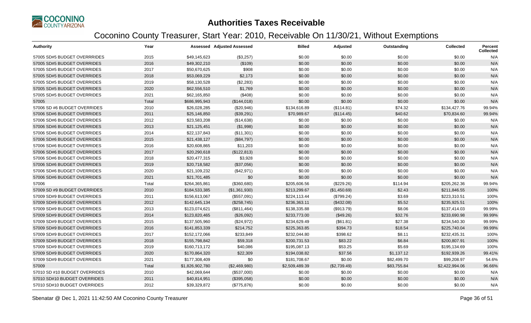

| <b>Authority</b>              | Year  |                 | <b>Assessed Adjusted Assessed</b> | <b>Billed</b>  | Adjusted     | Outstanding | <b>Collected</b> | Percent<br><b>Collected</b> |
|-------------------------------|-------|-----------------|-----------------------------------|----------------|--------------|-------------|------------------|-----------------------------|
| 57005 SD#5 BUDGET OVERRRIDES  | 2015  | \$49,145,623    | (\$3,257)                         | \$0.00         | \$0.00       | \$0.00      | \$0.00           | N/A                         |
| 57005 SD#5 BUDGET OVERRIDES   | 2016  | \$49,302,210    | (\$109)                           | \$0.00         | \$0.00       | \$0.00      | \$0.00           | N/A                         |
| 57005 SD#5 BUDGET OVERRIDES   | 2017  | \$50,670,625    | \$908                             | \$0.00         | \$0.00       | \$0.00      | \$0.00           | N/A                         |
| 57005 SD#5 BUDGET OVERRIDES   | 2018  | \$53,069,229    | \$2,173                           | \$0.00         | \$0.00       | \$0.00      | \$0.00           | N/A                         |
| 57005 SD#5 BUDGET OVERRIDES   | 2019  | \$58,130,528    | (\$2,283)                         | \$0.00         | \$0.00       | \$0.00      | \$0.00           | N/A                         |
| 57005 SD#5 BUDGET OVERRIDES   | 2020  | \$62,556,510    | \$1,769                           | \$0.00         | \$0.00       | \$0.00      | \$0.00           | N/A                         |
| 57005 SD#5 BUDGET OVERRIDES   | 2021  | \$62,165,850    | (\$408)                           | \$0.00         | \$0.00       | \$0.00      | \$0.00           | N/A                         |
| 57005                         | Total | \$686,995,943   | (\$144,018)                       | \$0.00         | \$0.00       | \$0.00      | \$0.00           | N/A                         |
| 57006 SD #6 BUDGET OVERRIDES  | 2010  | \$26,028,285    | (\$20,946)                        | \$134,616.89   | (\$114.81)   | \$74.32     | \$134,427.76     | 99.94%                      |
| 57006 SD#6 BUDGET OVERRIDES   | 2011  | \$25,146,850    | (\$39,291)                        | \$70,989.67    | (\$114.45)   | \$40.62     | \$70,834.60      | 99.94%                      |
| 57006 SD#6 BUDGET OVERRIDES   | 2012  | \$23,583,208    | (\$14,638)                        | \$0.00         | \$0.00       | \$0.00      | \$0.00           | N/A                         |
| 57006 SD#6 BUDGET OVERRIDES   | 2013  | \$21,125,451    | (\$1,998)                         | \$0.00         | \$0.00       | \$0.00      | \$0.00           | N/A                         |
| 57006 SD#6 BUDGET OVERRIDES   | 2014  | \$22,137,843    | (\$11,301)                        | \$0.00         | \$0.00       | \$0.00      | \$0.00           | N/A                         |
| 57006 SD#6 BUDGET OVERRIDES   | 2015  | \$21,438,127    | (\$84,797)                        | \$0.00         | \$0.00       | \$0.00      | \$0.00           | N/A                         |
| 57006 SD#6 BUDGET OVERRIDES   | 2016  | \$20,608,865    | \$11,203                          | \$0.00         | \$0.00       | \$0.00      | \$0.00           | N/A                         |
| 57006 SD#6 BUDGET OVERRIDES   | 2017  | \$20,290,618    | (\$122,813)                       | \$0.00         | \$0.00       | \$0.00      | \$0.00           | N/A                         |
| 57006 SD#6 BUDGET OVERRIDES   | 2018  | \$20,477,315    | \$3,928                           | \$0.00         | \$0.00       | \$0.00      | \$0.00           | N/A                         |
| 57006 SD#6 BUDGET OVERRIDES   | 2019  | \$20,718,582    | (\$37,056)                        | \$0.00         | \$0.00       | \$0.00      | \$0.00           | N/A                         |
| 57006 SD#6 BUDGET OVERRIDES   | 2020  | \$21,109,232    | (\$42,971)                        | \$0.00         | \$0.00       | \$0.00      | \$0.00           | N/A                         |
| 57006 SD#6 BUDGET OVERRIDES   | 2021  | \$21,701,485    | \$0                               | \$0.00         | \$0.00       | \$0.00      | \$0.00           | N/A                         |
| 57006                         | Total | \$264,365,861   | (\$360,680)                       | \$205,606.56   | (\$229.26)   | \$114.94    | \$205,262.36     | 99.94%                      |
| 57009 SD #9 BUDGET OVERRIDES  | 2010  | \$184,533,385   | (\$1,361,930)                     | \$213,299.67   | (\$1,450.69) | \$2.43      | \$211,846.55     | 100%                        |
| 57009 SD#9 BUDGET OVERRIDES   | 2011  | \$156,613,067   | (\$557,091)                       | \$224,113.44   | (\$799.24)   | \$3.69      | \$223,310.51     | 100%                        |
| 57009 SD#9 BUDGET OVERRIDES   | 2012  | \$142,645,134   | (\$258,745)                       | \$236,363.11   | (\$432.08)   | \$5.52      | \$235,925.51     | 100%                        |
| 57009 SD#9 BUDGET OVERRIDES   | 2013  | \$123,074,621   | (\$811,464)                       | \$138,335.88   | (\$913.79)   | \$8.06      | \$137,414.03     | 99.99%                      |
| 57009 SD#9 BUDGET OVERRIDES   | 2014  | \$123,820,465   | (\$26,092)                        | \$233,773.00   | (\$49.26)    | \$32.76     | \$233,690.98     | 99.99%                      |
| 57009 SD#9 BUDGET OVERRIDES   | 2015  | \$137,505,960   | (\$24,972)                        | \$234,629.49   | (\$61.81)    | \$27.38     | \$234,540.30     | 99.99%                      |
| 57009 SD#9 BUDGET OVERRIDES   | 2016  | \$141,853,339   | \$214,752                         | \$225,363.85   | \$394.73     | \$18.54     | \$225,740.04     | 99.99%                      |
| 57009 SD#9 BUDGET OVERRIDES   | 2017  | \$152,172,066   | \$233,849                         | \$232,044.80   | \$398.62     | \$8.11      | \$232,435.31     | 100%                        |
| 57009 SD#9 BUDGET OVERRIDES   | 2018  | \$155,798,842   | \$59,318                          | \$200,731.53   | \$83.22      | \$6.84      | \$200,807.91     | 100%                        |
| 57009 SD#9 BUDGET OVERRIDES   | 2019  | \$160,713,172   | \$40,086                          | \$195,087.13   | \$53.25      | \$5.69      | \$195,134.69     | 100%                        |
| 57009 SD#9 BUDGET OVERRIDES   | 2020  | \$170,864,320   | \$22,309                          | \$194,038.82   | \$37.56      | \$1,137.12  | \$192,939.26     | 99.41%                      |
| 57009 SD#9 BUDGET OVERRIDES   | 2021  | \$177,308,409   | \$0                               | \$181,708.67   | \$0.00       | \$82,499.70 | \$99,208.97      | 54.6%                       |
| 57009                         | Total | \$1,826,902,780 | (\$2,469,980)                     | \$2,509,489.39 | (\$2,739.49) | \$83,755.84 | \$2,422,994.06   | 96.66%                      |
| 57010 SD #10 BUDGET OVERRIDES | 2010  | \$42,069,644    | (\$537,000)                       | \$0.00         | \$0.00       | \$0.00      | \$0.00           | N/A                         |
| 57010 SD#10 BUDGET OVERRIDES  | 2011  | \$40,814,951    | (\$395,058)                       | \$0.00         | \$0.00       | \$0.00      | \$0.00           | N/A                         |
| 57010 SD#10 BUDGET OVERRIDES  | 2012  | \$39,329,872    | (\$775,876)                       | \$0.00         | \$0.00       | \$0.00      | \$0.00           | N/A                         |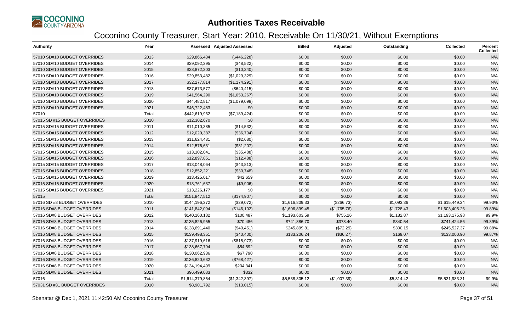

| <b>Authority</b>              | Year  |                 | <b>Assessed Adjusted Assessed</b> | <b>Billed</b>  | Adjusted     | Outstanding | <b>Collected</b> | <b>Percent</b><br><b>Collected</b> |
|-------------------------------|-------|-----------------|-----------------------------------|----------------|--------------|-------------|------------------|------------------------------------|
| 57010 SD#10 BUDGET OVERRIDES  | 2013  | \$29,866,434    | (\$446,228)                       | \$0.00         | \$0.00       | \$0.00      | \$0.00           | N/A                                |
| 57010 SD#10 BUDGET OVERRIDES  | 2014  | \$29,092,295    | (\$48,522)                        | \$0.00         | \$0.00       | \$0.00      | \$0.00           | N/A                                |
| 57010 SD#10 BUDGET OVERRIDES  | 2015  | \$28,872,303    | (\$10,340)                        | \$0.00         | \$0.00       | \$0.00      | \$0.00           | N/A                                |
| 57010 SD#10 BUDGET OVERRIDES  | 2016  | \$29,853,482    | (\$1,029,329)                     | \$0.00         | \$0.00       | \$0.00      | \$0.00           | N/A                                |
| 57010 SD#10 BUDGET OVERRIDES  | 2017  | \$32,277,814    | (\$1,174,291)                     | \$0.00         | \$0.00       | \$0.00      | \$0.00           | N/A                                |
| 57010 SD#10 BUDGET OVERRIDES  | 2018  | \$37,673,577    | (\$640, 415)                      | \$0.00         | \$0.00       | \$0.00      | \$0.00           | N/A                                |
| 57010 SD#10 BUDGET OVERRIDES  | 2019  | \$41,564,290    | (\$1,053,267)                     | \$0.00         | \$0.00       | \$0.00      | \$0.00           | N/A                                |
| 57010 SD#10 BUDGET OVERRIDES  | 2020  | \$44,482,817    | (\$1,079,098)                     | \$0.00         | \$0.00       | \$0.00      | \$0.00           | N/A                                |
| 57010 SD#10 BUDGET OVERRIDES  | 2021  | \$46,722,483    | \$0                               | \$0.00         | \$0.00       | \$0.00      | \$0.00           | N/A                                |
| 57010                         | Total | \$442,619,962   | (\$7,189,424)                     | \$0.00         | \$0.00       | \$0.00      | \$0.00           | N/A                                |
| 57015 SD #15 BUDGET OVERRIDES | 2010  | \$12,302,670    | \$0                               | \$0.00         | \$0.00       | \$0.00      | \$0.00           | N/A                                |
| 57015 SD#15 BUDGET OVERRIDES  | 2011  | \$11,010,385    | (\$14,532)                        | \$0.00         | \$0.00       | \$0.00      | \$0.00           | N/A                                |
| 57015 SD#15 BUDGET OVERRIDES  | 2012  | \$12,020,387    | (\$36,704)                        | \$0.00         | \$0.00       | \$0.00      | \$0.00           | N/A                                |
| 57015 SD#15 BUDGET OVERRIDES  | 2013  | \$11,624,431    | (\$2,680)                         | \$0.00         | \$0.00       | \$0.00      | \$0.00           | N/A                                |
| 57015 SD#15 BUDGET OVERRIDES  | 2014  | \$12,576,631    | (\$31,207)                        | \$0.00         | \$0.00       | \$0.00      | \$0.00           | N/A                                |
| 57015 SD#15 BUDGET OVERRIDES  | 2015  | \$13,102,041    | (\$35,488)                        | \$0.00         | \$0.00       | \$0.00      | \$0.00           | N/A                                |
| 57015 SD#15 BUDGET OVERRIDES  | 2016  | \$12,897,851    | (\$12,488)                        | \$0.00         | \$0.00       | \$0.00      | \$0.00           | N/A                                |
| 57015 SD#15 BUDGET OVERRIDES  | 2017  | \$13,048,064    | (\$43,813)                        | \$0.00         | \$0.00       | \$0.00      | \$0.00           | N/A                                |
| 57015 SD#15 BUDGET OVERRIDES  | 2018  | \$12,852,221    | (\$30,748)                        | \$0.00         | \$0.00       | \$0.00      | \$0.00           | N/A                                |
| 57015 SD#15 BUDGET OVERRIDES  | 2019  | \$13,425,017    | \$42,659                          | \$0.00         | \$0.00       | \$0.00      | \$0.00           | N/A                                |
| 57015 SD#15 BUDGET OVERRIDES  | 2020  | \$13,761,637    | (\$9,906)                         | \$0.00         | \$0.00       | \$0.00      | \$0.00           | N/A                                |
| 57015 SD#15 BUDGET OVERRIDES  | 2021  | \$13,226,177    | \$0                               | \$0.00         | \$0.00       | \$0.00      | \$0.00           | N/A                                |
| 57015                         | Total | \$151,847,512   | (\$174,907)                       | \$0.00         | \$0.00       | \$0.00      | \$0.00           | N/A                                |
| 57016 SD #8 BUDGET OVERRIDES  | 2010  | \$144,196,272   | (\$29,072)                        | \$1,616,809.33 | (\$266.73)   | \$1,093.36  | \$1,615,449.24   | 99.93%                             |
| 57016 SD#8 BUDGET OVERRIDES   | 2011  | \$141,842,094   | (\$146, 102)                      | \$1,606,899.45 | (\$1,765.76) | \$1,728.43  | \$1,603,405.26   | 99.89%                             |
| 57016 SD#8 BUDGET OVERRIDES   | 2012  | \$140,160,182   | \$100,487                         | \$1,193,603.59 | \$755.26     | \$1,182.87  | \$1,193,175.98   | 99.9%                              |
| 57016 SD#8 BUDGET OVERRIDES   | 2013  | \$135,826,955   | \$70,486                          | \$741,886.70   | \$378.40     | \$840.54    | \$741,424.56     | 99.89%                             |
| 57016 SD#8 BUDGET OVERRIDES   | 2014  | \$138,691,440   | (\$40,451)                        | \$245,899.81   | (\$72.29)    | \$300.15    | \$245,527.37     | 99.88%                             |
| 57016 SD#8 BUDGET OVERRIDES   | 2015  | \$139,498,351   | (\$40,400)                        | \$133,206.24   | (\$36.27)    | \$169.07    | \$133,000.90     | 99.87%                             |
| 57016 SD#8 BUDGET OVERRIDES   | 2016  | \$137,919,616   | (\$815,973)                       | \$0.00         | \$0.00       | \$0.00      | \$0.00           | N/A                                |
| 57016 SD#8 BUDGET OVERRIDES   | 2017  | \$138,667,794   | \$54,592                          | \$0.00         | \$0.00       | \$0.00      | \$0.00           | N/A                                |
| 57016 SD#8 BUDGET OVERRIDES   | 2018  | \$130,062,936   | \$67,790                          | \$0.00         | \$0.00       | \$0.00      | \$0.00           | N/A                                |
| 57016 SD#8 BUDGET OVERRIDES   | 2019  | \$136,820,632   | (\$768,427)                       | \$0.00         | \$0.00       | \$0.00      | \$0.00           | N/A                                |
| 57016 SD#8 BUDGET OVERRIDES   | 2020  | \$134,194,499   | \$204,341                         | \$0.00         | \$0.00       | \$0.00      | \$0.00           | N/A                                |
| 57016 SD#8 BUDGET OVERRIDES   | 2021  | \$96,499,083    | \$332                             | \$0.00         | \$0.00       | \$0.00      | \$0.00           | N/A                                |
| 57016                         | Total | \$1,614,379,854 | (\$1,342,397)                     | \$5,538,305.12 | (\$1,007.39) | \$5,314.42  | \$5,531,983.31   | 99.9%                              |
| 57031 SD #31 BUDGET OVERRIDES | 2010  | \$8,901,792     | (\$13,015)                        | \$0.00         | \$0.00       | \$0.00      | \$0.00           | N/A                                |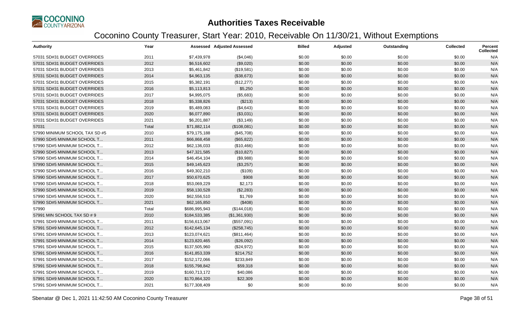

| <b>Authority</b>               | Year  |               | <b>Assessed Adjusted Assessed</b> | <b>Billed</b> | Adjusted | Outstanding | <b>Collected</b> | Percent<br><b>Collected</b> |
|--------------------------------|-------|---------------|-----------------------------------|---------------|----------|-------------|------------------|-----------------------------|
| 57031 SD#31 BUDGET OVERRIDES   | 2011  | \$7,439,978   | (\$4,046)                         | \$0.00        | \$0.00   | \$0.00      | \$0.00           | N/A                         |
| 57031 SD#31 BUDGET OVERRIDES   | 2012  | \$6,516,602   | (\$9,020)                         | \$0.00        | \$0.00   | \$0.00      | \$0.00           | N/A                         |
| 57031 SD#31 BUDGET OVERRIDES   | 2013  | \$5,461,842   | (\$19,581)                        | \$0.00        | \$0.00   | \$0.00      | \$0.00           | N/A                         |
| 57031 SD#31 BUDGET OVERRIDES   | 2014  | \$4,963,135   | (\$38,673)                        | \$0.00        | \$0.00   | \$0.00      | \$0.00           | N/A                         |
| 57031 SD#31 BUDGET OVERRIDES   | 2015  | \$5,382,191   | (\$12,277)                        | \$0.00        | \$0.00   | \$0.00      | \$0.00           | N/A                         |
| 57031 SD#31 BUDGET OVERRIDES   | 2016  | \$5,113,813   | \$5,250                           | \$0.00        | \$0.00   | \$0.00      | \$0.00           | N/A                         |
| 57031 SD#31 BUDGET OVERRIDES   | 2017  | \$4,995,075   | (\$5,683)                         | \$0.00        | \$0.00   | \$0.00      | \$0.00           | N/A                         |
| 57031 SD#31 BUDGET OVERRIDES   | 2018  | \$5,338,826   | (\$213)                           | \$0.00        | \$0.00   | \$0.00      | \$0.00           | N/A                         |
| 57031 SD#31 BUDGET OVERRIDES   | 2019  | \$5,489,083   | (\$4,643)                         | \$0.00        | \$0.00   | \$0.00      | \$0.00           | N/A                         |
| 57031 SD#31 BUDGET OVERRIDES   | 2020  | \$6,077,890   | (\$3,031)                         | \$0.00        | \$0.00   | \$0.00      | \$0.00           | N/A                         |
| 57031 SD#31 BUDGET OVERRIDES   | 2021  | \$6,201,887   | (\$3,149)                         | \$0.00        | \$0.00   | \$0.00      | \$0.00           | N/A                         |
| 57031                          | Total | \$71,882,114  | (\$108,081)                       | \$0.00        | \$0.00   | \$0.00      | \$0.00           | N/A                         |
| 57990 MINIMUM SCHOOL TAX SD #5 | 2010  | \$79,175,188  | (\$45,708)                        | \$0.00        | \$0.00   | \$0.00      | \$0.00           | N/A                         |
| 57990 SD#5 MINIMUM SCHOOL T    | 2011  | \$66,868,458  | (\$65,822)                        | \$0.00        | \$0.00   | \$0.00      | \$0.00           | N/A                         |
| 57990 SD#5 MINIMUM SCHOOL T    | 2012  | \$62,136,033  | (\$10,466)                        | \$0.00        | \$0.00   | \$0.00      | \$0.00           | N/A                         |
| 57990 SD#5 MINIMUM SCHOOL T    | 2013  | \$47,321,585  | (\$10,827)                        | \$0.00        | \$0.00   | \$0.00      | \$0.00           | N/A                         |
| 57990 SD#5 MINIMUM SCHOOL T    | 2014  | \$46,454,104  | (\$9,988)                         | \$0.00        | \$0.00   | \$0.00      | \$0.00           | N/A                         |
| 57990 SD#5 MINIMUM SCHOOL T    | 2015  | \$49,145,623  | (\$3,257)                         | \$0.00        | \$0.00   | \$0.00      | \$0.00           | N/A                         |
| 57990 SD#5 MINIMUM SCHOOL T    | 2016  | \$49,302,210  | (\$109)                           | \$0.00        | \$0.00   | \$0.00      | \$0.00           | N/A                         |
| 57990 SD#5 MINIMUM SCHOOL T.   | 2017  | \$50,670,625  | \$908                             | \$0.00        | \$0.00   | \$0.00      | \$0.00           | N/A                         |
| 57990 SD#5 MINIMUM SCHOOL T    | 2018  | \$53,069,229  | \$2,173                           | \$0.00        | \$0.00   | \$0.00      | \$0.00           | N/A                         |
| 57990 SD#5 MINIMUM SCHOOL T    | 2019  | \$58,130,528  | (\$2,283)                         | \$0.00        | \$0.00   | \$0.00      | \$0.00           | N/A                         |
| 57990 SD#5 MINIMUM SCHOOL T    | 2020  | \$62,556,510  | \$1,769                           | \$0.00        | \$0.00   | \$0.00      | \$0.00           | N/A                         |
| 57990 SD#5 MINIMUM SCHOOL T    | 2021  | \$62,165,850  | (\$408)                           | \$0.00        | \$0.00   | \$0.00      | \$0.00           | N/A                         |
| 57990                          | Total | \$686,995,943 | (\$144,018)                       | \$0.00        | \$0.00   | \$0.00      | \$0.00           | N/A                         |
| 57991 MIN SCHOOL TAX SD # 9    | 2010  | \$184,533,385 | (\$1,361,930)                     | \$0.00        | \$0.00   | \$0.00      | \$0.00           | N/A                         |
| 57991 SD#9 MINIMUM SCHOOL T    | 2011  | \$156,613,067 | (\$557,091)                       | \$0.00        | \$0.00   | \$0.00      | \$0.00           | N/A                         |
| 57991 SD#9 MINIMUM SCHOOL T    | 2012  | \$142,645,134 | (\$258,745)                       | \$0.00        | \$0.00   | \$0.00      | \$0.00           | N/A                         |
| 57991 SD#9 MINIMUM SCHOOL T    | 2013  | \$123,074,621 | (\$811,464)                       | \$0.00        | \$0.00   | \$0.00      | \$0.00           | N/A                         |
| 57991 SD#9 MINIMUM SCHOOL T    | 2014  | \$123,820,465 | (\$26,092)                        | \$0.00        | \$0.00   | \$0.00      | \$0.00           | N/A                         |
| 57991 SD#9 MINIMUM SCHOOL T    | 2015  | \$137,505,960 | (\$24,972)                        | \$0.00        | \$0.00   | \$0.00      | \$0.00           | N/A                         |
| 57991 SD#9 MINIMUM SCHOOL T    | 2016  | \$141,853,339 | \$214,752                         | \$0.00        | \$0.00   | \$0.00      | \$0.00           | N/A                         |
| 57991 SD#9 MINIMUM SCHOOL T    | 2017  | \$152,172,066 | \$233,849                         | \$0.00        | \$0.00   | \$0.00      | \$0.00           | N/A                         |
| 57991 SD#9 MINIMUM SCHOOL T    | 2018  | \$155,798,842 | \$59,318                          | \$0.00        | \$0.00   | \$0.00      | \$0.00           | N/A                         |
| 57991 SD#9 MINIMUM SCHOOL T    | 2019  | \$160,713,172 | \$40,086                          | \$0.00        | \$0.00   | \$0.00      | \$0.00           | N/A                         |
| 57991 SD#9 MINIMUM SCHOOL T    | 2020  | \$170,864,320 | \$22,309                          | \$0.00        | \$0.00   | \$0.00      | \$0.00           | N/A                         |
| 57991 SD#9 MINIMUM SCHOOL T    | 2021  | \$177,308,409 | \$0                               | \$0.00        | \$0.00   | \$0.00      | \$0.00           | N/A                         |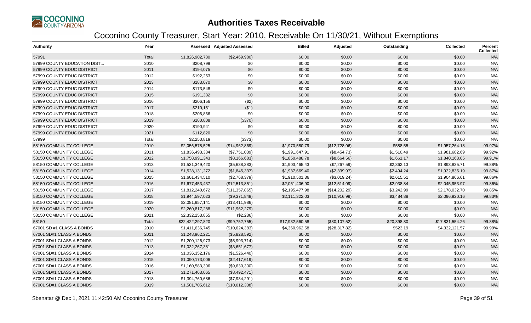

| <b>Authority</b>            | Year  |                  | Assessed Adjusted Assessed | <b>Billed</b>   | Adjusted      | Outstanding | <b>Collected</b> | <b>Percent</b><br><b>Collected</b> |
|-----------------------------|-------|------------------|----------------------------|-----------------|---------------|-------------|------------------|------------------------------------|
| 57991                       | Total | \$1,826,902,780  | (\$2,469,980)              | \$0.00          | \$0.00        | \$0.00      | \$0.00           | N/A                                |
| 57999 COUNTY EDUCATION DIST | 2010  | \$208,799        | \$0                        | \$0.00          | \$0.00        | \$0.00      | \$0.00           | N/A                                |
| 57999 COUNTY EDUC DISTRICT  | 2011  | \$194,075        | \$0                        | \$0.00          | \$0.00        | \$0.00      | \$0.00           | N/A                                |
| 57999 COUNTY EDUC DISTRICT  | 2012  | \$192,253        | \$0                        | \$0.00          | \$0.00        | \$0.00      | \$0.00           | N/A                                |
| 57999 COUNTY EDUC DISTRICT  | 2013  | \$183,070        | \$0                        | \$0.00          | \$0.00        | \$0.00      | \$0.00           | N/A                                |
| 57999 COUNTY EDUC DISTRICT  | 2014  | \$173,548        | \$0                        | \$0.00          | \$0.00        | \$0.00      | \$0.00           | N/A                                |
| 57999 COUNTY EDUC DISTRICT  | 2015  | \$191,332        | \$0                        | \$0.00          | \$0.00        | \$0.00      | \$0.00           | N/A                                |
| 57999 COUNTY EDUC DISTRICT  | 2016  | \$206,156        | (\$2)                      | \$0.00          | \$0.00        | \$0.00      | \$0.00           | N/A                                |
| 57999 COUNTY EDUC DISTRICT  | 2017  | \$210,151        | ( \$1)                     | \$0.00          | \$0.00        | \$0.00      | \$0.00           | N/A                                |
| 57999 COUNTY EDUC DISTRICT  | 2018  | \$206,866        | \$0                        | \$0.00          | \$0.00        | \$0.00      | \$0.00           | N/A                                |
| 57999 COUNTY EDUC DISTRICT  | 2019  | \$180,808        | (\$370)                    | \$0.00          | \$0.00        | \$0.00      | \$0.00           | N/A                                |
| 57999 COUNTY EDUC DISTRICT  | 2020  | \$190,941        | \$0                        | \$0.00          | \$0.00        | \$0.00      | \$0.00           | N/A                                |
| 57999 COUNTY EDUC DISTRICT  | 2021  | \$112,820        | \$0                        | \$0.00          | \$0.00        | \$0.00      | \$0.00           | N/A                                |
| 57999                       | Total | \$2,250,819      | (\$373)                    | \$0.00          | \$0.00        | \$0.00      | \$0.00           | N/A                                |
| 58150 COMMUNITY COLLEGE     | 2010  | \$2,056,578,525  | (\$14,962,869)             | \$1,970,580.79  | (\$12,728.06) | \$588.55    | \$1,957,264.18   | 99.97%                             |
| 58150 COMMUNITY COLLEGE     | 2011  | \$1,836,493,334  | (\$7,751,039)              | \$1,991,647.91  | (\$8,454.73)  | \$1,510.49  | \$1,981,682.69   | 99.92%                             |
| 58150 COMMUNITY COLLEGE     | 2012  | \$1,758,991,343  | (\$8,166,683)              | \$1,850,488.78  | (\$8,664.56)  | \$1,661.17  | \$1,840,163.05   | 99.91%                             |
| 58150 COMMUNITY COLLEGE     | 2013  | \$1,531,349,420  | (\$5,638,383)              | \$1,903,465.43  | (\$7,267.59)  | \$2,362.13  | \$1,893,835.71   | 99.88%                             |
| 58150 COMMUNITY COLLEGE     | 2014  | \$1,528,131,272  | (\$1,845,337)              | \$1,937,669.40  | (\$2,339.97)  | \$2,494.24  | \$1,932,835.19   | 99.87%                             |
| 58150 COMMUNITY COLLEGE     | 2015  | \$1,601,434,510  | (\$2,768,379)              | \$1,910,501.36  | (\$3,019.24)  | \$2,615.51  | \$1,904,866.61   | 99.86%                             |
| 58150 COMMUNITY COLLEGE     | 2016  | \$1,677,453,437  | (\$12,513,851)             | \$2,061,406.90  | (\$12,514.09) | \$2,938.84  | \$2,045,953.97   | 99.86%                             |
| 58150 COMMUNITY COLLEGE     | 2017  | \$1,812,240,672  | (\$11,357,865)             | \$2,195,477.98  | (\$14,202.29) | \$3,242.99  | \$2,178,032.70   | 99.85%                             |
| 58150 COMMUNITY COLLEGE     | 2018  | \$1,944,597,023  | (\$9,371,848)              | \$2,111,322.03  | (\$10,916.99) | \$3,484.88  | \$2,096,920.16   | 99.83%                             |
| 58150 COMMUNITY COLLEGE     | 2019  | \$2,081,957,141  | (\$13,411,986)             | \$0.00          | \$0.00        | \$0.00      | \$0.00           | N/A                                |
| 58150 COMMUNITY COLLEGE     | 2020  | \$2,260,817,288  | (\$11,962,279)             | \$0.00          | \$0.00        | \$0.00      | \$0.00           | N/A                                |
| 58150 COMMUNITY COLLEGE     | 2021  | \$2,332,253,855  | (\$2,236)                  | \$0.00          | \$0.00        | \$0.00      | \$0.00           | N/A                                |
| 58150                       | Total | \$22,422,297,820 | (\$99,752,755)             | \$17,932,560.58 | (\$80,107.52) | \$20,898.80 | \$17,831,554.26  | 99.88%                             |
| 67001 SD #1 CLASS A BONDS   | 2010  | \$1,411,636,745  | (\$10,624,383)             | \$4,360,962.58  | (\$28,317.82) | \$523.19    | \$4,332,121.57   | 99.99%                             |
| 67001 SD#1 CLASS A BONDS    | 2011  | \$1,248,962,221  | (\$5,828,592)              | \$0.00          | \$0.00        | \$0.00      | \$0.00           | N/A                                |
| 67001 SD#1 CLASS A BONDS    | 2012  | \$1,200,126,973  | (\$5,993,714)              | \$0.00          | \$0.00        | \$0.00      | \$0.00           | N/A                                |
| 67001 SD#1 CLASS A BONDS    | 2013  | \$1,032,267,381  | (\$3,651,677)              | \$0.00          | \$0.00        | \$0.00      | \$0.00           | N/A                                |
| 67001 SD#1 CLASS A BONDS    | 2014  | \$1,036,352,176  | (\$1,526,440)              | \$0.00          | \$0.00        | \$0.00      | \$0.00           | N/A                                |
| 67001 SD#1 CLASS A BONDS    | 2015  | \$1,090,173,006  | (\$2,417,619)              | \$0.00          | \$0.00        | \$0.00      | \$0.00           | N/A                                |
| 67001 SD#1 CLASS A BONDS    | 2016  | \$1,160,583,306  | (\$9,630,300)              | \$0.00          | \$0.00        | \$0.00      | \$0.00           | N/A                                |
| 67001 SD#1 CLASS A BONDS    | 2017  | \$1,271,463,065  | (\$8,492,471)              | \$0.00          | \$0.00        | \$0.00      | \$0.00           | N/A                                |
| 67001 SD#1 CLASS A BONDS    | 2018  | \$1,394,760,686  | (\$7,934,291)              | \$0.00          | \$0.00        | \$0.00      | \$0.00           | N/A                                |
| 67001 SD#1 CLASS A BONDS    | 2019  | \$1,501,705,612  | (\$10,012,338)             | \$0.00          | \$0.00        | \$0.00      | \$0.00           | N/A                                |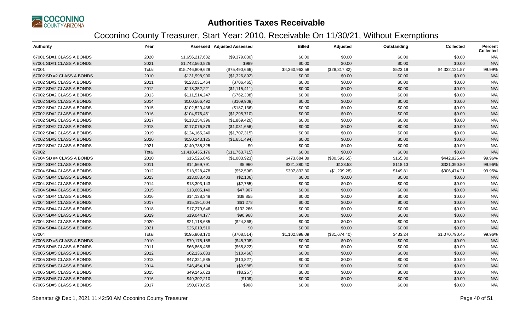

| <b>Authority</b>          | Year  |                  | <b>Assessed Adjusted Assessed</b> | <b>Billed</b>  | Adjusted      | Outstanding | <b>Collected</b> | <b>Percent</b><br><b>Collected</b> |
|---------------------------|-------|------------------|-----------------------------------|----------------|---------------|-------------|------------------|------------------------------------|
| 67001 SD#1 CLASS A BONDS  | 2020  | \$1,656,217,632  | (\$9,379,830)                     | \$0.00         | \$0.00        | \$0.00      | \$0.00           | N/A                                |
| 67001 SD#1 CLASS A BONDS  | 2021  | \$1,742,560,826  | \$989                             | \$0.00         | \$0.00        | \$0.00      | \$0.00           | N/A                                |
| 67001                     | Total | \$15,746,809,629 | (\$75,490,666)                    | \$4,360,962.58 | (\$28,317.82) | \$523.19    | \$4,332,121.57   | 99.99%                             |
| 67002 SD #2 CLASS A BONDS | 2010  | \$131,998,900    | (\$1,326,892)                     | \$0.00         | \$0.00        | \$0.00      | \$0.00           | N/A                                |
| 67002 SD#2 CLASS A BONDS  | 2011  | \$123,031,464    | (\$706,465)                       | \$0.00         | \$0.00        | \$0.00      | \$0.00           | N/A                                |
| 67002 SD#2 CLASS A BONDS  | 2012  | \$118,352,221    | (\$1,115,411)                     | \$0.00         | \$0.00        | \$0.00      | \$0.00           | N/A                                |
| 67002 SD#2 CLASS A BONDS  | 2013  | \$111,514,247    | (\$762,308)                       | \$0.00         | \$0.00        | \$0.00      | \$0.00           | N/A                                |
| 67002 SD#2 CLASS A BONDS  | 2014  | \$100,566,492    | (\$109,908)                       | \$0.00         | \$0.00        | \$0.00      | \$0.00           | N/A                                |
| 67002 SD#2 CLASS A BONDS  | 2015  | \$102,520,436    | (\$187, 136)                      | \$0.00         | \$0.00        | \$0.00      | \$0.00           | N/A                                |
| 67002 SD#2 CLASS A BONDS  | 2016  | \$104,976,451    | (\$1,295,710)                     | \$0.00         | \$0.00        | \$0.00      | \$0.00           | N/A                                |
| 67002 SD#2 CLASS A BONDS  | 2017  | \$113,254,396    | (\$1,869,420)                     | \$0.00         | \$0.00        | \$0.00      | \$0.00           | N/A                                |
| 67002 SD#2 CLASS A BONDS  | 2018  | \$117,076,879    | (\$1,031,656)                     | \$0.00         | \$0.00        | \$0.00      | \$0.00           | N/A                                |
| 67002 SD#2 CLASS A BONDS  | 2019  | \$124,165,240    | (\$1,707,315)                     | \$0.00         | \$0.00        | \$0.00      | \$0.00           | N/A                                |
| 67002 SD#2 CLASS A BONDS  | 2020  | \$130,243,125    | (\$1,651,494)                     | \$0.00         | \$0.00        | \$0.00      | \$0.00           | N/A                                |
| 67002 SD#2 CLASS A BONDS  | 2021  | \$140,735,325    | \$0                               | \$0.00         | \$0.00        | \$0.00      | \$0.00           | N/A                                |
| 67002                     | Total | \$1,418,435,176  | (\$11,763,715)                    | \$0.00         | \$0.00        | \$0.00      | \$0.00           | N/A                                |
| 67004 SD #4 CLASS A BONDS | 2010  | \$15,526,845     | (\$1,003,923)                     | \$473,684.39   | (\$30,593.65) | \$165.30    | \$442,925.44     | 99.96%                             |
| 67004 SD#4 CLASS A BONDS  | 2011  | \$14,569,791     | \$5,960                           | \$321,380.40   | \$128.53      | \$118.13    | \$321,390.80     | 99.96%                             |
| 67004 SD#4 CLASS A BONDS  | 2012  | \$13,928,478     | (\$52,596)                        | \$307,833.30   | (\$1,209.28)  | \$149.81    | \$306,474.21     | 99.95%                             |
| 67004 SD#4 CLASS A BONDS  | 2013  | \$13,083,403     | (\$2,106)                         | \$0.00         | \$0.00        | \$0.00      | \$0.00           | N/A                                |
| 67004 SD#4 CLASS A BONDS  | 2014  | \$13,303,143     | (\$2,755)                         | \$0.00         | \$0.00        | \$0.00      | \$0.00           | N/A                                |
| 67004 SD#4 CLASS A BONDS  | 2015  | \$13,605,140     | \$47,907                          | \$0.00         | \$0.00        | \$0.00      | \$0.00           | N/A                                |
| 67004 SD#4 CLASS A BONDS  | 2016  | \$14,138,348     | \$38,855                          | \$0.00         | \$0.00        | \$0.00      | \$0.00           | N/A                                |
| 67004 SD#4 CLASS A BONDS  | 2017  | \$15,191,004     | \$61,278                          | \$0.00         | \$0.00        | \$0.00      | \$0.00           | N/A                                |
| 67004 SD#4 CLASS A BONDS  | 2018  | \$17,279,646     | \$132,266                         | \$0.00         | \$0.00        | \$0.00      | \$0.00           | N/A                                |
| 67004 SD#4 CLASS A BONDS  | 2019  | \$19,044,177     | \$90,968                          | \$0.00         | \$0.00        | \$0.00      | \$0.00           | N/A                                |
| 67004 SD#4 CLASS A BONDS  | 2020  | \$21,118,685     | (\$24,368)                        | \$0.00         | \$0.00        | \$0.00      | \$0.00           | N/A                                |
| 67004 SD#4 CLASS A BONDS  | 2021  | \$25,019,510     | \$0                               | \$0.00         | \$0.00        | \$0.00      | \$0.00           | N/A                                |
| 67004                     | Total | \$195,808,170    | (\$708,514)                       | \$1,102,898.09 | (\$31,674.40) | \$433.24    | \$1,070,790.45   | 99.96%                             |
| 67005 SD #5 CLASS A BONDS | 2010  | \$79,175,188     | (\$45,708)                        | \$0.00         | \$0.00        | \$0.00      | \$0.00           | N/A                                |
| 67005 SD#5 CLASS A BONDS  | 2011  | \$66,868,458     | (\$65, 822)                       | \$0.00         | \$0.00        | \$0.00      | \$0.00           | N/A                                |
| 67005 SD#5 CLASS A BONDS  | 2012  | \$62,136,033     | (\$10,466)                        | \$0.00         | \$0.00        | \$0.00      | \$0.00           | N/A                                |
| 67005 SD#5 CLASS A BONDS  | 2013  | \$47,321,585     | (\$10,827)                        | \$0.00         | \$0.00        | \$0.00      | \$0.00           | N/A                                |
| 67005 SD#5 CLASS A BONDS  | 2014  | \$46,454,104     | (\$9,988)                         | \$0.00         | \$0.00        | \$0.00      | \$0.00           | N/A                                |
| 67005 SD#5 CLASS A BONDS  | 2015  | \$49,145,623     | (\$3,257)                         | \$0.00         | \$0.00        | \$0.00      | \$0.00           | N/A                                |
| 67005 SD#5 CLASS A BONDS  | 2016  | \$49,302,210     | (\$109)                           | \$0.00         | \$0.00        | \$0.00      | \$0.00           | N/A                                |
| 67005 SD#5 CLASS A BONDS  | 2017  | \$50,670,625     | \$908                             | \$0.00         | \$0.00        | \$0.00      | \$0.00           | N/A                                |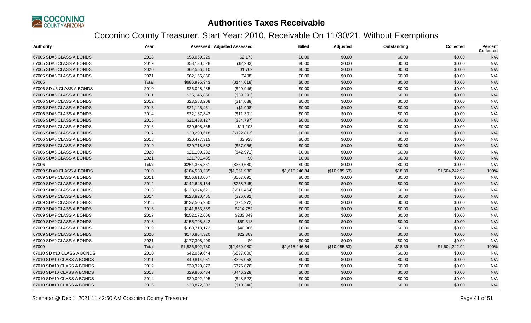

| <b>Authority</b>           | Year  |                 | <b>Assessed Adjusted Assessed</b> | <b>Billed</b>  | Adjusted      | Outstanding | Collected      | <b>Percent</b><br><b>Collected</b> |
|----------------------------|-------|-----------------|-----------------------------------|----------------|---------------|-------------|----------------|------------------------------------|
| 67005 SD#5 CLASS A BONDS   | 2018  | \$53,069,229    | \$2,173                           | \$0.00         | \$0.00        | \$0.00      | \$0.00         | N/A                                |
| 67005 SD#5 CLASS A BONDS   | 2019  | \$58,130,528    | (\$2,283)                         | \$0.00         | \$0.00        | \$0.00      | \$0.00         | N/A                                |
| 67005 SD#5 CLASS A BONDS   | 2020  | \$62,556,510    | \$1,769                           | \$0.00         | \$0.00        | \$0.00      | \$0.00         | N/A                                |
| 67005 SD#5 CLASS A BONDS   | 2021  | \$62,165,850    | (\$408)                           | \$0.00         | \$0.00        | \$0.00      | \$0.00         | N/A                                |
| 67005                      | Total | \$686,995,943   | (\$144,018)                       | \$0.00         | \$0.00        | \$0.00      | \$0.00         | N/A                                |
| 67006 SD #6 CLASS A BONDS  | 2010  | \$26,028,285    | (\$20,946)                        | \$0.00         | \$0.00        | \$0.00      | \$0.00         | N/A                                |
| 67006 SD#6 CLASS A BONDS   | 2011  | \$25,146,850    | (\$39,291)                        | \$0.00         | \$0.00        | \$0.00      | \$0.00         | N/A                                |
| 67006 SD#6 CLASS A BONDS   | 2012  | \$23,583,208    | (\$14,638)                        | \$0.00         | \$0.00        | \$0.00      | \$0.00         | N/A                                |
| 67006 SD#6 CLASS A BONDS   | 2013  | \$21,125,451    | (\$1,998)                         | \$0.00         | \$0.00        | \$0.00      | \$0.00         | N/A                                |
| 67006 SD#6 CLASS A BONDS   | 2014  | \$22,137,843    | (\$11,301)                        | \$0.00         | \$0.00        | \$0.00      | \$0.00         | N/A                                |
| 67006 SD#6 CLASS A BONDS   | 2015  | \$21,438,127    | (\$84,797)                        | \$0.00         | \$0.00        | \$0.00      | \$0.00         | N/A                                |
| 67006 SD#6 CLASS A BONDS   | 2016  | \$20,608,865    | \$11,203                          | \$0.00         | \$0.00        | \$0.00      | \$0.00         | N/A                                |
| 67006 SD#6 CLASS A BONDS   | 2017  | \$20,290,618    | (\$122,813)                       | \$0.00         | \$0.00        | \$0.00      | \$0.00         | N/A                                |
| 67006 SD#6 CLASS A BONDS   | 2018  | \$20,477,315    | \$3,928                           | \$0.00         | \$0.00        | \$0.00      | \$0.00         | N/A                                |
| 67006 SD#6 CLASS A BONDS   | 2019  | \$20,718,582    | (\$37,056)                        | \$0.00         | \$0.00        | \$0.00      | \$0.00         | N/A                                |
| 67006 SD#6 CLASS A BONDS   | 2020  | \$21,109,232    | (\$42,971)                        | \$0.00         | \$0.00        | \$0.00      | \$0.00         | N/A                                |
| 67006 SD#6 CLASS A BONDS   | 2021  | \$21,701,485    | \$0                               | \$0.00         | \$0.00        | \$0.00      | \$0.00         | N/A                                |
| 67006                      | Total | \$264,365,861   | (\$360,680)                       | \$0.00         | \$0.00        | \$0.00      | \$0.00         | N/A                                |
| 67009 SD #9 CLASS A BONDS  | 2010  | \$184,533,385   | (\$1,361,930)                     | \$1,615,246.84 | (\$10,985.53) | \$18.39     | \$1,604,242.92 | 100%                               |
| 67009 SD#9 CLASS A BONDS   | 2011  | \$156,613,067   | (\$557,091)                       | \$0.00         | \$0.00        | \$0.00      | \$0.00         | N/A                                |
| 67009 SD#9 CLASS A BONDS   | 2012  | \$142,645,134   | (\$258,745)                       | \$0.00         | \$0.00        | \$0.00      | \$0.00         | N/A                                |
| 67009 SD#9 CLASS A BONDS   | 2013  | \$123,074,621   | (\$811,464)                       | \$0.00         | \$0.00        | \$0.00      | \$0.00         | N/A                                |
| 67009 SD#9 CLASS A BONDS   | 2014  | \$123,820,465   | (\$26,092)                        | \$0.00         | \$0.00        | \$0.00      | \$0.00         | N/A                                |
| 67009 SD#9 CLASS A BONDS   | 2015  | \$137,505,960   | (\$24,972)                        | \$0.00         | \$0.00        | \$0.00      | \$0.00         | N/A                                |
| 67009 SD#9 CLASS A BONDS   | 2016  | \$141,853,339   | \$214,752                         | \$0.00         | \$0.00        | \$0.00      | \$0.00         | N/A                                |
| 67009 SD#9 CLASS A BONDS   | 2017  | \$152,172,066   | \$233,849                         | \$0.00         | \$0.00        | \$0.00      | \$0.00         | N/A                                |
| 67009 SD#9 CLASS A BONDS   | 2018  | \$155,798,842   | \$59,318                          | \$0.00         | \$0.00        | \$0.00      | \$0.00         | N/A                                |
| 67009 SD#9 CLASS A BONDS   | 2019  | \$160,713,172   | \$40,086                          | \$0.00         | \$0.00        | \$0.00      | \$0.00         | N/A                                |
| 67009 SD#9 CLASS A BONDS   | 2020  | \$170,864,320   | \$22,309                          | \$0.00         | \$0.00        | \$0.00      | \$0.00         | N/A                                |
| 67009 SD#9 CLASS A BONDS   | 2021  | \$177,308,409   | \$0                               | \$0.00         | \$0.00        | \$0.00      | \$0.00         | N/A                                |
| 67009                      | Total | \$1,826,902,780 | (\$2,469,980)                     | \$1,615,246.84 | (\$10,985.53) | \$18.39     | \$1,604,242.92 | 100%                               |
| 67010 SD #10 CLASS A BONDS | 2010  | \$42,069,644    | (\$537,000)                       | \$0.00         | \$0.00        | \$0.00      | \$0.00         | N/A                                |
| 67010 SD#10 CLASS A BONDS  | 2011  | \$40,814,951    | (\$395,058)                       | \$0.00         | \$0.00        | \$0.00      | \$0.00         | N/A                                |
| 67010 SD#10 CLASS A BONDS  | 2012  | \$39,329,872    | (\$775,876)                       | \$0.00         | \$0.00        | \$0.00      | \$0.00         | N/A                                |
| 67010 SD#10 CLASS A BONDS  | 2013  | \$29,866,434    | (\$446,228)                       | \$0.00         | \$0.00        | \$0.00      | \$0.00         | N/A                                |
| 67010 SD#10 CLASS A BONDS  | 2014  | \$29,092,295    | (\$48,522)                        | \$0.00         | \$0.00        | \$0.00      | \$0.00         | N/A                                |
| 67010 SD#10 CLASS A BONDS  | 2015  | \$28,872,303    | (\$10,340)                        | \$0.00         | \$0.00        | \$0.00      | \$0.00         | N/A                                |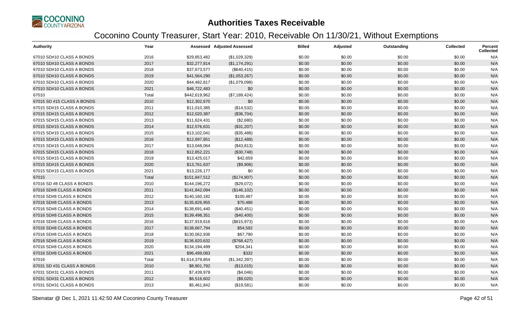

| <b>Authority</b>           | Year  |                 | <b>Assessed Adjusted Assessed</b> | <b>Billed</b> | Adjusted | Outstanding | Collected | Percent<br><b>Collected</b> |
|----------------------------|-------|-----------------|-----------------------------------|---------------|----------|-------------|-----------|-----------------------------|
| 67010 SD#10 CLASS A BONDS  | 2016  | \$29,853,482    | (\$1,029,329)                     | \$0.00        | \$0.00   | \$0.00      | \$0.00    | N/A                         |
| 67010 SD#10 CLASS A BONDS  | 2017  | \$32,277,814    | (\$1,174,291)                     | \$0.00        | \$0.00   | \$0.00      | \$0.00    | N/A                         |
| 67010 SD#10 CLASS A BONDS  | 2018  | \$37,673,577    | (\$640, 415)                      | \$0.00        | \$0.00   | \$0.00      | \$0.00    | N/A                         |
| 67010 SD#10 CLASS A BONDS  | 2019  | \$41,564,290    | (\$1,053,267)                     | \$0.00        | \$0.00   | \$0.00      | \$0.00    | N/A                         |
| 67010 SD#10 CLASS A BONDS  | 2020  | \$44,482,817    | (\$1,079,098)                     | \$0.00        | \$0.00   | \$0.00      | \$0.00    | N/A                         |
| 67010 SD#10 CLASS A BONDS  | 2021  | \$46,722,483    | \$0                               | \$0.00        | \$0.00   | \$0.00      | \$0.00    | N/A                         |
| 67010                      | Total | \$442,619,962   | (\$7,189,424)                     | \$0.00        | \$0.00   | \$0.00      | \$0.00    | N/A                         |
| 67015 SD #15 CLASS A BONDS | 2010  | \$12,302,670    | \$0                               | \$0.00        | \$0.00   | \$0.00      | \$0.00    | N/A                         |
| 67015 SD#15 CLASS A BONDS  | 2011  | \$11,010,385    | (\$14,532)                        | \$0.00        | \$0.00   | \$0.00      | \$0.00    | N/A                         |
| 67015 SD#15 CLASS A BONDS  | 2012  | \$12,020,387    | (\$36,704)                        | \$0.00        | \$0.00   | \$0.00      | \$0.00    | N/A                         |
| 67015 SD#15 CLASS A BONDS  | 2013  | \$11,624,431    | (\$2,680)                         | \$0.00        | \$0.00   | \$0.00      | \$0.00    | N/A                         |
| 67015 SD#15 CLASS A BONDS  | 2014  | \$12,576,631    | (\$31,207)                        | \$0.00        | \$0.00   | \$0.00      | \$0.00    | N/A                         |
| 67015 SD#15 CLASS A BONDS  | 2015  | \$13,102,041    | (\$35,488)                        | \$0.00        | \$0.00   | \$0.00      | \$0.00    | N/A                         |
| 67015 SD#15 CLASS A BONDS  | 2016  | \$12,897,851    | (\$12,488)                        | \$0.00        | \$0.00   | \$0.00      | \$0.00    | N/A                         |
| 67015 SD#15 CLASS A BONDS  | 2017  | \$13,048,064    | (\$43,813)                        | \$0.00        | \$0.00   | \$0.00      | \$0.00    | N/A                         |
| 67015 SD#15 CLASS A BONDS  | 2018  | \$12,852,221    | (\$30,748)                        | \$0.00        | \$0.00   | \$0.00      | \$0.00    | N/A                         |
| 67015 SD#15 CLASS A BONDS  | 2019  | \$13,425,017    | \$42,659                          | \$0.00        | \$0.00   | \$0.00      | \$0.00    | N/A                         |
| 67015 SD#15 CLASS A BONDS  | 2020  | \$13,761,637    | (\$9,906)                         | \$0.00        | \$0.00   | \$0.00      | \$0.00    | N/A                         |
| 67015 SD#15 CLASS A BONDS  | 2021  | \$13,226,177    | \$0                               | \$0.00        | \$0.00   | \$0.00      | \$0.00    | N/A                         |
| 67015                      | Total | \$151,847,512   | (\$174,907)                       | \$0.00        | \$0.00   | \$0.00      | \$0.00    | N/A                         |
| 67016 SD #8 CLASS A BONDS  | 2010  | \$144,196,272   | (\$29,072)                        | \$0.00        | \$0.00   | \$0.00      | \$0.00    | N/A                         |
| 67016 SD#8 CLASS A BONDS   | 2011  | \$141,842,094   | (\$146, 102)                      | \$0.00        | \$0.00   | \$0.00      | \$0.00    | N/A                         |
| 67016 SD#8 CLASS A BONDS   | 2012  | \$140,160,182   | \$100,487                         | \$0.00        | \$0.00   | \$0.00      | \$0.00    | N/A                         |
| 67016 SD#8 CLASS A BONDS   | 2013  | \$135,826,955   | \$70,486                          | \$0.00        | \$0.00   | \$0.00      | \$0.00    | N/A                         |
| 67016 SD#8 CLASS A BONDS   | 2014  | \$138,691,440   | (\$40,451)                        | \$0.00        | \$0.00   | \$0.00      | \$0.00    | N/A                         |
| 67016 SD#8 CLASS A BONDS   | 2015  | \$139,498,351   | (\$40,400)                        | \$0.00        | \$0.00   | \$0.00      | \$0.00    | N/A                         |
| 67016 SD#8 CLASS A BONDS   | 2016  | \$137,919,616   | (\$815,973)                       | \$0.00        | \$0.00   | \$0.00      | \$0.00    | N/A                         |
| 67016 SD#8 CLASS A BONDS   | 2017  | \$138,667,794   | \$54,592                          | \$0.00        | \$0.00   | \$0.00      | \$0.00    | N/A                         |
| 67016 SD#8 CLASS A BONDS   | 2018  | \$130,062,936   | \$67,790                          | \$0.00        | \$0.00   | \$0.00      | \$0.00    | N/A                         |
| 67016 SD#8 CLASS A BONDS   | 2019  | \$136,820,632   | (\$768,427)                       | \$0.00        | \$0.00   | \$0.00      | \$0.00    | N/A                         |
| 67016 SD#8 CLASS A BONDS   | 2020  | \$134,194,499   | \$204,341                         | \$0.00        | \$0.00   | \$0.00      | \$0.00    | N/A                         |
| 67016 SD#8 CLASS A BONDS   | 2021  | \$96,499,083    | \$332                             | \$0.00        | \$0.00   | \$0.00      | \$0.00    | N/A                         |
| 67016                      | Total | \$1,614,379,854 | (\$1,342,397)                     | \$0.00        | \$0.00   | \$0.00      | \$0.00    | N/A                         |
| 67031 SD #31 CLASS A BONDS | 2010  | \$8,901,792     | (\$13,015)                        | \$0.00        | \$0.00   | \$0.00      | \$0.00    | N/A                         |
| 67031 SD#31 CLASS A BONDS  | 2011  | \$7,439,978     | (\$4,046)                         | \$0.00        | \$0.00   | \$0.00      | \$0.00    | N/A                         |
| 67031 SD#31 CLASS A BONDS  | 2012  | \$6,516,602     | (\$9,020)                         | \$0.00        | \$0.00   | \$0.00      | \$0.00    | N/A                         |
| 67031 SD#31 CLASS A BONDS  | 2013  | \$5,461,842     | (\$19,581)                        | \$0.00        | \$0.00   | \$0.00      | \$0.00    | N/A                         |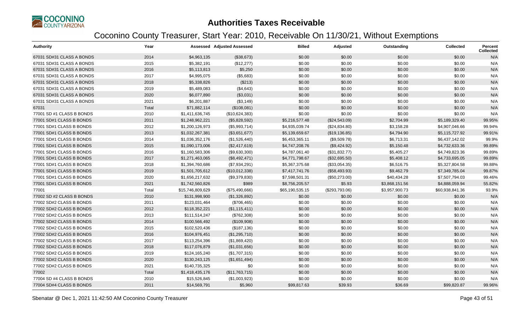

| <b>Authority</b>          | Year  |                  | <b>Assessed Adjusted Assessed</b> | <b>Billed</b>   | Adjusted       | Outstanding    | <b>Collected</b> | <b>Percent</b><br><b>Collected</b> |
|---------------------------|-------|------------------|-----------------------------------|-----------------|----------------|----------------|------------------|------------------------------------|
| 67031 SD#31 CLASS A BONDS | 2014  | \$4,963,135      | (\$38,673)                        | \$0.00          | \$0.00         | \$0.00         | \$0.00           | N/A                                |
| 67031 SD#31 CLASS A BONDS | 2015  | \$5,382,191      | (\$12,277)                        | \$0.00          | \$0.00         | \$0.00         | \$0.00           | N/A                                |
| 67031 SD#31 CLASS A BONDS | 2016  | \$5,113,813      | \$5,250                           | \$0.00          | \$0.00         | \$0.00         | \$0.00           | N/A                                |
| 67031 SD#31 CLASS A BONDS | 2017  | \$4,995,075      | (\$5,683)                         | \$0.00          | \$0.00         | \$0.00         | \$0.00           | N/A                                |
| 67031 SD#31 CLASS A BONDS | 2018  | \$5,338,826      | (\$213)                           | \$0.00          | \$0.00         | \$0.00         | \$0.00           | N/A                                |
| 67031 SD#31 CLASS A BONDS | 2019  | \$5,489,083      | (\$4,643)                         | \$0.00          | \$0.00         | \$0.00         | \$0.00           | N/A                                |
| 67031 SD#31 CLASS A BONDS | 2020  | \$6,077,890      | (\$3,031)                         | \$0.00          | \$0.00         | \$0.00         | \$0.00           | N/A                                |
| 67031 SD#31 CLASS A BONDS | 2021  | \$6,201,887      | (\$3,149)                         | \$0.00          | \$0.00         | \$0.00         | \$0.00           | N/A                                |
| 67031                     | Total | \$71,882,114     | (\$108,081)                       | \$0.00          | \$0.00         | \$0.00         | \$0.00           | N/A                                |
| 77001 SD #1 CLASS B BONDS | 2010  | \$1,411,636,745  | (\$10,624,383)                    | \$0.00          | \$0.00         | \$0.00         | \$0.00           | N/A                                |
| 77001 SD#1 CLASS B BONDS  | 2011  | \$1,248,962,221  | (\$5,828,592)                     | \$5,216,577.48  | (\$24,543.09)  | \$2,704.99     | \$5,189,329.40   | 99.95%                             |
| 77001 SD#1 CLASS B BONDS  | 2012  | \$1,200,126,973  | (\$5,993,714)                     | \$4,935,039.74  | (\$24,834.80)  | \$3,158.28     | \$4,907,046.66   | 99.94%                             |
| 77001 SD#1 CLASS B BONDS  | 2013  | \$1,032,267,381  | (\$3,651,677)                     | \$5,139,659.67  | (\$19, 136.85) | \$4,794.90     | \$5,115,727.92   | 99.91%                             |
| 77001 SD#1 CLASS B BONDS  | 2014  | \$1,036,352,176  | (\$1,526,440)                     | \$6,453,365.11  | (\$9,509.78)   | \$6,713.31     | \$6,437,142.02   | 99.9%                              |
| 77001 SD#1 CLASS B BONDS  | 2015  | \$1,090,173,006  | (\$2,417,619)                     | \$4,747,208.76  | (\$9,424.92)   | \$5,150.48     | \$4,732,633.36   | 99.89%                             |
| 77001 SD#1 CLASS B BONDS  | 2016  | \$1,160,583,306  | (\$9,630,300)                     | \$4,787,061.40  | (\$31,832.77)  | \$5,405.27     | \$4,749,823.36   | 99.89%                             |
| 77001 SD#1 CLASS B BONDS  | 2017  | \$1,271,463,065  | (\$8,492,471)                     | \$4,771,798.67  | (\$32,695.50)  | \$5,408.12     | \$4,733,695.05   | 99.89%                             |
| 77001 SD#1 CLASS B BONDS  | 2018  | \$1,394,760,686  | (\$7,934,291)                     | \$5,367,375.68  | (\$33,054.35)  | \$6,516.75     | \$5,327,804.58   | 99.88%                             |
| 77001 SD#1 CLASS B BONDS  | 2019  | \$1,501,705,612  | (\$10,012,338)                    | \$7,417,741.76  | (\$58,493.93)  | \$9,462.79     | \$7,349,785.04   | 99.87%                             |
| 77001 SD#1 CLASS B BONDS  | 2020  | \$1,656,217,632  | (\$9,379,830)                     | \$7,598,501.31  | (\$50,273.00)  | \$40,434.28    | \$7,507,794.03   | 99.46%                             |
| 77001 SD#1 CLASS B BONDS  | 2021  | \$1,742,560,826  | \$989                             | \$8,756,205.57  | \$5.93         | \$3,868,151.56 | \$4,888,059.94   | 55.82%                             |
| 77001                     | Total | \$15,746,809,629 | (\$75,490,666)                    | \$65,190,535.15 | (\$293,793.06) | \$3,957,900.73 | \$60,938,841.36  | 93.9%                              |
| 77002 SD #2 CLASS B BONDS | 2010  | \$131,998,900    | (\$1,326,892)                     | \$0.00          | \$0.00         | \$0.00         | \$0.00           | N/A                                |
| 77002 SD#2 CLASS B BONDS  | 2011  | \$123,031,464    | (\$706,465)                       | \$0.00          | \$0.00         | \$0.00         | \$0.00           | N/A                                |
| 77002 SD#2 CLASS B BONDS  | 2012  | \$118,352,221    | (\$1,115,411)                     | \$0.00          | \$0.00         | \$0.00         | \$0.00           | N/A                                |
| 77002 SD#2 CLASS B BONDS  | 2013  | \$111,514,247    | (\$762,308)                       | \$0.00          | \$0.00         | \$0.00         | \$0.00           | N/A                                |
| 77002 SD#2 CLASS B BONDS  | 2014  | \$100,566,492    | (\$109,908)                       | \$0.00          | \$0.00         | \$0.00         | \$0.00           | N/A                                |
| 77002 SD#2 CLASS B BONDS  | 2015  | \$102,520,436    | (\$187, 136)                      | \$0.00          | \$0.00         | \$0.00         | \$0.00           | N/A                                |
| 77002 SD#2 CLASS B BONDS  | 2016  | \$104,976,451    | (\$1,295,710)                     | \$0.00          | \$0.00         | \$0.00         | \$0.00           | N/A                                |
| 77002 SD#2 CLASS B BONDS  | 2017  | \$113,254,396    | (\$1,869,420)                     | \$0.00          | \$0.00         | \$0.00         | \$0.00           | N/A                                |
| 77002 SD#2 CLASS B BONDS  | 2018  | \$117,076,879    | (\$1,031,656)                     | \$0.00          | \$0.00         | \$0.00         | \$0.00           | N/A                                |
| 77002 SD#2 CLASS B BONDS  | 2019  | \$124,165,240    | (\$1,707,315)                     | \$0.00          | \$0.00         | \$0.00         | \$0.00           | N/A                                |
| 77002 SD#2 CLASS B BONDS  | 2020  | \$130,243,125    | (\$1,651,494)                     | \$0.00          | \$0.00         | \$0.00         | \$0.00           | N/A                                |
| 77002 SD#2 CLASS B BONDS  | 2021  | \$140,735,325    | \$0                               | \$0.00          | \$0.00         | \$0.00         | \$0.00           | N/A                                |
| 77002                     | Total | \$1,418,435,176  | (\$11,763,715)                    | \$0.00          | \$0.00         | \$0.00         | \$0.00           | N/A                                |
| 77004 SD #4 CLASS B BONDS | 2010  | \$15,526,845     | (\$1,003,923)                     | \$0.00          | \$0.00         | \$0.00         | \$0.00           | N/A                                |
| 77004 SD#4 CLASS B BONDS  | 2011  | \$14,569,791     | \$5,960                           | \$99,817.63     | \$39.93        | \$36.69        | \$99,820.87      | 99.96%                             |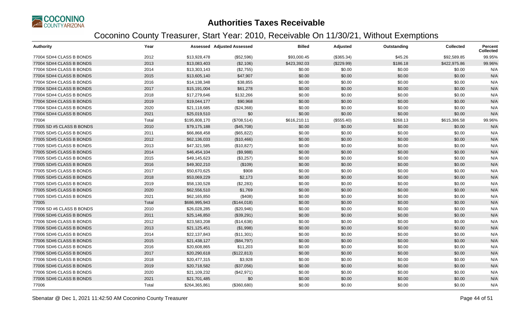

| <b>Authority</b>          | Year  |               | <b>Assessed Adjusted Assessed</b> | <b>Billed</b> | Adjusted   | Outstanding | Collected    | Percent<br><b>Collected</b> |
|---------------------------|-------|---------------|-----------------------------------|---------------|------------|-------------|--------------|-----------------------------|
| 77004 SD#4 CLASS B BONDS  | 2012  | \$13,928,478  | (\$52,596)                        | \$93,000.45   | (\$365.34) | \$45.26     | \$92,589.85  | 99.95%                      |
| 77004 SD#4 CLASS B BONDS  | 2013  | \$13,083,403  | (\$2,106)                         | \$423,392.03  | (\$229.99) | \$186.18    | \$422,975.86 | 99.96%                      |
| 77004 SD#4 CLASS B BONDS  | 2014  | \$13,303,143  | (\$2,755)                         | \$0.00        | \$0.00     | \$0.00      | \$0.00       | N/A                         |
| 77004 SD#4 CLASS B BONDS  | 2015  | \$13,605,140  | \$47,907                          | \$0.00        | \$0.00     | \$0.00      | \$0.00       | N/A                         |
| 77004 SD#4 CLASS B BONDS  | 2016  | \$14,138,348  | \$38,855                          | \$0.00        | \$0.00     | \$0.00      | \$0.00       | N/A                         |
| 77004 SD#4 CLASS B BONDS  | 2017  | \$15,191,004  | \$61,278                          | \$0.00        | \$0.00     | \$0.00      | \$0.00       | N/A                         |
| 77004 SD#4 CLASS B BONDS  | 2018  | \$17,279,646  | \$132,266                         | \$0.00        | \$0.00     | \$0.00      | \$0.00       | N/A                         |
| 77004 SD#4 CLASS B BONDS  | 2019  | \$19,044,177  | \$90,968                          | \$0.00        | \$0.00     | \$0.00      | \$0.00       | N/A                         |
| 77004 SD#4 CLASS B BONDS  | 2020  | \$21,118,685  | (\$24,368)                        | \$0.00        | \$0.00     | \$0.00      | \$0.00       | N/A                         |
| 77004 SD#4 CLASS B BONDS  | 2021  | \$25,019,510  | \$0                               | \$0.00        | \$0.00     | \$0.00      | \$0.00       | N/A                         |
| 77004                     | Total | \$195,808,170 | (\$708,514)                       | \$616,210.11  | (\$555.40) | \$268.13    | \$615,386.58 | 99.96%                      |
| 77005 SD #5 CLASS B BONDS | 2010  | \$79,175,188  | (\$45,708)                        | \$0.00        | \$0.00     | \$0.00      | \$0.00       | N/A                         |
| 77005 SD#5 CLASS B BONDS  | 2011  | \$66,868,458  | (\$65,822)                        | \$0.00        | \$0.00     | \$0.00      | \$0.00       | N/A                         |
| 77005 SD#5 CLASS B BONDS  | 2012  | \$62,136,033  | (\$10,466)                        | \$0.00        | \$0.00     | \$0.00      | \$0.00       | N/A                         |
| 77005 SD#5 CLASS B BONDS  | 2013  | \$47,321,585  | (\$10,827)                        | \$0.00        | \$0.00     | \$0.00      | \$0.00       | N/A                         |
| 77005 SD#5 CLASS B BONDS  | 2014  | \$46,454,104  | (\$9,988)                         | \$0.00        | \$0.00     | \$0.00      | \$0.00       | N/A                         |
| 77005 SD#5 CLASS B BONDS  | 2015  | \$49,145,623  | (\$3,257)                         | \$0.00        | \$0.00     | \$0.00      | \$0.00       | N/A                         |
| 77005 SD#5 CLASS B BONDS  | 2016  | \$49,302,210  | (\$109)                           | \$0.00        | \$0.00     | \$0.00      | \$0.00       | N/A                         |
| 77005 SD#5 CLASS B BONDS  | 2017  | \$50,670,625  | \$908                             | \$0.00        | \$0.00     | \$0.00      | \$0.00       | N/A                         |
| 77005 SD#5 CLASS B BONDS  | 2018  | \$53,069,229  | \$2,173                           | \$0.00        | \$0.00     | \$0.00      | \$0.00       | N/A                         |
| 77005 SD#5 CLASS B BONDS  | 2019  | \$58,130,528  | (\$2,283)                         | \$0.00        | \$0.00     | \$0.00      | \$0.00       | N/A                         |
| 77005 SD#5 CLASS B BONDS  | 2020  | \$62,556,510  | \$1,769                           | \$0.00        | \$0.00     | \$0.00      | \$0.00       | N/A                         |
| 77005 SD#5 CLASS B BONDS  | 2021  | \$62,165,850  | (\$408)                           | \$0.00        | \$0.00     | \$0.00      | \$0.00       | N/A                         |
| 77005                     | Total | \$686,995,943 | (\$144,018)                       | \$0.00        | \$0.00     | \$0.00      | \$0.00       | N/A                         |
| 77006 SD #6 CLASS B BONDS | 2010  | \$26,028,285  | (\$20,946)                        | \$0.00        | \$0.00     | \$0.00      | \$0.00       | N/A                         |
| 77006 SD#6 CLASS B BONDS  | 2011  | \$25,146,850  | (\$39,291)                        | \$0.00        | \$0.00     | \$0.00      | \$0.00       | N/A                         |
| 77006 SD#6 CLASS B BONDS  | 2012  | \$23,583,208  | (\$14,638)                        | \$0.00        | \$0.00     | \$0.00      | \$0.00       | N/A                         |
| 77006 SD#6 CLASS B BONDS  | 2013  | \$21,125,451  | (\$1,998)                         | \$0.00        | \$0.00     | \$0.00      | \$0.00       | N/A                         |
| 77006 SD#6 CLASS B BONDS  | 2014  | \$22,137,843  | (\$11,301)                        | \$0.00        | \$0.00     | \$0.00      | \$0.00       | N/A                         |
| 77006 SD#6 CLASS B BONDS  | 2015  | \$21,438,127  | (\$84,797)                        | \$0.00        | \$0.00     | \$0.00      | \$0.00       | N/A                         |
| 77006 SD#6 CLASS B BONDS  | 2016  | \$20,608,865  | \$11,203                          | \$0.00        | \$0.00     | \$0.00      | \$0.00       | N/A                         |
| 77006 SD#6 CLASS B BONDS  | 2017  | \$20,290,618  | (\$122,813)                       | \$0.00        | \$0.00     | \$0.00      | \$0.00       | N/A                         |
| 77006 SD#6 CLASS B BONDS  | 2018  | \$20,477,315  | \$3,928                           | \$0.00        | \$0.00     | \$0.00      | \$0.00       | N/A                         |
| 77006 SD#6 CLASS B BONDS  | 2019  | \$20,718,582  | (\$37,056)                        | \$0.00        | \$0.00     | \$0.00      | \$0.00       | N/A                         |
| 77006 SD#6 CLASS B BONDS  | 2020  | \$21,109,232  | (\$42,971)                        | \$0.00        | \$0.00     | \$0.00      | \$0.00       | N/A                         |
| 77006 SD#6 CLASS B BONDS  | 2021  | \$21,701,485  | \$0                               | \$0.00        | \$0.00     | \$0.00      | \$0.00       | N/A                         |
| 77006                     | Total | \$264,365,861 | (\$360,680)                       | \$0.00        | \$0.00     | \$0.00      | \$0.00       | N/A                         |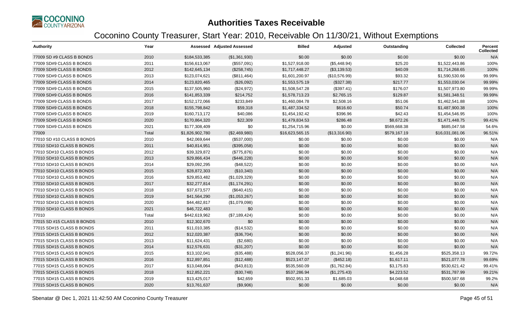

| <b>Authority</b>           | Year  |                 | <b>Assessed Adjusted Assessed</b> | <b>Billed</b>   | Adjusted      | Outstanding  | <b>Collected</b> | Percent<br><b>Collected</b> |
|----------------------------|-------|-----------------|-----------------------------------|-----------------|---------------|--------------|------------------|-----------------------------|
| 77009 SD #9 CLASS B BONDS  | 2010  | \$184,533,385   | (\$1,361,930)                     | \$0.00          | \$0.00        | \$0.00       | \$0.00           | N/A                         |
| 77009 SD#9 CLASS B BONDS   | 2011  | \$156,613,067   | (\$557,091)                       | \$1,527,918.00  | (\$5,448.94)  | \$25.20      | \$1,522,443.86   | 100%                        |
| 77009 SD#9 CLASS B BONDS   | 2012  | \$142,645,134   | (\$258,745)                       | \$1,717,448.27  | (\$3,139.53)  | \$40.09      | \$1,714,268.65   | 100%                        |
| 77009 SD#9 CLASS B BONDS   | 2013  | \$123,074,621   | (\$811,464)                       | \$1,601,200.97  | (\$10,576.99) | \$93.32      | \$1,590,530.66   | 99.99%                      |
| 77009 SD#9 CLASS B BONDS   | 2014  | \$123,820,465   | (\$26,092)                        | \$1,553,575.19  | (\$327.38)    | \$217.77     | \$1,553,030.04   | 99.99%                      |
| 77009 SD#9 CLASS B BONDS   | 2015  | \$137,505,960   | (\$24,972)                        | \$1,508,547.28  | (\$397.41)    | \$176.07     | \$1,507,973.80   | 99.99%                      |
| 77009 SD#9 CLASS B BONDS   | 2016  | \$141,853,339   | \$214,752                         | \$1,578,713.23  | \$2,765.15    | \$129.87     | \$1,581,348.51   | 99.99%                      |
| 77009 SD#9 CLASS B BONDS   | 2017  | \$152,172,066   | \$233,849                         | \$1,460,084.78  | \$2,508.16    | \$51.06      | \$1,462,541.88   | 100%                        |
| 77009 SD#9 CLASS B BONDS   | 2018  | \$155,798,842   | \$59,318                          | \$1,487,334.52  | \$616.60      | \$50.74      | \$1,487,900.38   | 100%                        |
| 77009 SD#9 CLASS B BONDS   | 2019  | \$160,713,172   | \$40,086                          | \$1,454,192.42  | \$396.96      | \$42.43      | \$1,454,546.95   | 100%                        |
| 77009 SD#9 CLASS B BONDS   | 2020  | \$170,864,320   | \$22,309                          | \$1,479,834.53  | \$286.48      | \$8,672.26   | \$1,471,448.75   | 99.41%                      |
| 77009 SD#9 CLASS B BONDS   | 2021  | \$177,308,409   | \$0                               | \$1,254,715.96  | \$0.00        | \$569,668.38 | \$685,047.58     | 54.6%                       |
| 77009                      | Total | \$1,826,902,780 | (\$2,469,980)                     | \$16,623,565.15 | (\$13,316.90) | \$579,167.19 | \$16,031,081.06  | 96.51%                      |
| 77010 SD #10 CLASS B BONDS | 2010  | \$42,069,644    | (\$537,000)                       | \$0.00          | \$0.00        | \$0.00       | \$0.00           | N/A                         |
| 77010 SD#10 CLASS B BONDS  | 2011  | \$40,814,951    | (\$395,058)                       | \$0.00          | \$0.00        | \$0.00       | \$0.00           | N/A                         |
| 77010 SD#10 CLASS B BONDS  | 2012  | \$39,329,872    | (\$775,876)                       | \$0.00          | \$0.00        | \$0.00       | \$0.00           | N/A                         |
| 77010 SD#10 CLASS B BONDS  | 2013  | \$29,866,434    | (\$446,228)                       | \$0.00          | \$0.00        | \$0.00       | \$0.00           | N/A                         |
| 77010 SD#10 CLASS B BONDS  | 2014  | \$29,092,295    | (\$48,522)                        | \$0.00          | \$0.00        | \$0.00       | \$0.00           | N/A                         |
| 77010 SD#10 CLASS B BONDS  | 2015  | \$28,872,303    | (\$10,340)                        | \$0.00          | \$0.00        | \$0.00       | \$0.00           | N/A                         |
| 77010 SD#10 CLASS B BONDS  | 2016  | \$29,853,482    | (\$1,029,329)                     | \$0.00          | \$0.00        | \$0.00       | \$0.00           | N/A                         |
| 77010 SD#10 CLASS B BONDS  | 2017  | \$32,277,814    | (\$1,174,291)                     | \$0.00          | \$0.00        | \$0.00       | \$0.00           | N/A                         |
| 77010 SD#10 CLASS B BONDS  | 2018  | \$37,673,577    | (\$640, 415)                      | \$0.00          | \$0.00        | \$0.00       | \$0.00           | N/A                         |
| 77010 SD#10 CLASS B BONDS  | 2019  | \$41,564,290    | (\$1,053,267)                     | \$0.00          | \$0.00        | \$0.00       | \$0.00           | N/A                         |
| 77010 SD#10 CLASS B BONDS  | 2020  | \$44,482,817    | (\$1,079,098)                     | \$0.00          | \$0.00        | \$0.00       | \$0.00           | N/A                         |
| 77010 SD#10 CLASS B BONDS  | 2021  | \$46,722,483    | \$0                               | \$0.00          | \$0.00        | \$0.00       | \$0.00           | N/A                         |
| 77010                      | Total | \$442,619,962   | (\$7,189,424)                     | \$0.00          | \$0.00        | \$0.00       | \$0.00           | N/A                         |
| 77015 SD #15 CLASS B BONDS | 2010  | \$12,302,670    | \$0                               | \$0.00          | \$0.00        | \$0.00       | \$0.00           | N/A                         |
| 77015 SD#15 CLASS B BONDS  | 2011  | \$11,010,385    | (\$14,532)                        | \$0.00          | \$0.00        | \$0.00       | \$0.00           | N/A                         |
| 77015 SD#15 CLASS B BONDS  | 2012  | \$12,020,387    | (\$36,704)                        | \$0.00          | \$0.00        | \$0.00       | \$0.00           | N/A                         |
| 77015 SD#15 CLASS B BONDS  | 2013  | \$11,624,431    | (\$2,680)                         | \$0.00          | \$0.00        | \$0.00       | \$0.00           | N/A                         |
| 77015 SD#15 CLASS B BONDS  | 2014  | \$12,576,631    | (\$31,207)                        | \$0.00          | \$0.00        | \$0.00       | \$0.00           | N/A                         |
| 77015 SD#15 CLASS B BONDS  | 2015  | \$13,102,041    | (\$35,488)                        | \$528,056.37    | (\$1,241.96)  | \$1,456.28   | \$525,358.13     | 99.72%                      |
| 77015 SD#15 CLASS B BONDS  | 2016  | \$12,897,851    | (\$12,488)                        | \$523,147.07    | (\$452.18)    | \$1,617.11   | \$521,077.78     | 99.69%                      |
| 77015 SD#15 CLASS B BONDS  | 2017  | \$13,048,064    | (\$43,813)                        | \$535,560.09    | (\$1,762.84)  | \$3,175.83   | \$530,621.42     | 99.41%                      |
| 77015 SD#15 CLASS B BONDS  | 2018  | \$12,852,221    | (\$30,748)                        | \$537,286.94    | (\$1,275.43)  | \$4,223.52   | \$531,787.99     | 99.21%                      |
| 77015 SD#15 CLASS B BONDS  | 2019  | \$13,425,017    | \$42,659                          | \$502,951.33    | \$1,685.03    | \$4,048.68   | \$500,587.68     | 99.2%                       |
| 77015 SD#15 CLASS B BONDS  | 2020  | \$13,761,637    | (\$9,906)                         | \$0.00          | \$0.00        | \$0.00       | \$0.00           | N/A                         |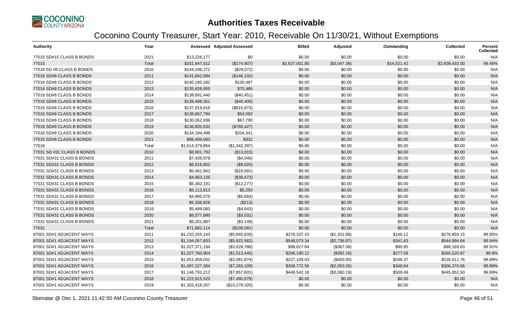

| <b>Authority</b>           | Year  |                 | <b>Assessed Adjusted Assessed</b> | <b>Billed</b>  | Adjusted     | Outstanding | <b>Collected</b> | <b>Percent</b><br><b>Collected</b> |
|----------------------------|-------|-----------------|-----------------------------------|----------------|--------------|-------------|------------------|------------------------------------|
| 77015 SD#15 CLASS B BONDS  | 2021  | \$13,226,177    | \$0                               | \$0.00         | \$0.00       | \$0.00      | \$0.00           | N/A                                |
| 77015                      | Total | \$151,847,512   | (\$174,907)                       | \$2,627,001.80 | (\$3,047.38) | \$14,521.42 | \$2,609,433.00   | 99.45%                             |
| 77016 SD #8 CLASS B BONDS  | 2010  | \$144,196,272   | (\$29,072)                        | \$0.00         | \$0.00       | \$0.00      | \$0.00           | N/A                                |
| 77016 SD#8 CLASS B BONDS   | 2011  | \$141,842,094   | (\$146, 102)                      | \$0.00         | \$0.00       | \$0.00      | \$0.00           | N/A                                |
| 77016 SD#8 CLASS B BONDS   | 2012  | \$140,160,182   | \$100,487                         | \$0.00         | \$0.00       | \$0.00      | \$0.00           | N/A                                |
| 77016 SD#8 CLASS B BONDS   | 2013  | \$135,826,955   | \$70,486                          | \$0.00         | \$0.00       | \$0.00      | \$0.00           | N/A                                |
| 77016 SD#8 CLASS B BONDS   | 2014  | \$138,691,440   | (\$40,451)                        | \$0.00         | \$0.00       | \$0.00      | \$0.00           | N/A                                |
| 77016 SD#8 CLASS B BONDS   | 2015  | \$139,498,351   | (\$40,400)                        | \$0.00         | \$0.00       | \$0.00      | \$0.00           | N/A                                |
| 77016 SD#8 CLASS B BONDS   | 2016  | \$137,919,616   | (\$815,973)                       | \$0.00         | \$0.00       | \$0.00      | \$0.00           | N/A                                |
| 77016 SD#8 CLASS B BONDS   | 2017  | \$138,667,794   | \$54,592                          | \$0.00         | \$0.00       | \$0.00      | \$0.00           | N/A                                |
| 77016 SD#8 CLASS B BONDS   | 2018  | \$130,062,936   | \$67,790                          | \$0.00         | \$0.00       | \$0.00      | \$0.00           | N/A                                |
| 77016 SD#8 CLASS B BONDS   | 2019  | \$136,820,632   | (\$768,427)                       | \$0.00         | \$0.00       | \$0.00      | \$0.00           | N/A                                |
| 77016 SD#8 CLASS B BONDS   | 2020  | \$134,194,499   | \$204,341                         | \$0.00         | \$0.00       | \$0.00      | \$0.00           | N/A                                |
| 77016 SD#8 CLASS B BONDS   | 2021  | \$96,499,083    | \$332                             | \$0.00         | \$0.00       | \$0.00      | \$0.00           | N/A                                |
| 77016                      | Total | \$1,614,379,854 | (\$1,342,397)                     | \$0.00         | \$0.00       | \$0.00      | \$0.00           | N/A                                |
| 77031 SD #31 CLASS B BONDS | 2010  | \$8,901,792     | (\$13,015)                        | \$0.00         | \$0.00       | \$0.00      | \$0.00           | N/A                                |
| 77031 SD#31 CLASS B BONDS  | 2011  | \$7,439,978     | (\$4,046)                         | \$0.00         | \$0.00       | \$0.00      | \$0.00           | N/A                                |
| 77031 SD#31 CLASS B BONDS  | 2012  | \$6,516,602     | (\$9,020)                         | \$0.00         | \$0.00       | \$0.00      | \$0.00           | N/A                                |
| 77031 SD#31 CLASS B BONDS  | 2013  | \$5,461,842     | (\$19,581)                        | \$0.00         | \$0.00       | \$0.00      | \$0.00           | N/A                                |
| 77031 SD#31 CLASS B BONDS  | 2014  | \$4,963,135     | (\$38,673)                        | \$0.00         | \$0.00       | \$0.00      | \$0.00           | N/A                                |
| 77031 SD#31 CLASS B BONDS  | 2015  | \$5,382,191     | (\$12,277)                        | \$0.00         | \$0.00       | \$0.00      | \$0.00           | N/A                                |
| 77031 SD#31 CLASS B BONDS  | 2016  | \$5,113,813     | \$5,250                           | \$0.00         | \$0.00       | \$0.00      | \$0.00           | N/A                                |
| 77031 SD#31 CLASS B BONDS  | 2017  | \$4,995,075     | (\$5,683)                         | \$0.00         | \$0.00       | \$0.00      | \$0.00           | N/A                                |
| 77031 SD#31 CLASS B BONDS  | 2018  | \$5,338,826     | (\$213)                           | \$0.00         | \$0.00       | \$0.00      | \$0.00           | N/A                                |
| 77031 SD#31 CLASS B BONDS  | 2019  | \$5,489,083     | (\$4,643)                         | \$0.00         | \$0.00       | \$0.00      | \$0.00           | N/A                                |
| 77031 SD#31 CLASS B BONDS  | 2020  | \$6,077,890     | (\$3,031)                         | \$0.00         | \$0.00       | \$0.00      | \$0.00           | N/A                                |
| 77031 SD#31 CLASS B BONDS  | 2021  | \$6,201,887     | (\$3,149)                         | \$0.00         | \$0.00       | \$0.00      | \$0.00           | N/A                                |
| 77031                      | Total | \$71,882,114    | (\$108,081)                       | \$0.00         | \$0.00       | \$0.00      | \$0.00           | N/A                                |
| 87001 SD#1 ADJACENT WAYS   | 2011  | \$1,232,255,143 | (\$5,845,835)                     | \$278,337.15   | (\$1,331.88) | \$146.12    | \$276,859.15     | 99.95%                             |
| 87001 SD#1 ADJACENT WAYS   | 2012  | \$1,194,057,653 | (\$5,922,562)                     | \$548,073.34   | (\$2,736.87) | \$341.83    | \$544,994.64     | 99.94%                             |
| 87001 SD#1 ADJACENT WAYS   | 2013  | \$1,027,371,194 | (\$3,628,786)                     | \$98,627.64    | (\$367.06)   | \$90.95     | \$98,169.63      | 99.91%                             |
| 87001 SD#1 ADJACENT WAYS   | 2014  | \$1,027,760,904 | (\$1,513,445)                     | \$266,190.12   | (\$392.16)   | \$277.09    | \$265,520.87     | 99.9%                              |
| 87001 SD#1 ADJACENT WAYS   | 2015  | \$1,051,458,031 | (\$2,081,874)                     | \$227,109.03   | (\$450.90)   | \$246.37    | \$226,411.76     | 99.89%                             |
| 87001 SD#1 ADJACENT WAYS   | 2016  | \$1,087,227,284 | (\$7,283,109)                     | \$308,772.56   | (\$2,053.26) | \$348.64    | \$306,370.66     | 99.89%                             |
| 87001 SD#1 ADJACENT WAYS   | 2017  | \$1,146,791,212 | (\$7,857,601)                     | \$449,542.18   | (\$3,080.19) | \$509.49    | \$445,952.50     | 99.89%                             |
| 87001 SD#1 ADJACENT WAYS   | 2018  | \$1,222,915,523 | (\$7,480,678)                     | \$0.00         | \$0.00       | \$0.00      | \$0.00           | N/A                                |
| 87001 SD#1 ADJACENT WAYS   | 2019  | \$1,303,416,207 | (\$10,278,326)                    | \$0.00         | \$0.00       | \$0.00      | \$0.00           | N/A                                |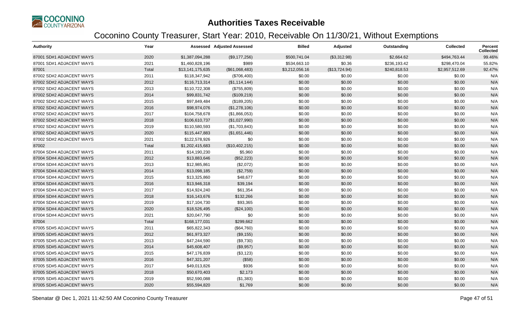

| <b>Authority</b>         | Year  |                  | <b>Assessed Adjusted Assessed</b> | <b>Billed</b>  | Adjusted      | Outstanding  | <b>Collected</b> | <b>Percent</b><br><b>Collected</b> |
|--------------------------|-------|------------------|-----------------------------------|----------------|---------------|--------------|------------------|------------------------------------|
| 87001 SD#1 ADJACENT WAYS | 2020  | \$1,387,094,288  | (\$9,177,256)                     | \$500,741.04   | (\$3,312.98)  | \$2,664.62   | \$494,763.44     | 99.46%                             |
| 87001 SD#1 ADJACENT WAYS | 2021  | \$1,460,828,196  | \$989                             | \$534,663.10   | \$0.36        | \$236,193.42 | \$298,470.04     | 55.82%                             |
| 87001                    | Total | \$13,141,175,635 | (\$61,068,483)                    | \$3,212,056.16 | (\$13,724.94) | \$240,818.53 | \$2,957,512.69   | 92.47%                             |
| 87002 SD#2 ADJACENT WAYS | 2011  | \$118,347,942    | (\$706,400)                       | \$0.00         | \$0.00        | \$0.00       | \$0.00           | N/A                                |
| 87002 SD#2 ADJACENT WAYS | 2012  | \$116,713,314    | (\$1,114,144)                     | \$0.00         | \$0.00        | \$0.00       | \$0.00           | N/A                                |
| 87002 SD#2 ADJACENT WAYS | 2013  | \$110,722,308    | (\$755,809)                       | \$0.00         | \$0.00        | \$0.00       | \$0.00           | N/A                                |
| 87002 SD#2 ADJACENT WAYS | 2014  | \$99,831,742     | (\$109,219)                       | \$0.00         | \$0.00        | \$0.00       | \$0.00           | N/A                                |
| 87002 SD#2 ADJACENT WAYS | 2015  | \$97,849,484     | (\$189,205)                       | \$0.00         | \$0.00        | \$0.00       | \$0.00           | N/A                                |
| 87002 SD#2 ADJACENT WAYS | 2016  | \$98,974,076     | (\$1,278,106)                     | \$0.00         | \$0.00        | \$0.00       | \$0.00           | N/A                                |
| 87002 SD#2 ADJACENT WAYS | 2017  | \$104,758,678    | (\$1,866,053)                     | \$0.00         | \$0.00        | \$0.00       | \$0.00           | N/A                                |
| 87002 SD#2 ADJACENT WAYS | 2018  | \$106,610,737    | (\$1,027,990)                     | \$0.00         | \$0.00        | \$0.00       | \$0.00           | N/A                                |
| 87002 SD#2 ADJACENT WAYS | 2019  | \$110,580,593    | (\$1,703,843)                     | \$0.00         | \$0.00        | \$0.00       | \$0.00           | N/A                                |
| 87002 SD#2 ADJACENT WAYS | 2020  | \$115,447,883    | (\$1,651,446)                     | \$0.00         | \$0.00        | \$0.00       | \$0.00           | N/A                                |
| 87002 SD#2 ADJACENT WAYS | 2021  | \$122,578,926    | \$0                               | \$0.00         | \$0.00        | \$0.00       | \$0.00           | N/A                                |
| 87002                    | Total | \$1,202,415,683  | (\$10,402,215)                    | \$0.00         | \$0.00        | \$0.00       | \$0.00           | N/A                                |
| 87004 SD#4 ADJACENT WAYS | 2011  | \$14,190,230     | \$5,960                           | \$0.00         | \$0.00        | \$0.00       | \$0.00           | N/A                                |
| 87004 SD#4 ADJACENT WAYS | 2012  | \$13,883,646     | (\$52,223)                        | \$0.00         | \$0.00        | \$0.00       | \$0.00           | N/A                                |
| 87004 SD#4 ADJACENT WAYS | 2013  | \$12,985,861     | (\$2,072)                         | \$0.00         | \$0.00        | \$0.00       | \$0.00           | N/A                                |
| 87004 SD#4 ADJACENT WAYS | 2014  | \$13,098,185     | (\$2,759)                         | \$0.00         | \$0.00        | \$0.00       | \$0.00           | N/A                                |
| 87004 SD#4 ADJACENT WAYS | 2015  | \$13,325,860     | \$48,677                          | \$0.00         | \$0.00        | \$0.00       | \$0.00           | N/A                                |
| 87004 SD#4 ADJACENT WAYS | 2016  | \$13,946,318     | \$39,194                          | \$0.00         | \$0.00        | \$0.00       | \$0.00           | N/A                                |
| 87004 SD#4 ADJACENT WAYS | 2017  | \$14,924,240     | \$61,354                          | \$0.00         | \$0.00        | \$0.00       | \$0.00           | N/A                                |
| 87004 SD#4 ADJACENT WAYS | 2018  | \$16,143,676     | \$132,266                         | \$0.00         | \$0.00        | \$0.00       | \$0.00           | N/A                                |
| 87004 SD#4 ADJACENT WAYS | 2019  | \$17,104,730     | \$93,365                          | \$0.00         | \$0.00        | \$0.00       | \$0.00           | N/A                                |
| 87004 SD#4 ADJACENT WAYS | 2020  | \$18,526,495     | (\$24,100)                        | \$0.00         | \$0.00        | \$0.00       | \$0.00           | N/A                                |
| 87004 SD#4 ADJACENT WAYS | 2021  | \$20,047,790     | \$0                               | \$0.00         | \$0.00        | \$0.00       | \$0.00           | N/A                                |
| 87004                    | Total | \$168,177,031    | \$299,662                         | \$0.00         | \$0.00        | \$0.00       | \$0.00           | N/A                                |
| 87005 SD#5 ADJACENT WAYS | 2011  | \$65,822,343     | (\$64,760)                        | \$0.00         | \$0.00        | \$0.00       | \$0.00           | N/A                                |
| 87005 SD#5 ADJACENT WAYS | 2012  | \$61,973,327     | (\$9,155)                         | \$0.00         | \$0.00        | \$0.00       | \$0.00           | N/A                                |
| 87005 SD#5 ADJACENT WAYS | 2013  | \$47,244,590     | (\$9,730)                         | \$0.00         | \$0.00        | \$0.00       | \$0.00           | N/A                                |
| 87005 SD#5 ADJACENT WAYS | 2014  | \$45,608,407     | (\$9,957)                         | \$0.00         | \$0.00        | \$0.00       | \$0.00           | N/A                                |
| 87005 SD#5 ADJACENT WAYS | 2015  | \$47,176,839     | (\$3,123)                         | \$0.00         | \$0.00        | \$0.00       | \$0.00           | N/A                                |
| 87005 SD#5 ADJACENT WAYS | 2016  | \$47,321,207     | (\$58)                            | \$0.00         | \$0.00        | \$0.00       | \$0.00           | N/A                                |
| 87005 SD#5 ADJACENT WAYS | 2017  | \$49,013,826     | \$936                             | \$0.00         | \$0.00        | \$0.00       | \$0.00           | N/A                                |
| 87005 SD#5 ADJACENT WAYS | 2018  | \$50,670,403     | \$2,173                           | \$0.00         | \$0.00        | \$0.00       | \$0.00           | N/A                                |
| 87005 SD#5 ADJACENT WAYS | 2019  | \$52,590,088     | (\$1,383)                         | \$0.00         | \$0.00        | \$0.00       | \$0.00           | N/A                                |
| 87005 SD#5 ADJACENT WAYS | 2020  | \$55,594,820     | \$1,769                           | \$0.00         | \$0.00        | \$0.00       | \$0.00           | N/A                                |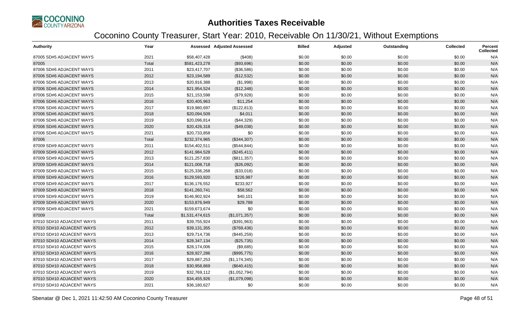

| <b>Authority</b>          | Year  |                 | <b>Assessed Adjusted Assessed</b> | <b>Billed</b> | Adjusted | Outstanding | <b>Collected</b> | <b>Percent</b><br><b>Collected</b> |
|---------------------------|-------|-----------------|-----------------------------------|---------------|----------|-------------|------------------|------------------------------------|
| 87005 SD#5 ADJACENT WAYS  | 2021  | \$58,407,428    | (\$408)                           | \$0.00        | \$0.00   | \$0.00      | \$0.00           | N/A                                |
| 87005                     | Total | \$581,423,278   | (\$93,696)                        | \$0.00        | \$0.00   | \$0.00      | \$0.00           | N/A                                |
| 87006 SD#6 ADJACENT WAYS  | 2011  | \$23,417,707    | (\$36,586)                        | \$0.00        | \$0.00   | \$0.00      | \$0.00           | N/A                                |
| 87006 SD#6 ADJACENT WAYS  | 2012  | \$23,194,589    | (\$12,532)                        | \$0.00        | \$0.00   | \$0.00      | \$0.00           | N/A                                |
| 87006 SD#6 ADJACENT WAYS  | 2013  | \$20,916,388    | (\$1,998)                         | \$0.00        | \$0.00   | \$0.00      | \$0.00           | N/A                                |
| 87006 SD#6 ADJACENT WAYS  | 2014  | \$21,954,524    | (\$12,348)                        | \$0.00        | \$0.00   | \$0.00      | \$0.00           | N/A                                |
| 87006 SD#6 ADJACENT WAYS  | 2015  | \$21,153,598    | (\$79,928)                        | \$0.00        | \$0.00   | \$0.00      | \$0.00           | N/A                                |
| 87006 SD#6 ADJACENT WAYS  | 2016  | \$20,405,963    | \$11,254                          | \$0.00        | \$0.00   | \$0.00      | \$0.00           | N/A                                |
| 87006 SD#6 ADJACENT WAYS  | 2017  | \$19,980,697    | (\$122,813)                       | \$0.00        | \$0.00   | \$0.00      | \$0.00           | N/A                                |
| 87006 SD#6 ADJACENT WAYS  | 2018  | \$20,094,509    | \$4,011                           | \$0.00        | \$0.00   | \$0.00      | \$0.00           | N/A                                |
| 87006 SD#6 ADJACENT WAYS  | 2019  | \$20,096,814    | (\$44,329)                        | \$0.00        | \$0.00   | \$0.00      | \$0.00           | N/A                                |
| 87006 SD#6 ADJACENT WAYS  | 2020  | \$20,426,318    | (\$49,038)                        | \$0.00        | \$0.00   | \$0.00      | \$0.00           | N/A                                |
| 87006 SD#6 ADJACENT WAYS  | 2021  | \$20,733,858    | \$0                               | \$0.00        | \$0.00   | \$0.00      | \$0.00           | N/A                                |
| 87006                     | Total | \$232,374,965   | (\$344,307)                       | \$0.00        | \$0.00   | \$0.00      | \$0.00           | N/A                                |
| 87009 SD#9 ADJACENT WAYS  | 2011  | \$154,402,511   | (\$544, 844)                      | \$0.00        | \$0.00   | \$0.00      | \$0.00           | N/A                                |
| 87009 SD#9 ADJACENT WAYS  | 2012  | \$141,984,528   | (\$245,411)                       | \$0.00        | \$0.00   | \$0.00      | \$0.00           | N/A                                |
| 87009 SD#9 ADJACENT WAYS  | 2013  | \$121,257,830   | (\$811,357)                       | \$0.00        | \$0.00   | \$0.00      | \$0.00           | N/A                                |
| 87009 SD#9 ADJACENT WAYS  | 2014  | \$121,008,718   | (\$26,092)                        | \$0.00        | \$0.00   | \$0.00      | \$0.00           | N/A                                |
| 87009 SD#9 ADJACENT WAYS  | 2015  | \$125,336,268   | (\$33,018)                        | \$0.00        | \$0.00   | \$0.00      | \$0.00           | N/A                                |
| 87009 SD#9 ADJACENT WAYS  | 2016  | \$129,593,920   | \$226,987                         | \$0.00        | \$0.00   | \$0.00      | \$0.00           | N/A                                |
| 87009 SD#9 ADJACENT WAYS  | 2017  | \$136,176,552   | \$233,927                         | \$0.00        | \$0.00   | \$0.00      | \$0.00           | N/A                                |
| 87009 SD#9 ADJACENT WAYS  | 2018  | \$141,260,741   | \$58,562                          | \$0.00        | \$0.00   | \$0.00      | \$0.00           | N/A                                |
| 87009 SD#9 ADJACENT WAYS  | 2019  | \$146,902,924   | \$40,101                          | \$0.00        | \$0.00   | \$0.00      | \$0.00           | N/A                                |
| 87009 SD#9 ADJACENT WAYS  | 2020  | \$153,876,949   | \$29,788                          | \$0.00        | \$0.00   | \$0.00      | \$0.00           | N/A                                |
| 87009 SD#9 ADJACENT WAYS  | 2021  | \$159,673,674   | \$0                               | \$0.00        | \$0.00   | \$0.00      | \$0.00           | N/A                                |
| 87009                     | Total | \$1,531,474,615 | (\$1,071,357)                     | \$0.00        | \$0.00   | \$0.00      | \$0.00           | N/A                                |
| 87010 SD#10 ADJACENT WAYS | 2011  | \$39,755,924    | (\$391,963)                       | \$0.00        | \$0.00   | \$0.00      | \$0.00           | N/A                                |
| 87010 SD#10 ADJACENT WAYS | 2012  | \$39,131,355    | (\$769,436)                       | \$0.00        | \$0.00   | \$0.00      | \$0.00           | N/A                                |
| 87010 SD#10 ADJACENT WAYS | 2013  | \$29,714,736    | (\$445,259)                       | \$0.00        | \$0.00   | \$0.00      | \$0.00           | N/A                                |
| 87010 SD#10 ADJACENT WAYS | 2014  | \$28,347,134    | (\$25,735)                        | \$0.00        | \$0.00   | \$0.00      | \$0.00           | N/A                                |
| 87010 SD#10 ADJACENT WAYS | 2015  | \$28,174,006    | (\$9,685)                         | \$0.00        | \$0.00   | \$0.00      | \$0.00           | N/A                                |
| 87010 SD#10 ADJACENT WAYS | 2016  | \$28,927,286    | (\$995,775)                       | \$0.00        | \$0.00   | \$0.00      | \$0.00           | N/A                                |
| 87010 SD#10 ADJACENT WAYS | 2017  | \$29,887,253    | (\$1,174,345)                     | \$0.00        | \$0.00   | \$0.00      | \$0.00           | N/A                                |
| 87010 SD#10 ADJACENT WAYS | 2018  | \$30,958,869    | (\$640, 415)                      | \$0.00        | \$0.00   | \$0.00      | \$0.00           | N/A                                |
| 87010 SD#10 ADJACENT WAYS | 2019  | \$32,769,112    | (\$1,052,794)                     | \$0.00        | \$0.00   | \$0.00      | \$0.00           | N/A                                |
| 87010 SD#10 ADJACENT WAYS | 2020  | \$34,455,926    | (\$1,079,098)                     | \$0.00        | \$0.00   | \$0.00      | \$0.00           | N/A                                |
| 87010 SD#10 ADJACENT WAYS | 2021  | \$36,180,627    | \$0                               | \$0.00        | \$0.00   | \$0.00      | \$0.00           | N/A                                |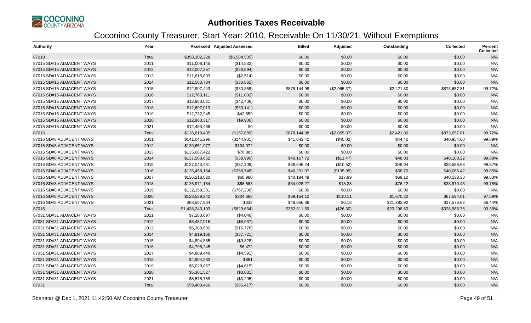

| <b>Authority</b>          | Year  |                 | <b>Assessed Adjusted Assessed</b> | <b>Billed</b> | Adjusted     | Outstanding | Collected    | <b>Percent</b><br><b>Collected</b> |
|---------------------------|-------|-----------------|-----------------------------------|---------------|--------------|-------------|--------------|------------------------------------|
| 87010                     | Total | \$358,302,228   | (\$6,584,505)                     | \$0.00        | \$0.00       | \$0.00      | \$0.00       | N/A                                |
| 87015 SD#15 ADJACENT WAYS | 2011  | \$11,008,145    | (\$14,532)                        | \$0.00        | \$0.00       | \$0.00      | \$0.00       | N/A                                |
| 87015 SD#15 ADJACENT WAYS | 2012  | \$12,007,357    | (\$28,594)                        | \$0.00        | \$0.00       | \$0.00      | \$0.00       | N/A                                |
| 87015 SD#15 ADJACENT WAYS | 2013  | \$11,615,803    | (\$2,514)                         | \$0.00        | \$0.00       | \$0.00      | \$0.00       | N/A                                |
| 87015 SD#15 ADJACENT WAYS | 2014  | \$12,560,784    | (\$30,865)                        | \$0.00        | \$0.00       | \$0.00      | \$0.00       | N/A                                |
| 87015 SD#15 ADJACENT WAYS | 2015  | \$12,907,443    | (\$30,358)                        | \$878,144.98  | (\$2,065.37) | \$2,421.80  | \$873,657.81 | 99.72%                             |
| 87015 SD#15 ADJACENT WAYS | 2016  | \$12,763,111    | (\$11,032)                        | \$0.00        | \$0.00       | \$0.00      | \$0.00       | N/A                                |
| 87015 SD#15 ADJACENT WAYS | 2017  | \$12,883,021    | (\$42,406)                        | \$0.00        | \$0.00       | \$0.00      | \$0.00       | N/A                                |
| 87015 SD#15 ADJACENT WAYS | 2018  | \$12,697,013    | (\$30,141)                        | \$0.00        | \$0.00       | \$0.00      | \$0.00       | N/A                                |
| 87015 SD#15 ADJACENT WAYS | 2019  | \$12,732,945    | \$42,659                          | \$0.00        | \$0.00       | \$0.00      | \$0.00       | N/A                                |
| 87015 SD#15 ADJACENT WAYS | 2020  | \$12,960,317    | (\$9,906)                         | \$0.00        | \$0.00       | \$0.00      | \$0.00       | N/A                                |
| 87015 SD#15 ADJACENT WAYS | 2021  | \$12,483,466    | \$0                               | \$0.00        | \$0.00       | \$0.00      | \$0.00       | N/A                                |
| 87015                     | Total | \$136,619,405   | (\$157,689)                       | \$878,144.98  | (\$2,065.37) | \$2,421.80  | \$873,657.81 | 99.72%                             |
| 87016 SD#8 ADJACENT WAYS  | 2011  | \$141,045,296   | (\$144,901)                       | \$41,043.42   | (\$45.02)    | \$44.40     | \$40,954.00  | 99.89%                             |
| 87016 SD#8 ADJACENT WAYS  | 2012  | \$139,651,977   | \$104,072                         | \$0.00        | \$0.00       | \$0.00      | \$0.00       | N/A                                |
| 87016 SD#8 ADJACENT WAYS  | 2013  | \$135,087,422   | \$76,885                          | \$0.00        | \$0.00       | \$0.00      | \$0.00       | N/A                                |
| 87016 SD#8 ADJACENT WAYS  | 2014  | \$137,560,652   | (\$38,990)                        | \$40,167.72   | (\$11.47)    | \$48.03     | \$40,108.22  | 99.88%                             |
| 87016 SD#8 ADJACENT WAYS  | 2015  | \$137,043,431   | (\$37,309)                        | \$38,646.24   | (\$10.52)    | \$49.04     | \$38,586.68  | 99.87%                             |
| 87016 SD#8 ADJACENT WAYS  | 2016  | \$135,458,164   | (\$356,748)                       | \$40,231.07   | (\$105.95)   | \$58.70     | \$40,066.42  | 99.85%                             |
| 87016 SD#8 ADJACENT WAYS  | 2017  | \$136,218,620   | \$60,980                          | \$40,184.49   | \$17.99      | \$69.10     | \$40,133.38  | 99.83%                             |
| 87016 SD#8 ADJACENT WAYS  | 2018  | \$126,971,184   | \$68,583                          | \$34,028.27   | \$18.38      | \$76.22     | \$33,970.43  | 99.78%                             |
| 87016 SD#8 ADJACENT WAYS  | 2019  | \$132,159,301   | (\$767,206)                       | \$0.00        | \$0.00       | \$0.00      | \$0.00       | N/A                                |
| 87016 SD#8 ADJACENT WAYS  | 2020  | \$128,539,242   | \$204,668                         | \$69,154.12   | \$110.11     | \$1,670.22  | \$67,594.01  | 97.59%                             |
| 87016 SD#8 ADJACENT WAYS  | 2021  | \$88,507,904    | \$332                             | \$48,856.36   | \$0.18       | \$21,282.92 | \$27,573.62  | 56.44%                             |
| 87016                     | Total | \$1,438,243,193 | (\$829,634)                       | \$352,311.69  | (\$26.30)    | \$23,298.63 | \$328,986.76 | 93.39%                             |
| 87031 SD#31 ADJACENT WAYS | 2011  | \$7,280,697     | (\$4,046)                         | \$0.00        | \$0.00       | \$0.00      | \$0.00       | N/A                                |
| 87031 SD#31 ADJACENT WAYS | 2012  | \$6,437,016     | (\$8,937)                         | \$0.00        | \$0.00       | \$0.00      | \$0.00       | N/A                                |
| 87031 SD#31 ADJACENT WAYS | 2013  | \$5,389,602     | (\$16,776)                        | \$0.00        | \$0.00       | \$0.00      | \$0.00       | N/A                                |
| 87031 SD#31 ADJACENT WAYS | 2014  | \$4,919,166     | (\$37,721)                        | \$0.00        | \$0.00       | \$0.00      | \$0.00       | N/A                                |
| 87031 SD#31 ADJACENT WAYS | 2015  | \$4,894,885     | (\$9,828)                         | \$0.00        | \$0.00       | \$0.00      | \$0.00       | N/A                                |
| 87031 SD#31 ADJACENT WAYS | 2016  | \$4,798,245     | \$6,472                           | \$0.00        | \$0.00       | \$0.00      | \$0.00       | N/A                                |
| 87031 SD#31 ADJACENT WAYS | 2017  | \$4,869,449     | (\$4,591)                         | \$0.00        | \$0.00       | \$0.00      | \$0.00       | N/A                                |
| 87031 SD#31 ADJACENT WAYS | 2018  | \$4,904,233     | \$861                             | \$0.00        | \$0.00       | \$0.00      | \$0.00       | N/A                                |
| 87031 SD#31 ADJACENT WAYS | 2019  | \$5,029,857     | (\$4,615)                         | \$0.00        | \$0.00       | \$0.00      | \$0.00       | N/A                                |
| 87031 SD#31 ADJACENT WAYS | 2020  | \$5,301,527     | (\$3,031)                         | \$0.00        | \$0.00       | \$0.00      | \$0.00       | N/A                                |
| 87031 SD#31 ADJACENT WAYS | 2021  | \$5,575,789     | (\$3,205)                         | \$0.00        | \$0.00       | \$0.00      | \$0.00       | N/A                                |
| 87031                     | Total | \$59,400,466    | (\$85,417)                        | \$0.00        | \$0.00       | \$0.00      | \$0.00       | N/A                                |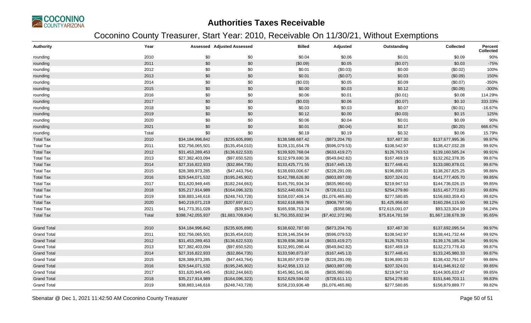

| <b>Authority</b>   | Year  |                   | Assessed Adjusted Assessed | <b>Billed</b>      | Adjusted         | Outstanding     | Collected          | Percent<br><b>Collected</b> |
|--------------------|-------|-------------------|----------------------------|--------------------|------------------|-----------------|--------------------|-----------------------------|
| rounding           | 2010  | \$0               | \$0                        | \$0.04             | \$0.06           | \$0.01          | \$0.09             | 90%                         |
| rounding           | 2011  | \$0               | \$0                        | (\$0.09)           | \$0.05           | (\$0.07)        | \$0.03             | $-75%$                      |
| rounding           | 2012  | \$0               | \$0                        | \$0.01             | (\$0.03)         | \$0.00          | (\$0.02)           | 100%                        |
| rounding           | 2013  | $\$0$             | \$0                        | \$0.01             | (\$0.07)         | \$0.03          | (\$0.09)           | 150%                        |
| rounding           | 2014  | \$0               | \$0                        | (\$0.03)           | \$0.05           | \$0.09          | (\$0.07)           | $-350%$                     |
| rounding           | 2015  | \$0               | \$0                        | \$0.00             | \$0.03           | \$0.12          | (\$0.09)           | $-300%$                     |
| rounding           | 2016  | $\$0$             | \$0                        | \$0.06             | \$0.01           | (\$0.01)        | \$0.08             | 114.29%                     |
| rounding           | 2017  | \$0               | \$0                        | (\$0.03)           | \$0.06           | (\$0.07)        | \$0.10             | 333.33%                     |
| rounding           | 2018  | \$0               | \$0                        | \$0.03             | \$0.03           | \$0.07          | (\$0.01)           | $-16.67%$                   |
| rounding           | 2019  | \$0               | \$0                        | \$0.12             | \$0.00           | (\$0.03)        | \$0.15             | 125%                        |
| rounding           | 2020  | \$0               | \$0                        | \$0.06             | \$0.04           | \$0.01          | \$0.09             | 90%                         |
| rounding           | 2021  | \$0               | \$0                        | \$0.01             | (\$0.04)         | \$0.17          | (\$0.20)           | 666.67%                     |
| rounding           | Total | \$0               | \$0                        | \$0.19             | \$0.19           | \$0.32          | \$0.06             | 15.79%                      |
| <b>Total Tax</b>   | 2010  | \$34,184,996,842  | (\$235,605,898)            | \$138,588,687.42   | (\$873,204.76)   | \$37,487.30     | \$137,677,995.36   | 99.97%                      |
| <b>Total Tax</b>   | 2011  | \$32,756,065,501  | (\$135,454,010)            | \$139,131,654.78   | (\$596,079.53)   | \$108,542.97    | \$138,427,032.28   | 99.92%                      |
| <b>Total Tax</b>   | 2012  | \$31,453,289,453  | (\$136,622,533)            | \$139,920,768.04   | (\$633,419.27)   | \$126,763.53    | \$139,160,585.24   | 99.91%                      |
| <b>Total Tax</b>   | 2013  | \$27,382,403,094  | (\$97,650,520)             | \$132,979,690.36   | (\$549, 842.82)  | \$167,469.19    | \$132,262,378.35   | 99.87%                      |
| <b>Total Tax</b>   | 2014  | \$27,316,822,933  | (\$32,864,735)             | \$133,425,771.55   | (\$167,445.13)   | \$177,448.41    | \$133,080,878.01   | 99.87%                      |
| <b>Total Tax</b>   | 2015  | \$28,389,973,285  | (\$47,443,764)             | \$138,693,006.67   | (\$228, 291.09)  | \$196,890.33    | \$138,267,825.25   | 99.86%                      |
| <b>Total Tax</b>   | 2016  | \$29,544,071,532  | (\$195, 245, 902)          | \$142,788,626.80   | (\$803, 897.09)  | \$207,324.01    | \$141,777,405.70   | 99.85%                      |
| <b>Total Tax</b>   | 2017  | \$31,620,949,445  | (\$182, 244, 663)          | \$145,791,934.34   | (\$835,960.66)   | \$219,947.53    | \$144,736,026.15   | 99.85%                      |
| <b>Total Tax</b>   | 2018  | \$35,217,914,989  | (\$164,096,323)            | \$152,440,663.74   | (\$728,611.11)   | \$254,279.80    | \$151,457,772.83   | 99.83%                      |
| <b>Total Tax</b>   | 2019  | \$38,883,146,616  | (\$248,743,728)            | \$158,037,406.14   | (\$1,076,465.86) | \$277,580.85    | \$156,683,359.43   | 99.82%                      |
| <b>Total Tax</b>   | 2020  | \$40,219,071,219  | (\$207,697,811)            | \$162,618,869.76   | (\$908,797.56)   | \$1,425,956.60  | \$160,284,115.60   | 99.12%                      |
| <b>Total Tax</b>   | 2021  | \$41,773,351,028  | (\$39,947)                 | \$165,938,753.34   | (\$358.08)       | \$72,615,091.07 | \$93,323,304.19    | 56.24%                      |
| <b>Total Tax</b>   | Total | \$398,742,055,937 | (\$1,683,709,834)          | \$1,750,355,832.94 | (\$7,402,372.96) | \$75,814,781.59 | \$1,667,138,678.39 | 95.65%                      |
|                    |       |                   |                            |                    |                  |                 |                    |                             |
| <b>Grand Total</b> | 2010  | \$34,184,996,842  | (\$235,605,898)            | \$138,602,787.60   | (\$873,204.76)   | \$37,487.30     | \$137,692,095.54   | 99.97%                      |
| <b>Grand Total</b> | 2011  | \$32,756,065,501  | (\$135,454,010)            | \$139,146,354.94   | (\$596,079.53)   | \$108,542.97    | \$138,441,732.44   | 99.92%                      |
| <b>Grand Total</b> | 2012  | \$31,453,289,453  | (\$136,622,533)            | \$139,936,368.14   | (\$633,419.27)   | \$126,763.53    | \$139,176,185.34   | 99.91%                      |
| <b>Grand Total</b> | 2013  | \$27,382,403,094  | (\$97,650,520)             | \$132,991,090.44   | (\$549, 842.82)  | \$167,469.19    | \$132,273,778.43   | 99.87%                      |
| <b>Grand Total</b> | 2014  | \$27,316,822,933  | (\$32,864,735)             | \$133,590,873.87   | (\$167,445.13)   | \$177,448.41    | \$133,245,980.33   | 99.87%                      |
| <b>Grand Total</b> | 2015  | \$28,389,973,285  | (\$47,443,764)             | \$138,857,972.99   | (\$228, 291.09)  | \$196,890.33    | \$138,432,791.57   | 99.86%                      |
| <b>Grand Total</b> | 2016  | \$29,544,071,532  | (\$195, 245, 902)          | \$142,958,133.12   | (\$803, 897.09)  | \$207,324.01    | \$141,946,912.02   | 99.85%                      |
| <b>Grand Total</b> | 2017  | \$31,620,949,445  | (\$182, 244, 663)          | \$145,961,541.66   | (\$835,960.66)   | \$219,947.53    | \$144,905,633.47   | 99.85%                      |
| <b>Grand Total</b> | 2018  | \$35,217,914,989  | (\$164,096,323)            | \$152,629,594.02   | (\$728,611.11)   | \$254,279.80    | \$151,646,703.11   | 99.83%                      |
| <b>Grand Total</b> | 2019  | \$38,883,146,616  | (\$248,743,728)            | \$158,233,936.48   | (\$1,076,465.86) | \$277,580.85    | \$156,879,889.77   | 99.82%                      |